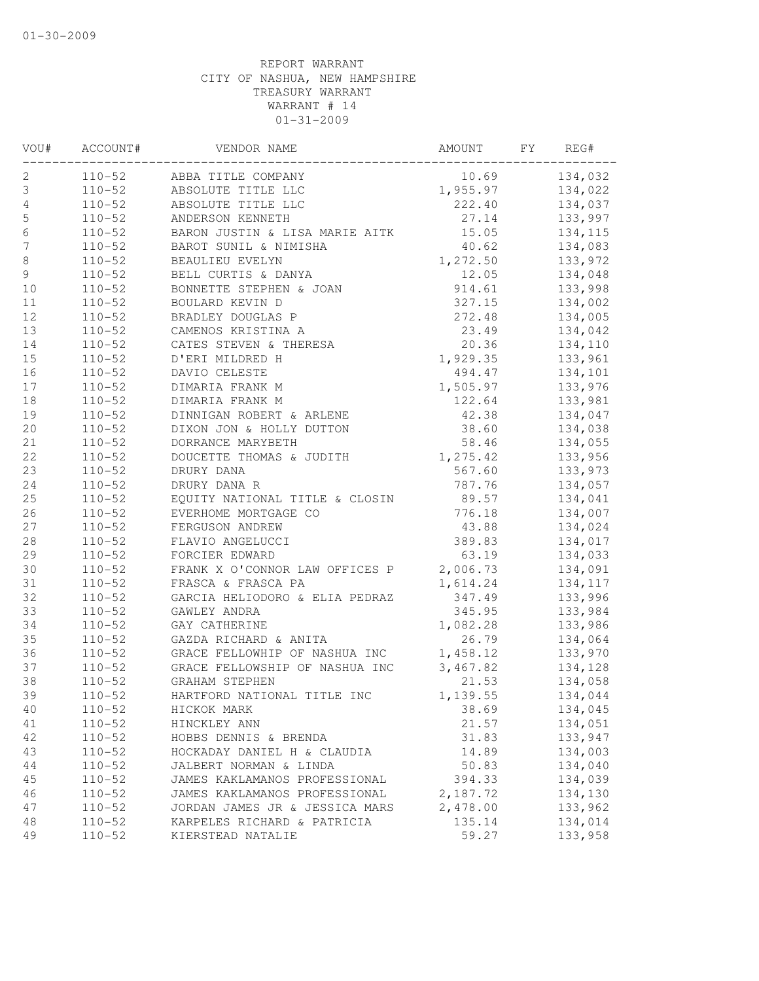| VOU#           | ACCOUNT#   | VENDOR NAME                                                                                                              | AMOUNT                | FY | REG#     |
|----------------|------------|--------------------------------------------------------------------------------------------------------------------------|-----------------------|----|----------|
| 2              |            | 110-52 ABBA TITLE COMPANY                                                                                                | 10.69                 |    | 134,032  |
| $\mathsf 3$    | $110 - 52$ | $10.69$<br>1,955.97<br>ABSOLUTE TITLE LLC                                                                                |                       |    | 134,022  |
| $\sqrt{4}$     | $110 - 52$ | ABSOLUTE TITLE LLC                                                                                                       | 222.40                |    | 134,037  |
| 5              | $110 - 52$ | ANDERSON KENNETH                                                                                                         | 27.14                 |    | 133,997  |
| $\epsilon$     | $110 - 52$ | BARON JUSTIN & LISA MARIE AITK                                                                                           | 15.05                 |    | 134,115  |
| $\overline{7}$ | $110 - 52$ | BAROT SUNIL & NIMISHA                                                                                                    | 40.62                 |    | 134,083  |
| $\,8\,$        | $110 - 52$ | BEAULIEU EVELYN                                                                                                          | $40.62$<br>$1,272.50$ |    | 133,972  |
| $\mathsf 9$    | $110 - 52$ | BEACHING NATHAN<br>BELL CURTIS & DANYA<br>BONNETTE STEPHEN & JOAN                                                        | 12.05                 |    | 134,048  |
| 10             | $110 - 52$ |                                                                                                                          | 914.61                |    | 133,998  |
| 11             | $110 - 52$ | BOULARD KEVIN D<br>BRADLEY DOUGLAS P<br>CAMENOS KRISTINA A<br>CATES STEVEN & THERESA<br>D'ERI MILDRED H<br>N'ILO CELECTE | 327.15                |    | 134,002  |
| 12             | $110 - 52$ |                                                                                                                          | 272.48                |    | 134,005  |
| 13             | $110 - 52$ |                                                                                                                          | 23.49                 |    | 134,042  |
| 14             | $110 - 52$ |                                                                                                                          | 20.36                 |    | 134,110  |
| 15             | $110 - 52$ |                                                                                                                          | 1,929.35              |    | 133,961  |
| 16             | $110 - 52$ | DAVIO CELESTE                                                                                                            | 494.47                |    | 134,101  |
| 17             | $110 - 52$ | DIMARIA FRANK M                                                                                                          | 1,505.97              |    | 133,976  |
| 18             | $110 - 52$ | DIMARIA FRANK M                                                                                                          | 122.64                |    | 133,981  |
| 19             | $110 - 52$ | DINNIGAN ROBERT & ARLENE                                                                                                 | 42.38                 |    | 134,047  |
| 20             | $110 - 52$ | DIXON JON & HOLLY DUTTON 38.60                                                                                           |                       |    | 134,038  |
| 21             | $110 - 52$ | DORRANCE MARYBETH                                                                                                        | 58.46                 |    | 134,055  |
| 22             | $110 - 52$ | DOUCETTE THOMAS & JUDITH 1,275.42                                                                                        |                       |    | 133,956  |
| 23             | $110 - 52$ | DRURY DANA                                                                                                               | 567.60                |    | 133,973  |
| 24             | $110 - 52$ | DRURY DANA R                                                                                                             | 787.76                |    | 134,057  |
| 25             | $110 - 52$ |                                                                                                                          | 89.57                 |    | 134,041  |
| 26             | $110 - 52$ | EQUITY NATIONAL TITLE & CLOSIN<br>EVERHOME MORTGAGE CO<br>ENDOUGON ANDREW                                                | 776.18                |    | 134,007  |
| 27             | $110 - 52$ | FERGUSON ANDREW                                                                                                          | 43.88                 |    | 134,024  |
| $2\,8$         | $110 - 52$ | FLAVIO ANGELUCCI                                                                                                         | 389.83                |    | 134,017  |
| 29             | $110 - 52$ | FORCIER EDWARD                                                                                                           | 63.19                 |    | 134,033  |
| 30             | $110 - 52$ | FRANK X O'CONNOR LAW OFFICES P 2,006.73                                                                                  |                       |    | 134,091  |
| 31             | $110 - 52$ | FRASCA & FRASCA PA                                                                                                       | 1,614.24              |    | 134, 117 |
| 32             | $110 - 52$ | GARCIA HELIODORO & ELIA PEDRAZ                                                                                           | 347.49                |    | 133,996  |
| 33             | $110 - 52$ | GAWLEY ANDRA                                                                                                             | 345.95                |    | 133,984  |
| 34             | $110 - 52$ | GAY CATHERINE                                                                                                            | 1,082.28              |    | 133,986  |
|                | $110 - 52$ | GAZDA RICHARD & ANITA                                                                                                    | 26.79                 |    | 134,064  |
| 35<br>36       | $110 - 52$ | GRACE FELLOWHIP OF NASHUA INC                                                                                            | 1,458.12              |    |          |
|                |            |                                                                                                                          |                       |    | 133,970  |
| 37             | $110 - 52$ | GRACE FELLOWSHIP OF NASHUA INC                                                                                           | 3,467.82              |    | 134,128  |
| 38             | $110 - 52$ | <b>GRAHAM STEPHEN</b>                                                                                                    | 21.53                 |    | 134,058  |
| 39             | $110 - 52$ | HARTFORD NATIONAL TITLE INC                                                                                              | 1,139.55              |    | 134,044  |
| 40             | $110 - 52$ | HICKOK MARK                                                                                                              | 38.69                 |    | 134,045  |
| 41             | $110 - 52$ | HINCKLEY ANN                                                                                                             | 21.57                 |    | 134,051  |
| 42             | $110 - 52$ | HOBBS DENNIS & BRENDA                                                                                                    | 31.83                 |    | 133,947  |
| 43             | $110 - 52$ | HOCKADAY DANIEL H & CLAUDIA                                                                                              | 14.89                 |    | 134,003  |
| 44             | $110 - 52$ | JALBERT NORMAN & LINDA                                                                                                   | 50.83                 |    | 134,040  |
| 45             | $110 - 52$ | JAMES KAKLAMANOS PROFESSIONAL                                                                                            | 394.33                |    | 134,039  |
| 46             | $110 - 52$ | JAMES KAKLAMANOS PROFESSIONAL                                                                                            | 2,187.72              |    | 134,130  |
| 47             | $110 - 52$ | JORDAN JAMES JR & JESSICA MARS                                                                                           | 2,478.00              |    | 133,962  |
| 48             | $110 - 52$ | KARPELES RICHARD & PATRICIA                                                                                              | 135.14                |    | 134,014  |
| 49             | $110 - 52$ | KIERSTEAD NATALIE                                                                                                        | 59.27                 |    | 133,958  |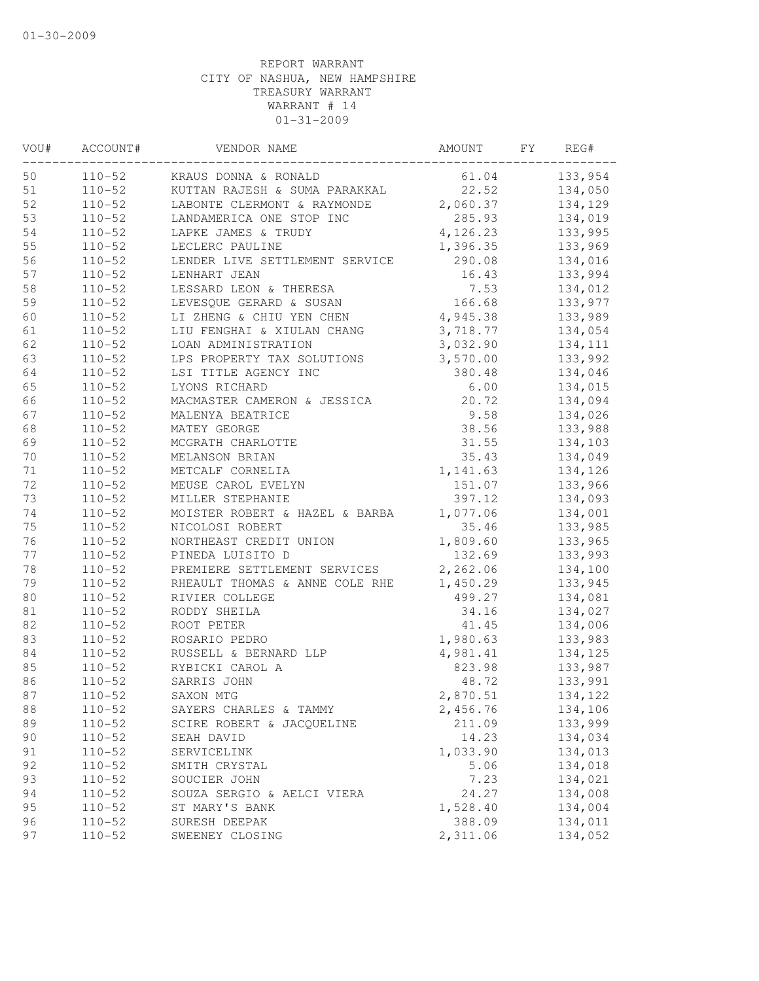| VOU# | ACCOUNT#   | VENDOR NAME                                                          | AMOUNT   | FY | REG#    |
|------|------------|----------------------------------------------------------------------|----------|----|---------|
| 50   | $110 - 52$ | KRAUS DONNA & RONALD                                                 | 61.04    |    | 133,954 |
| 51   | $110 - 52$ | KUTTAN RAJESH & SUMA PARAKKAL                                        | 22.52    |    | 134,050 |
| 52   | $110 - 52$ | LABONTE CLERMONT & RAYMONDE 2,060.37                                 |          |    | 134,129 |
| 53   | $110 - 52$ | LANDAMERICA ONE STOP INC                                             | 285.93   |    | 134,019 |
| 54   | $110 - 52$ | LAPKE JAMES & TRUDY                                                  | 4,126.23 |    | 133,995 |
| 55   | $110 - 52$ | LECLERC PAULINE                                                      | 1,396.35 |    | 133,969 |
| 56   | $110 - 52$ | LENDER LIVE SETTLEMENT SERVICE                                       | 290.08   |    | 134,016 |
| 57   | $110 - 52$ | LENHART JEAN                                                         | 16.43    |    | 133,994 |
| 58   | $110 - 52$ | LESSARD LEON & THERESA                                               | 7.53     |    | 134,012 |
| 59   | $110 - 52$ | LEVESQUE GERARD & SUSAN                                              | 166.68   |    | 133,977 |
| 60   | $110 - 52$ | LI ZHENG & CHIU YEN CHEN 4,945.38                                    |          |    | 133,989 |
| 61   | $110 - 52$ | LIU FENGHAI & XIULAN CHANG                                           | 3,718.77 |    | 134,054 |
| 62   | $110 - 52$ | LOAN ADMINISTRATION                                                  | 3,032.90 |    | 134,111 |
| 63   | $110 - 52$ | LPS PROPERTY TAX SOLUTIONS                                           | 3,570.00 |    | 133,992 |
| 64   | $110 - 52$ | LSI TITLE AGENCY INC                                                 | 380.48   |    | 134,046 |
| 65   | $110 - 52$ | LYONS RICHARD                                                        | 6.00     |    | 134,015 |
| 66   | $110 - 52$ | MACMASTER CAMERON & JESSICA                                          | 20.72    |    | 134,094 |
| 67   | $110 - 52$ | MALENYA BEATRICE                                                     | 9.58     |    | 134,026 |
| 68   | $110 - 52$ | MATEY GEORGE                                                         | 38.56    |    | 133,988 |
| 69   | $110 - 52$ | MCGRATH CHARLOTTE                                                    | 31.55    |    | 134,103 |
| 70   | $110 - 52$ | MELANSON BRIAN                                                       | 35.43    |    | 134,049 |
| 71   | $110 - 52$ | METCALF CORNELIA                                                     | 1,141.63 |    | 134,126 |
| 72   | $110 - 52$ | MEUSE CAROL EVELYN                                                   | 151.07   |    | 133,966 |
| 73   | $110 - 52$ | MILLER STEPHANIE                                                     | 397.12   |    | 134,093 |
| 74   | $110 - 52$ | MOISTER ROBERT & HAZEL & BARBA                                       | 1,077.06 |    | 134,001 |
| 75   | $110 - 52$ | NICOLOSI ROBERT                                                      | 35.46    |    | 133,985 |
| 76   | $110 - 52$ | NORTHEAST CREDIT UNION                                               | 1,809.60 |    | 133,965 |
| 77   | $110 - 52$ | PINEDA LUISITO D                                                     | 132.69   |    | 133,993 |
| 78   | $110 - 52$ | PREMIERE SETTLEMENT SERVICES                                         | 2,262.06 |    | 134,100 |
| 79   | $110 - 52$ | RHEAULT THOMAS & ANNE COLE RHE                                       | 1,450.29 |    | 133,945 |
| 80   | $110 - 52$ | RIVIER COLLEGE                                                       | 499.27   |    | 134,081 |
| 81   | $110 - 52$ | RODDY SHEILA                                                         | 34.16    |    | 134,027 |
| 82   | $110 - 52$ | ROOT PETER                                                           | 41.45    |    | 134,006 |
| 83   | $110 - 52$ | ROSARIO PEDRO                                                        | 1,980.63 |    | 133,983 |
| 84   | $110 - 52$ | RUSSELL & BERNARD LLP<br>RYBICKI CAROL A<br>SARRIS JOHN<br>SAYON MTC | 4,981.41 |    | 134,125 |
| 85   | $110 - 52$ |                                                                      | 823.98   |    | 133,987 |
| 86   | $110 - 52$ |                                                                      | 48.72    |    | 133,991 |
| 87   | $110 - 52$ | SAXON MTG                                                            | 2,870.51 |    | 134,122 |
| 88   | $110 - 52$ | SAYERS CHARLES & TAMMY                                               | 2,456.76 |    | 134,106 |
| 89   | $110 - 52$ | SCIRE ROBERT & JACQUELINE                                            | 211.09   |    | 133,999 |
| 90   | $110 - 52$ | SEAH DAVID                                                           | 14.23    |    | 134,034 |
| 91   | $110 - 52$ | SERVICELINK                                                          | 1,033.90 |    | 134,013 |
| 92   | $110 - 52$ | SMITH CRYSTAL                                                        | 5.06     |    | 134,018 |
| 93   | $110 - 52$ | SOUCIER JOHN                                                         | 7.23     |    | 134,021 |
| 94   | $110 - 52$ | SOUZA SERGIO & AELCI VIERA                                           | 24.27    |    | 134,008 |
| 95   | $110 - 52$ | ST MARY'S BANK                                                       | 1,528.40 |    | 134,004 |
| 96   | $110 - 52$ | SURESH DEEPAK                                                        | 388.09   |    | 134,011 |
| 97   | $110 - 52$ | SWEENEY CLOSING                                                      | 2,311.06 |    | 134,052 |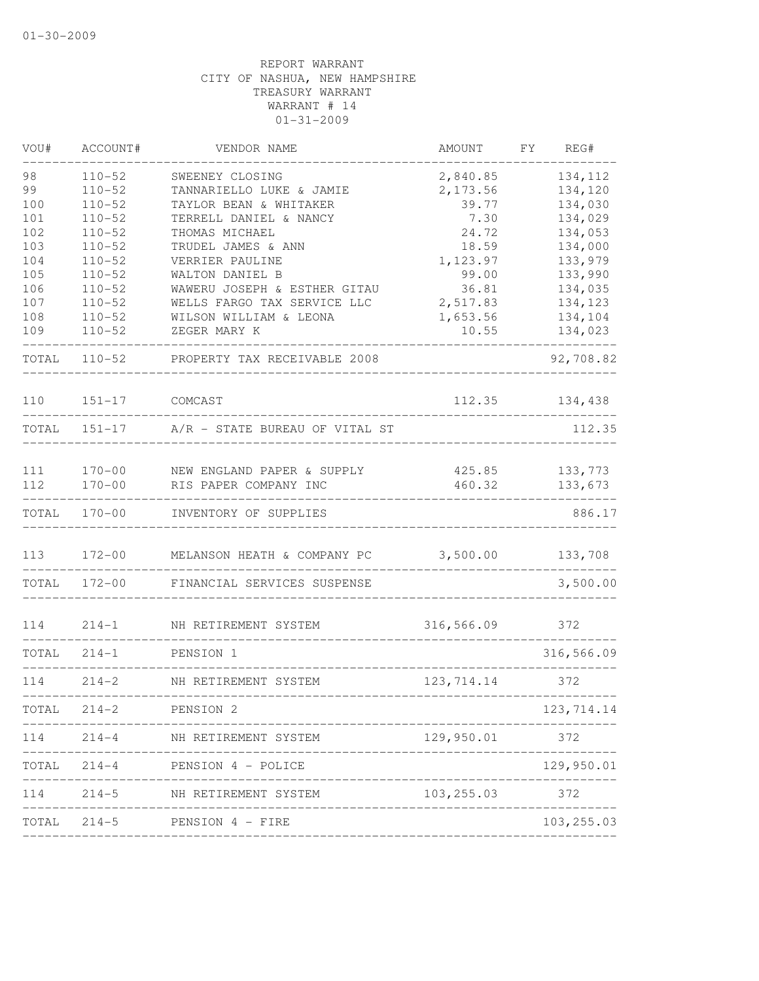| VOU#  | ACCOUNT#   | VENDOR NAME                           | <b>AMOUNT</b> | FY | REG#        |
|-------|------------|---------------------------------------|---------------|----|-------------|
| 98    | $110 - 52$ | SWEENEY CLOSING                       | 2,840.85      |    | 134,112     |
| 99    | $110 - 52$ | TANNARIELLO LUKE & JAMIE              | 2, 173.56     |    | 134,120     |
| 100   | $110 - 52$ | TAYLOR BEAN & WHITAKER                | 39.77         |    | 134,030     |
| 101   | $110 - 52$ | TERRELL DANIEL & NANCY                | 7.30          |    | 134,029     |
| 102   | $110 - 52$ | THOMAS MICHAEL                        | 24.72         |    | 134,053     |
| 103   | $110 - 52$ | TRUDEL JAMES & ANN                    | 18.59         |    | 134,000     |
| 104   | $110 - 52$ | VERRIER PAULINE                       | 1,123.97      |    | 133,979     |
| 105   | $110 - 52$ | WALTON DANIEL B                       | 99.00         |    | 133,990     |
| 106   | $110 - 52$ | WAWERU JOSEPH & ESTHER GITAU          | 36.81         |    | 134,035     |
| 107   | $110 - 52$ | WELLS FARGO TAX SERVICE LLC           | 2,517.83      |    | 134,123     |
| 108   | $110 - 52$ | WILSON WILLIAM & LEONA                | 1,653.56      |    | 134,104     |
| 109   | $110 - 52$ | ZEGER MARY K                          | 10.55         |    | 134,023     |
| TOTAL | $110 - 52$ | PROPERTY TAX RECEIVABLE 2008          |               |    | 92,708.82   |
| 110   | $151 - 17$ | COMCAST                               | 112.35        |    | 134,438     |
| TOTAL |            | 151-17 A/R - STATE BUREAU OF VITAL ST |               |    | 112.35      |
|       |            |                                       |               |    |             |
| 111   | $170 - 00$ | NEW ENGLAND PAPER & SUPPLY            | 425.85        |    | 133,773     |
| 112   | $170 - 00$ | RIS PAPER COMPANY INC                 | 460.32        |    | 133,673     |
| TOTAL | $170 - 00$ | INVENTORY OF SUPPLIES                 |               |    | 886.17      |
| 113   | $172 - 00$ | MELANSON HEATH & COMPANY PC           | 3,500.00      |    | 133,708     |
| TOTAL | $172 - 00$ | FINANCIAL SERVICES SUSPENSE           |               |    | 3,500.00    |
| 114   | $214 - 1$  | NH RETIREMENT SYSTEM                  | 316,566.09    |    | 372         |
| TOTAL | $214 - 1$  | PENSION 1                             |               |    | 316,566.09  |
| 114   | $214 - 2$  | NH RETIREMENT SYSTEM                  | 123,714.14    |    | 372         |
| TOTAL | $214 - 2$  | PENSION 2                             |               |    | 123, 714.14 |
| 114   | $214 - 4$  | NH RETIREMENT SYSTEM                  | 129,950.01    |    | 372         |
| TOTAL | $214 - 4$  | PENSION 4 - POLICE                    |               |    | 129,950.01  |
| 114   | $214 - 5$  | NH RETIREMENT SYSTEM                  | 103,255.03    |    | 372         |
| TOTAL | $214 - 5$  | PENSION 4 - FIRE                      |               |    | 103, 255.03 |
|       |            |                                       |               |    |             |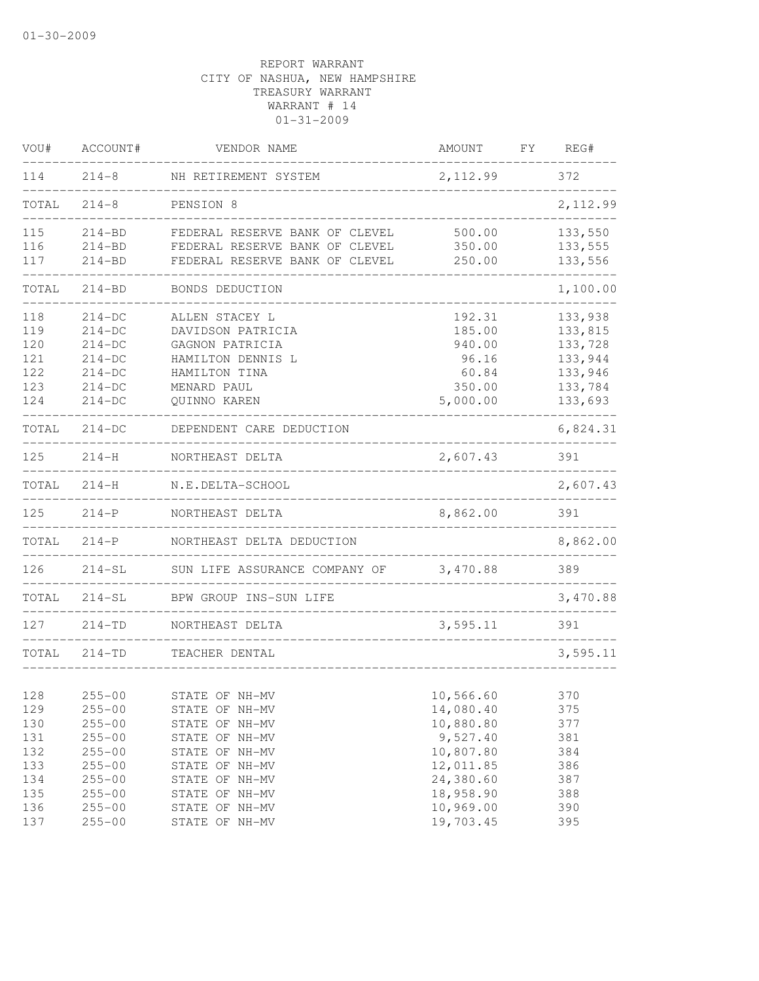| VOU#  | ACCOUNT#   | VENDOR NAME                    | AMOUNT    | REG#<br>FY. |
|-------|------------|--------------------------------|-----------|-------------|
| 114   | $214 - 8$  | NH RETIREMENT SYSTEM           | 2,112.99  | 372         |
| TOTAL | $214 - 8$  | PENSION 8                      |           | 2,112.99    |
| 115   | $214 - BD$ | FEDERAL RESERVE BANK OF CLEVEL | 500.00    | 133,550     |
| 116   | $214 - BD$ | FEDERAL RESERVE BANK OF CLEVEL | 350.00    | 133,555     |
| 117   | $214 - BD$ | FEDERAL RESERVE BANK OF CLEVEL | 250.00    | 133,556     |
| TOTAL | $214 - BD$ | BONDS DEDUCTION                |           | 1,100.00    |
| 118   | $214-DC$   | ALLEN STACEY L                 | 192.31    | 133,938     |
| 119   | $214-DC$   | DAVIDSON PATRICIA              | 185.00    | 133,815     |
| 120   | $214-DC$   | GAGNON PATRICIA                | 940.00    | 133,728     |
| 121   | $214-DC$   | HAMILTON DENNIS L              | 96.16     | 133,944     |
| 122   | $214-DC$   | HAMILTON TINA                  | 60.84     | 133,946     |
| 123   | $214-DC$   | MENARD PAUL                    | 350.00    | 133,784     |
| 124   | $214-DC$   | QUINNO KAREN                   | 5,000.00  | 133,693     |
| TOTAL | $214-DC$   | DEPENDENT CARE DEDUCTION       |           | 6,824.31    |
| 125   | $214 - H$  | NORTHEAST DELTA                | 2,607.43  | 391         |
| TOTAL | $214 - H$  | N.E.DELTA-SCHOOL               |           | 2,607.43    |
| 125   | $214 - P$  | NORTHEAST DELTA                | 8,862.00  | 391         |
| TOTAL | $214-P$    | NORTHEAST DELTA DEDUCTION      |           | 8,862.00    |
| 126   | $214-SL$   | SUN LIFE ASSURANCE COMPANY OF  | 3,470.88  | 389         |
| TOTAL | $214-SL$   | BPW GROUP INS-SUN LIFE         |           | 3,470.88    |
| 127   | $214 - TD$ | NORTHEAST DELTA                | 3,595.11  | 391         |
| TOTAL | $214 - TD$ | TEACHER DENTAL                 |           | 3,595.11    |
|       |            |                                |           |             |
| 128   | $255 - 00$ | STATE OF NH-MV                 | 10,566.60 | 370         |
| 129   | $255 - 00$ | STATE OF NH-MV                 | 14,080.40 | 375         |
| 130   | $255 - 00$ | STATE OF NH-MV                 | 10,880.80 | 377         |
| 131   | $255 - 00$ | STATE OF NH-MV                 | 9,527.40  | 381         |
| 132   | $255 - 00$ | STATE OF NH-MV                 | 10,807.80 | 384         |
| 133   | $255 - 00$ | STATE OF NH-MV                 | 12,011.85 | 386         |
| 134   | $255 - 00$ | STATE OF NH-MV                 | 24,380.60 | 387         |
| 135   | $255 - 00$ | STATE OF NH-MV                 | 18,958.90 | 388         |
| 136   | $255 - 00$ | STATE OF NH-MV                 | 10,969.00 | 390         |
| 137   | $255 - 00$ | STATE OF NH-MV                 | 19,703.45 | 395         |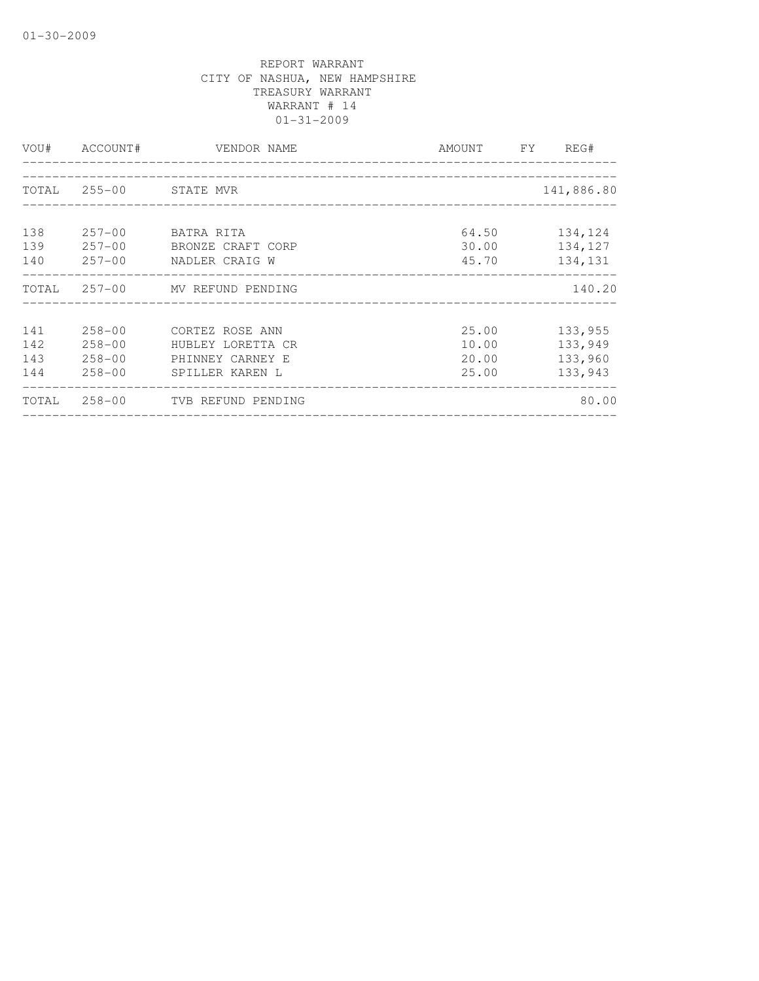|                          | VOU# ACCOUNT#                          | VENDOR NAME                                                                        | AMOUNT FY REG#                   |                                          |
|--------------------------|----------------------------------------|------------------------------------------------------------------------------------|----------------------------------|------------------------------------------|
|                          | TOTAL 255-00 STATE MVR                 |                                                                                    |                                  | 141,886.80                               |
| 138<br>139<br>140        | $257 - 00$                             | 257-00 BATRA RITA<br>BRONZE CRAFT CORP<br>257-00 NADLER CRAIG W                    | 64.50<br>30.00<br>45.70          | 134,124<br>134,127<br>134,131            |
|                          |                                        | TOTAL 257-00 MV REFUND PENDING                                                     |                                  | 140.20                                   |
| 141<br>142<br>143<br>144 | $258 - 00$<br>$258 - 00$<br>$258 - 00$ | 258-00 CORTEZ ROSE ANN<br>HUBLEY LORETTA CR<br>PHINNEY CARNEY E<br>SPILLER KAREN L | 25.00<br>10.00<br>20.00<br>25.00 | 133,955<br>133,949<br>133,960<br>133,943 |
|                          |                                        | TOTAL 258-00 TVB REFUND PENDING                                                    |                                  | 80.00                                    |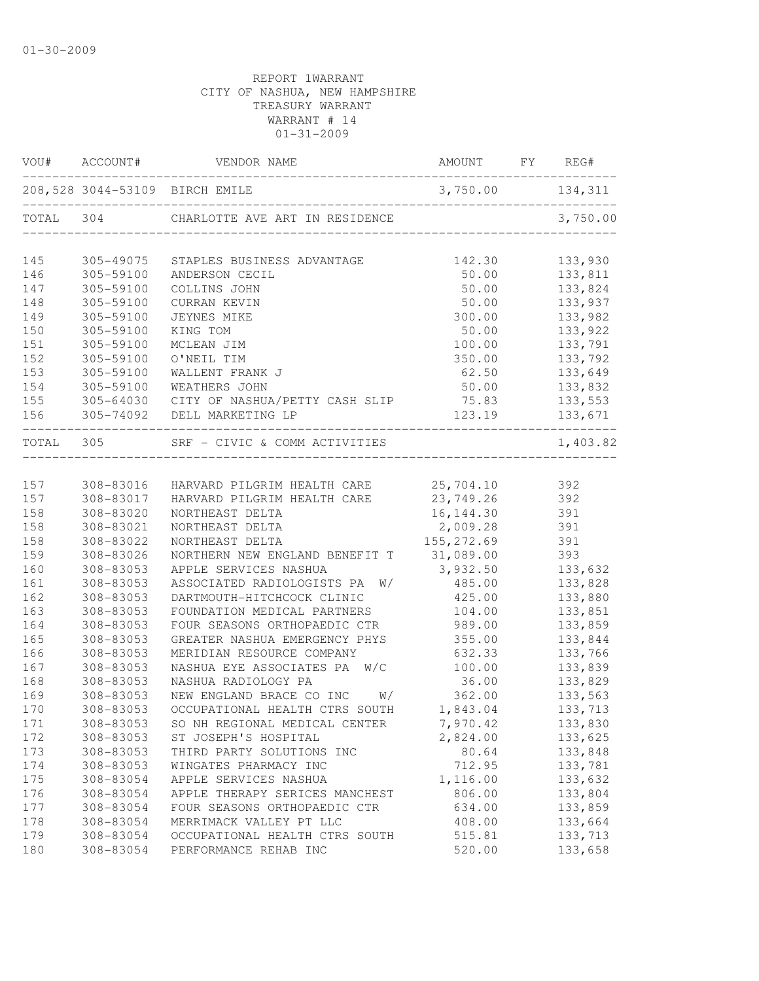|           |           | 208,528 3044-53109 BIRCH EMILE               | 3,750.00 134,311 |            |
|-----------|-----------|----------------------------------------------|------------------|------------|
|           |           | TOTAL 304 CHARLOTTE AVE ART IN RESIDENCE     |                  | 3,750.00   |
| 145       | 305-49075 | STAPLES BUSINESS ADVANTAGE                   | 142.30           | 133,930    |
| 146       | 305-59100 | ANDERSON CECIL                               | 50.00            | 133,811    |
| 147       | 305-59100 | COLLINS JOHN                                 | 50.00            | 133,824    |
| 148       | 305-59100 | CURRAN KEVIN                                 | 50.00            | 133,937    |
| 149       | 305-59100 | <b>JEYNES MIKE</b>                           | 300.00           | 133,982    |
| 150       | 305-59100 | KING TOM                                     | 50.00            | 133,922    |
| 151       | 305-59100 | MCLEAN JIM                                   | 100.00           | 133,791    |
| 152       | 305-59100 | O'NEIL TIM                                   | 350.00           | 133,792    |
| 153       | 305-59100 | WALLENT FRANK J                              | 62.50            | 133,649    |
| 154       | 305-59100 | WEATHERS JOHN                                | 50.00            | 133,832    |
| 155       |           | 305-64030 CITY OF NASHUA/PETTY CASH SLIP     | 75.83            |            |
| 156       |           | 305-74092 DELL MARKETING LP                  |                  |            |
| TOTAL 305 |           | SRF - CIVIC & COMM ACTIVITIES                |                  | 1,403.82   |
|           |           |                                              |                  |            |
| 157       | 308-83016 | HARVARD PILGRIM HEALTH CARE 25,704.10        |                  | 392        |
| 157       | 308-83017 | HARVARD PILGRIM HEALTH CARE 23,749.26        |                  | 392        |
| 158       | 308-83020 | NORTHEAST DELTA                              | 16, 144.30       | 391<br>391 |
| 158       | 308-83021 | NORTHEAST DELTA                              | 2,009.28         |            |
| 158       | 308-83022 | NORTHEAST DELTA                              | 155, 272.69      | 391        |
| 159       | 308-83026 | NORTHERN NEW ENGLAND BENEFIT T 31,089.00 393 |                  |            |
| 160       | 308-83053 | APPLE SERVICES NASHUA                        | 3,932.50 133,632 |            |
| 161       | 308-83053 | ASSOCIATED RADIOLOGISTS PA W/ 485.00         |                  | 133,828    |
| 162       | 308-83053 | DARTMOUTH-HITCHCOCK CLINIC                   | 425.00           | 133,880    |
| 163       | 308-83053 | FOUNDATION MEDICAL PARTNERS                  | 104.00           | 133,851    |
| 164       | 308-83053 | FOUR SEASONS ORTHOPAEDIC CTR                 | 989.00           | 133,859    |
| 165       | 308-83053 | GREATER NASHUA EMERGENCY PHYS                | 355.00           | 133,844    |
| 166       | 308-83053 | MERIDIAN RESOURCE COMPANY                    | 632.33           | 133,766    |
| 167       | 308-83053 | NASHUA EYE ASSOCIATES PA W/C                 | 100.00           | 133,839    |
| 168       | 308-83053 | NASHUA RADIOLOGY PA                          | 36.00            | 133,829    |
| 169       | 308-83053 | NEW ENGLAND BRACE CO INC W/ 362.00           |                  | 133,563    |
| 170       | 308-83053 | OCCUPATIONAL HEALTH CTRS SOUTH 1,843.04      |                  | 133,713    |
| 171       | 308-83053 | SO NH REGIONAL MEDICAL CENTER                | 7,970.42         | 133,830    |
| 172       | 308-83053 | ST JOSEPH'S HOSPITAL                         | 2,824.00         | 133,625    |
| 173       | 308-83053 | THIRD PARTY SOLUTIONS INC                    | 80.64            | 133,848    |
| 174       | 308-83053 | WINGATES PHARMACY INC                        | 712.95           | 133,781    |
| 175       | 308-83054 | APPLE SERVICES NASHUA                        | 1,116.00         | 133,632    |
| 176       | 308-83054 | APPLE THERAPY SERICES MANCHEST               | 806.00           | 133,804    |
| 177       | 308-83054 | FOUR SEASONS ORTHOPAEDIC CTR                 | 634.00           | 133,859    |
| 178       | 308-83054 | MERRIMACK VALLEY PT LLC                      | 408.00           | 133,664    |
| 179       | 308-83054 | OCCUPATIONAL HEALTH CTRS SOUTH               | 515.81           | 133,713    |
| 180       | 308-83054 | PERFORMANCE REHAB INC                        | 520.00           | 133,658    |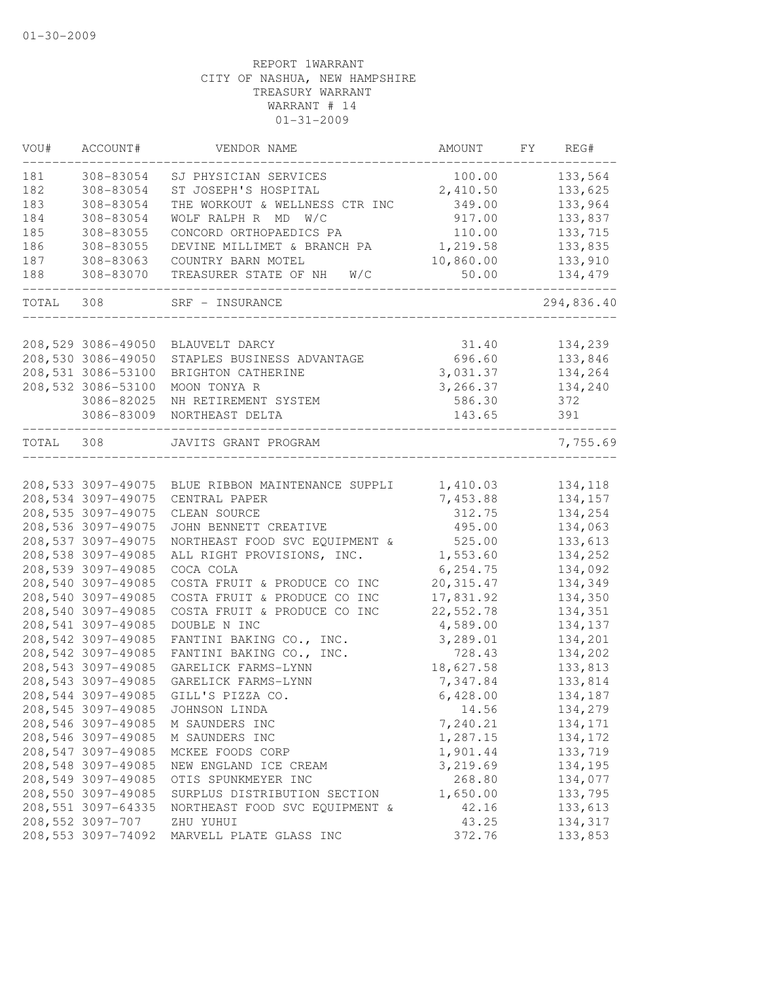| VOU#  | ACCOUNT#           | VENDOR NAME                                       | AMOUNT     | FY | REG#       |
|-------|--------------------|---------------------------------------------------|------------|----|------------|
| 181   | 308-83054          | SJ PHYSICIAN SERVICES                             | 100.00     |    | 133,564    |
| 182   | 308-83054          | ST JOSEPH'S HOSPITAL                              | 2,410.50   |    | 133,625    |
| 183   | 308-83054          | THE WORKOUT & WELLNESS CTR INC                    | 349.00     |    | 133,964    |
| 184   | 308-83054          | WOLF RALPH R MD W/C                               | 917.00     |    | 133,837    |
| 185   | 308-83055          | CONCORD ORTHOPAEDICS PA                           | 110.00     |    | 133,715    |
| 186   | 308-83055          | DEVINE MILLIMET & BRANCH PA                       | 1,219.58   |    | 133,835    |
| 187   | 308-83063          | COUNTRY BARN MOTEL                                | 10,860.00  |    | 133,910    |
| 188   | 308-83070          | TREASURER STATE OF NH W/C                         | 50.00      |    | 134,479    |
| TOTAL | 308                | SRF - INSURANCE                                   |            |    | 294,836.40 |
|       |                    |                                                   |            |    |            |
|       | 208,529 3086-49050 | BLAUVELT DARCY                                    | 31.40      |    | 134,239    |
|       | 208,530 3086-49050 | STAPLES BUSINESS ADVANTAGE                        | 696.60     |    | 133,846    |
|       | 208,531 3086-53100 | BRIGHTON CATHERINE                                | 3,031.37   |    | 134,264    |
|       | 208,532 3086-53100 | MOON TONYA R                                      | 3,266.37   |    | 134,240    |
|       | 3086-82025         | NH RETIREMENT SYSTEM                              | 586.30     |    | 372        |
|       | 3086-83009         | NORTHEAST DELTA                                   | 143.65     |    | 391        |
| TOTAL | 308                | JAVITS GRANT PROGRAM                              |            |    | 7,755.69   |
|       |                    |                                                   |            |    |            |
|       |                    | 208,533 3097-49075 BLUE RIBBON MAINTENANCE SUPPLI | 1,410.03   |    | 134,118    |
|       | 208,534 3097-49075 | CENTRAL PAPER                                     | 7,453.88   |    | 134,157    |
|       | 208,535 3097-49075 | CLEAN SOURCE                                      | 312.75     |    | 134,254    |
|       | 208,536 3097-49075 | JOHN BENNETT CREATIVE                             | 495.00     |    | 134,063    |
|       | 208,537 3097-49075 | NORTHEAST FOOD SVC EQUIPMENT &                    | 525.00     |    | 133,613    |
|       | 208,538 3097-49085 | ALL RIGHT PROVISIONS, INC.                        | 1,553.60   |    | 134,252    |
|       | 208,539 3097-49085 | COCA COLA                                         | 6, 254.75  |    | 134,092    |
|       | 208,540 3097-49085 | COSTA FRUIT & PRODUCE CO INC                      | 20, 315.47 |    | 134,349    |
|       | 208,540 3097-49085 | COSTA FRUIT & PRODUCE CO INC                      | 17,831.92  |    | 134,350    |
|       | 208,540 3097-49085 | COSTA FRUIT & PRODUCE CO INC                      | 22,552.78  |    | 134,351    |
|       | 208,541 3097-49085 | DOUBLE N INC                                      | 4,589.00   |    | 134,137    |
|       | 208,542 3097-49085 | FANTINI BAKING CO., INC.                          | 3,289.01   |    | 134,201    |
|       | 208,542 3097-49085 | FANTINI BAKING CO., INC.                          | 728.43     |    | 134,202    |
|       | 208,543 3097-49085 | GARELICK FARMS-LYNN                               | 18,627.58  |    | 133,813    |
|       | 208,543 3097-49085 | GARELICK FARMS-LYNN                               | 7,347.84   |    | 133,814    |
|       | 208,544 3097-49085 | GILL'S PIZZA CO.                                  | 6,428.00   |    | 134,187    |
|       | 208,545 3097-49085 | JOHNSON LINDA                                     | 14.56      |    | 134,279    |
|       | 208,546 3097-49085 | M SAUNDERS INC                                    | 7,240.21   |    | 134,171    |
|       | 208,546 3097-49085 | M SAUNDERS INC                                    | 1,287.15   |    | 134,172    |
|       | 208,547 3097-49085 | MCKEE FOODS CORP                                  | 1,901.44   |    | 133,719    |
|       | 208,548 3097-49085 | NEW ENGLAND ICE CREAM                             | 3,219.69   |    | 134,195    |
|       | 208,549 3097-49085 | OTIS SPUNKMEYER INC                               | 268.80     |    | 134,077    |
|       | 208,550 3097-49085 | SURPLUS DISTRIBUTION SECTION                      | 1,650.00   |    | 133,795    |
|       | 208,551 3097-64335 | NORTHEAST FOOD SVC EQUIPMENT &                    | 42.16      |    | 133,613    |
|       | 208,552 3097-707   | ZHU YUHUI                                         | 43.25      |    | 134,317    |
|       | 208,553 3097-74092 | MARVELL PLATE GLASS INC                           | 372.76     |    | 133,853    |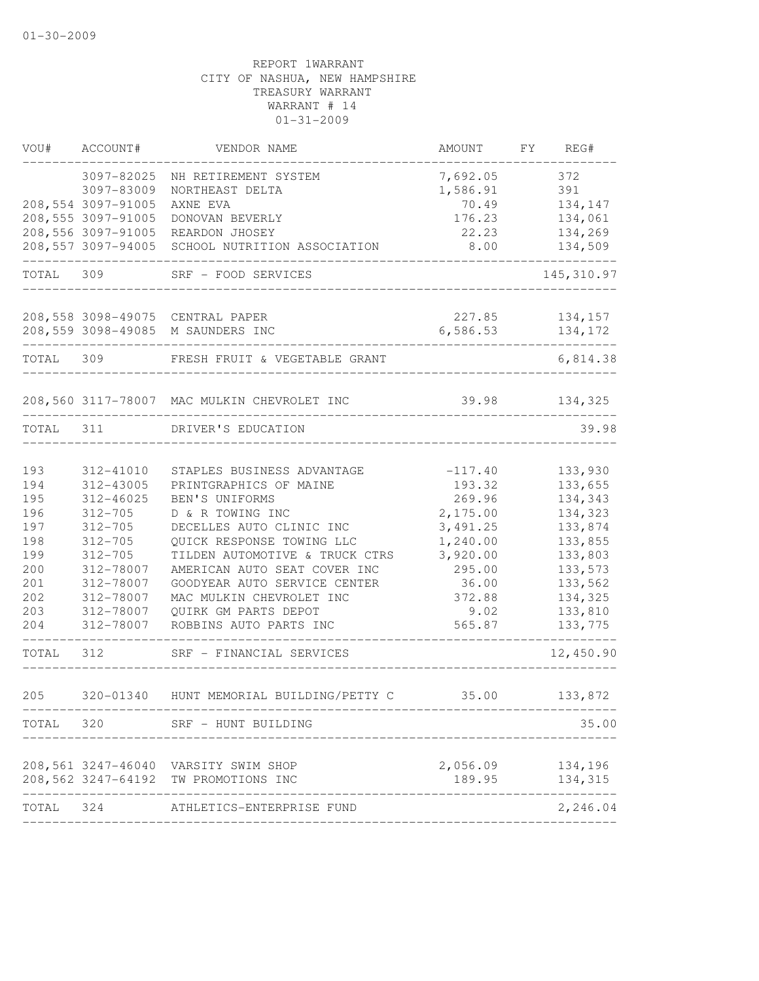| VOU#      | ACCOUNT#           | VENDOR NAME                                 | AMOUNT    | FY | REG#        |
|-----------|--------------------|---------------------------------------------|-----------|----|-------------|
|           | 3097-82025         | NH RETIREMENT SYSTEM                        | 7,692.05  |    | 372         |
|           | 3097-83009         | NORTHEAST DELTA                             | 1,586.91  |    | 391         |
|           | 208,554 3097-91005 | AXNE EVA                                    | 70.49     |    | 134,147     |
|           | 208,555 3097-91005 | DONOVAN BEVERLY                             | 176.23    |    | 134,061     |
|           | 208,556 3097-91005 | REARDON JHOSEY                              | 22.23     |    | 134,269     |
|           | 208,557 3097-94005 | SCHOOL NUTRITION ASSOCIATION                | 8.00      |    | 134,509     |
| TOTAL 309 |                    | SRF - FOOD SERVICES                         |           |    | 145, 310.97 |
|           |                    | 208,558 3098-49075 CENTRAL PAPER            | 227.85    |    | 134,157     |
|           |                    | 208,559 3098-49085 M SAUNDERS INC           | 6,586.53  |    | 134,172     |
| TOTAL     | 309                | FRESH FRUIT & VEGETABLE GRANT               |           |    | 6,814.38    |
|           |                    | 208,560 3117-78007 MAC MULKIN CHEVROLET INC | 39.98     |    | 134,325     |
| TOTAL 311 |                    | DRIVER'S EDUCATION                          |           |    | 39.98       |
| 193       | 312-41010          | STAPLES BUSINESS ADVANTAGE                  | $-117.40$ |    | 133,930     |
| 194       | 312-43005          | PRINTGRAPHICS OF MAINE                      | 193.32    |    | 133,655     |
| 195       | 312-46025          | BEN'S UNIFORMS                              | 269.96    |    | 134,343     |
| 196       | $312 - 705$        | D & R TOWING INC                            | 2,175.00  |    | 134,323     |
| 197       | $312 - 705$        | DECELLES AUTO CLINIC INC                    | 3, 491.25 |    | 133,874     |
| 198       | $312 - 705$        | QUICK RESPONSE TOWING LLC                   | 1,240.00  |    | 133,855     |
| 199       | $312 - 705$        | TILDEN AUTOMOTIVE & TRUCK CTRS              | 3,920.00  |    | 133,803     |
| 200       | 312-78007          | AMERICAN AUTO SEAT COVER INC                | 295.00    |    | 133,573     |
| 201       | 312-78007          | GOODYEAR AUTO SERVICE CENTER                | 36.00     |    | 133,562     |
| 202       | 312-78007          | MAC MULKIN CHEVROLET INC                    | 372.88    |    | 134,325     |
| 203       | 312-78007          | QUIRK GM PARTS DEPOT                        | 9.02      |    | 133,810     |
| 204       | 312-78007          | ROBBINS AUTO PARTS INC                      | 565.87    |    | 133,775     |
| TOTAL     | 312                | SRF - FINANCIAL SERVICES                    |           |    | 12,450.90   |
| 205       | 320-01340          | HUNT MEMORIAL BUILDING/PETTY C              | 35.00     |    | 133,872     |
| TOTAL 320 |                    | SRF - HUNT BUILDING                         |           |    | 35.00       |
|           |                    | 208,561 3247-46040 VARSITY SWIM SHOP        | 2,056.09  |    | 134,196     |
|           |                    | 208,562 3247-64192 TW PROMOTIONS INC        | 189.95    |    | 134,315     |
| TOTAL     | 324                | ATHLETICS-ENTERPRISE FUND                   |           |    | 2,246.04    |
|           |                    |                                             |           |    |             |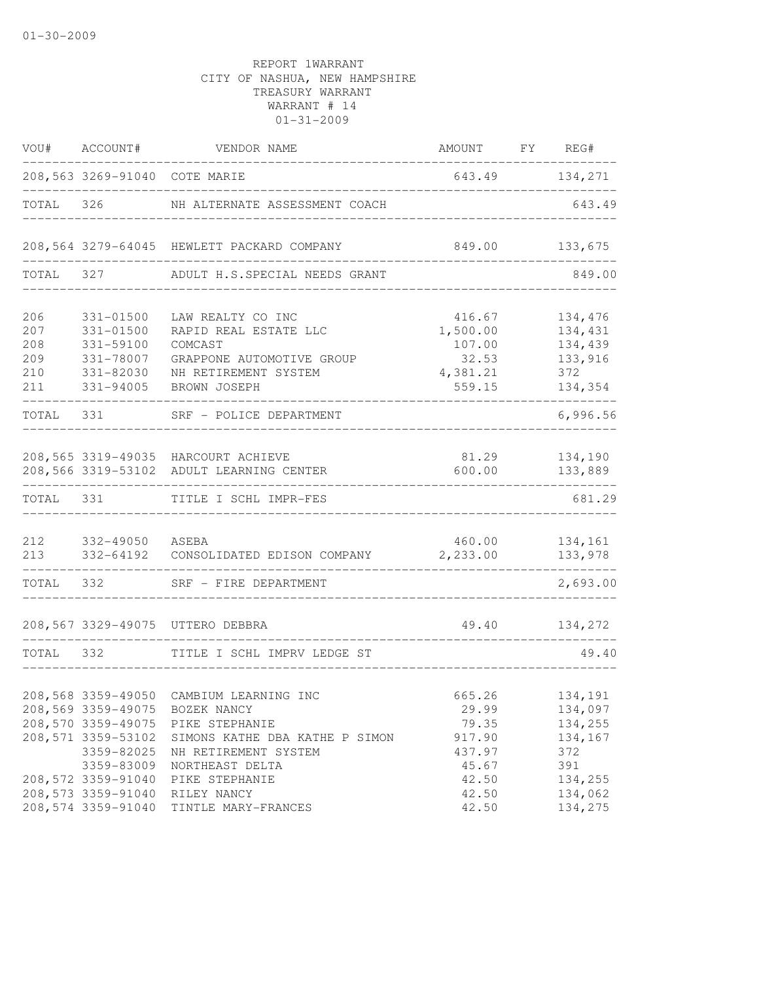| VOU#       | ACCOUNT#                                                                                   | VENDOR NAME                                                                                                                                           | AMOUNT                                                | FY REG#                                                |
|------------|--------------------------------------------------------------------------------------------|-------------------------------------------------------------------------------------------------------------------------------------------------------|-------------------------------------------------------|--------------------------------------------------------|
|            |                                                                                            | 208,563 3269-91040 COTE MARIE                                                                                                                         | 643.49 134,271                                        |                                                        |
| TOTAL      | 326                                                                                        | NH ALTERNATE ASSESSMENT COACH                                                                                                                         |                                                       | 643.49                                                 |
|            |                                                                                            | 208,564 3279-64045 HEWLETT PACKARD COMPANY                                                                                                            | 849.00                                                | 133,675                                                |
| TOTAL      | 327                                                                                        | ADULT H.S.SPECIAL NEEDS GRANT                                                                                                                         |                                                       | 849.00                                                 |
| 206<br>207 | 331-01500<br>$331 - 01500$                                                                 | LAW REALTY CO INC<br>RAPID REAL ESTATE LLC                                                                                                            | 416.67<br>1,500.00                                    | 134,476<br>134,431                                     |
| 208<br>209 | 331-59100<br>331-78007                                                                     | COMCAST<br>GRAPPONE AUTOMOTIVE GROUP                                                                                                                  | 107.00<br>32.53                                       | 134,439<br>133,916                                     |
| 210<br>211 | 331-82030<br>331-94005                                                                     | NH RETIREMENT SYSTEM<br>BROWN JOSEPH                                                                                                                  | 4,381.21<br>559.15                                    | 372<br>134,354                                         |
| TOTAL      | 331                                                                                        | SRF - POLICE DEPARTMENT                                                                                                                               |                                                       | 6,996.56                                               |
|            | 208,566 3319-53102                                                                         | 208,565 3319-49035 HARCOURT ACHIEVE<br>ADULT LEARNING CENTER                                                                                          | 81.29<br>600.00                                       | 134,190<br>133,889                                     |
| TOTAL 331  |                                                                                            | TITLE I SCHL IMPR-FES                                                                                                                                 |                                                       | 681.29                                                 |
| 212<br>213 | 332-49050 ASEBA<br>332-64192<br>-------------                                              | CONSOLIDATED EDISON COMPANY                                                                                                                           | 460.00<br>2,233.00                                    | 134,161<br>133,978                                     |
| TOTAL 332  |                                                                                            | SRF - FIRE DEPARTMENT                                                                                                                                 |                                                       | 2,693.00                                               |
|            | 208,567 3329-49075                                                                         | UTTERO DEBBRA                                                                                                                                         | 49.40                                                 | 134,272                                                |
| TOTAL      | 332                                                                                        | TITLE I SCHL IMPRV LEDGE ST                                                                                                                           |                                                       | 49.40                                                  |
|            | 208,569 3359-49075<br>208,570 3359-49075<br>208,571 3359-53102<br>3359-82025<br>3359-83009 | 208,568 3359-49050 CAMBIUM LEARNING INC<br>BOZEK NANCY<br>PIKE STEPHANIE<br>SIMONS KATHE DBA KATHE P SIMON<br>NH RETIREMENT SYSTEM<br>NORTHEAST DELTA | 665.26<br>29.99<br>79.35<br>917.90<br>437.97<br>45.67 | 134,191<br>134,097<br>134,255<br>134,167<br>372<br>391 |
|            | 208,572 3359-91040<br>208,573 3359-91040<br>208,574 3359-91040                             | PIKE STEPHANIE<br>RILEY NANCY<br>TINTLE MARY-FRANCES                                                                                                  | 42.50<br>42.50<br>42.50                               | 134,255<br>134,062<br>134,275                          |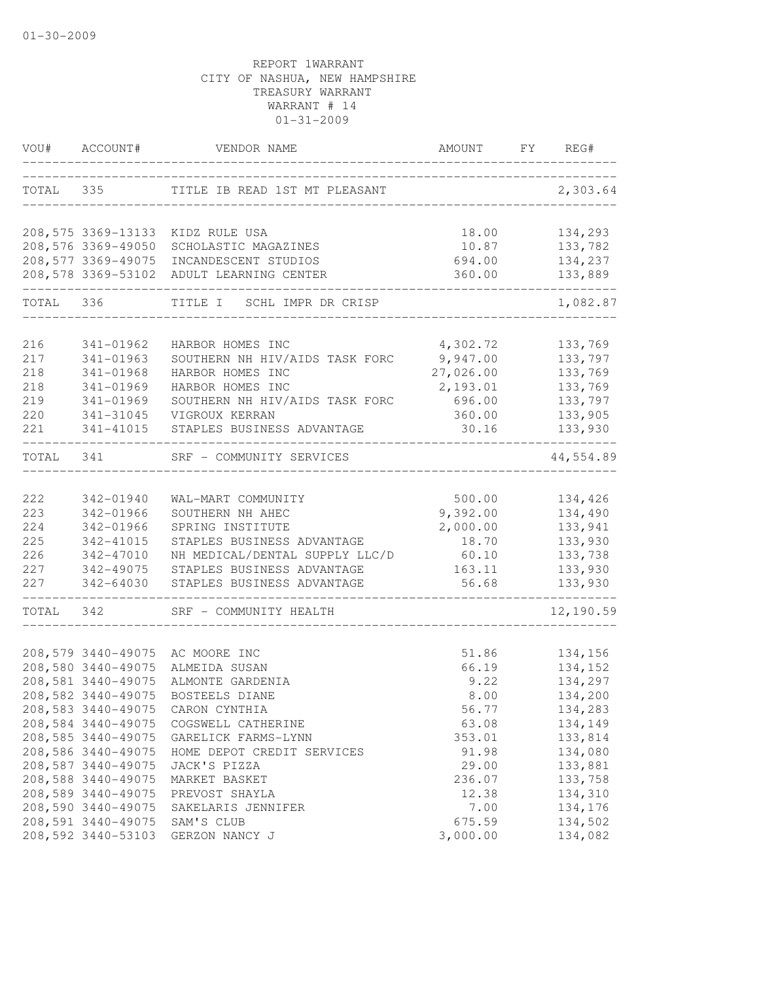| VOU#       | ACCOUNT#                                 | VENDOR NAME                                        | AMOUNT             | FY | REG#               |
|------------|------------------------------------------|----------------------------------------------------|--------------------|----|--------------------|
|            | TOTAL 335                                | TITLE IB READ 1ST MT PLEASANT                      |                    |    | 2,303.64           |
|            |                                          | 208,575 3369-13133 KIDZ RULE USA                   | 18.00              |    | 134,293            |
|            | 208,576 3369-49050                       | SCHOLASTIC MAGAZINES                               | 10.87              |    | 133,782            |
|            | 208,577 3369-49075                       | INCANDESCENT STUDIOS                               | 694.00             |    | 134,237            |
|            | 208,578 3369-53102                       | ADULT LEARNING CENTER                              | 360.00             |    | 133,889            |
| TOTAL 336  |                                          | TITLE I<br>SCHL IMPR DR CRISP                      |                    |    | 1,082.87           |
| 216        | 341-01962                                | HARBOR HOMES INC                                   | 4,302.72           |    | 133,769            |
| 217        | 341-01963                                | SOUTHERN NH HIV/AIDS TASK FORC                     | 9,947.00           |    | 133,797            |
| 218        | 341-01968                                | HARBOR HOMES INC                                   | 27,026.00          |    | 133,769            |
| 218        | 341-01969                                | HARBOR HOMES INC                                   | 2,193.01           |    | 133,769            |
| 219        | 341-01969                                | SOUTHERN NH HIV/AIDS TASK FORC                     | 696.00             |    | 133,797            |
| 220        | 341-31045                                | VIGROUX KERRAN                                     | 360.00             |    | 133,905            |
| 221        | 341-41015                                | STAPLES BUSINESS ADVANTAGE                         | 30.16              |    | 133,930            |
| TOTAL      | 341                                      | SRF - COMMUNITY SERVICES                           |                    |    | 44,554.89          |
|            |                                          |                                                    |                    |    |                    |
| 222<br>223 | 342-01940<br>342-01966                   | WAL-MART COMMUNITY<br>SOUTHERN NH AHEC             | 500.00<br>9,392.00 |    | 134,426<br>134,490 |
| 224        | 342-01966                                | SPRING INSTITUTE                                   | 2,000.00           |    | 133,941            |
| 225        | 342-41015                                | STAPLES BUSINESS ADVANTAGE                         | 18.70              |    | 133,930            |
| 226        | 342-47010                                | NH MEDICAL/DENTAL SUPPLY LLC/D                     | 60.10              |    | 133,738            |
| 227        | 342-49075                                | STAPLES BUSINESS ADVANTAGE                         | 163.11             |    | 133,930            |
| 227        | 342-64030                                | STAPLES BUSINESS ADVANTAGE                         | 56.68              |    | 133,930            |
| TOTAL      | 342                                      | SRF - COMMUNITY HEALTH                             |                    |    | 12,190.59          |
|            |                                          |                                                    |                    |    |                    |
|            | 208,579 3440-49075                       | AC MOORE INC                                       | 51.86              |    | 134,156            |
|            | 208,580 3440-49075<br>208,581 3440-49075 | ALMEIDA SUSAN                                      | 66.19<br>9.22      |    | 134,152            |
|            | 208,582 3440-49075                       | ALMONTE GARDENIA                                   | 8.00               |    | 134,297<br>134,200 |
|            |                                          | BOSTEELS DIANE<br>208,583 3440-49075 CARON CYNTHIA | 56.77              |    | 134,283            |
|            | 208,584 3440-49075                       | COGSWELL CATHERINE                                 | 63.08              |    | 134,149            |
|            | 208,585 3440-49075                       | GARELICK FARMS-LYNN                                | 353.01             |    | 133,814            |
|            | 208,586 3440-49075                       | HOME DEPOT CREDIT SERVICES                         | 91.98              |    | 134,080            |
|            | 208,587 3440-49075                       | JACK'S PIZZA                                       | 29.00              |    | 133,881            |
|            | 208,588 3440-49075                       | MARKET BASKET                                      | 236.07             |    | 133,758            |
|            | 208,589 3440-49075                       | PREVOST SHAYLA                                     | 12.38              |    | 134,310            |
|            | 208,590 3440-49075                       | SAKELARIS JENNIFER                                 | 7.00               |    | 134,176            |
|            | 208,591 3440-49075                       | SAM'S CLUB                                         | 675.59             |    | 134,502            |
|            | 208,592 3440-53103                       | GERZON NANCY J                                     | 3,000.00           |    | 134,082            |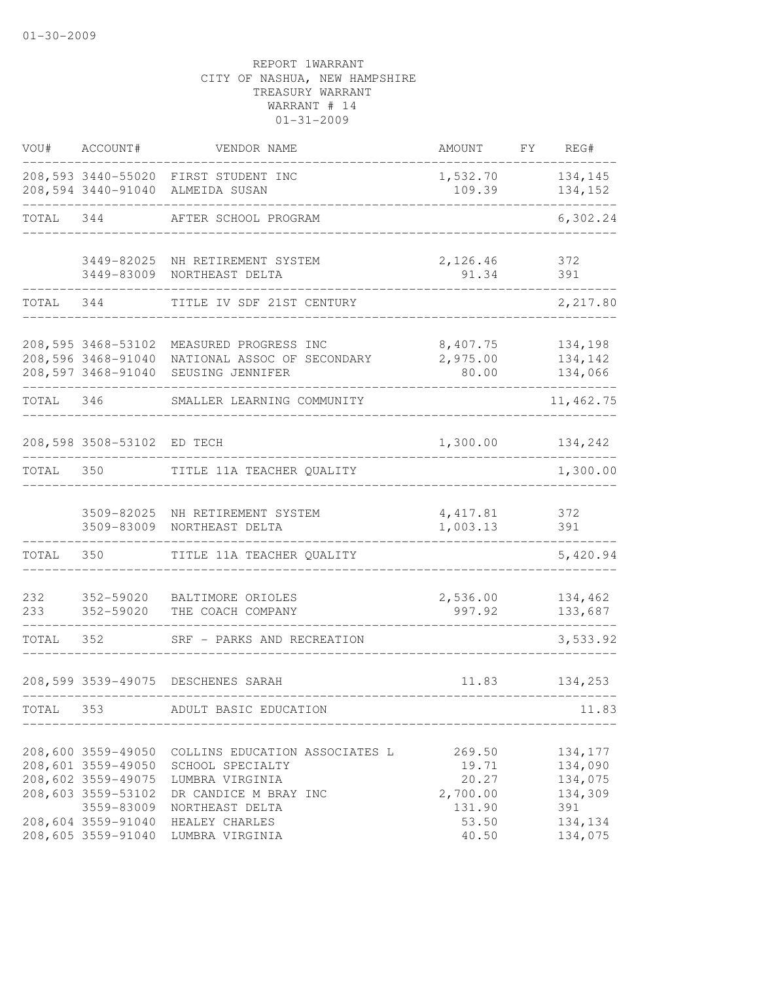| VOU#       | ACCOUNT#                                                                                           | VENDOR NAME                                                                                                       | AMOUNT                                         | FΥ | REG#                                            |
|------------|----------------------------------------------------------------------------------------------------|-------------------------------------------------------------------------------------------------------------------|------------------------------------------------|----|-------------------------------------------------|
|            |                                                                                                    | 208,593 3440-55020 FIRST STUDENT INC<br>208,594 3440-91040 ALMEIDA SUSAN                                          | 1,532.70<br>109.39                             |    | 134,145<br>134,152                              |
| TOTAL      | 344                                                                                                | AFTER SCHOOL PROGRAM                                                                                              |                                                |    | 6,302.24                                        |
|            |                                                                                                    | 3449-82025 NH RETIREMENT SYSTEM                                                                                   | 2,126.46                                       |    | 372                                             |
|            | 3449-83009                                                                                         | NORTHEAST DELTA                                                                                                   | 91.34                                          |    | 391                                             |
| TOTAL      | 344                                                                                                | TITLE IV SDF 21ST CENTURY                                                                                         |                                                |    | 2,217.80                                        |
|            | 208,595 3468-53102                                                                                 | MEASURED PROGRESS INC                                                                                             | 8,407.75                                       |    | 134,198                                         |
|            | 208,596 3468-91040<br>208,597 3468-91040                                                           | NATIONAL ASSOC OF SECONDARY<br>SEUSING JENNIFER                                                                   | 2,975.00<br>80.00                              |    | 134,142<br>134,066                              |
| TOTAL 346  |                                                                                                    | SMALLER LEARNING COMMUNITY                                                                                        |                                                |    | 11, 462.75                                      |
|            | 208,598 3508-53102 ED TECH                                                                         |                                                                                                                   | 1,300.00                                       |    | 134,242                                         |
| TOTAL      | 350                                                                                                | TITLE 11A TEACHER QUALITY                                                                                         |                                                |    | 1,300.00                                        |
|            | 3509-83009                                                                                         | 3509-82025 NH RETIREMENT SYSTEM<br>NORTHEAST DELTA                                                                | 4, 417.81<br>1,003.13                          |    | 372<br>391                                      |
| TOTAL      | 350                                                                                                | TITLE 11A TEACHER QUALITY                                                                                         |                                                |    | 5,420.94                                        |
| 232<br>233 | 352-59020<br>352-59020                                                                             | BALTIMORE ORIOLES<br>THE COACH COMPANY                                                                            | 2,536.00<br>997.92                             |    | 134,462<br>133,687                              |
| TOTAL      | 352                                                                                                | SRF - PARKS AND RECREATION                                                                                        |                                                |    | 3,533.92                                        |
|            |                                                                                                    | 208,599 3539-49075 DESCHENES SARAH                                                                                | 11.83                                          |    | 134,253                                         |
| TOTAL      | 353                                                                                                | ADULT BASIC EDUCATION                                                                                             |                                                |    | 11.83                                           |
|            | 208,600 3559-49050<br>208,601 3559-49050<br>208,602 3559-49075<br>208,603 3559-53102<br>3559-83009 | COLLINS EDUCATION ASSOCIATES L<br>SCHOOL SPECIALTY<br>LUMBRA VIRGINIA<br>DR CANDICE M BRAY INC<br>NORTHEAST DELTA | 269.50<br>19.71<br>20.27<br>2,700.00<br>131.90 |    | 134,177<br>134,090<br>134,075<br>134,309<br>391 |
|            | 208,604 3559-91040<br>208,605 3559-91040                                                           | HEALEY CHARLES<br>LUMBRA VIRGINIA                                                                                 | 53.50<br>40.50                                 |    | 134,134<br>134,075                              |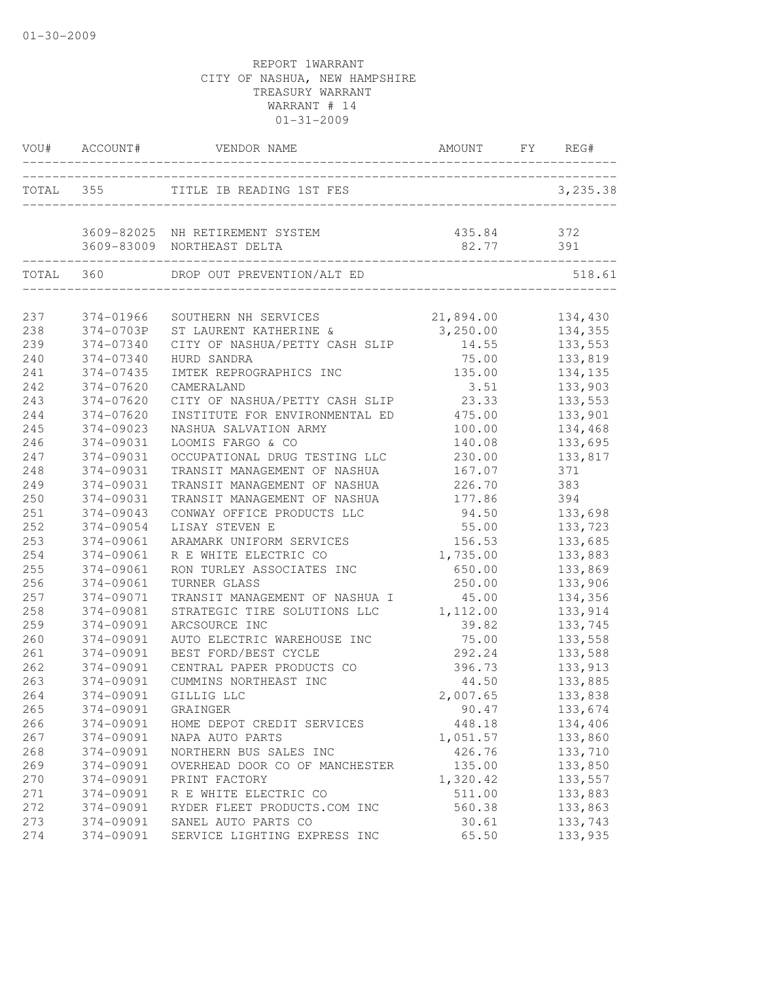| TOTAL 355<br>TITLE IB READING 1ST FES<br>3,235.38<br>3609-82025 NH RETIREMENT SYSTEM<br>435.84 372<br>82.77<br>391<br>3609-83009 NORTHEAST DELTA<br>TOTAL 360<br>DROP OUT PREVENTION/ALT ED<br>________________<br>21,894.00<br>237<br>374-01966<br>134,430<br>SOUTHERN NH SERVICES<br>238<br>3,250.00<br>374-0703P<br>ST LAURENT KATHERINE &<br>134,355<br>239<br>133,553<br>374-07340<br>CITY OF NASHUA/PETTY CASH SLIP<br>14.55<br>240<br>75.00<br>133,819<br>374-07340<br>HURD SANDRA<br>241<br>374-07435<br>135.00<br>134,135<br>IMTEK REPROGRAPHICS INC<br>242<br>133,903<br>374-07620<br>CAMERALAND<br>3.51<br>243<br>374-07620<br>23.33<br>CITY OF NASHUA/PETTY CASH SLIP<br>133,553<br>244<br>374-07620<br>INSTITUTE FOR ENVIRONMENTAL ED 475.00<br>133,901<br>245<br>374-09023<br>NASHUA SALVATION ARMY<br>100.00<br>134,468 |        |
|----------------------------------------------------------------------------------------------------------------------------------------------------------------------------------------------------------------------------------------------------------------------------------------------------------------------------------------------------------------------------------------------------------------------------------------------------------------------------------------------------------------------------------------------------------------------------------------------------------------------------------------------------------------------------------------------------------------------------------------------------------------------------------------------------------------------------------------|--------|
|                                                                                                                                                                                                                                                                                                                                                                                                                                                                                                                                                                                                                                                                                                                                                                                                                                        |        |
|                                                                                                                                                                                                                                                                                                                                                                                                                                                                                                                                                                                                                                                                                                                                                                                                                                        |        |
|                                                                                                                                                                                                                                                                                                                                                                                                                                                                                                                                                                                                                                                                                                                                                                                                                                        | 518.61 |
|                                                                                                                                                                                                                                                                                                                                                                                                                                                                                                                                                                                                                                                                                                                                                                                                                                        |        |
|                                                                                                                                                                                                                                                                                                                                                                                                                                                                                                                                                                                                                                                                                                                                                                                                                                        |        |
|                                                                                                                                                                                                                                                                                                                                                                                                                                                                                                                                                                                                                                                                                                                                                                                                                                        |        |
|                                                                                                                                                                                                                                                                                                                                                                                                                                                                                                                                                                                                                                                                                                                                                                                                                                        |        |
|                                                                                                                                                                                                                                                                                                                                                                                                                                                                                                                                                                                                                                                                                                                                                                                                                                        |        |
|                                                                                                                                                                                                                                                                                                                                                                                                                                                                                                                                                                                                                                                                                                                                                                                                                                        |        |
|                                                                                                                                                                                                                                                                                                                                                                                                                                                                                                                                                                                                                                                                                                                                                                                                                                        |        |
|                                                                                                                                                                                                                                                                                                                                                                                                                                                                                                                                                                                                                                                                                                                                                                                                                                        |        |
|                                                                                                                                                                                                                                                                                                                                                                                                                                                                                                                                                                                                                                                                                                                                                                                                                                        |        |
|                                                                                                                                                                                                                                                                                                                                                                                                                                                                                                                                                                                                                                                                                                                                                                                                                                        |        |
| 246<br>374-09031<br>133,695<br>LOOMIS FARGO & CO<br>140.08                                                                                                                                                                                                                                                                                                                                                                                                                                                                                                                                                                                                                                                                                                                                                                             |        |
| 247<br>374-09031<br>OCCUPATIONAL DRUG TESTING LLC<br>230.00<br>133,817                                                                                                                                                                                                                                                                                                                                                                                                                                                                                                                                                                                                                                                                                                                                                                 |        |
| 248<br>371<br>374-09031<br>TRANSIT MANAGEMENT OF NASHUA<br>167.07                                                                                                                                                                                                                                                                                                                                                                                                                                                                                                                                                                                                                                                                                                                                                                      |        |
| 383<br>249<br>226.70<br>374-09031<br>TRANSIT MANAGEMENT OF NASHUA                                                                                                                                                                                                                                                                                                                                                                                                                                                                                                                                                                                                                                                                                                                                                                      |        |
| 250<br>374-09031<br>394<br>TRANSIT MANAGEMENT OF NASHUA<br>177.86                                                                                                                                                                                                                                                                                                                                                                                                                                                                                                                                                                                                                                                                                                                                                                      |        |
| 251<br>94.50<br>133,698<br>374-09043<br>CONWAY OFFICE PRODUCTS LLC                                                                                                                                                                                                                                                                                                                                                                                                                                                                                                                                                                                                                                                                                                                                                                     |        |
| 252<br>374-09054<br>LISAY STEVEN E<br>55.00<br>133,723                                                                                                                                                                                                                                                                                                                                                                                                                                                                                                                                                                                                                                                                                                                                                                                 |        |
| 253<br>374-09061<br>ARAMARK UNIFORM SERVICES<br>156.53<br>133,685                                                                                                                                                                                                                                                                                                                                                                                                                                                                                                                                                                                                                                                                                                                                                                      |        |
| 254<br>374-09061<br>R E WHITE ELECTRIC CO<br>1,735.00<br>133,883                                                                                                                                                                                                                                                                                                                                                                                                                                                                                                                                                                                                                                                                                                                                                                       |        |
| 255<br>374-09061<br>133,869<br>RON TURLEY ASSOCIATES INC<br>650.00                                                                                                                                                                                                                                                                                                                                                                                                                                                                                                                                                                                                                                                                                                                                                                     |        |
| 256<br>133,906<br>374-09061<br>TURNER GLASS<br>250.00                                                                                                                                                                                                                                                                                                                                                                                                                                                                                                                                                                                                                                                                                                                                                                                  |        |
| 257<br>134,356<br>374-09071<br>TRANSIT MANAGEMENT OF NASHUA I<br>45.00                                                                                                                                                                                                                                                                                                                                                                                                                                                                                                                                                                                                                                                                                                                                                                 |        |
| 258<br>1,112.00<br>374-09081<br>STRATEGIC TIRE SOLUTIONS LLC<br>133,914                                                                                                                                                                                                                                                                                                                                                                                                                                                                                                                                                                                                                                                                                                                                                                |        |
| 259<br>39.82<br>133,745<br>374-09091<br>ARCSOURCE INC                                                                                                                                                                                                                                                                                                                                                                                                                                                                                                                                                                                                                                                                                                                                                                                  |        |
| 75.00<br>260<br>374-09091<br>133,558<br>AUTO ELECTRIC WAREHOUSE INC                                                                                                                                                                                                                                                                                                                                                                                                                                                                                                                                                                                                                                                                                                                                                                    |        |
| 261<br>374-09091<br>BEST FORD/BEST CYCLE<br>292.24<br>133,588                                                                                                                                                                                                                                                                                                                                                                                                                                                                                                                                                                                                                                                                                                                                                                          |        |
| 262<br>374-09091<br>CENTRAL PAPER PRODUCTS CO<br>396.73<br>133,913                                                                                                                                                                                                                                                                                                                                                                                                                                                                                                                                                                                                                                                                                                                                                                     |        |
| 263<br>374-09091<br>CUMMINS NORTHEAST INC<br>44.50<br>133,885                                                                                                                                                                                                                                                                                                                                                                                                                                                                                                                                                                                                                                                                                                                                                                          |        |
| 2,007.65<br>264<br>374-09091<br>133,838<br>GILLIG LLC                                                                                                                                                                                                                                                                                                                                                                                                                                                                                                                                                                                                                                                                                                                                                                                  |        |
| 265<br>374-09091<br>90.47<br>133,674<br>GRAINGER                                                                                                                                                                                                                                                                                                                                                                                                                                                                                                                                                                                                                                                                                                                                                                                       |        |
| 266<br>374-09091<br>134,406<br>HOME DEPOT CREDIT SERVICES<br>448.18                                                                                                                                                                                                                                                                                                                                                                                                                                                                                                                                                                                                                                                                                                                                                                    |        |
| 267<br>374-09091<br>1,051.57<br>133,860<br>NAPA AUTO PARTS                                                                                                                                                                                                                                                                                                                                                                                                                                                                                                                                                                                                                                                                                                                                                                             |        |
| 268<br>NORTHERN BUS SALES INC<br>426.76<br>133,710<br>374-09091                                                                                                                                                                                                                                                                                                                                                                                                                                                                                                                                                                                                                                                                                                                                                                        |        |
| 269<br>OVERHEAD DOOR CO OF MANCHESTER<br>135.00<br>133,850<br>374-09091                                                                                                                                                                                                                                                                                                                                                                                                                                                                                                                                                                                                                                                                                                                                                                |        |
| 270<br>374-09091<br>PRINT FACTORY<br>1,320.42<br>133,557                                                                                                                                                                                                                                                                                                                                                                                                                                                                                                                                                                                                                                                                                                                                                                               |        |
| 271<br>374-09091<br>R E WHITE ELECTRIC CO<br>511.00<br>133,883                                                                                                                                                                                                                                                                                                                                                                                                                                                                                                                                                                                                                                                                                                                                                                         |        |
| 272<br>374-09091<br>RYDER FLEET PRODUCTS.COM INC<br>560.38<br>133,863                                                                                                                                                                                                                                                                                                                                                                                                                                                                                                                                                                                                                                                                                                                                                                  |        |
| 273<br>374-09091<br>SANEL AUTO PARTS CO<br>30.61<br>133,743                                                                                                                                                                                                                                                                                                                                                                                                                                                                                                                                                                                                                                                                                                                                                                            |        |
| 274<br>374-09091<br>SERVICE LIGHTING EXPRESS INC<br>65.50<br>133,935                                                                                                                                                                                                                                                                                                                                                                                                                                                                                                                                                                                                                                                                                                                                                                   |        |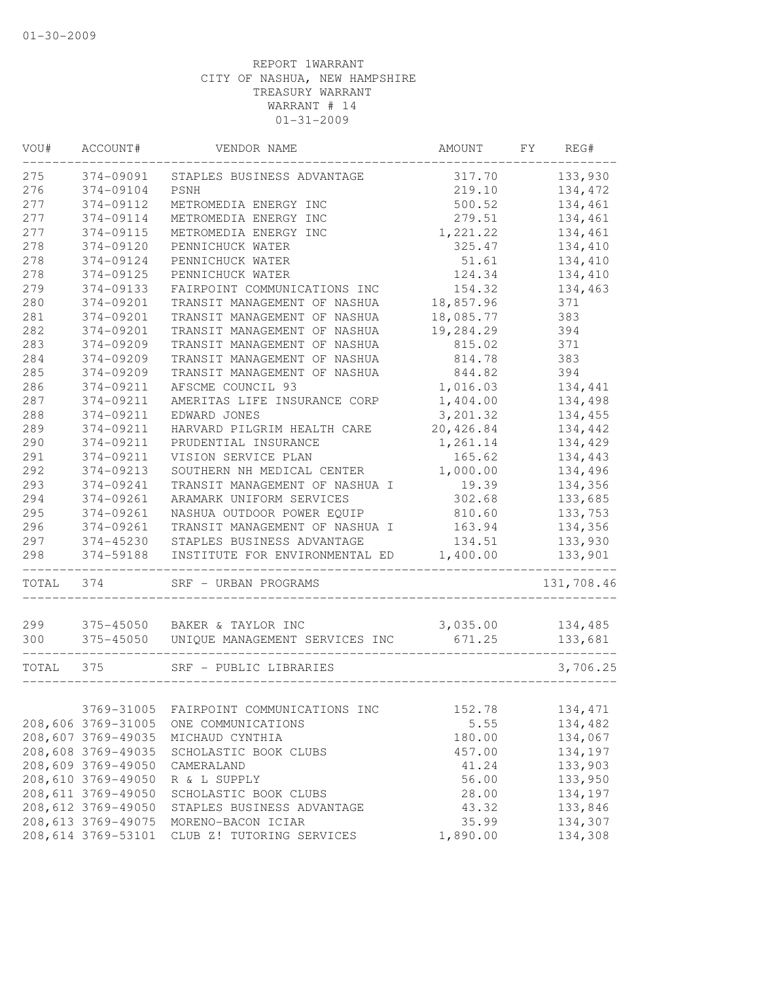| VOU#  | ACCOUNT#           | VENDOR NAME                    | AMOUNT    | FY. | REG#       |
|-------|--------------------|--------------------------------|-----------|-----|------------|
| 275   | 374-09091          | STAPLES BUSINESS ADVANTAGE     | 317.70    |     | 133,930    |
| 276   | 374-09104          | <b>PSNH</b>                    | 219.10    |     | 134,472    |
| 277   | 374-09112          | METROMEDIA ENERGY INC          | 500.52    |     | 134,461    |
| 277   | 374-09114          | METROMEDIA ENERGY INC          | 279.51    |     | 134,461    |
| 277   | 374-09115          | METROMEDIA ENERGY INC          | 1,221.22  |     | 134,461    |
| 278   | 374-09120          | PENNICHUCK WATER               | 325.47    |     | 134,410    |
| 278   | 374-09124          | PENNICHUCK WATER               | 51.61     |     | 134,410    |
| 278   | 374-09125          | PENNICHUCK WATER               | 124.34    |     | 134,410    |
| 279   | 374-09133          | FAIRPOINT COMMUNICATIONS INC   | 154.32    |     | 134,463    |
| 280   | 374-09201          | TRANSIT MANAGEMENT OF NASHUA   | 18,857.96 |     | 371        |
| 281   | 374-09201          | TRANSIT MANAGEMENT OF NASHUA   | 18,085.77 |     | 383        |
| 282   | 374-09201          | TRANSIT MANAGEMENT OF NASHUA   | 19,284.29 |     | 394        |
| 283   | 374-09209          | TRANSIT MANAGEMENT OF NASHUA   | 815.02    |     | 371        |
| 284   | 374-09209          | TRANSIT MANAGEMENT OF NASHUA   | 814.78    |     | 383        |
| 285   | 374-09209          | TRANSIT MANAGEMENT OF NASHUA   | 844.82    |     | 394        |
| 286   | 374-09211          | AFSCME COUNCIL 93              | 1,016.03  |     | 134,441    |
| 287   | 374-09211          | AMERITAS LIFE INSURANCE CORP   | 1,404.00  |     | 134,498    |
| 288   | 374-09211          | EDWARD JONES                   | 3,201.32  |     | 134,455    |
| 289   | 374-09211          | HARVARD PILGRIM HEALTH CARE    | 20,426.84 |     | 134,442    |
| 290   | 374-09211          | PRUDENTIAL INSURANCE           | 1,261.14  |     | 134,429    |
| 291   | 374-09211          | VISION SERVICE PLAN            | 165.62    |     | 134,443    |
| 292   | 374-09213          | SOUTHERN NH MEDICAL CENTER     | 1,000.00  |     | 134,496    |
| 293   | 374-09241          | TRANSIT MANAGEMENT OF NASHUA I | 19.39     |     | 134,356    |
| 294   | 374-09261          | ARAMARK UNIFORM SERVICES       | 302.68    |     | 133,685    |
| 295   | 374-09261          | NASHUA OUTDOOR POWER EQUIP     | 810.60    |     | 133,753    |
| 296   | 374-09261          | TRANSIT MANAGEMENT OF NASHUA I | 163.94    |     | 134,356    |
| 297   | 374-45230          | STAPLES BUSINESS ADVANTAGE     | 134.51    |     | 133,930    |
| 298   | 374-59188          | INSTITUTE FOR ENVIRONMENTAL ED | 1,400.00  |     | 133,901    |
|       |                    |                                |           |     |            |
| TOTAL | 374                | SRF - URBAN PROGRAMS           |           |     | 131,708.46 |
| 299   | 375-45050          | BAKER & TAYLOR INC             | 3,035.00  |     | 134,485    |
| 300   | 375-45050          | UNIQUE MANAGEMENT SERVICES INC | 671.25    |     | 133,681    |
|       |                    |                                |           |     |            |
| TOTAL | 375                | SRF - PUBLIC LIBRARIES         |           |     | 3,706.25   |
|       |                    |                                |           |     |            |
|       | 3769-31005         | FAIRPOINT COMMUNICATIONS INC   | 152.78    |     | 134, 471   |
|       | 208,606 3769-31005 | ONE COMMUNICATIONS             | 5.55      |     | 134,482    |
|       | 208,607 3769-49035 | MICHAUD CYNTHIA                | 180.00    |     | 134,067    |
|       | 208,608 3769-49035 | SCHOLASTIC BOOK CLUBS          | 457.00    |     | 134,197    |
|       | 208,609 3769-49050 | CAMERALAND                     | 41.24     |     | 133,903    |
|       | 208,610 3769-49050 | R & L SUPPLY                   | 56.00     |     | 133,950    |
|       | 208,611 3769-49050 | SCHOLASTIC BOOK CLUBS          | 28.00     |     | 134,197    |
|       | 208,612 3769-49050 | STAPLES BUSINESS ADVANTAGE     | 43.32     |     | 133,846    |
|       | 208,613 3769-49075 | MORENO-BACON ICIAR             | 35.99     |     | 134,307    |
|       | 208,614 3769-53101 | CLUB Z! TUTORING SERVICES      | 1,890.00  |     | 134,308    |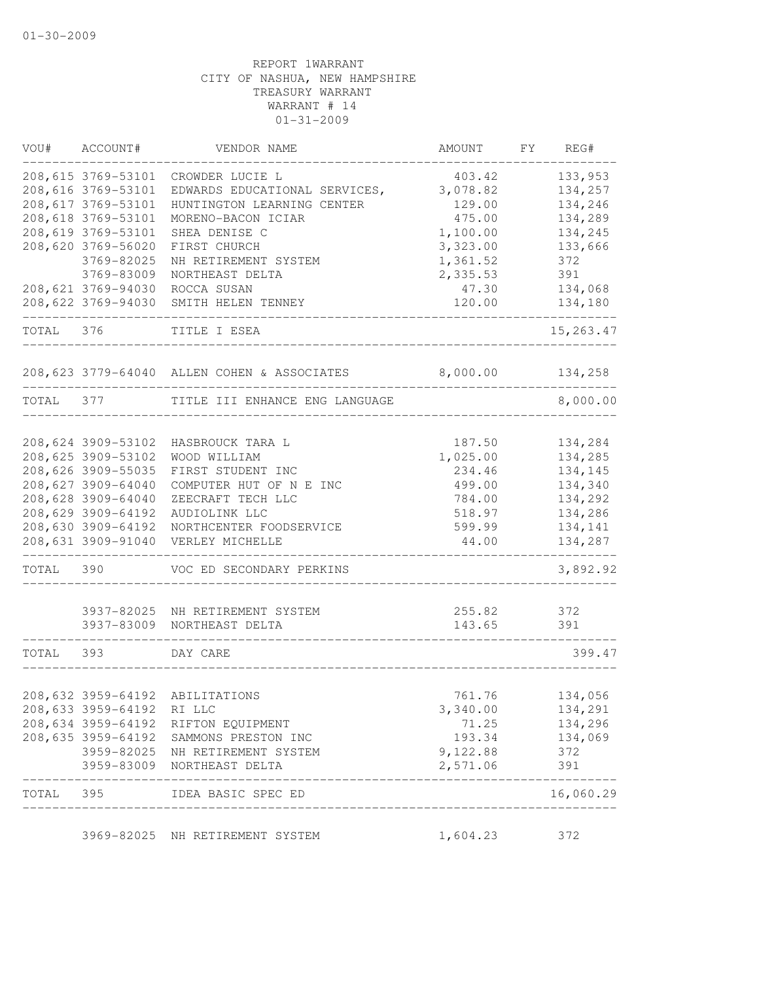| VOU#  | ACCOUNT#                  | VENDOR NAME                                                       | <b>AMOUNT</b> | FY<br>REG# |
|-------|---------------------------|-------------------------------------------------------------------|---------------|------------|
|       | 208,615 3769-53101        | CROWDER LUCIE L                                                   | 403.42        | 133,953    |
|       | 208,616 3769-53101        | EDWARDS EDUCATIONAL SERVICES,                                     | 3,078.82      | 134,257    |
|       | 208,617 3769-53101        | HUNTINGTON LEARNING CENTER                                        | 129.00        | 134,246    |
|       | 208,618 3769-53101        | MORENO-BACON ICIAR                                                | 475.00        | 134,289    |
|       | 208,619 3769-53101        | SHEA DENISE C                                                     | 1,100.00      | 134,245    |
|       | 208,620 3769-56020        | FIRST CHURCH                                                      | 3,323.00      | 133,666    |
|       | 3769-82025                | NH RETIREMENT SYSTEM                                              | 1,361.52      | 372        |
|       | 3769-83009                | NORTHEAST DELTA                                                   | 2,335.53      | 391        |
|       | 208,621 3769-94030        | ROCCA SUSAN                                                       | 47.30         | 134,068    |
|       | 208,622 3769-94030        | SMITH HELEN TENNEY                                                | 120.00        | 134,180    |
| TOTAL | 376                       | TITLE I ESEA                                                      |               | 15,263.47  |
|       |                           | 208,623 3779-64040 ALLEN COHEN & ASSOCIATES                       | 8,000.00      | 134,258    |
| TOTAL | 377                       | TITLE III ENHANCE ENG LANGUAGE                                    |               | 8,000.00   |
|       |                           |                                                                   |               |            |
|       | 208,624 3909-53102        | HASBROUCK TARA L                                                  | 187.50        | 134,284    |
|       | 208,625 3909-53102        | WOOD WILLIAM                                                      | 1,025.00      | 134,285    |
|       | 208,626 3909-55035        | FIRST STUDENT INC                                                 | 234.46        | 134,145    |
|       | 208,627 3909-64040        | COMPUTER HUT OF N E INC                                           | 499.00        | 134,340    |
|       | 208,628 3909-64040        | ZEECRAFT TECH LLC                                                 | 784.00        | 134,292    |
|       | 208,629 3909-64192        | AUDIOLINK LLC                                                     | 518.97        | 134,286    |
|       | 208,630 3909-64192        | NORTHCENTER FOODSERVICE                                           | 599.99        | 134,141    |
|       | 208,631 3909-91040        | VERLEY MICHELLE                                                   | 44.00         | 134,287    |
| TOTAL | 390                       | VOC ED SECONDARY PERKINS                                          |               | 3,892.92   |
|       | 3937-82025                | NH RETIREMENT SYSTEM                                              | 255.82        | 372        |
|       | 3937-83009                | NORTHEAST DELTA                                                   | 143.65        | 391        |
| TOTAL | 393                       | DAY CARE                                                          |               | 399.47     |
|       |                           | 208,632 3959-64192 ABILITATIONS                                   | 761.76        | 134,056    |
|       | 208,633 3959-64192 RI LLC |                                                                   | 3,340.00      | 134,291    |
|       | 208,634 3959-64192        | RIFTON EQUIPMENT                                                  | 71.25         | 134,296    |
|       | 208,635 3959-64192        | SAMMONS PRESTON INC                                               | 193.34        | 134,069    |
|       | 3959-82025                | NH RETIREMENT SYSTEM                                              | 9,122.88      | 372        |
|       |                           | 3959-83009 NORTHEAST DELTA                                        | 2,571.06      | 391        |
|       |                           | TOTAL 395 IDEA BASIC SPEC ED<br>--------------------------------- |               | 16,060.29  |
|       |                           | 3969-82025 NH RETIREMENT SYSTEM                                   | 1,604.23      | 372        |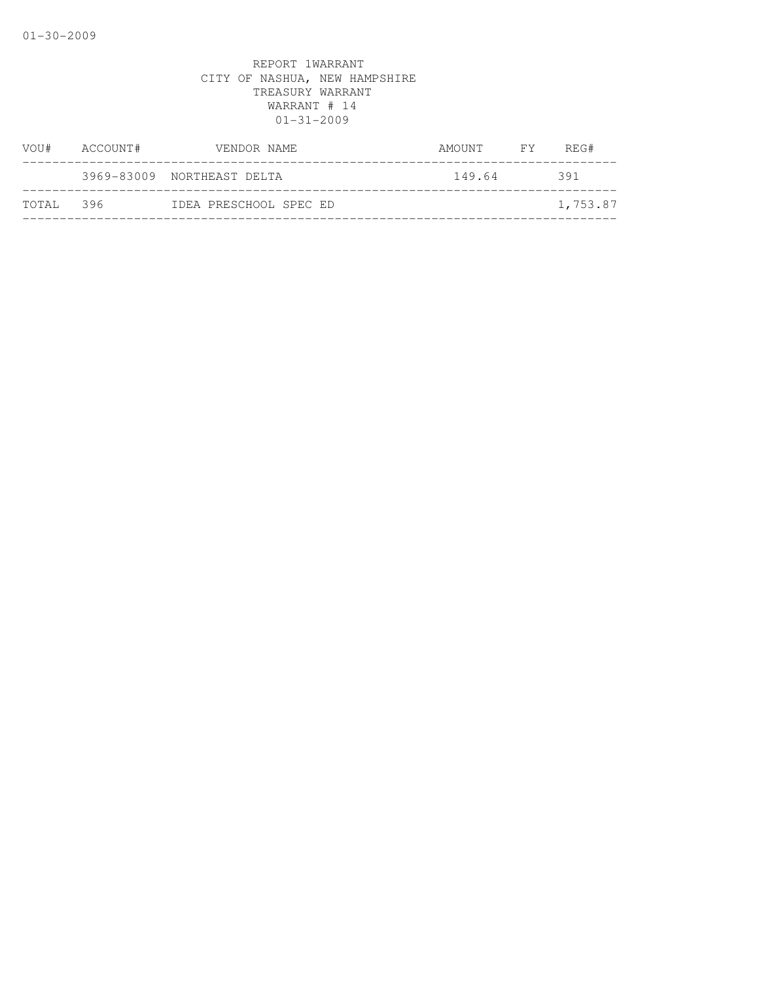| VOU#   | ACCOUNT# | VENDOR NAME                | AMOUNT | FY | REG#     |
|--------|----------|----------------------------|--------|----|----------|
|        |          | 3969-83009 NORTHEAST DELTA | 149.64 |    | 391      |
| TOTAL. | 396      | IDEA PRESCHOOL SPEC ED     |        |    | 1,753.87 |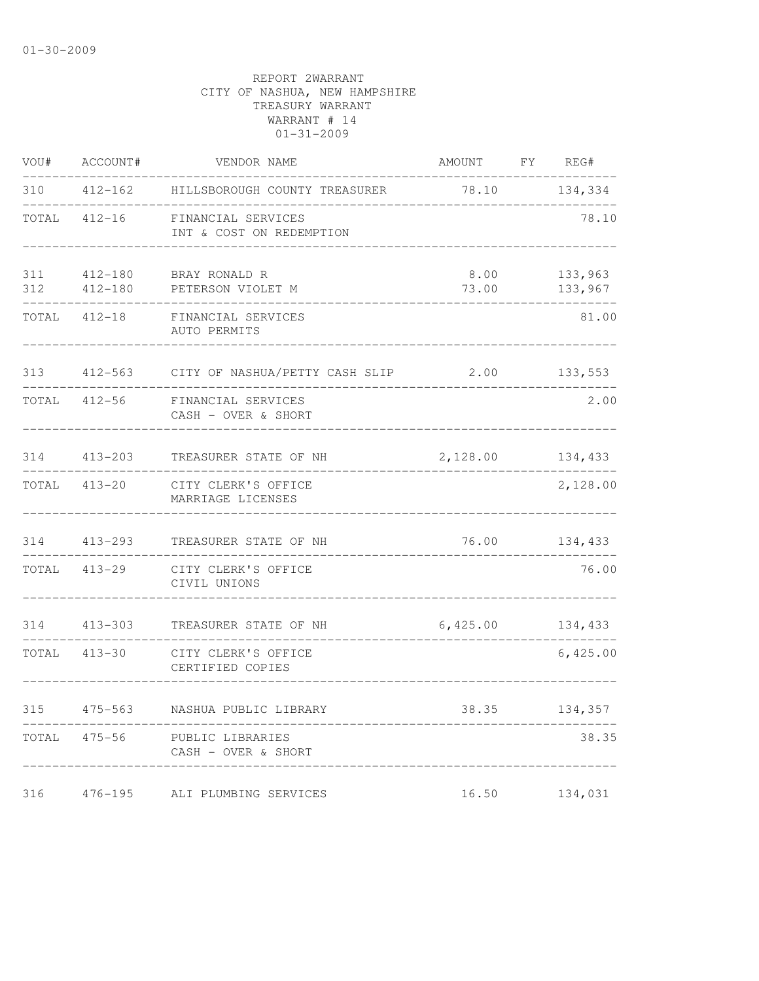| VOU#       | ACCOUNT#               | VENDOR NAME                                    | AMOUNT        | FY | REG#               |
|------------|------------------------|------------------------------------------------|---------------|----|--------------------|
| 310        | $412 - 162$            | HILLSBOROUGH COUNTY TREASURER                  | 78.10         |    | 134,334            |
| TOTAL      | $412 - 16$             | FINANCIAL SERVICES<br>INT & COST ON REDEMPTION |               |    | 78.10              |
| 311<br>312 | $412 - 180$<br>412-180 | BRAY RONALD R<br>PETERSON VIOLET M             | 8.00<br>73.00 |    | 133,963<br>133,967 |
| TOTAL      | $412 - 18$             | FINANCIAL SERVICES<br>AUTO PERMITS             |               |    | 81.00              |
| 313        | $412 - 563$            | CITY OF NASHUA/PETTY CASH SLIP                 | 2.00          |    | 133,553            |
| TOTAL      | $412 - 56$             | FINANCIAL SERVICES<br>CASH - OVER & SHORT      |               |    | 2.00               |
| 314        | $413 - 203$            | TREASURER STATE OF NH                          | 2,128.00      |    | 134,433            |
|            | TOTAL 413-20           | CITY CLERK'S OFFICE<br>MARRIAGE LICENSES       |               |    | 2,128.00           |
| 314        | 413-293                | TREASURER STATE OF NH                          | 76.00         |    | 134,433            |
| TOTAL      | $413 - 29$             | CITY CLERK'S OFFICE<br>CIVIL UNIONS            |               |    | 76.00              |
| 314        | $413 - 303$            | TREASURER STATE OF NH                          | 6,425.00      |    | 134,433            |
| TOTAL      | $413 - 30$             | CITY CLERK'S OFFICE<br>CERTIFIED COPIES        |               |    | 6,425.00           |
| 315        | $475 - 563$            | NASHUA PUBLIC LIBRARY                          | 38.35         |    | 134,357            |
| TOTAL      | $475 - 56$             | PUBLIC LIBRARIES<br>CASH - OVER & SHORT        |               |    | 38.35              |
| 316        | $476 - 195$            | ALI PLUMBING SERVICES                          | 16.50         |    | 134,031            |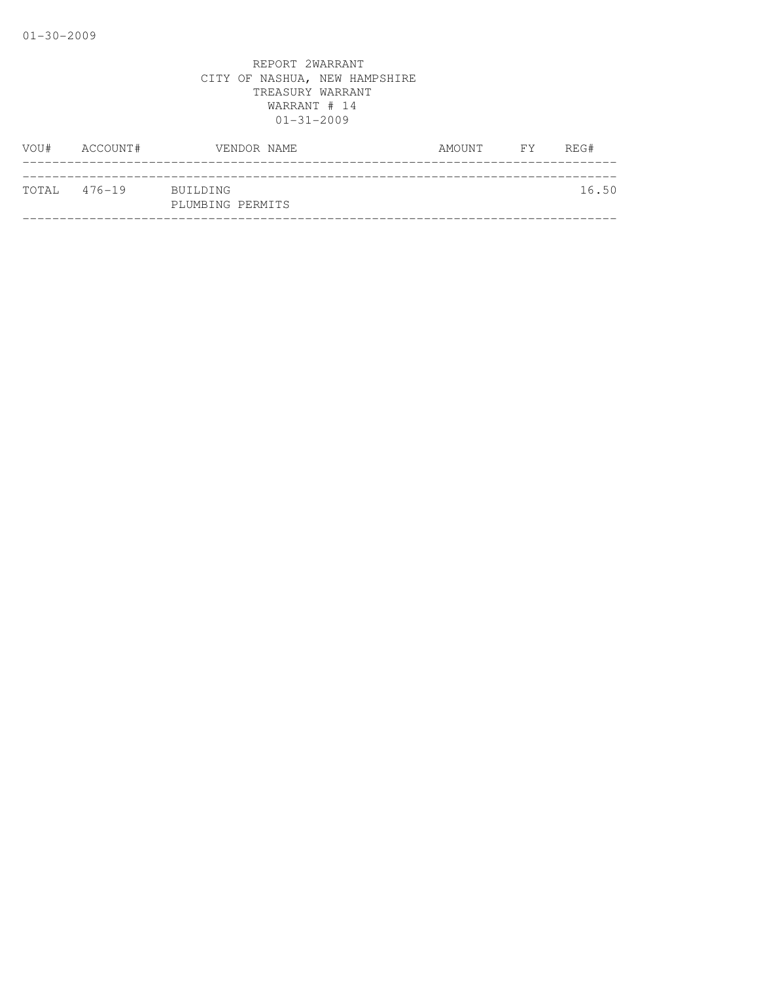| VOU#         | ACCOUNT# | VENDOR NAME                  | AMOUNT | FY | REG#  |
|--------------|----------|------------------------------|--------|----|-------|
|              |          |                              |        |    |       |
| TOTAL 476-19 |          | BUILDING<br>PLUMBING PERMITS |        |    | 16.50 |
|              |          |                              |        |    |       |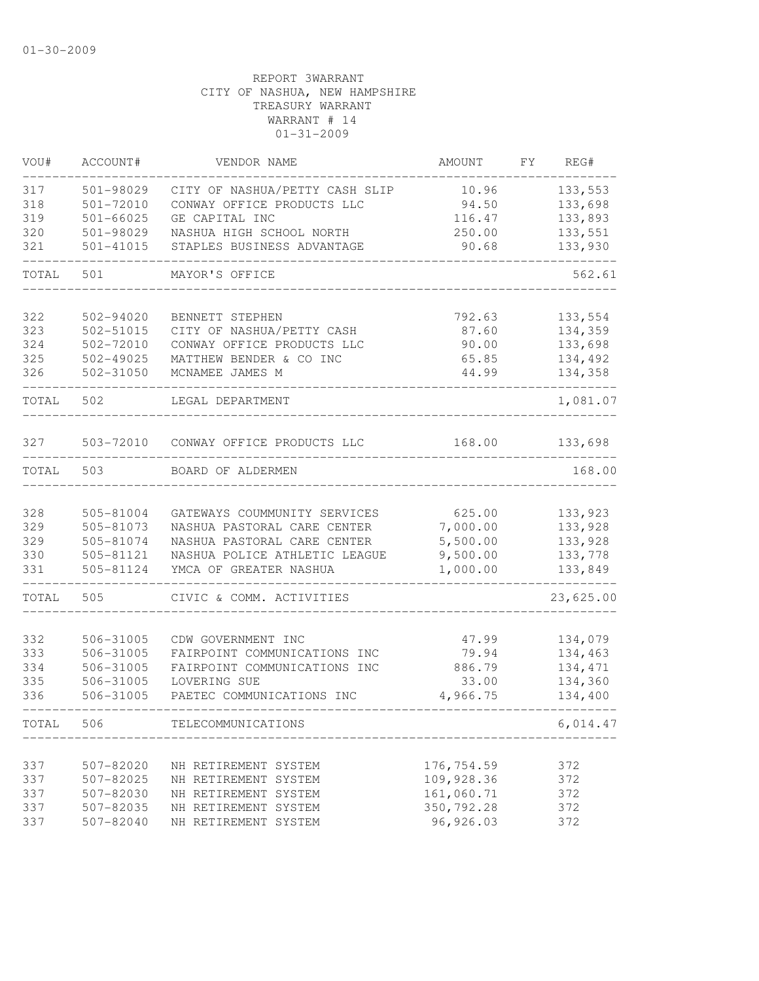| VOU#  | ACCOUNT#  | VENDOR NAME                          | AMOUNT      | FY. | REG#      |
|-------|-----------|--------------------------------------|-------------|-----|-----------|
| 317   | 501-98029 | CITY OF NASHUA/PETTY CASH SLIP       | 10.96       |     | 133,553   |
| 318   | 501-72010 | CONWAY OFFICE PRODUCTS LLC           | 94.50       |     | 133,698   |
| 319   | 501-66025 | GE CAPITAL INC                       | 116.47      |     | 133,893   |
| 320   | 501-98029 | NASHUA HIGH SCHOOL NORTH             | 250.00      |     | 133,551   |
| 321   | 501-41015 | STAPLES BUSINESS ADVANTAGE           | 90.68       |     | 133,930   |
| TOTAL | 501       | MAYOR'S OFFICE                       |             |     | 562.61    |
| 322   | 502-94020 | BENNETT STEPHEN                      | 792.63      |     | 133,554   |
| 323   | 502-51015 | CITY OF NASHUA/PETTY CASH            | 87.60       |     | 134,359   |
| 324   | 502-72010 | CONWAY OFFICE PRODUCTS LLC           | 90.00       |     | 133,698   |
| 325   | 502-49025 | MATTHEW BENDER & CO INC              | 65.85       |     | 134,492   |
| 326   | 502-31050 | MCNAMEE JAMES M                      | 44.99       |     | 134,358   |
| TOTAL | 502       | LEGAL DEPARTMENT                     |             |     | 1,081.07  |
| 327   |           | 503-72010 CONWAY OFFICE PRODUCTS LLC | 168.00      |     | 133,698   |
| TOTAL | 503       | BOARD OF ALDERMEN                    |             |     | 168.00    |
|       |           |                                      |             |     |           |
| 328   | 505-81004 | GATEWAYS COUMMUNITY SERVICES         | 625.00      |     | 133,923   |
| 329   | 505-81073 | NASHUA PASTORAL CARE CENTER          | 7,000.00    |     | 133,928   |
| 329   | 505-81074 | NASHUA PASTORAL CARE CENTER          | 5,500.00    |     | 133,928   |
| 330   | 505-81121 | NASHUA POLICE ATHLETIC LEAGUE        | 9,500.00    |     | 133,778   |
| 331   | 505-81124 | YMCA OF GREATER NASHUA               | 1,000.00    |     | 133,849   |
| TOTAL | 505       | CIVIC & COMM. ACTIVITIES             |             |     | 23,625.00 |
|       |           |                                      |             |     |           |
| 332   | 506-31005 | CDW GOVERNMENT INC                   | 47.99       |     | 134,079   |
| 333   | 506-31005 | FAIRPOINT COMMUNICATIONS INC         | 79.94       |     | 134,463   |
| 334   | 506-31005 | FAIRPOINT COMMUNICATIONS INC         | 886.79      |     | 134, 471  |
| 335   | 506-31005 | LOVERING SUE                         | 33.00       |     | 134,360   |
| 336   | 506-31005 | PAETEC COMMUNICATIONS INC            | 4,966.75    |     | 134,400   |
| TOTAL | 506       | TELECOMMUNICATIONS                   |             |     | 6,014.47  |
|       |           |                                      |             |     |           |
| 337   | 507-82020 | NH RETIREMENT SYSTEM                 | 176,754.59  |     | 372       |
| 337   | 507-82025 | NH RETIREMENT SYSTEM                 | 109,928.36  |     | 372       |
| 337   | 507-82030 | NH RETIREMENT SYSTEM                 | 161,060.71  |     | 372       |
| 337   | 507-82035 | NH RETIREMENT SYSTEM                 | 350, 792.28 |     | 372       |
| 337   | 507-82040 | NH RETIREMENT SYSTEM                 | 96,926.03   |     | 372       |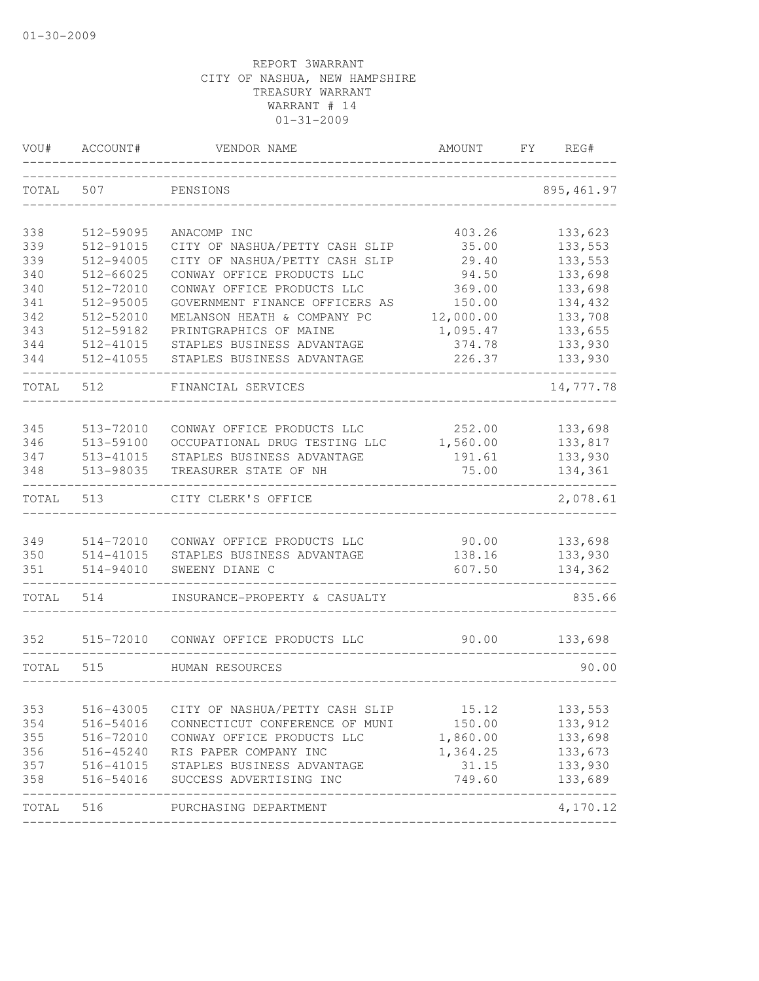| VOU#       | ACCOUNT#               | VENDOR NAME                                                 | AMOUNT             | FY. | REG#                       |
|------------|------------------------|-------------------------------------------------------------|--------------------|-----|----------------------------|
| TOTAL      | 507                    | PENSIONS                                                    |                    |     | 895, 461.97                |
| 338        | 512-59095              | ANACOMP INC                                                 | 403.26             |     | 133,623                    |
| 339        | 512-91015              | CITY OF NASHUA/PETTY CASH SLIP                              | 35.00              |     | 133,553                    |
| 339        | 512-94005              | CITY OF NASHUA/PETTY CASH SLIP                              | 29.40              |     | 133,553                    |
| 340        | 512-66025              | CONWAY OFFICE PRODUCTS LLC                                  | 94.50              |     | 133,698                    |
| 340        | 512-72010              | CONWAY OFFICE PRODUCTS LLC                                  | 369.00             |     | 133,698                    |
| 341        | 512-95005              | GOVERNMENT FINANCE OFFICERS AS                              | 150.00             |     | 134,432                    |
| 342        | 512-52010              | MELANSON HEATH & COMPANY PC                                 | 12,000.00          |     | 133,708                    |
| 343        | 512-59182              | PRINTGRAPHICS OF MAINE                                      | 1,095.47           |     | 133,655                    |
| 344        | 512-41015              | STAPLES BUSINESS ADVANTAGE                                  | 374.78             |     | 133,930                    |
| 344        | 512-41055              | STAPLES BUSINESS ADVANTAGE                                  | 226.37             |     | 133,930                    |
| TOTAL      | 512                    | FINANCIAL SERVICES                                          |                    |     | 14,777.78                  |
|            |                        |                                                             |                    |     |                            |
| 345<br>346 | 513-72010<br>513-59100 | CONWAY OFFICE PRODUCTS LLC<br>OCCUPATIONAL DRUG TESTING LLC | 252.00<br>1,560.00 |     | 133,698<br>133,817         |
| 347        | 513-41015              | STAPLES BUSINESS ADVANTAGE                                  | 191.61             |     | 133,930                    |
| 348        | 513-98035              | TREASURER STATE OF NH                                       | 75.00              |     | 134,361                    |
| TOTAL      | 513                    | CITY CLERK'S OFFICE                                         |                    |     | 2,078.61                   |
|            |                        |                                                             |                    |     |                            |
| 349        | 514-72010              | CONWAY OFFICE PRODUCTS LLC                                  | 90.00              |     | 133,698                    |
| 350        | 514-41015              | STAPLES BUSINESS ADVANTAGE                                  | 138.16             |     | 133,930                    |
| 351        | 514-94010              | SWEENY DIANE C                                              | 607.50             |     | 134,362                    |
| TOTAL      | 514                    | INSURANCE-PROPERTY & CASUALTY                               |                    |     | 835.66                     |
| 352        | 515-72010              | CONWAY OFFICE PRODUCTS LLC                                  | 90.00              |     | 133,698                    |
| TOTAL      | 515                    | HUMAN RESOURCES                                             |                    |     | 90.00                      |
| 353        | 516-43005              | CITY OF NASHUA/PETTY CASH SLIP                              | 15.12              |     | 133,553                    |
| 354        | 516-54016              | CONNECTICUT CONFERENCE OF MUNI                              | 150.00             |     | 133,912                    |
| 355        | 516-72010              | CONWAY OFFICE PRODUCTS LLC                                  | 1,860.00           |     | 133,698                    |
| 356        | 516-45240              | RIS PAPER COMPANY INC                                       | 1,364.25           |     | 133,673                    |
| 357        | 516-41015              | STAPLES BUSINESS ADVANTAGE                                  | 31.15              |     | 133,930                    |
| 358        | 516-54016              | SUCCESS ADVERTISING INC                                     | 749.60             |     | 133,689                    |
| TOTAL      | 516                    | PURCHASING DEPARTMENT                                       |                    |     | --------------<br>4,170.12 |
|            |                        |                                                             |                    |     |                            |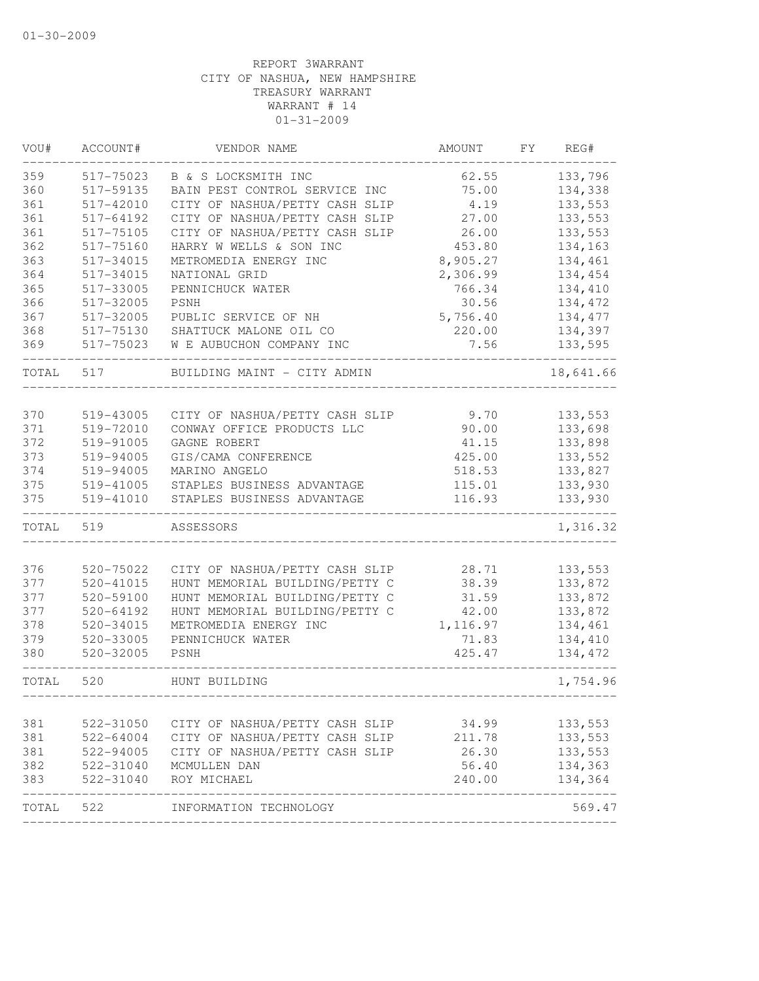| VOU#  | ACCOUNT#      | VENDOR NAME                    | AMOUNT   | FΥ | REG#      |
|-------|---------------|--------------------------------|----------|----|-----------|
| 359   | 517-75023     | B & S LOCKSMITH INC            | 62.55    |    | 133,796   |
| 360   | 517-59135     | BAIN PEST CONTROL SERVICE INC  | 75.00    |    | 134,338   |
| 361   | 517-42010     | CITY OF NASHUA/PETTY CASH SLIP | 4.19     |    | 133,553   |
| 361   | 517-64192     | CITY OF NASHUA/PETTY CASH SLIP | 27.00    |    | 133,553   |
| 361   | 517-75105     | CITY OF NASHUA/PETTY CASH SLIP | 26.00    |    | 133,553   |
| 362   | 517-75160     | HARRY W WELLS & SON INC        | 453.80   |    | 134,163   |
| 363   | 517-34015     | METROMEDIA ENERGY INC          | 8,905.27 |    | 134,461   |
| 364   | 517-34015     | NATIONAL GRID                  | 2,306.99 |    | 134,454   |
| 365   | 517-33005     | PENNICHUCK WATER               | 766.34   |    | 134,410   |
| 366   | 517-32005     | PSNH                           | 30.56    |    | 134,472   |
| 367   | 517-32005     | PUBLIC SERVICE OF NH           | 5,756.40 |    | 134,477   |
| 368   | 517-75130     | SHATTUCK MALONE OIL CO         | 220.00   |    | 134,397   |
| 369   | 517-75023     | W E AUBUCHON COMPANY INC       | 7.56     |    | 133,595   |
| TOTAL | 517           | BUILDING MAINT - CITY ADMIN    |          |    | 18,641.66 |
| 370   | 519-43005     | CITY OF NASHUA/PETTY CASH SLIP | 9.70     |    | 133,553   |
| 371   | 519-72010     | CONWAY OFFICE PRODUCTS LLC     | 90.00    |    | 133,698   |
| 372   | 519-91005     | GAGNE ROBERT                   | 41.15    |    | 133,898   |
| 373   | 519-94005     | GIS/CAMA CONFERENCE            | 425.00   |    | 133,552   |
| 374   | 519-94005     | MARINO ANGELO                  | 518.53   |    | 133,827   |
| 375   | 519-41005     | STAPLES BUSINESS ADVANTAGE     | 115.01   |    | 133,930   |
| 375   | 519-41010     | STAPLES BUSINESS ADVANTAGE     | 116.93   |    | 133,930   |
| TOTAL | 519           | ASSESSORS                      |          |    | 1,316.32  |
|       |               |                                |          |    |           |
| 376   | $520 - 75022$ | CITY OF NASHUA/PETTY CASH SLIP | 28.71    |    | 133,553   |
| 377   | $520 - 41015$ | HUNT MEMORIAL BUILDING/PETTY C | 38.39    |    | 133,872   |
| 377   | 520-59100     | HUNT MEMORIAL BUILDING/PETTY C | 31.59    |    | 133,872   |
| 377   | 520-64192     | HUNT MEMORIAL BUILDING/PETTY C | 42.00    |    | 133,872   |
| 378   | 520-34015     | METROMEDIA ENERGY INC          | 1,116.97 |    | 134,461   |
| 379   | 520-33005     | PENNICHUCK WATER               | 71.83    |    | 134,410   |
| 380   | 520-32005     | <b>PSNH</b>                    | 425.47   |    | 134,472   |
| TOTAL | 520           | HUNT BUILDING                  |          |    | 1,754.96  |
|       |               |                                |          |    |           |
| 381   | 522-31050     | CITY OF NASHUA/PETTY CASH SLIP | 34.99    |    | 133,553   |
| 381   | 522-64004     | CITY OF NASHUA/PETTY CASH SLIP | 211.78   |    | 133,553   |
| 381   | 522-94005     | CITY OF NASHUA/PETTY CASH SLIP | 26.30    |    | 133,553   |
| 382   | 522-31040     | MCMULLEN DAN                   | 56.40    |    | 134,363   |
| 383   | 522-31040     | ROY MICHAEL                    | 240.00   |    | 134,364   |
| TOTAL | 522           | INFORMATION TECHNOLOGY         |          |    | 569.47    |
|       |               |                                |          |    |           |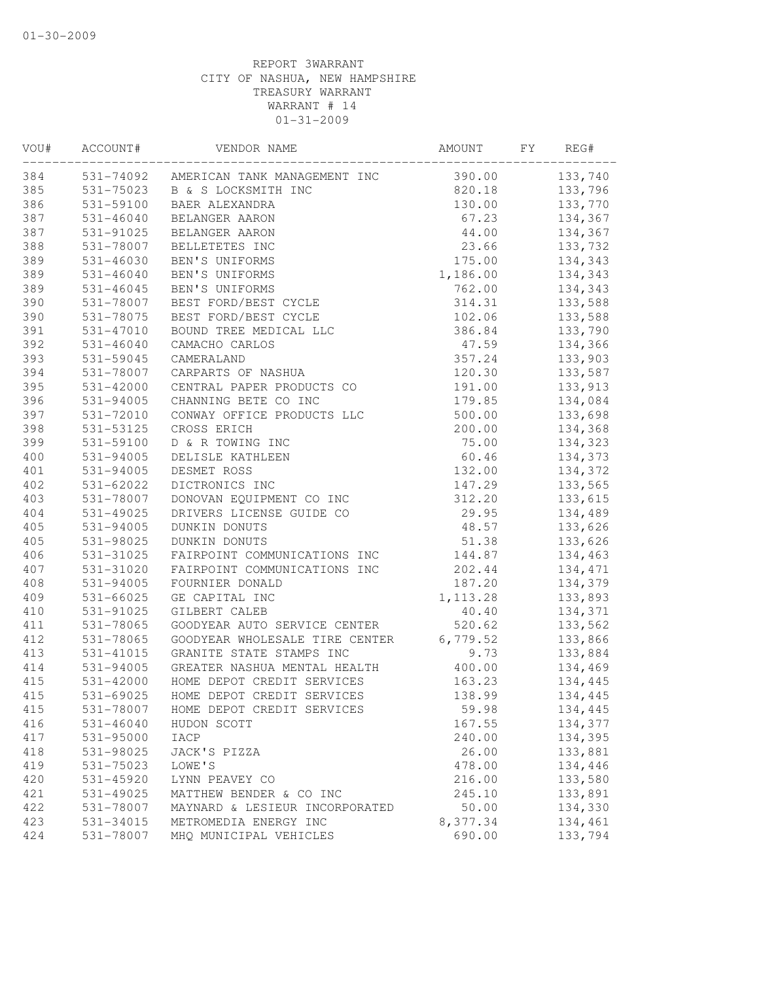| VOU# | ACCOUNT#      | VENDOR NAME                            | AMOUNT    | FY | REG#    |
|------|---------------|----------------------------------------|-----------|----|---------|
| 384  |               | 531-74092 AMERICAN TANK MANAGEMENT INC | 390.00    |    | 133,740 |
| 385  | 531-75023     | B & S LOCKSMITH INC                    | 820.18    |    | 133,796 |
| 386  | 531-59100     | BAER ALEXANDRA                         | 130.00    |    | 133,770 |
| 387  | $531 - 46040$ | BELANGER AARON                         | 67.23     |    | 134,367 |
| 387  | 531-91025     | BELANGER AARON                         | 44.00     |    | 134,367 |
| 388  | 531-78007     | BELLETETES INC                         | 23.66     |    | 133,732 |
| 389  | 531-46030     | BEN'S UNIFORMS                         | 175.00    |    | 134,343 |
| 389  | $531 - 46040$ | BEN'S UNIFORMS                         | 1,186.00  |    | 134,343 |
| 389  | 531-46045     | BEN'S UNIFORMS                         | 762.00    |    | 134,343 |
| 390  | 531-78007     | BEST FORD/BEST CYCLE                   | 314.31    |    | 133,588 |
| 390  | 531-78075     | BEST FORD/BEST CYCLE                   | 102.06    |    | 133,588 |
| 391  | 531-47010     | BOUND TREE MEDICAL LLC                 | 386.84    |    | 133,790 |
| 392  | $531 - 46040$ | CAMACHO CARLOS                         | 47.59     |    | 134,366 |
| 393  | 531-59045     | CAMERALAND                             | 357.24    |    | 133,903 |
| 394  | 531-78007     | CARPARTS OF NASHUA                     | 120.30    |    | 133,587 |
| 395  | $531 - 42000$ | CENTRAL PAPER PRODUCTS CO              | 191.00    |    | 133,913 |
| 396  | 531-94005     | CHANNING BETE CO INC                   | 179.85    |    | 134,084 |
| 397  | 531-72010     | CONWAY OFFICE PRODUCTS LLC             | 500.00    |    | 133,698 |
| 398  | 531-53125     | CROSS ERICH                            | 200.00    |    | 134,368 |
| 399  | 531-59100     | D & R TOWING INC                       | 75.00     |    | 134,323 |
| 400  | 531-94005     | DELISLE KATHLEEN                       | 60.46     |    | 134,373 |
| 401  | 531-94005     | DESMET ROSS                            | 132.00    |    | 134,372 |
| 402  | 531-62022     | DICTRONICS INC                         | 147.29    |    | 133,565 |
| 403  | 531-78007     | DONOVAN EQUIPMENT CO INC               | 312.20    |    | 133,615 |
| 404  | 531-49025     | DRIVERS LICENSE GUIDE CO               | 29.95     |    | 134,489 |
| 405  | 531-94005     | DUNKIN DONUTS                          | 48.57     |    | 133,626 |
| 405  | 531-98025     | DUNKIN DONUTS                          | 51.38     |    | 133,626 |
| 406  | 531-31025     | FAIRPOINT COMMUNICATIONS INC           | 144.87    |    | 134,463 |
| 407  | 531-31020     | FAIRPOINT COMMUNICATIONS INC           | 202.44    |    | 134,471 |
| 408  | 531-94005     | FOURNIER DONALD                        | 187.20    |    | 134,379 |
| 409  | 531-66025     | GE CAPITAL INC                         | 1, 113.28 |    | 133,893 |
| 410  | 531-91025     | GILBERT CALEB                          | 40.40     |    | 134,371 |
| 411  | 531-78065     | GOODYEAR AUTO SERVICE CENTER           | 520.62    |    | 133,562 |
| 412  | 531-78065     | GOODYEAR WHOLESALE TIRE CENTER         | 6,779.52  |    | 133,866 |
| 413  | 531-41015     | GRANITE STATE STAMPS INC               | 9.73      |    | 133,884 |
| 414  | $531 - 94005$ | GREATER NASHUA MENTAL HEALTH           | 400.00    |    | 134,469 |
| 415  | 531-42000     | HOME DEPOT CREDIT SERVICES             | 163.23    |    | 134,445 |
| 415  | 531-69025     | HOME DEPOT CREDIT SERVICES             | 138.99    |    | 134,445 |
| 415  | 531-78007     | HOME DEPOT CREDIT SERVICES             | 59.98     |    | 134,445 |
| 416  | $531 - 46040$ | HUDON SCOTT                            | 167.55    |    | 134,377 |
| 417  | 531-95000     | IACP                                   | 240.00    |    | 134,395 |
| 418  | 531-98025     | JACK'S PIZZA                           | 26.00     |    | 133,881 |
| 419  | 531-75023     | LOWE'S                                 | 478.00    |    | 134,446 |
| 420  | 531-45920     | LYNN PEAVEY CO                         | 216.00    |    | 133,580 |
| 421  | 531-49025     | MATTHEW BENDER & CO INC                | 245.10    |    | 133,891 |
| 422  | 531-78007     | MAYNARD & LESIEUR INCORPORATED         | 50.00     |    | 134,330 |
| 423  | 531-34015     | METROMEDIA ENERGY INC                  | 8,377.34  |    | 134,461 |
| 424  | 531-78007     | MHQ MUNICIPAL VEHICLES                 | 690.00    |    | 133,794 |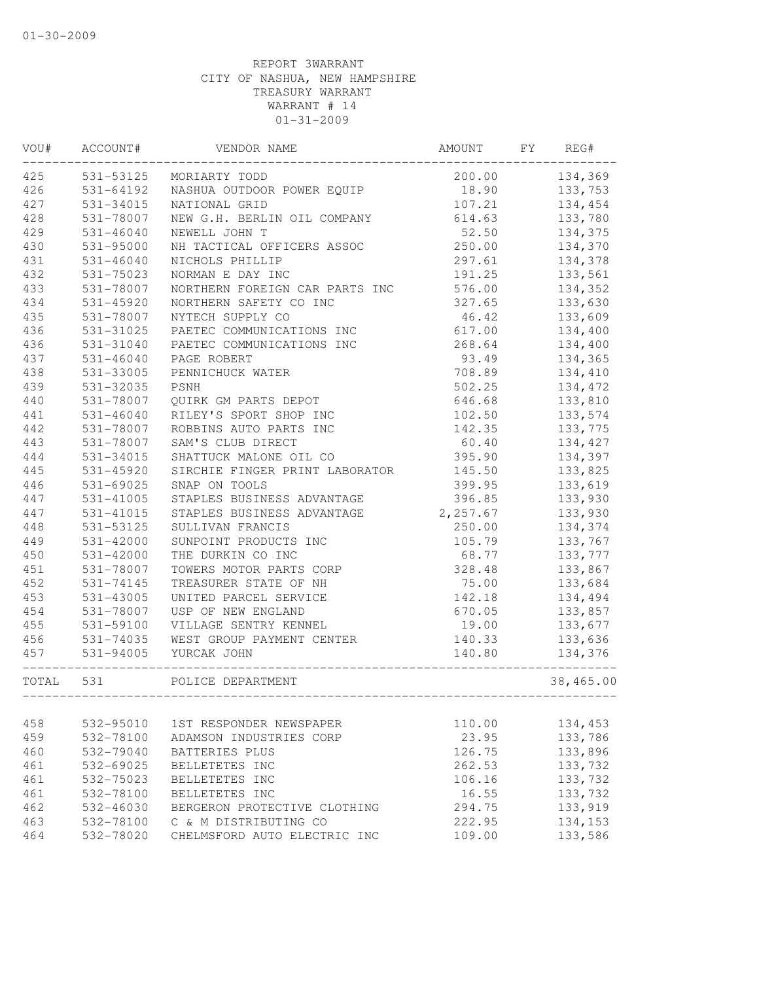| VOU#  | ACCOUNT#      | VENDOR NAME                           | <b>AMOUNT</b> | FY | REG#      |
|-------|---------------|---------------------------------------|---------------|----|-----------|
| 425   | 531-53125     | MORIARTY TODD                         | 200.00        |    | 134,369   |
| 426   | $531 - 64192$ | NASHUA OUTDOOR POWER EQUIP            | 18.90         |    | 133,753   |
| 427   | 531-34015     | NATIONAL GRID                         | 107.21        |    | 134,454   |
| 428   | 531-78007     | NEW G.H. BERLIN OIL COMPANY           | 614.63        |    | 133,780   |
| 429   | 531-46040     | NEWELL JOHN T                         | 52.50         |    | 134,375   |
| 430   | 531-95000     | NH TACTICAL OFFICERS ASSOC            | 250.00        |    | 134,370   |
| 431   | $531 - 46040$ | NICHOLS PHILLIP                       | 297.61        |    | 134,378   |
| 432   | 531-75023     | NORMAN E DAY INC                      | 191.25        |    | 133,561   |
| 433   | 531-78007     | NORTHERN FOREIGN CAR PARTS INC        | 576.00        |    | 134,352   |
| 434   | $531 - 45920$ | NORTHERN SAFETY CO INC                | 327.65        |    | 133,630   |
| 435   | 531-78007     | NYTECH SUPPLY CO                      | 46.42         |    | 133,609   |
| 436   | 531-31025     | PAETEC COMMUNICATIONS INC             | 617.00        |    | 134,400   |
| 436   | 531-31040     | PAETEC COMMUNICATIONS INC             | 268.64        |    | 134,400   |
| 437   | 531-46040     | PAGE ROBERT                           | 93.49         |    | 134,365   |
| 438   | 531-33005     | PENNICHUCK WATER                      | 708.89        |    | 134,410   |
| 439   | 531-32035     | PSNH                                  | 502.25        |    | 134,472   |
| 440   | 531-78007     | QUIRK GM PARTS DEPOT                  | 646.68        |    | 133,810   |
| 441   | 531-46040     | RILEY'S SPORT SHOP INC                | 102.50        |    | 133,574   |
| 442   | 531-78007     | ROBBINS AUTO PARTS INC                | 142.35        |    | 133,775   |
| 443   | 531-78007     | SAM'S CLUB DIRECT                     | 60.40         |    | 134,427   |
| 444   | 531-34015     | SHATTUCK MALONE OIL CO                | 395.90        |    | 134,397   |
| 445   | 531-45920     | SIRCHIE FINGER PRINT LABORATOR        | 145.50        |    | 133,825   |
| 446   | 531-69025     | SNAP ON TOOLS                         | 399.95        |    | 133,619   |
| 447   | 531-41005     | STAPLES BUSINESS ADVANTAGE            | 396.85        |    | 133,930   |
| 447   | 531-41015     | STAPLES BUSINESS ADVANTAGE            | 2,257.67      |    | 133,930   |
| 448   | 531-53125     | SULLIVAN FRANCIS                      | 250.00        |    | 134,374   |
| 449   | 531-42000     | SUNPOINT PRODUCTS INC                 | 105.79        |    | 133,767   |
| 450   | 531-42000     | THE DURKIN CO INC                     | 68.77         |    | 133,777   |
| 451   | 531-78007     | TOWERS MOTOR PARTS CORP               | 328.48        |    | 133,867   |
| 452   |               | TREASURER STATE OF NH                 |               |    |           |
| 453   | 531-74145     |                                       | 75.00         |    | 133,684   |
|       | 531-43005     | UNITED PARCEL SERVICE                 | 142.18        |    | 134,494   |
| 454   | 531-78007     | USP OF NEW ENGLAND                    | 670.05        |    | 133,857   |
| 455   | 531-59100     | VILLAGE SENTRY KENNEL                 | 19.00         |    | 133,677   |
| 456   | 531-74035     | WEST GROUP PAYMENT CENTER             | 140.33        |    | 133,636   |
| 457   | 531-94005     | YURCAK JOHN                           | 140.80        |    | 134,376   |
| TOTAL | 531           | POLICE DEPARTMENT<br>---------------- |               |    | 38,465.00 |
|       |               |                                       |               |    |           |
| 458   | 532-95010     | 1ST RESPONDER NEWSPAPER               | 110.00        |    | 134,453   |
| 459   | 532-78100     | ADAMSON INDUSTRIES CORP               | 23.95         |    | 133,786   |
| 460   | $532 - 79040$ | BATTERIES PLUS                        | 126.75        |    | 133,896   |
| 461   | 532-69025     | BELLETETES INC                        | 262.53        |    | 133,732   |
| 461   | 532-75023     | BELLETETES INC                        | 106.16        |    | 133,732   |
| 461   | 532-78100     | BELLETETES INC                        | 16.55         |    | 133,732   |
| 462   | 532-46030     | BERGERON PROTECTIVE CLOTHING          | 294.75        |    | 133,919   |
| 463   | 532-78100     | C & M DISTRIBUTING CO                 | 222.95        |    | 134,153   |
| 464   | 532-78020     | CHELMSFORD AUTO ELECTRIC INC          | 109.00        |    | 133,586   |
|       |               |                                       |               |    |           |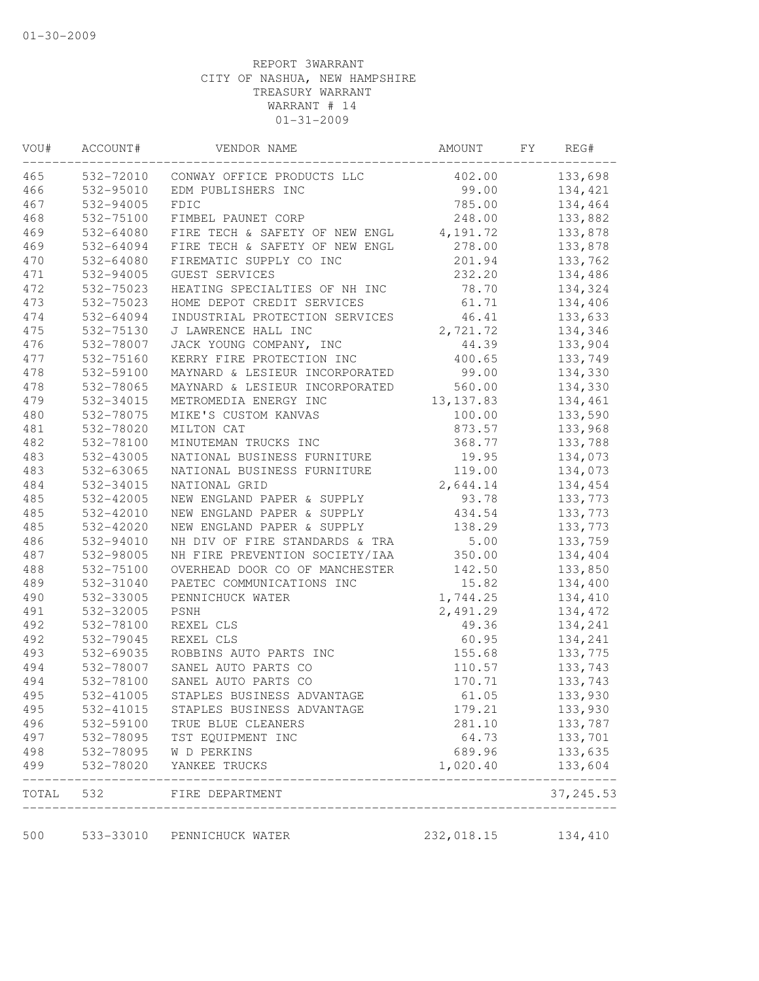| WOU# | ACCOUNT#  | VENDOR NAME                    | AMOUNT     | FY | REG#       |
|------|-----------|--------------------------------|------------|----|------------|
| 465  | 532-72010 | CONWAY OFFICE PRODUCTS LLC     | 402.00     |    | 133,698    |
| 466  | 532-95010 | EDM PUBLISHERS INC             | 99.00      |    | 134,421    |
| 467  | 532-94005 | FDIC                           | 785.00     |    | 134,464    |
| 468  | 532-75100 | FIMBEL PAUNET CORP             | 248.00     |    | 133,882    |
| 469  | 532-64080 | FIRE TECH & SAFETY OF NEW ENGL | 4,191.72   |    | 133,878    |
| 469  | 532-64094 | FIRE TECH & SAFETY OF NEW ENGL | 278.00     |    | 133,878    |
| 470  | 532-64080 | FIREMATIC SUPPLY CO INC        | 201.94     |    | 133,762    |
| 471  | 532-94005 | GUEST SERVICES                 | 232.20     |    | 134,486    |
| 472  | 532-75023 | HEATING SPECIALTIES OF NH INC  | 78.70      |    | 134,324    |
| 473  | 532-75023 | HOME DEPOT CREDIT SERVICES     | 61.71      |    | 134,406    |
| 474  | 532-64094 | INDUSTRIAL PROTECTION SERVICES | 46.41      |    | 133,633    |
| 475  | 532-75130 | J LAWRENCE HALL INC            | 2,721.72   |    | 134,346    |
| 476  | 532-78007 | JACK YOUNG COMPANY, INC        | 44.39      |    | 133,904    |
| 477  | 532-75160 | KERRY FIRE PROTECTION INC      | 400.65     |    | 133,749    |
| 478  | 532-59100 | MAYNARD & LESIEUR INCORPORATED | 99.00      |    | 134,330    |
| 478  | 532-78065 | MAYNARD & LESIEUR INCORPORATED | 560.00     |    | 134,330    |
| 479  | 532-34015 | METROMEDIA ENERGY INC          | 13, 137.83 |    | 134,461    |
| 480  | 532-78075 | MIKE'S CUSTOM KANVAS           | 100.00     |    | 133,590    |
| 481  | 532-78020 | MILTON CAT                     | 873.57     |    | 133,968    |
| 482  | 532-78100 | MINUTEMAN TRUCKS INC           | 368.77     |    | 133,788    |
| 483  | 532-43005 | NATIONAL BUSINESS FURNITURE    | 19.95      |    | 134,073    |
| 483  | 532-63065 | NATIONAL BUSINESS FURNITURE    | 119.00     |    | 134,073    |
| 484  | 532-34015 | NATIONAL GRID                  | 2,644.14   |    | 134,454    |
| 485  | 532-42005 | NEW ENGLAND PAPER & SUPPLY     | 93.78      |    | 133,773    |
| 485  | 532-42010 | NEW ENGLAND PAPER & SUPPLY     | 434.54     |    | 133,773    |
| 485  | 532-42020 | NEW ENGLAND PAPER & SUPPLY     | 138.29     |    | 133,773    |
| 486  | 532-94010 | NH DIV OF FIRE STANDARDS & TRA | 5.00       |    | 133,759    |
| 487  | 532-98005 | NH FIRE PREVENTION SOCIETY/IAA | 350.00     |    | 134,404    |
| 488  | 532-75100 | OVERHEAD DOOR CO OF MANCHESTER | 142.50     |    | 133,850    |
| 489  | 532-31040 | PAETEC COMMUNICATIONS INC      | 15.82      |    | 134,400    |
| 490  | 532-33005 | PENNICHUCK WATER               | 1,744.25   |    | 134,410    |
| 491  | 532-32005 | PSNH                           | 2,491.29   |    | 134,472    |
| 492  | 532-78100 | REXEL CLS                      | 49.36      |    | 134,241    |
| 492  | 532-79045 | REXEL CLS                      | 60.95      |    | 134,241    |
| 493  | 532-69035 | ROBBINS AUTO PARTS INC         | 155.68     |    | 133,775    |
| 494  | 532-78007 | SANEL AUTO PARTS CO            | 110.57     |    | 133,743    |
| 494  | 532-78100 | SANEL AUTO PARTS CO            | 170.71     |    | 133,743    |
| 495  | 532-41005 | STAPLES BUSINESS ADVANTAGE     | 61.05      |    | 133,930    |
| 495  | 532-41015 | STAPLES BUSINESS ADVANTAGE     | 179.21     |    | 133,930    |
| 496  | 532-59100 | TRUE BLUE CLEANERS             | 281.10     |    | 133,787    |
| 497  | 532-78095 | TST EQUIPMENT INC              | 64.73      |    | 133,701    |
| 498  | 532-78095 | W D PERKINS                    | 689.96     |    | 133,635    |
| 499  | 532-78020 | YANKEE TRUCKS                  | 1,020.40   |    | 133,604    |
|      |           | TOTAL 532 FIRE DEPARTMENT      |            |    | 37, 245.53 |
| 500  | 533-33010 | PENNICHUCK WATER               | 232,018.15 |    | 134,410    |
|      |           |                                |            |    |            |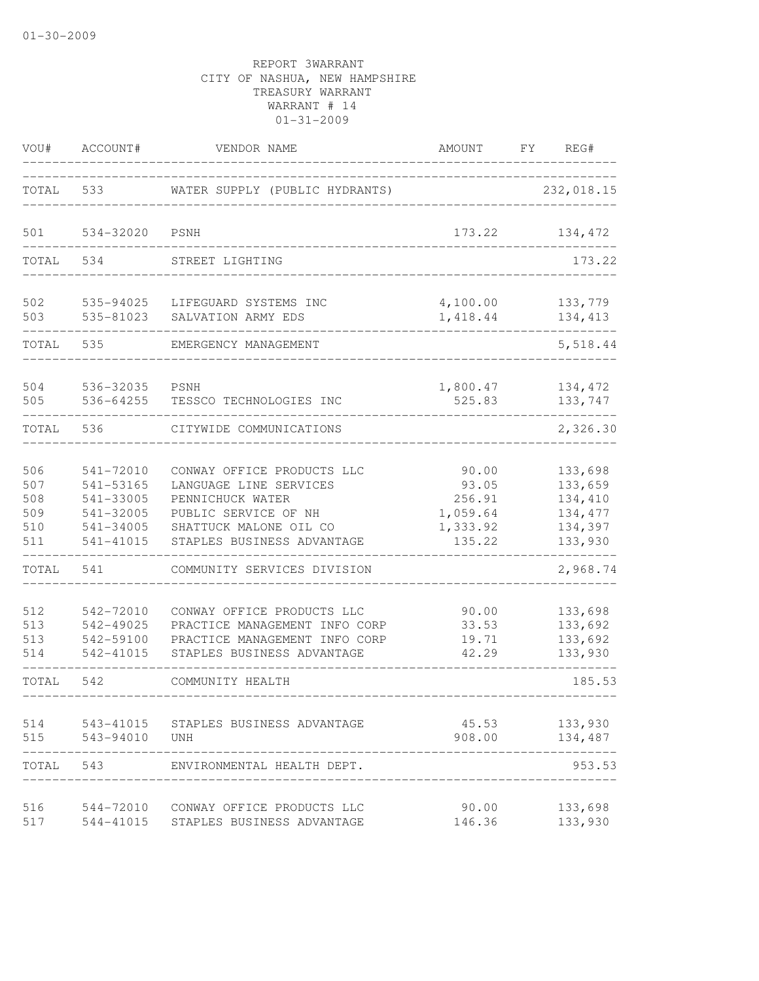| VOU#                                   | ACCOUNT#                                                                   | VENDOR NAME                                                                                                                                              | AMOUNT                                                     | FY | REG#                                                            |
|----------------------------------------|----------------------------------------------------------------------------|----------------------------------------------------------------------------------------------------------------------------------------------------------|------------------------------------------------------------|----|-----------------------------------------------------------------|
| TOTAL                                  | 533                                                                        | WATER SUPPLY (PUBLIC HYDRANTS)                                                                                                                           |                                                            |    | 232,018.15                                                      |
| 501                                    | 534-32020                                                                  | PSNH                                                                                                                                                     | 173.22                                                     |    | 134,472                                                         |
| TOTAL                                  | 534                                                                        | STREET LIGHTING                                                                                                                                          |                                                            |    | 173.22                                                          |
| 502<br>503                             | 535-94025<br>535-81023                                                     | LIFEGUARD SYSTEMS INC<br>SALVATION ARMY EDS                                                                                                              | 4,100.00<br>1,418.44                                       |    | 133,779<br>134, 413                                             |
| TOTAL                                  | 535                                                                        | EMERGENCY MANAGEMENT                                                                                                                                     |                                                            |    | 5,518.44                                                        |
| 504<br>505                             | 536-32035<br>536-64255                                                     | PSNH<br>TESSCO TECHNOLOGIES INC                                                                                                                          | 1,800.47<br>525.83                                         |    | 134,472<br>133,747                                              |
| TOTAL                                  | 536                                                                        | CITYWIDE COMMUNICATIONS                                                                                                                                  |                                                            |    | 2,326.30                                                        |
| 506<br>507<br>508<br>509<br>510<br>511 | 541-72010<br>541-53165<br>541-33005<br>541-32005<br>541-34005<br>541-41015 | CONWAY OFFICE PRODUCTS LLC<br>LANGUAGE LINE SERVICES<br>PENNICHUCK WATER<br>PUBLIC SERVICE OF NH<br>SHATTUCK MALONE OIL CO<br>STAPLES BUSINESS ADVANTAGE | 90.00<br>93.05<br>256.91<br>1,059.64<br>1,333.92<br>135.22 |    | 133,698<br>133,659<br>134,410<br>134, 477<br>134,397<br>133,930 |
| TOTAL                                  | 541                                                                        | COMMUNITY SERVICES DIVISION                                                                                                                              |                                                            |    | 2,968.74                                                        |
| 512<br>513<br>513<br>514               | 542-72010<br>542-49025<br>542-59100<br>542-41015                           | CONWAY OFFICE PRODUCTS LLC<br>PRACTICE MANAGEMENT INFO CORP<br>PRACTICE MANAGEMENT INFO CORP<br>STAPLES BUSINESS ADVANTAGE                               | 90.00<br>33.53<br>19.71<br>42.29                           |    | 133,698<br>133,692<br>133,692<br>133,930                        |
| TOTAL                                  | 542                                                                        | COMMUNITY HEALTH                                                                                                                                         |                                                            |    | 185.53                                                          |
| 514<br>515                             | 543-41015<br>543-94010                                                     | STAPLES BUSINESS ADVANTAGE<br><b>UNH</b>                                                                                                                 | 45.53<br>908.00                                            |    | 133,930<br>134,487                                              |
| TOTAL                                  | 543                                                                        | ENVIRONMENTAL HEALTH DEPT.                                                                                                                               |                                                            |    | 953.53                                                          |
| 516<br>517                             | 544-72010<br>544-41015                                                     | CONWAY OFFICE PRODUCTS LLC<br>STAPLES BUSINESS ADVANTAGE                                                                                                 | 90.00<br>146.36                                            |    | 133,698<br>133,930                                              |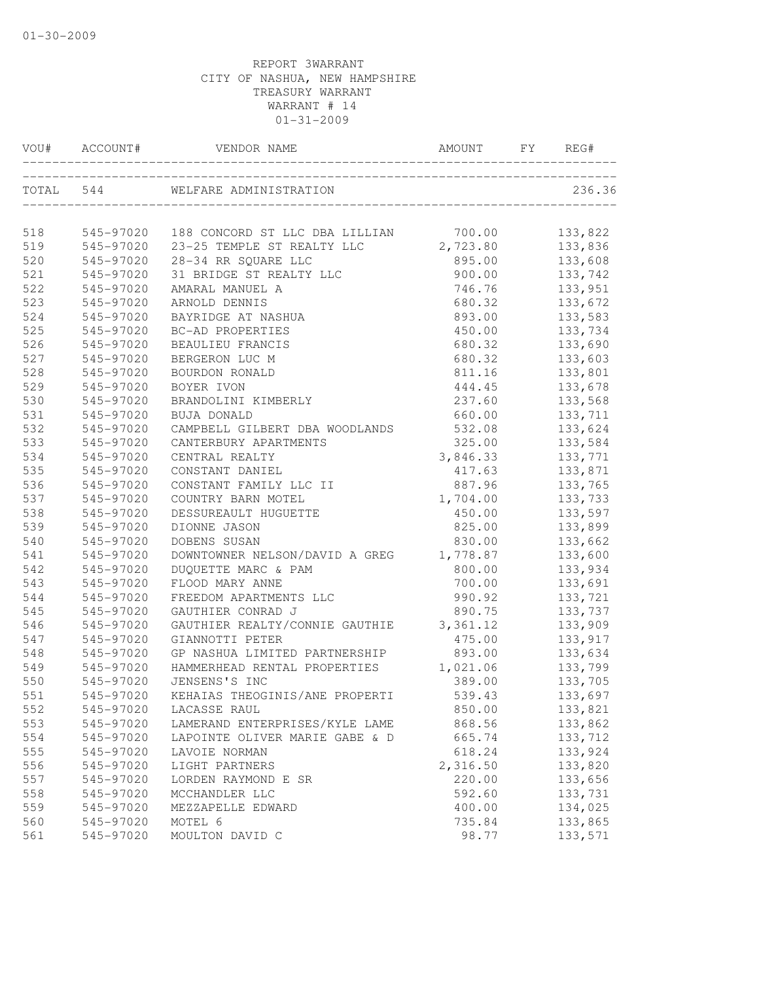|            | VOU# ACCOUNT#          | T# ACCOUNT# VENDOR NAME AMOUNT FY REG-            |                    | REG#               |
|------------|------------------------|---------------------------------------------------|--------------------|--------------------|
|            |                        | TOTAL 544 WELFARE ADMINISTRATION                  |                    | 236.36             |
|            |                        |                                                   |                    |                    |
| 518        | 545-97020              | 188 CONCORD ST LLC DBA LILLIAN 700.00             |                    | 133,822            |
| 519<br>520 | 545-97020<br>545-97020 | 23-25 TEMPLE ST REALTY LLC<br>28-34 RR SQUARE LLC | 2,723.80<br>895.00 | 133,836<br>133,608 |
| 521        | 545-97020              | 31 BRIDGE ST REALTY LLC                           |                    | 133,742            |
| 522        | 545-97020              | AMARAL MANUEL A                                   | 900.00<br>746.76   | 133,951            |
| 523        | 545-97020              | ARNOLD DENNIS                                     | 680.32             | 133,672            |
| 524        | 545-97020              | BAYRIDGE AT NASHUA                                | 893.00             | 133,583            |
| 525        | 545-97020              | BC-AD PROPERTIES                                  | 450.00             | 133,734            |
| 526        | 545-97020              | <b>BEAULIEU FRANCIS</b>                           | 680.32             | 133,690            |
| 527        | 545-97020              | BERGERON LUC M                                    | 680.32             | 133,603            |
| 528        | 545-97020              | BOURDON RONALD                                    | 811.16             | 133,801            |
| 529        | 545-97020              | BOYER IVON                                        | 444.45             | 133,678            |
| 530        | 545-97020              | BRANDOLINI KIMBERLY                               | 237.60             | 133,568            |
| 531        | 545-97020              | <b>BUJA DONALD</b>                                | 660.00             | 133,711            |
| 532        | 545-97020              | CAMPBELL GILBERT DBA WOODLANDS                    | 532.08             | 133,624            |
| 533        | 545-97020              | CANTERBURY APARTMENTS                             | 325.00             | 133,584            |
| 534        | 545-97020              | CENTRAL REALTY                                    | 3,846.33           | 133,771            |
| 535        | 545-97020              | CONSTANT DANIEL                                   | 417.63             | 133,871            |
| 536        | 545-97020              | CONSTANT FAMILY LLC II                            | 887.96             | 133,765            |
| 537        | 545-97020              | COUNTRY BARN MOTEL                                | 1,704.00           | 133,733            |
| 538        | 545-97020              | DESSUREAULT HUGUETTE                              | 450.00             | 133,597            |
| 539        | 545-97020              | DIONNE JASON                                      | 825.00             | 133,899            |
| 540        | 545-97020              | DOBENS SUSAN                                      | 830.00             | 133,662            |
| 541        | 545-97020              | DOWNTOWNER NELSON/DAVID A GREG                    | 1,778.87           | 133,600            |
| 542        | 545-97020              | DUQUETTE MARC & PAM                               | 800.00             | 133,934            |
| 543        | 545-97020              | FLOOD MARY ANNE                                   | 700.00             | 133,691            |
| 544        | 545-97020              | FREEDOM APARTMENTS LLC                            | 990.92             | 133,721            |
| 545        | 545-97020              | GAUTHIER CONRAD J                                 | 890.75             | 133,737            |
| 546        | 545-97020              | GAUTHIER REALTY/CONNIE GAUTHIE                    | 3,361.12           | 133,909            |
| 547        | 545-97020              | GIANNOTTI PETER                                   | 475.00             | 133,917            |
| 548        | 545-97020              | GP NASHUA LIMITED PARTNERSHIP                     | 893.00             | 133,634            |
| 549        | 545-97020              | HAMMERHEAD RENTAL PROPERTIES                      | 1,021.06           | 133,799            |
| 550        | 545-97020              | JENSENS'S INC                                     | 389.00             | 133,705            |
| 551        |                        | 545-97020 KEHAIAS THEOGINIS/ANE PROPERTI          | 539.43             | 133,697            |
| 552        | 545-97020              | LACASSE RAUL                                      | 850.00             | 133,821            |
| 553        | 545-97020              | LAMERAND ENTERPRISES/KYLE LAME                    | 868.56             | 133,862            |
| 554        | 545-97020              | LAPOINTE OLIVER MARIE GABE & D                    | 665.74             | 133,712            |
| 555        | 545-97020              | LAVOIE NORMAN                                     | 618.24             | 133,924            |
| 556        | 545-97020              | LIGHT PARTNERS                                    | 2,316.50           | 133,820            |
| 557        | 545-97020              | LORDEN RAYMOND E SR                               | 220.00             | 133,656            |
| 558        | 545-97020              | MCCHANDLER LLC                                    | 592.60             | 133,731            |
| 559        | 545-97020              | MEZZAPELLE EDWARD                                 | 400.00             | 134,025            |
| 560        | 545-97020              | MOTEL 6                                           | 735.84             | 133,865            |
| 561        | 545-97020              | MOULTON DAVID C                                   | 98.77              | 133,571            |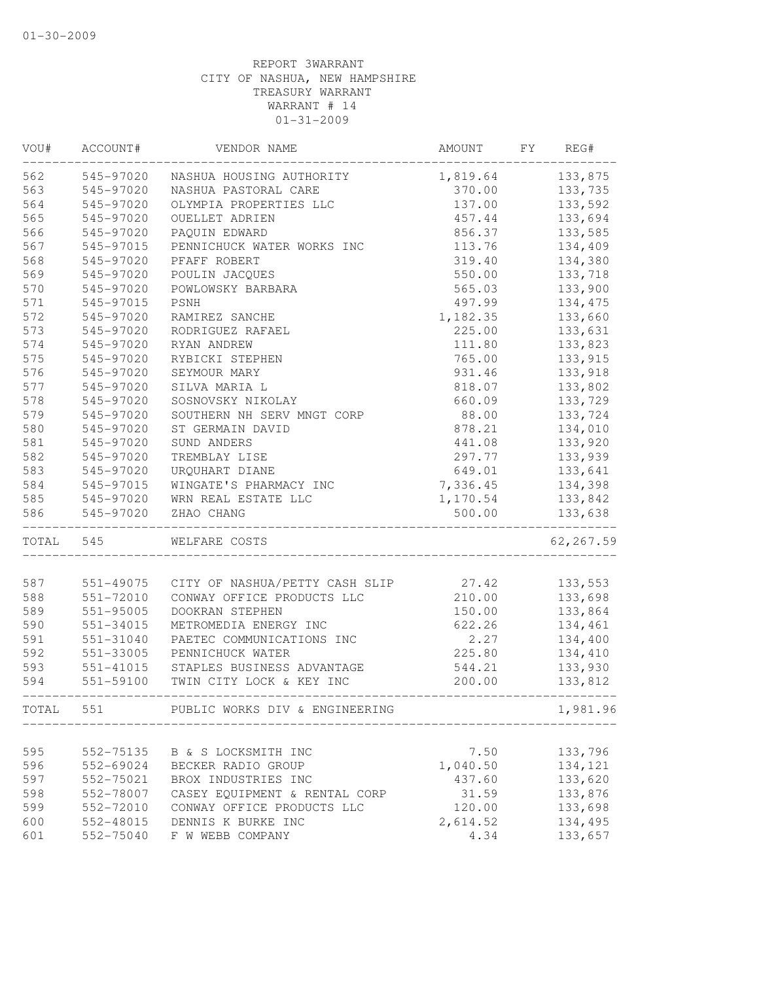| VOU#      | ACCOUNT#      | VENDOR NAME                    | AMOUNT   | FY | REG#       |
|-----------|---------------|--------------------------------|----------|----|------------|
| 562       | 545-97020     | NASHUA HOUSING AUTHORITY       | 1,819.64 |    | 133,875    |
| 563       | 545-97020     | NASHUA PASTORAL CARE           | 370.00   |    | 133,735    |
| 564       | 545-97020     | OLYMPIA PROPERTIES LLC         | 137.00   |    | 133,592    |
| 565       | 545-97020     | OUELLET ADRIEN                 | 457.44   |    | 133,694    |
| 566       | 545-97020     | PAQUIN EDWARD                  | 856.37   |    | 133,585    |
| 567       | 545-97015     | PENNICHUCK WATER WORKS INC     | 113.76   |    | 134,409    |
| 568       | 545-97020     | PFAFF ROBERT                   | 319.40   |    | 134,380    |
| 569       | 545-97020     | POULIN JACQUES                 | 550.00   |    | 133,718    |
| 570       | 545-97020     | POWLOWSKY BARBARA              | 565.03   |    | 133,900    |
| 571       | 545-97015     | PSNH                           | 497.99   |    | 134,475    |
| 572       | 545-97020     | RAMIREZ SANCHE                 | 1,182.35 |    | 133,660    |
| 573       | 545-97020     | RODRIGUEZ RAFAEL               | 225.00   |    | 133,631    |
| 574       | 545-97020     | RYAN ANDREW                    | 111.80   |    | 133,823    |
| 575       | 545-97020     | RYBICKI STEPHEN                | 765.00   |    | 133,915    |
| 576       | 545-97020     | SEYMOUR MARY                   | 931.46   |    | 133,918    |
| 577       | 545-97020     | SILVA MARIA L                  | 818.07   |    | 133,802    |
| 578       | 545-97020     | SOSNOVSKY NIKOLAY              | 660.09   |    | 133,729    |
| 579       | 545-97020     | SOUTHERN NH SERV MNGT CORP     | 88.00    |    | 133,724    |
| 580       | 545-97020     | ST GERMAIN DAVID               | 878.21   |    | 134,010    |
| 581       | 545-97020     | SUND ANDERS                    | 441.08   |    | 133,920    |
| 582       | 545-97020     | TREMBLAY LISE                  | 297.77   |    | 133,939    |
| 583       | 545-97020     | URQUHART DIANE                 | 649.01   |    | 133,641    |
| 584       | 545-97015     | WINGATE'S PHARMACY INC         | 7,336.45 |    | 134,398    |
| 585       | 545-97020     | WRN REAL ESTATE LLC            | 1,170.54 |    | 133,842    |
| 586       | 545-97020     | ZHAO CHANG                     | 500.00   |    | 133,638    |
| TOTAL 545 |               | WELFARE COSTS                  |          |    | 62, 267.59 |
|           |               |                                |          |    |            |
| 587       | 551-49075     | CITY OF NASHUA/PETTY CASH SLIP | 27.42    |    | 133,553    |
| 588       | 551-72010     | CONWAY OFFICE PRODUCTS LLC     | 210.00   |    | 133,698    |
| 589       | 551-95005     | DOOKRAN STEPHEN                | 150.00   |    | 133,864    |
| 590       | 551-34015     | METROMEDIA ENERGY INC          | 622.26   |    | 134,461    |
| 591       | 551-31040     | PAETEC COMMUNICATIONS INC      | 2.27     |    | 134,400    |
| 592       | 551-33005     | PENNICHUCK WATER               | 225.80   |    | 134,410    |
| 593       | $551 - 41015$ | STAPLES BUSINESS ADVANTAGE     | 544.21   |    | 133,930    |
| 594       | 551-59100     | TWIN CITY LOCK & KEY INC       | 200.00   |    | 133,812    |
| TOTAL     | 551           | PUBLIC WORKS DIV & ENGINEERING |          |    | 1,981.96   |
|           |               |                                |          |    |            |
| 595       | 552-75135     | B & S LOCKSMITH INC            | 7.50     |    | 133,796    |
| 596       | 552-69024     | BECKER RADIO GROUP             | 1,040.50 |    | 134,121    |
| 597       | 552-75021     | BROX INDUSTRIES INC            | 437.60   |    | 133,620    |
| 598       | 552-78007     | CASEY EQUIPMENT & RENTAL CORP  | 31.59    |    | 133,876    |
| 599       | 552-72010     | CONWAY OFFICE PRODUCTS LLC     | 120.00   |    | 133,698    |
| 600       | 552-48015     | DENNIS K BURKE INC             | 2,614.52 |    | 134,495    |
| 601       | 552-75040     | F W WEBB COMPANY               | 4.34     |    | 133,657    |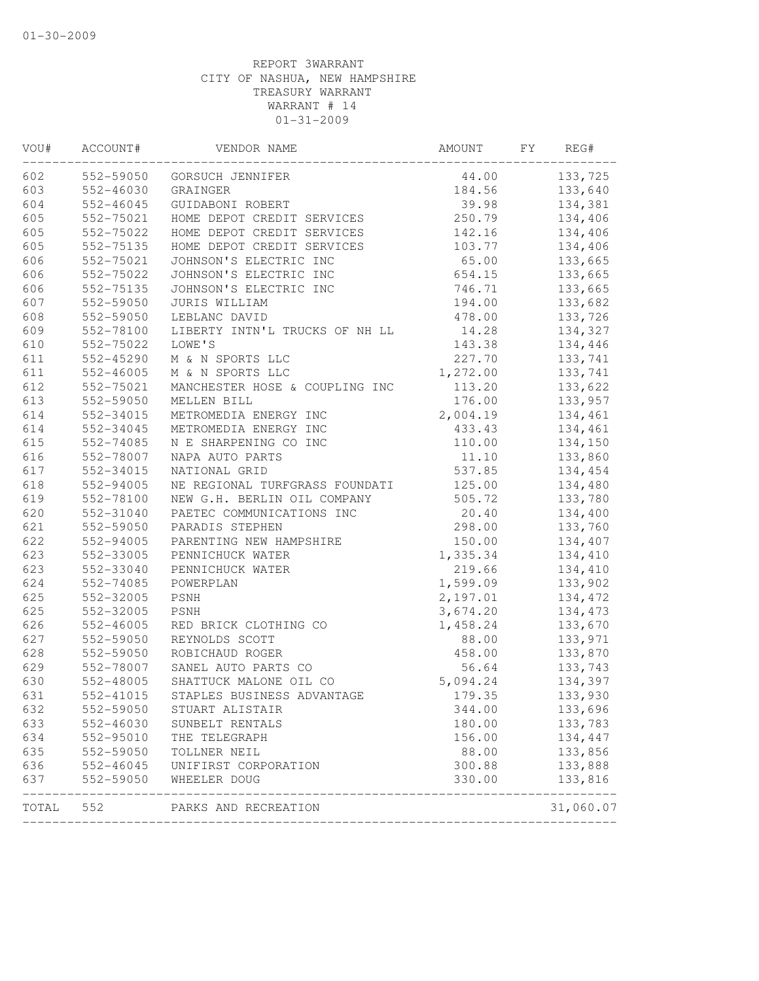| VOU#  | ACCOUNT#      | VENDOR NAME                    | AMOUNT   | FY | REG#      |
|-------|---------------|--------------------------------|----------|----|-----------|
| 602   | 552-59050     | GORSUCH JENNIFER               | 44.00    |    | 133,725   |
| 603   | $552 - 46030$ | GRAINGER                       | 184.56   |    | 133,640   |
| 604   | 552-46045     | GUIDABONI ROBERT               | 39.98    |    | 134,381   |
| 605   | 552-75021     | HOME DEPOT CREDIT SERVICES     | 250.79   |    | 134,406   |
| 605   | 552-75022     | HOME DEPOT CREDIT SERVICES     | 142.16   |    | 134,406   |
| 605   | 552-75135     | HOME DEPOT CREDIT SERVICES     | 103.77   |    | 134,406   |
| 606   | 552-75021     | JOHNSON'S ELECTRIC INC         | 65.00    |    | 133,665   |
| 606   | 552-75022     | JOHNSON'S ELECTRIC INC         | 654.15   |    | 133,665   |
| 606   | 552-75135     | JOHNSON'S ELECTRIC INC         | 746.71   |    | 133,665   |
| 607   | 552-59050     | JURIS WILLIAM                  | 194.00   |    | 133,682   |
| 608   | 552-59050     | LEBLANC DAVID                  | 478.00   |    | 133,726   |
| 609   | 552-78100     | LIBERTY INTN'L TRUCKS OF NH LL | 14.28    |    | 134,327   |
| 610   | 552-75022     | LOWE'S                         | 143.38   |    | 134,446   |
| 611   | 552-45290     | M & N SPORTS LLC               | 227.70   |    | 133,741   |
| 611   | 552-46005     | M & N SPORTS LLC               | 1,272.00 |    | 133,741   |
| 612   | 552-75021     | MANCHESTER HOSE & COUPLING INC | 113.20   |    | 133,622   |
| 613   | 552-59050     | MELLEN BILL                    | 176.00   |    | 133,957   |
| 614   | 552-34015     | METROMEDIA ENERGY INC          | 2,004.19 |    | 134,461   |
| 614   | 552-34045     | METROMEDIA ENERGY INC          | 433.43   |    | 134,461   |
| 615   | 552-74085     | N E SHARPENING CO INC          | 110.00   |    | 134,150   |
| 616   | 552-78007     | NAPA AUTO PARTS                | 11.10    |    | 133,860   |
| 617   | 552-34015     | NATIONAL GRID                  | 537.85   |    | 134,454   |
| 618   | 552-94005     | NE REGIONAL TURFGRASS FOUNDATI | 125.00   |    | 134,480   |
| 619   | 552-78100     | NEW G.H. BERLIN OIL COMPANY    | 505.72   |    | 133,780   |
| 620   | 552-31040     | PAETEC COMMUNICATIONS INC      | 20.40    |    | 134,400   |
| 621   | 552-59050     | PARADIS STEPHEN                | 298.00   |    | 133,760   |
| 622   | 552-94005     | PARENTING NEW HAMPSHIRE        | 150.00   |    | 134,407   |
| 623   | 552-33005     | PENNICHUCK WATER               | 1,335.34 |    | 134,410   |
| 623   | 552-33040     | PENNICHUCK WATER               | 219.66   |    | 134,410   |
| 624   | 552-74085     | POWERPLAN                      | 1,599.09 |    | 133,902   |
| 625   | 552-32005     | PSNH                           | 2,197.01 |    | 134,472   |
| 625   | 552-32005     | PSNH                           | 3,674.20 |    | 134,473   |
| 626   | 552-46005     | RED BRICK CLOTHING CO          | 1,458.24 |    | 133,670   |
| 627   | 552-59050     | REYNOLDS SCOTT                 | 88.00    |    | 133,971   |
| 628   | 552-59050     | ROBICHAUD ROGER                | 458.00   |    | 133,870   |
| 629   | 552-78007     | SANEL AUTO PARTS CO            | 56.64    |    | 133,743   |
| 630   | 552-48005     | SHATTUCK MALONE OIL CO         | 5,094.24 |    | 134,397   |
| 631   | 552-41015     | STAPLES BUSINESS ADVANTAGE     | 179.35   |    | 133,930   |
| 632   | 552-59050     | STUART ALISTAIR                | 344.00   |    | 133,696   |
| 633   | 552-46030     | SUNBELT RENTALS                | 180.00   |    | 133,783   |
| 634   | 552-95010     | THE TELEGRAPH                  | 156.00   |    | 134,447   |
| 635   | 552-59050     | TOLLNER NEIL                   | 88.00    |    | 133,856   |
| 636   | 552-46045     | UNIFIRST CORPORATION           | 300.88   |    | 133,888   |
| 637   | 552-59050     | WHEELER DOUG                   | 330.00   |    | 133,816   |
| TOTAL | 552           | PARKS AND RECREATION           |          |    | 31,060.07 |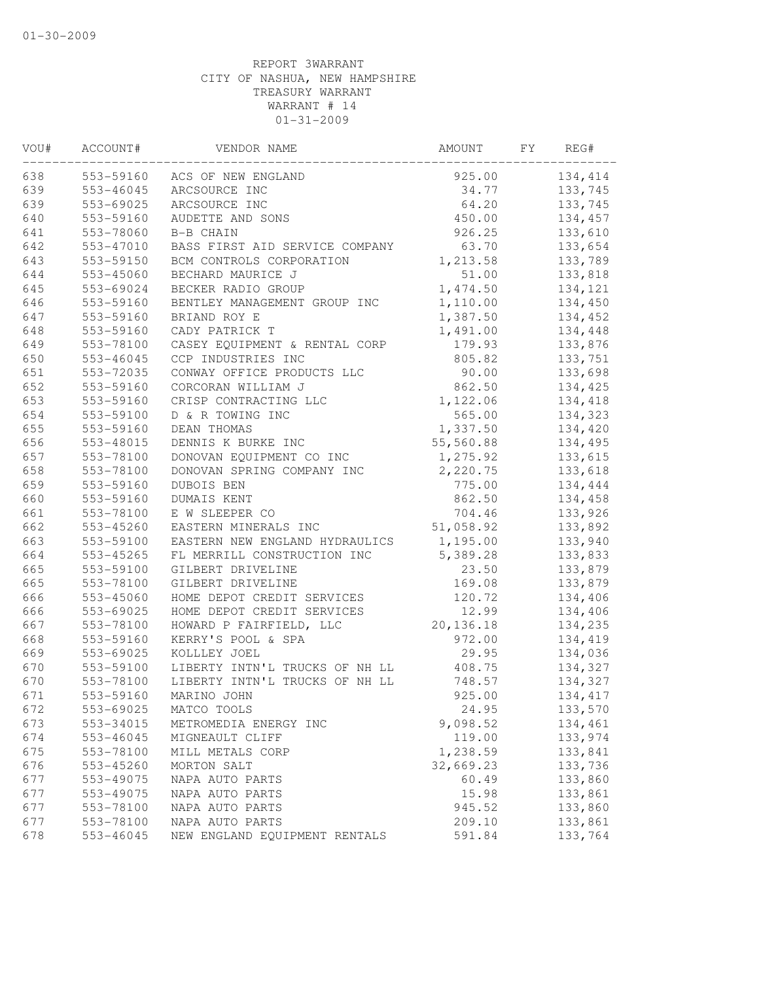| VOU# | ACCOUNT#  | VENDOR NAME                    | AMOUNT     | FY | REG#    |
|------|-----------|--------------------------------|------------|----|---------|
| 638  | 553-59160 | ACS OF NEW ENGLAND             | 925.00     |    | 134,414 |
| 639  | 553-46045 | ARCSOURCE INC                  | 34.77      |    | 133,745 |
| 639  | 553-69025 | ARCSOURCE INC                  | 64.20      |    | 133,745 |
| 640  | 553-59160 | AUDETTE AND SONS               | 450.00     |    | 134,457 |
| 641  | 553-78060 | B-B CHAIN                      | 926.25     |    | 133,610 |
| 642  | 553-47010 | BASS FIRST AID SERVICE COMPANY | 63.70      |    | 133,654 |
| 643  | 553-59150 | BCM CONTROLS CORPORATION       | 1,213.58   |    | 133,789 |
| 644  | 553-45060 | BECHARD MAURICE J              | 51.00      |    | 133,818 |
| 645  | 553-69024 | BECKER RADIO GROUP             | 1,474.50   |    | 134,121 |
| 646  | 553-59160 | BENTLEY MANAGEMENT GROUP INC   | 1,110.00   |    | 134,450 |
| 647  | 553-59160 | BRIAND ROY E                   | 1,387.50   |    | 134,452 |
| 648  | 553-59160 | CADY PATRICK T                 | 1,491.00   |    | 134,448 |
| 649  | 553-78100 | CASEY EQUIPMENT & RENTAL CORP  | 179.93     |    | 133,876 |
| 650  | 553-46045 | CCP INDUSTRIES INC             | 805.82     |    | 133,751 |
| 651  | 553-72035 | CONWAY OFFICE PRODUCTS LLC     | 90.00      |    | 133,698 |
| 652  | 553-59160 | CORCORAN WILLIAM J             | 862.50     |    | 134,425 |
| 653  | 553-59160 | CRISP CONTRACTING LLC          | 1,122.06   |    | 134,418 |
| 654  | 553-59100 | D & R TOWING INC               | 565.00     |    | 134,323 |
| 655  | 553-59160 | DEAN THOMAS                    | 1,337.50   |    | 134,420 |
| 656  | 553-48015 | DENNIS K BURKE INC             | 55,560.88  |    | 134,495 |
| 657  | 553-78100 | DONOVAN EQUIPMENT CO INC       | 1,275.92   |    | 133,615 |
| 658  | 553-78100 | DONOVAN SPRING COMPANY INC     | 2,220.75   |    | 133,618 |
| 659  | 553-59160 | DUBOIS BEN                     | 775.00     |    | 134,444 |
| 660  | 553-59160 | DUMAIS KENT                    | 862.50     |    | 134,458 |
| 661  | 553-78100 | E W SLEEPER CO                 | 704.46     |    | 133,926 |
| 662  | 553-45260 | EASTERN MINERALS INC           | 51,058.92  |    | 133,892 |
| 663  | 553-59100 | EASTERN NEW ENGLAND HYDRAULICS | 1,195.00   |    | 133,940 |
| 664  | 553-45265 | FL MERRILL CONSTRUCTION INC    | 5,389.28   |    | 133,833 |
| 665  | 553-59100 | GILBERT DRIVELINE              | 23.50      |    | 133,879 |
| 665  | 553-78100 | GILBERT DRIVELINE              | 169.08     |    | 133,879 |
| 666  | 553-45060 | HOME DEPOT CREDIT SERVICES     | 120.72     |    | 134,406 |
| 666  | 553-69025 | HOME DEPOT CREDIT SERVICES     | 12.99      |    | 134,406 |
| 667  | 553-78100 | HOWARD P FAIRFIELD, LLC        | 20, 136.18 |    | 134,235 |
| 668  | 553-59160 | KERRY'S POOL & SPA             | 972.00     |    | 134,419 |
| 669  | 553-69025 | KOLLLEY JOEL                   | 29.95      |    | 134,036 |
| 670  | 553-59100 | LIBERTY INTN'L TRUCKS OF NH LL | 408.75     |    | 134,327 |
| 670  | 553-78100 | LIBERTY INTN'L TRUCKS OF NH LL | 748.57     |    | 134,327 |
| 671  | 553-59160 | MARINO JOHN                    | 925.00     |    | 134,417 |
| 672  | 553-69025 | MATCO TOOLS                    | 24.95      |    | 133,570 |
| 673  | 553-34015 | METROMEDIA ENERGY INC          | 9,098.52   |    | 134,461 |
| 674  | 553-46045 | MIGNEAULT CLIFF                | 119.00     |    | 133,974 |
| 675  | 553-78100 | MILL METALS CORP               | 1,238.59   |    | 133,841 |
| 676  | 553-45260 | MORTON SALT                    | 32,669.23  |    | 133,736 |
| 677  | 553-49075 | NAPA AUTO PARTS                | 60.49      |    | 133,860 |
| 677  | 553-49075 | NAPA AUTO PARTS                | 15.98      |    | 133,861 |
| 677  | 553-78100 | NAPA AUTO PARTS                | 945.52     |    | 133,860 |
| 677  | 553-78100 | NAPA AUTO PARTS                | 209.10     |    | 133,861 |
| 678  | 553-46045 | NEW ENGLAND EQUIPMENT RENTALS  | 591.84     |    | 133,764 |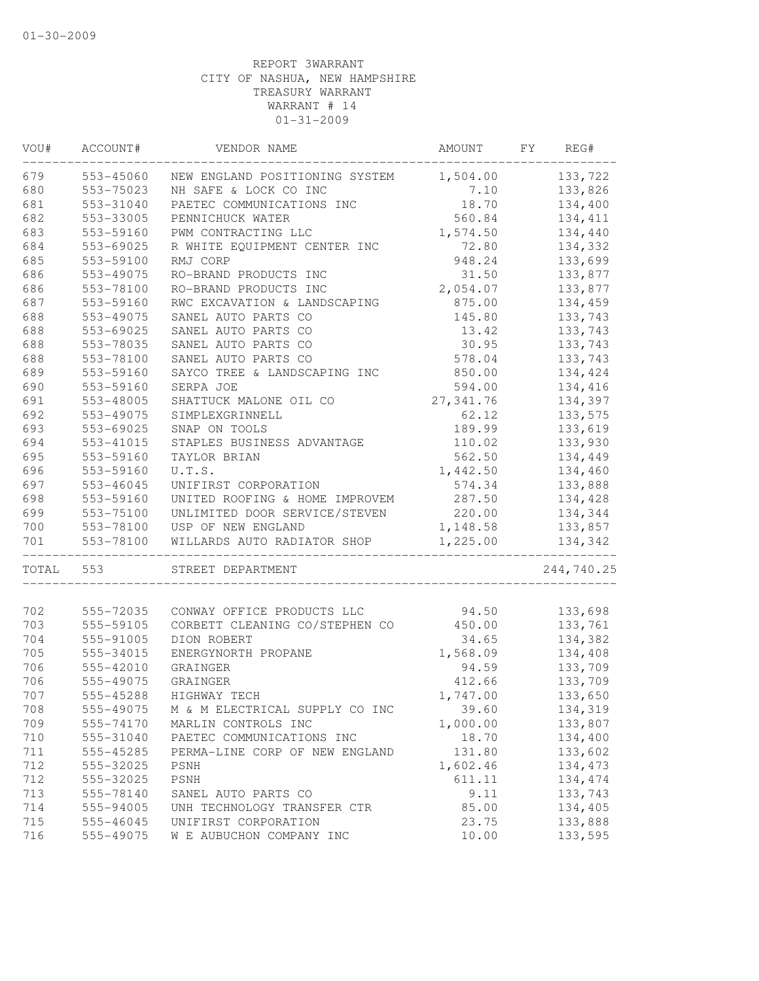| VOU#  | ACCOUNT#      | VENDOR NAME                    | AMOUNT     | FY | REG#       |
|-------|---------------|--------------------------------|------------|----|------------|
| 679   | 553-45060     | NEW ENGLAND POSITIONING SYSTEM | 1,504.00   |    | 133,722    |
| 680   | 553-75023     | NH SAFE & LOCK CO INC          | 7.10       |    | 133,826    |
| 681   | 553-31040     | PAETEC COMMUNICATIONS INC      | 18.70      |    | 134,400    |
| 682   | 553-33005     | PENNICHUCK WATER               | 560.84     |    | 134, 411   |
| 683   | 553-59160     | PWM CONTRACTING LLC            | 1,574.50   |    | 134,440    |
| 684   | 553-69025     | R WHITE EQUIPMENT CENTER INC   | 72.80      |    | 134,332    |
| 685   | 553-59100     | RMJ CORP                       | 948.24     |    | 133,699    |
| 686   | 553-49075     | RO-BRAND PRODUCTS INC          | 31.50      |    | 133,877    |
| 686   | 553-78100     | RO-BRAND PRODUCTS INC          | 2,054.07   |    | 133,877    |
| 687   | 553-59160     | RWC EXCAVATION & LANDSCAPING   | 875.00     |    | 134,459    |
| 688   | 553-49075     | SANEL AUTO PARTS CO            | 145.80     |    | 133,743    |
| 688   | 553-69025     | SANEL AUTO PARTS CO            | 13.42      |    | 133,743    |
| 688   | 553-78035     | SANEL AUTO PARTS CO            | 30.95      |    | 133,743    |
| 688   | 553-78100     | SANEL AUTO PARTS CO            | 578.04     |    | 133,743    |
| 689   | 553-59160     | SAYCO TREE & LANDSCAPING INC   | 850.00     |    | 134,424    |
| 690   | 553-59160     | SERPA JOE                      | 594.00     |    | 134,416    |
| 691   | 553-48005     | SHATTUCK MALONE OIL CO         | 27, 341.76 |    | 134,397    |
| 692   | 553-49075     | SIMPLEXGRINNELL                | 62.12      |    | 133,575    |
| 693   | 553-69025     | SNAP ON TOOLS                  | 189.99     |    | 133,619    |
| 694   | $553 - 41015$ | STAPLES BUSINESS ADVANTAGE     | 110.02     |    | 133,930    |
| 695   | 553-59160     | TAYLOR BRIAN                   | 562.50     |    | 134,449    |
| 696   | 553-59160     | U.T.S.                         | 1,442.50   |    | 134,460    |
| 697   | $553 - 46045$ | UNIFIRST CORPORATION           | 574.34     |    | 133,888    |
| 698   | 553-59160     | UNITED ROOFING & HOME IMPROVEM | 287.50     |    | 134,428    |
| 699   | 553-75100     | UNLIMITED DOOR SERVICE/STEVEN  | 220.00     |    | 134,344    |
| 700   | 553-78100     | USP OF NEW ENGLAND             | 1,148.58   |    | 133,857    |
| 701   | 553-78100     | WILLARDS AUTO RADIATOR SHOP    | 1,225.00   |    | 134,342    |
| TOTAL | 553           | STREET DEPARTMENT              |            |    | 244,740.25 |
|       |               |                                |            |    |            |
| 702   | 555-72035     | CONWAY OFFICE PRODUCTS LLC     | 94.50      |    | 133,698    |
| 703   | 555-59105     | CORBETT CLEANING CO/STEPHEN CO | 450.00     |    | 133,761    |
| 704   | 555-91005     | DION ROBERT                    | 34.65      |    | 134,382    |
| 705   | 555-34015     | ENERGYNORTH PROPANE            | 1,568.09   |    | 134,408    |
| 706   | 555-42010     | GRAINGER                       | 94.59      |    | 133,709    |
| 706   | 555-49075     | GRAINGER                       | 412.66     |    | 133,709    |
| 707   | 555-45288     | HIGHWAY TECH                   | 1,747.00   |    | 133,650    |
| 708   | 555-49075     | M & M ELECTRICAL SUPPLY CO INC | 39.60      |    | 134,319    |
| 709   | 555-74170     | MARLIN CONTROLS INC            | 1,000.00   |    | 133,807    |
| 710   | 555-31040     | PAETEC COMMUNICATIONS INC      | 18.70      |    | 134,400    |
| 711   | 555-45285     | PERMA-LINE CORP OF NEW ENGLAND | 131.80     |    | 133,602    |
| 712   | 555-32025     | PSNH                           | 1,602.46   |    | 134, 473   |
| 712   | 555-32025     | PSNH                           | 611.11     |    | 134, 474   |
| 713   | 555-78140     | SANEL AUTO PARTS CO            | 9.11       |    | 133,743    |
| 714   | 555-94005     | UNH TECHNOLOGY TRANSFER CTR    | 85.00      |    | 134,405    |
| 715   | 555-46045     | UNIFIRST CORPORATION           | 23.75      |    | 133,888    |
| 716   | 555-49075     | W E AUBUCHON COMPANY INC       | 10.00      |    | 133,595    |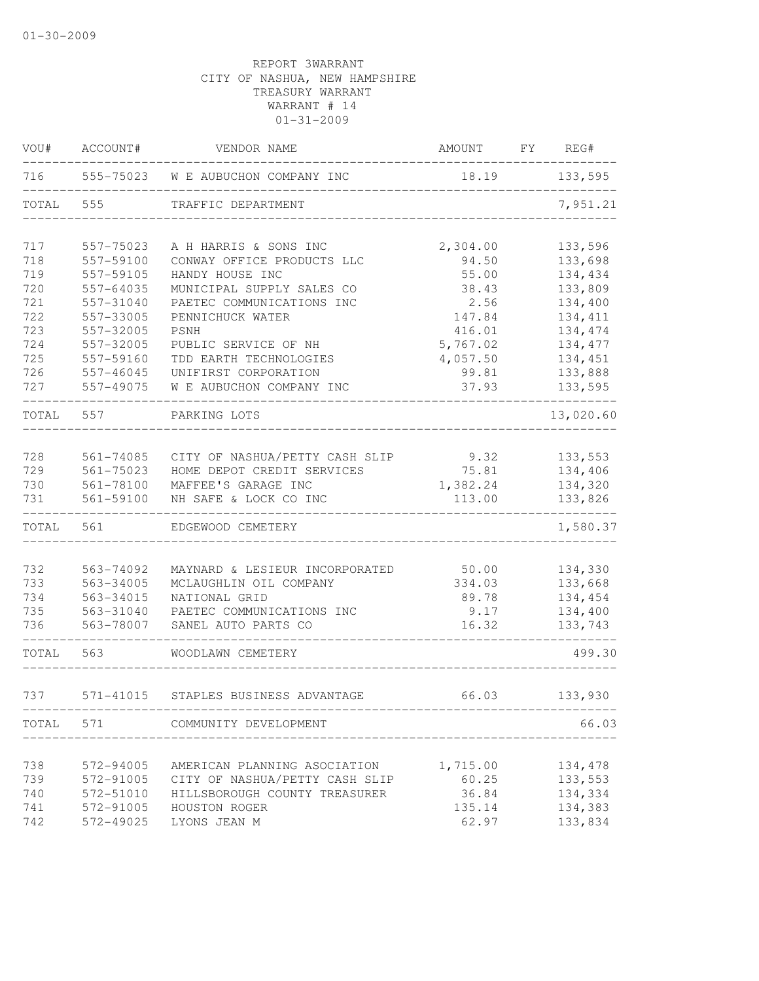| VOU#      | ACCOUNT#      | VENDOR NAME                          | AMOUNT   | FY REG#   |
|-----------|---------------|--------------------------------------|----------|-----------|
| 716       | 555-75023     | W E AUBUCHON COMPANY INC             | 18.19    | 133,595   |
| TOTAL     | 555           | TRAFFIC DEPARTMENT                   |          | 7,951.21  |
| 717       | 557-75023     | A H HARRIS & SONS INC                | 2,304.00 | 133,596   |
| 718       | 557-59100     | CONWAY OFFICE PRODUCTS LLC           | 94.50    | 133,698   |
| 719       | 557-59105     | HANDY HOUSE INC                      | 55.00    | 134,434   |
| 720       | 557-64035     | MUNICIPAL SUPPLY SALES CO            | 38.43    | 133,809   |
| 721       | 557-31040     | PAETEC COMMUNICATIONS INC            | 2.56     | 134,400   |
| 722       | 557-33005     | PENNICHUCK WATER                     | 147.84   | 134, 411  |
| 723       | 557-32005     | PSNH                                 | 416.01   | 134,474   |
| 724       | 557-32005     | PUBLIC SERVICE OF NH                 | 5,767.02 | 134, 477  |
| 725       | 557-59160     | TDD EARTH TECHNOLOGIES               | 4,057.50 | 134,451   |
| 726       | 557-46045     | UNIFIRST CORPORATION                 | 99.81    | 133,888   |
| 727       | 557-49075     | W E AUBUCHON COMPANY INC             | 37.93    | 133,595   |
| TOTAL     | 557           | PARKING LOTS                         |          | 13,020.60 |
|           |               |                                      |          |           |
| 728       | 561-74085     | CITY OF NASHUA/PETTY CASH SLIP       | 9.32     | 133,553   |
| 729       | $561 - 75023$ | HOME DEPOT CREDIT SERVICES           | 75.81    | 134,406   |
| 730       | 561-78100     | MAFFEE'S GARAGE INC                  | 1,382.24 | 134,320   |
| 731       | 561-59100     | NH SAFE & LOCK CO INC                | 113.00   | 133,826   |
| TOTAL     | 561           | EDGEWOOD CEMETERY                    |          | 1,580.37  |
| 732       | 563-74092     | MAYNARD & LESIEUR INCORPORATED       | 50.00    | 134,330   |
| 733       | 563-34005     | MCLAUGHLIN OIL COMPANY               | 334.03   | 133,668   |
| 734       | 563-34015     | NATIONAL GRID                        | 89.78    | 134,454   |
| 735       | 563-31040     | PAETEC COMMUNICATIONS INC            | 9.17     | 134,400   |
| 736       | 563-78007     | SANEL AUTO PARTS CO                  | 16.32    | 133,743   |
| TOTAL     | 563           | WOODLAWN CEMETERY                    |          | 499.30    |
| 737       |               | 571-41015 STAPLES BUSINESS ADVANTAGE | 66.03    | 133,930   |
| TOTAL 571 |               | COMMUNITY DEVELOPMENT                |          | 66.03     |
|           |               |                                      |          |           |
| 738       | 572-94005     | AMERICAN PLANNING ASOCIATION         | 1,715.00 | 134,478   |
| 739       | 572-91005     | CITY OF NASHUA/PETTY CASH SLIP       | 60.25    | 133,553   |
| 740       | 572-51010     | HILLSBOROUGH COUNTY TREASURER        | 36.84    | 134,334   |
| 741       | 572-91005     | HOUSTON ROGER                        | 135.14   | 134,383   |
| 742       | 572-49025     | LYONS JEAN M                         | 62.97    | 133,834   |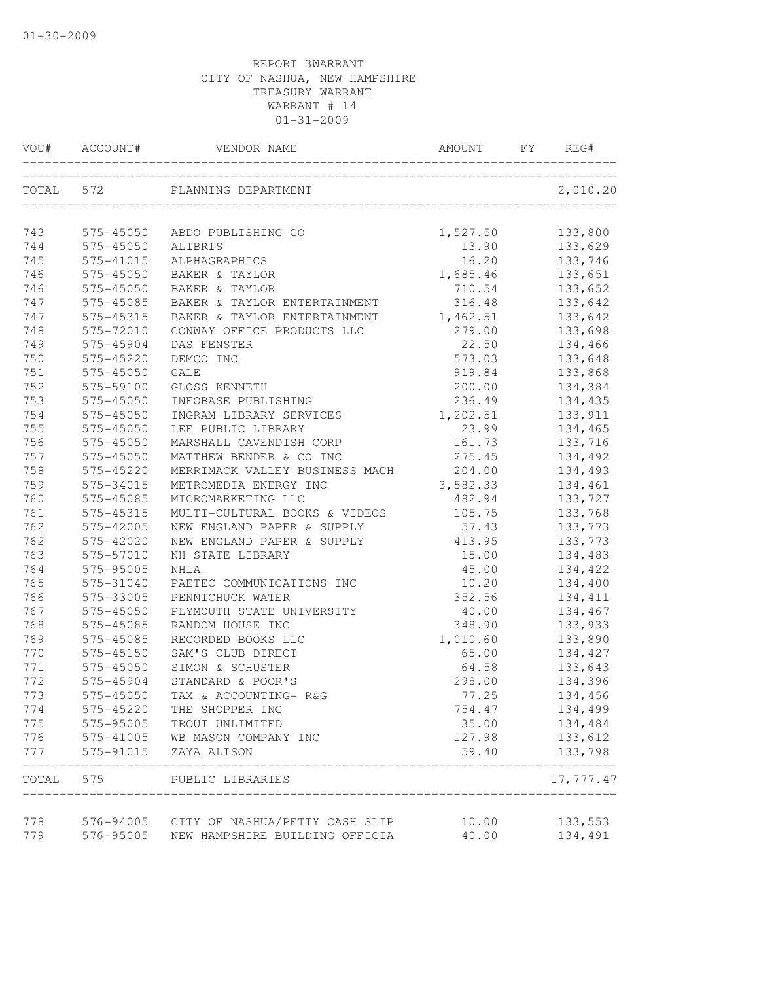| VOU#      | ACCOUNT#      | VENDOR NAME                                                 | AMOUNT   | REG#<br>FY.               |
|-----------|---------------|-------------------------------------------------------------|----------|---------------------------|
| TOTAL 572 |               | PLANNING DEPARTMENT<br>____________________________________ |          | 2,010.20                  |
| 743       | 575-45050     | ABDO PUBLISHING CO                                          | 1,527.50 | 133,800                   |
| 744       | 575-45050     | ALIBRIS                                                     | 13.90    | 133,629                   |
| 745       | 575-41015     | ALPHAGRAPHICS                                               | 16.20    | 133,746                   |
| 746       | $575 - 45050$ | BAKER & TAYLOR                                              | 1,685.46 | 133,651                   |
| 746       | 575-45050     | BAKER & TAYLOR                                              | 710.54   | 133,652                   |
| 747       | 575-45085     | BAKER & TAYLOR ENTERTAINMENT                                | 316.48   | 133,642                   |
| 747       | 575-45315     | BAKER & TAYLOR ENTERTAINMENT                                | 1,462.51 | 133,642                   |
| 748       | 575-72010     | CONWAY OFFICE PRODUCTS LLC                                  | 279.00   | 133,698                   |
| 749       | 575-45904     | DAS FENSTER                                                 | 22.50    | 134,466                   |
| 750       | 575-45220     | DEMCO INC                                                   | 573.03   | 133,648                   |
| 751       | 575-45050     | GALE                                                        | 919.84   | 133,868                   |
| 752       | 575-59100     | GLOSS KENNETH                                               | 200.00   | 134,384                   |
| 753       | 575-45050     | INFOBASE PUBLISHING                                         | 236.49   | 134,435                   |
| 754       | 575-45050     | INGRAM LIBRARY SERVICES                                     | 1,202.51 | 133,911                   |
| 755       | 575-45050     | LEE PUBLIC LIBRARY                                          | 23.99    | 134,465                   |
| 756       | 575-45050     | MARSHALL CAVENDISH CORP                                     | 161.73   | 133,716                   |
| 757       | 575-45050     | MATTHEW BENDER & CO INC                                     | 275.45   | 134,492                   |
| 758       | 575-45220     | MERRIMACK VALLEY BUSINESS MACH                              | 204.00   | 134,493                   |
| 759       | 575-34015     | METROMEDIA ENERGY INC                                       | 3,582.33 | 134,461                   |
| 760       | 575-45085     | MICROMARKETING LLC                                          | 482.94   | 133,727                   |
| 761       | 575-45315     | MULTI-CULTURAL BOOKS & VIDEOS                               | 105.75   | 133,768                   |
| 762       | 575-42005     | NEW ENGLAND PAPER & SUPPLY                                  | 57.43    | 133,773                   |
| 762       | 575-42020     | NEW ENGLAND PAPER & SUPPLY                                  | 413.95   | 133,773                   |
| 763       | 575-57010     | NH STATE LIBRARY                                            | 15.00    | 134,483                   |
| 764       | 575-95005     | <b>NHLA</b>                                                 | 45.00    | 134,422                   |
| 765       | 575-31040     | PAETEC COMMUNICATIONS INC                                   | 10.20    | 134,400                   |
| 766       | 575-33005     | PENNICHUCK WATER                                            | 352.56   | 134, 411                  |
| 767       | 575-45050     | PLYMOUTH STATE UNIVERSITY                                   | 40.00    | 134,467                   |
| 768       | 575-45085     | RANDOM HOUSE INC                                            | 348.90   | 133,933                   |
| 769       | 575-45085     | RECORDED BOOKS LLC                                          | 1,010.60 | 133,890                   |
| 770       | 575-45150     | SAM'S CLUB DIRECT                                           | 65.00    | 134,427                   |
| 771       | 575-45050     | SIMON & SCHUSTER                                            | 64.58    | 133,643                   |
| 772       | 575-45904     | STANDARD & POOR'S                                           | 298.00   | 134,396                   |
| 773       | 575-45050     | TAX & ACCOUNTING- R&G                                       | 77.25    | 134,456                   |
| 774       | 575-45220     | THE SHOPPER INC                                             | 754.47   | 134,499                   |
| 775       | 575-95005     | TROUT UNLIMITED                                             | 35.00    | 134,484                   |
| 776       | 575-41005     | WB MASON COMPANY INC                                        | 127.98   | 133,612                   |
| 777       | 575-91015     | ZAYA ALISON                                                 | 59.40    | 133,798                   |
| TOTAL     |               | _________________<br>575 PUBLIC LIBRARIES                   |          | ____________<br>17,777.47 |
| 778       |               | 576-94005 CITY OF NASHUA/PETTY CASH SLIP                    | 10.00    | 133,553                   |
| 779       | 576-95005     | NEW HAMPSHIRE BUILDING OFFICIA                              | 40.00    | 134,491                   |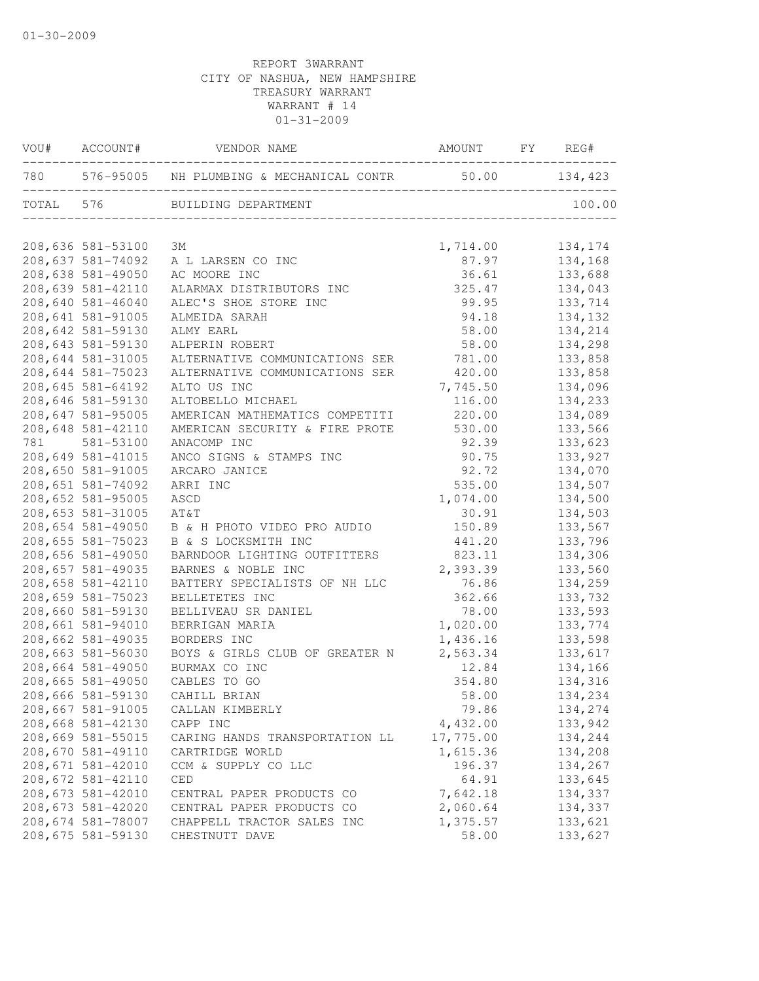|     | VOU# ACCOUNT#     | VENDOR NAME                                                | AMOUNT FY REG# |         |
|-----|-------------------|------------------------------------------------------------|----------------|---------|
|     |                   | 780 576-95005 NH PLUMBING & MECHANICAL CONTR 50.00 134,423 |                |         |
|     |                   | TOTAL 576 BUILDING DEPARTMENT                              |                | 100.00  |
|     | 208,636 581-53100 | ЗМ                                                         | 1,714.00       | 134,174 |
|     | 208,637 581-74092 | A L LARSEN CO INC                                          | 87.97          | 134,168 |
|     | 208,638 581-49050 | AC MOORE INC                                               | 36.61          | 133,688 |
|     | 208,639 581-42110 | ALARMAX DISTRIBUTORS INC                                   | 325.47         | 134,043 |
|     | 208,640 581-46040 | ALEC'S SHOE STORE INC                                      | 99.95          | 133,714 |
|     | 208,641 581-91005 | ALMEIDA SARAH                                              | 94.18          | 134,132 |
|     | 208,642 581-59130 | ALMY EARL                                                  | 58.00          | 134,214 |
|     | 208,643 581-59130 | ALPERIN ROBERT                                             | 58.00          | 134,298 |
|     | 208,644 581-31005 | ALTERNATIVE COMMUNICATIONS SER                             | 781.00         | 133,858 |
|     | 208,644 581-75023 | ALTERNATIVE COMMUNICATIONS SER                             | 420.00         | 133,858 |
|     | 208,645 581-64192 | ALTO US INC                                                | 7,745.50       | 134,096 |
|     | 208,646 581-59130 | ALTOBELLO MICHAEL                                          | 116.00         | 134,233 |
|     | 208,647 581-95005 | AMERICAN MATHEMATICS COMPETITI                             | 220.00         | 134,089 |
|     | 208,648 581-42110 | AMERICAN SECURITY & FIRE PROTE                             | 530.00         | 133,566 |
| 781 | 581-53100         | ANACOMP INC                                                | 92.39          | 133,623 |
|     | 208,649 581-41015 | ANCO SIGNS & STAMPS INC                                    | 90.75          | 133,927 |
|     | 208,650 581-91005 | ARCARO JANICE                                              | 92.72          | 134,070 |
|     | 208,651 581-74092 | ARRI INC                                                   | 535.00         | 134,507 |
|     | 208,652 581-95005 | ASCD                                                       | 1,074.00       | 134,500 |
|     | 208,653 581-31005 | AT&T                                                       | 30.91          | 134,503 |
|     | 208,654 581-49050 | B & H PHOTO VIDEO PRO AUDIO                                | 150.89         | 133,567 |
|     | 208,655 581-75023 | B & S LOCKSMITH INC                                        | 441.20         | 133,796 |
|     | 208,656 581-49050 | BARNDOOR LIGHTING OUTFITTERS                               | 823.11         | 134,306 |
|     | 208,657 581-49035 | BARNES & NOBLE INC                                         | 2,393.39       | 133,560 |
|     | 208,658 581-42110 | BATTERY SPECIALISTS OF NH LLC                              | 76.86          | 134,259 |
|     | 208,659 581-75023 | BELLETETES INC                                             | 362.66         | 133,732 |
|     | 208,660 581-59130 | BELLIVEAU SR DANIEL                                        | 78.00          | 133,593 |
|     | 208,661 581-94010 | BERRIGAN MARIA                                             | 1,020.00       | 133,774 |
|     | 208,662 581-49035 | BORDERS INC                                                | 1,436.16       | 133,598 |
|     | 208,663 581-56030 | BOYS & GIRLS CLUB OF GREATER N                             | 2,563.34       | 133,617 |
|     | 208,664 581-49050 | BURMAX CO INC                                              | 12.84          | 134,166 |
|     | 208,665 581-49050 | CABLES TO GO                                               | 354.80         | 134,316 |
|     | 208,666 581-59130 | CAHILL BRIAN                                               | 58.00          | 134,234 |
|     | 208,667 581-91005 | CALLAN KIMBERLY                                            | 79.86          | 134,274 |
|     | 208,668 581-42130 | CAPP INC                                                   | 4,432.00       | 133,942 |
|     | 208,669 581-55015 | CARING HANDS TRANSPORTATION LL                             | 17,775.00      | 134,244 |
|     | 208,670 581-49110 | CARTRIDGE WORLD                                            | 1,615.36       | 134,208 |
|     | 208,671 581-42010 | CCM & SUPPLY CO LLC                                        | 196.37         | 134,267 |
|     | 208,672 581-42110 | CED                                                        | 64.91          | 133,645 |
|     | 208,673 581-42010 | CENTRAL PAPER PRODUCTS CO                                  | 7,642.18       | 134,337 |
|     | 208,673 581-42020 | CENTRAL PAPER PRODUCTS CO                                  | 2,060.64       | 134,337 |
|     | 208,674 581-78007 | CHAPPELL TRACTOR SALES INC                                 | 1,375.57       | 133,621 |
|     | 208,675 581-59130 | CHESTNUTT DAVE                                             | 58.00          | 133,627 |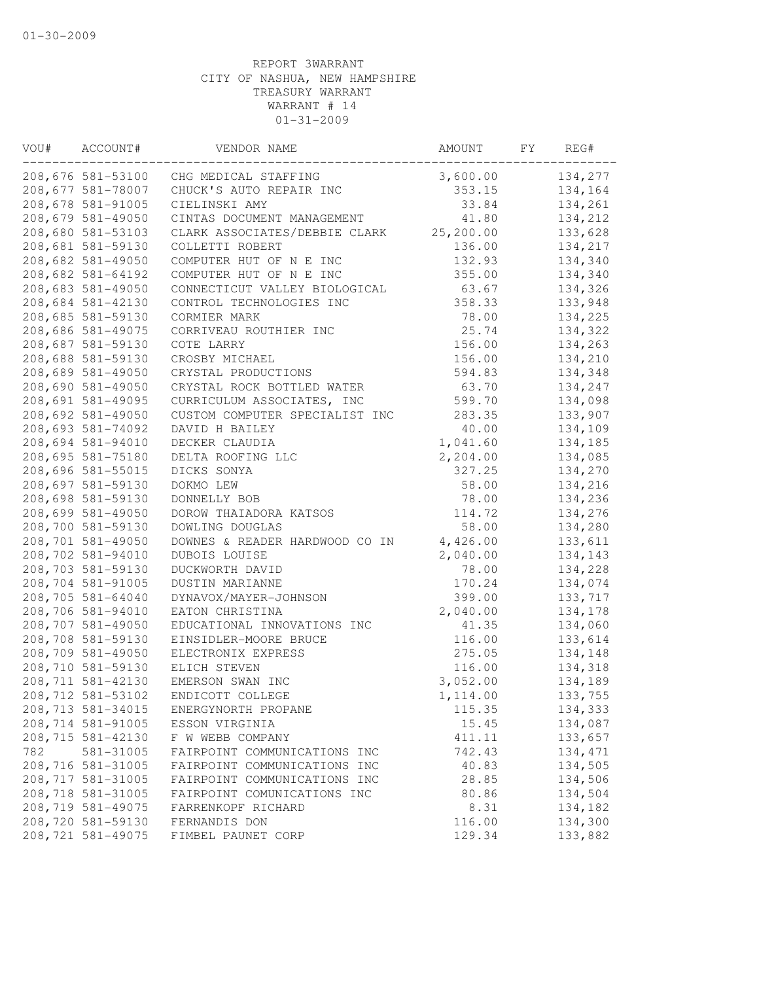| VOU# | ACCOUNT#           | VENDOR NAME                    | AMOUNT    | FY | REG#    |
|------|--------------------|--------------------------------|-----------|----|---------|
|      | 208,676 581-53100  | CHG MEDICAL STAFFING           | 3,600.00  |    | 134,277 |
|      | 208,677 581-78007  | CHUCK'S AUTO REPAIR INC        | 353.15    |    | 134,164 |
|      | 208,678 581-91005  | CIELINSKI AMY                  | 33.84     |    | 134,261 |
|      | 208,679 581-49050  | CINTAS DOCUMENT MANAGEMENT     | 41.80     |    | 134,212 |
|      | 208,680 581-53103  | CLARK ASSOCIATES/DEBBIE CLARK  | 25,200.00 |    | 133,628 |
|      | 208,681 581-59130  | COLLETTI ROBERT                | 136.00    |    | 134,217 |
|      | 208,682 581-49050  | COMPUTER HUT OF N E INC        | 132.93    |    | 134,340 |
|      | 208,682 581-64192  | COMPUTER HUT OF N E INC        | 355.00    |    | 134,340 |
|      | 208,683 581-49050  | CONNECTICUT VALLEY BIOLOGICAL  | 63.67     |    | 134,326 |
|      | 208,684 581-42130  | CONTROL TECHNOLOGIES INC       | 358.33    |    | 133,948 |
|      | 208,685 581-59130  | CORMIER MARK                   | 78.00     |    | 134,225 |
|      | 208,686 581-49075  | CORRIVEAU ROUTHIER INC         | 25.74     |    | 134,322 |
|      | 208,687 581-59130  | COTE LARRY                     | 156.00    |    | 134,263 |
|      | 208,688 581-59130  | CROSBY MICHAEL                 | 156.00    |    | 134,210 |
|      | 208,689 581-49050  | CRYSTAL PRODUCTIONS            | 594.83    |    | 134,348 |
|      | 208,690 581-49050  | CRYSTAL ROCK BOTTLED WATER     | 63.70     |    | 134,247 |
|      | 208,691 581-49095  | CURRICULUM ASSOCIATES, INC     | 599.70    |    | 134,098 |
|      | 208,692 581-49050  | CUSTOM COMPUTER SPECIALIST INC | 283.35    |    | 133,907 |
|      | 208,693 581-74092  | DAVID H BAILEY                 | 40.00     |    | 134,109 |
|      | 208,694 581-94010  | DECKER CLAUDIA                 | 1,041.60  |    | 134,185 |
|      | 208,695 581-75180  | DELTA ROOFING LLC              | 2,204.00  |    | 134,085 |
|      | 208,696 581-55015  | DICKS SONYA                    | 327.25    |    | 134,270 |
|      | 208,697 581-59130  | DOKMO LEW                      | 58.00     |    | 134,216 |
|      | 208,698 581-59130  | DONNELLY BOB                   | 78.00     |    | 134,236 |
|      | 208,699 581-49050  | DOROW THAIADORA KATSOS         | 114.72    |    | 134,276 |
|      | 208,700 581-59130  | DOWLING DOUGLAS                | 58.00     |    | 134,280 |
|      | 208,701 581-49050  | DOWNES & READER HARDWOOD CO IN | 4,426.00  |    | 133,611 |
|      | 208,702 581-94010  | DUBOIS LOUISE                  | 2,040.00  |    | 134,143 |
|      | 208,703 581-59130  | DUCKWORTH DAVID                | 78.00     |    | 134,228 |
|      | 208,704 581-91005  | DUSTIN MARIANNE                | 170.24    |    | 134,074 |
|      | 208,705 581-64040  | DYNAVOX/MAYER-JOHNSON          | 399.00    |    | 133,717 |
|      | 208,706 581-94010  | EATON CHRISTINA                | 2,040.00  |    | 134,178 |
|      | 208,707 581-49050  | EDUCATIONAL INNOVATIONS INC    | 41.35     |    | 134,060 |
|      | 208,708 581-59130  | EINSIDLER-MOORE BRUCE          | 116.00    |    | 133,614 |
|      | 208,709 581-49050  | ELECTRONIX EXPRESS             | 275.05    |    | 134,148 |
|      | 208,710 581-59130  | ELICH STEVEN                   | 116.00    |    | 134,318 |
|      | 208,711 581-42130  | EMERSON SWAN INC               | 3,052.00  |    | 134,189 |
|      | 208, 712 581-53102 | ENDICOTT COLLEGE               | 1,114.00  |    | 133,755 |
|      | 208, 713 581-34015 | ENERGYNORTH PROPANE            | 115.35    |    | 134,333 |
|      | 208,714 581-91005  | ESSON VIRGINIA                 | 15.45     |    | 134,087 |
|      | 208,715 581-42130  | F W WEBB COMPANY               | 411.11    |    | 133,657 |
| 782  | 581-31005          | FAIRPOINT COMMUNICATIONS INC   | 742.43    |    | 134,471 |
|      | 208,716 581-31005  | FAIRPOINT COMMUNICATIONS INC   | 40.83     |    | 134,505 |
|      | 208, 717 581-31005 | FAIRPOINT COMMUNICATIONS INC   | 28.85     |    | 134,506 |
|      | 208,718 581-31005  | FAIRPOINT COMUNICATIONS INC    | 80.86     |    | 134,504 |
|      | 208,719 581-49075  | FARRENKOPF RICHARD             | 8.31      |    | 134,182 |
|      | 208,720 581-59130  | FERNANDIS DON                  | 116.00    |    | 134,300 |
|      | 208, 721 581-49075 | FIMBEL PAUNET CORP             | 129.34    |    | 133,882 |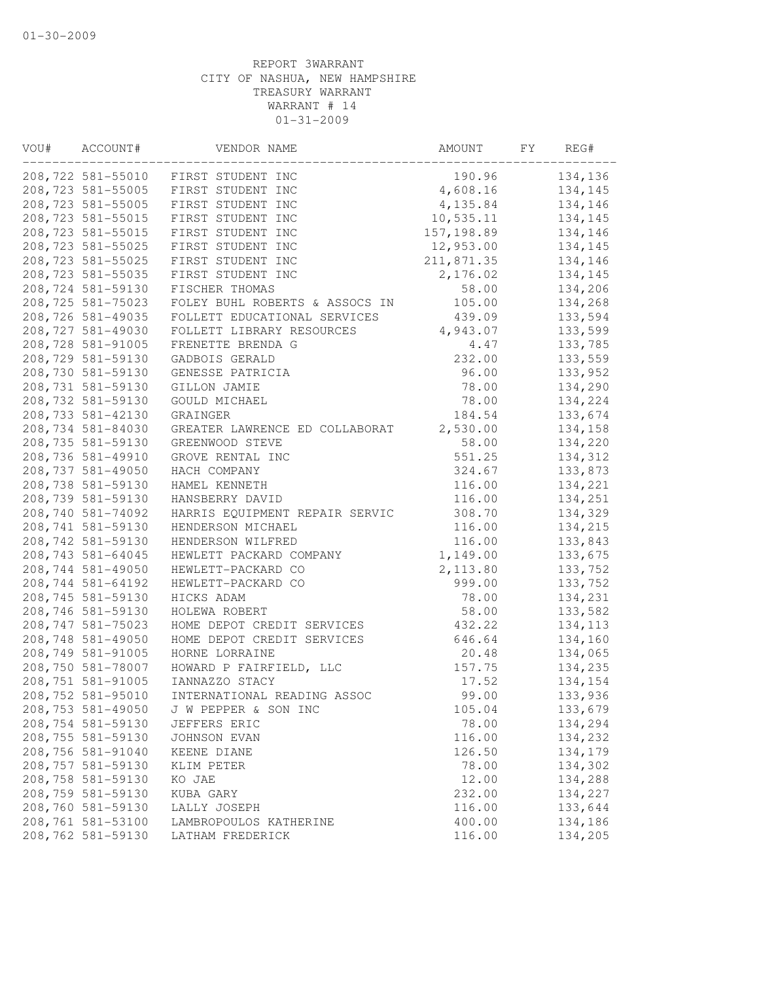| VOU# | ACCOUNT#           | VENDOR NAME                                 | AMOUNT      | FY | REG#    |
|------|--------------------|---------------------------------------------|-------------|----|---------|
|      | 208,722 581-55010  | FIRST STUDENT INC                           | 190.96      |    | 134,136 |
|      | 208,723 581-55005  | FIRST STUDENT INC                           | 4,608.16    |    | 134,145 |
|      | 208,723 581-55005  | FIRST STUDENT INC                           | 4,135.84    |    | 134,146 |
|      | 208, 723 581-55015 | FIRST STUDENT INC                           | 10,535.11   |    | 134,145 |
|      | 208, 723 581-55015 | FIRST STUDENT INC                           | 157, 198.89 |    | 134,146 |
|      | 208, 723 581-55025 | FIRST STUDENT INC                           | 12,953.00   |    | 134,145 |
|      | 208, 723 581-55025 | FIRST STUDENT INC                           | 211,871.35  |    | 134,146 |
|      | 208,723 581-55035  | FIRST STUDENT INC                           | 2,176.02    |    | 134,145 |
|      | 208,724 581-59130  | FISCHER THOMAS                              | 58.00       |    | 134,206 |
|      | 208,725 581-75023  | FOLEY BUHL ROBERTS & ASSOCS IN              | 105.00      |    | 134,268 |
|      | 208,726 581-49035  | FOLLETT EDUCATIONAL SERVICES                | 439.09      |    | 133,594 |
|      | 208,727 581-49030  | FOLLETT LIBRARY RESOURCES                   | 4,943.07    |    | 133,599 |
|      | 208,728 581-91005  | FRENETTE BRENDA G                           | 4.47        |    | 133,785 |
|      | 208,729 581-59130  | GADBOIS GERALD                              | 232.00      |    | 133,559 |
|      | 208,730 581-59130  | GENESSE PATRICIA                            | 96.00       |    | 133,952 |
|      | 208,731 581-59130  | GILLON JAMIE                                | 78.00       |    | 134,290 |
|      | 208,732 581-59130  | GOULD MICHAEL                               | 78.00       |    | 134,224 |
|      | 208,733 581-42130  | GRAINGER                                    | 184.54      |    | 133,674 |
|      | 208,734 581-84030  | GREATER LAWRENCE ED COLLABORAT              | 2,530.00    |    | 134,158 |
|      | 208,735 581-59130  | GREENWOOD STEVE                             | 58.00       |    | 134,220 |
|      | 208,736 581-49910  | GROVE RENTAL INC                            | 551.25      |    | 134,312 |
|      | 208,737 581-49050  | HACH COMPANY                                | 324.67      |    | 133,873 |
|      | 208,738 581-59130  | HAMEL KENNETH                               | 116.00      |    | 134,221 |
|      | 208,739 581-59130  | HANSBERRY DAVID                             | 116.00      |    | 134,251 |
|      | 208,740 581-74092  | HARRIS EQUIPMENT REPAIR SERVIC              | 308.70      |    | 134,329 |
|      | 208,741 581-59130  | HENDERSON MICHAEL                           | 116.00      |    | 134,215 |
|      | 208,742 581-59130  | HENDERSON WILFRED                           | 116.00      |    | 133,843 |
|      | 208,743 581-64045  | HEWLETT PACKARD COMPANY                     | 1,149.00    |    | 133,675 |
|      | 208,744 581-49050  | HEWLETT-PACKARD CO                          | 2,113.80    |    | 133,752 |
|      | 208,744 581-64192  | HEWLETT-PACKARD CO                          | 999.00      |    | 133,752 |
|      | 208,745 581-59130  | HICKS ADAM                                  | 78.00       |    | 134,231 |
|      |                    |                                             |             |    |         |
|      | 208,746 581-59130  | HOLEWA ROBERT<br>HOME DEPOT CREDIT SERVICES | 58.00       |    | 133,582 |
|      | 208, 747 581-75023 |                                             | 432.22      |    | 134,113 |
|      | 208,748 581-49050  | HOME DEPOT CREDIT SERVICES                  | 646.64      |    | 134,160 |
|      | 208,749 581-91005  | HORNE LORRAINE                              | 20.48       |    | 134,065 |
|      | 208,750 581-78007  | HOWARD P FAIRFIELD, LLC                     | 157.75      |    | 134,235 |
|      | 208,751 581-91005  | IANNAZZO STACY                              | 17.52       |    | 134,154 |
|      | 208,752 581-95010  | INTERNATIONAL READING ASSOC                 | 99.00       |    | 133,936 |
|      | 208,753 581-49050  | J W PEPPER & SON INC                        | 105.04      |    | 133,679 |
|      | 208,754 581-59130  | JEFFERS ERIC                                | 78.00       |    | 134,294 |
|      | 208,755 581-59130  | JOHNSON EVAN                                | 116.00      |    | 134,232 |
|      | 208,756 581-91040  | KEENE DIANE                                 | 126.50      |    | 134,179 |
|      | 208,757 581-59130  | KLIM PETER                                  | 78.00       |    | 134,302 |
|      | 208,758 581-59130  | KO JAE                                      | 12.00       |    | 134,288 |
|      | 208,759 581-59130  | KUBA GARY                                   | 232.00      |    | 134,227 |
|      | 208,760 581-59130  | LALLY JOSEPH                                | 116.00      |    | 133,644 |
|      | 208,761 581-53100  | LAMBROPOULOS KATHERINE                      | 400.00      |    | 134,186 |
|      | 208,762 581-59130  | LATHAM FREDERICK                            | 116.00      |    | 134,205 |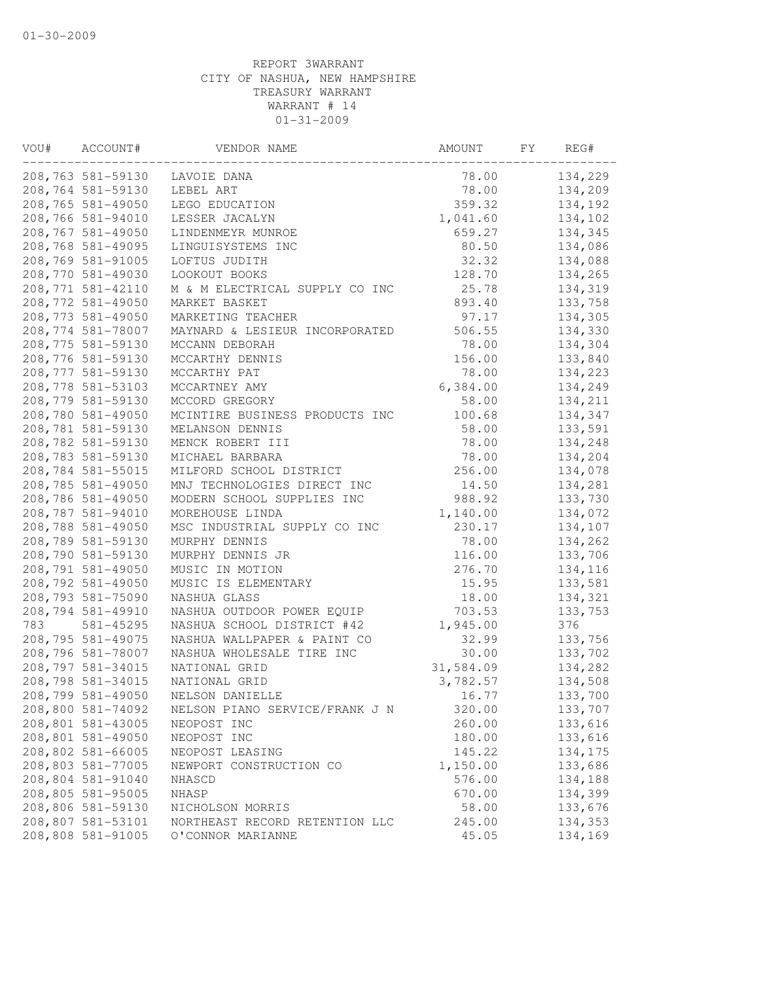| VOU# | ACCOUNT#           | VENDOR NAME                    | AMOUNT    | FY | REG#    |
|------|--------------------|--------------------------------|-----------|----|---------|
|      | 208,763 581-59130  | LAVOIE DANA                    | 78.00     |    | 134,229 |
|      | 208,764 581-59130  | LEBEL ART                      | 78.00     |    | 134,209 |
|      | 208,765 581-49050  | LEGO EDUCATION                 | 359.32    |    | 134,192 |
|      | 208,766 581-94010  | LESSER JACALYN                 | 1,041.60  |    | 134,102 |
|      | 208,767 581-49050  | LINDENMEYR MUNROE              | 659.27    |    | 134,345 |
|      | 208,768 581-49095  | LINGUISYSTEMS INC              | 80.50     |    | 134,086 |
|      | 208,769 581-91005  | LOFTUS JUDITH                  | 32.32     |    | 134,088 |
|      | 208,770 581-49030  | LOOKOUT BOOKS                  | 128.70    |    | 134,265 |
|      | 208, 771 581-42110 | M & M ELECTRICAL SUPPLY CO INC | 25.78     |    | 134,319 |
|      | 208, 772 581-49050 | MARKET BASKET                  | 893.40    |    | 133,758 |
|      | 208, 773 581-49050 | MARKETING TEACHER              | 97.17     |    | 134,305 |
|      | 208, 774 581-78007 | MAYNARD & LESIEUR INCORPORATED | 506.55    |    | 134,330 |
|      | 208,775 581-59130  | MCCANN DEBORAH                 | 78.00     |    | 134,304 |
|      | 208,776 581-59130  | MCCARTHY DENNIS                | 156.00    |    | 133,840 |
|      | 208, 777 581-59130 | MCCARTHY PAT                   | 78.00     |    | 134,223 |
|      | 208,778 581-53103  | MCCARTNEY AMY                  | 6,384.00  |    | 134,249 |
|      | 208,779 581-59130  | MCCORD GREGORY                 | 58.00     |    | 134,211 |
|      | 208,780 581-49050  | MCINTIRE BUSINESS PRODUCTS INC | 100.68    |    | 134,347 |
|      | 208,781 581-59130  | MELANSON DENNIS                | 58.00     |    | 133,591 |
|      | 208,782 581-59130  | MENCK ROBERT III               | 78.00     |    | 134,248 |
|      | 208,783 581-59130  | MICHAEL BARBARA                | 78.00     |    | 134,204 |
|      | 208,784 581-55015  | MILFORD SCHOOL DISTRICT        | 256.00    |    | 134,078 |
|      | 208,785 581-49050  | MNJ TECHNOLOGIES DIRECT INC    | 14.50     |    | 134,281 |
|      | 208,786 581-49050  | MODERN SCHOOL SUPPLIES INC     | 988.92    |    | 133,730 |
|      | 208,787 581-94010  | MOREHOUSE LINDA                | 1,140.00  |    | 134,072 |
|      | 208,788 581-49050  | MSC INDUSTRIAL SUPPLY CO INC   | 230.17    |    | 134,107 |
|      | 208,789 581-59130  | MURPHY DENNIS                  | 78.00     |    | 134,262 |
|      | 208,790 581-59130  | MURPHY DENNIS JR               | 116.00    |    | 133,706 |
|      | 208,791 581-49050  | MUSIC IN MOTION                | 276.70    |    | 134,116 |
|      | 208,792 581-49050  | MUSIC IS ELEMENTARY            | 15.95     |    | 133,581 |
|      | 208,793 581-75090  | NASHUA GLASS                   | 18.00     |    | 134,321 |
|      | 208,794 581-49910  | NASHUA OUTDOOR POWER EQUIP     | 703.53    |    | 133,753 |
| 783  | 581-45295          | NASHUA SCHOOL DISTRICT #42     | 1,945.00  |    | 376     |
|      | 208,795 581-49075  | NASHUA WALLPAPER & PAINT CO    | 32.99     |    | 133,756 |
|      | 208,796 581-78007  | NASHUA WHOLESALE TIRE INC      | 30.00     |    | 133,702 |
|      | 208, 797 581-34015 | NATIONAL GRID                  | 31,584.09 |    | 134,282 |
|      | 208,798 581-34015  | NATIONAL GRID                  | 3,782.57  |    | 134,508 |
|      | 208,799 581-49050  | NELSON DANIELLE                | 16.77     |    | 133,700 |
|      | 208,800 581-74092  | NELSON PIANO SERVICE/FRANK J N | 320.00    |    | 133,707 |
|      | 208,801 581-43005  | NEOPOST INC                    | 260.00    |    | 133,616 |
|      | 208,801 581-49050  | NEOPOST INC                    | 180.00    |    | 133,616 |
|      | 208,802 581-66005  | NEOPOST LEASING                | 145.22    |    | 134,175 |
|      | 208,803 581-77005  | NEWPORT CONSTRUCTION CO        | 1,150.00  |    | 133,686 |
|      | 208,804 581-91040  | NHASCD                         | 576.00    |    | 134,188 |
|      | 208,805 581-95005  | NHASP                          | 670.00    |    | 134,399 |
|      | 208,806 581-59130  | NICHOLSON MORRIS               | 58.00     |    | 133,676 |
|      | 208,807 581-53101  | NORTHEAST RECORD RETENTION LLC | 245.00    |    | 134,353 |
|      | 208,808 581-91005  | O'CONNOR MARIANNE              | 45.05     |    | 134,169 |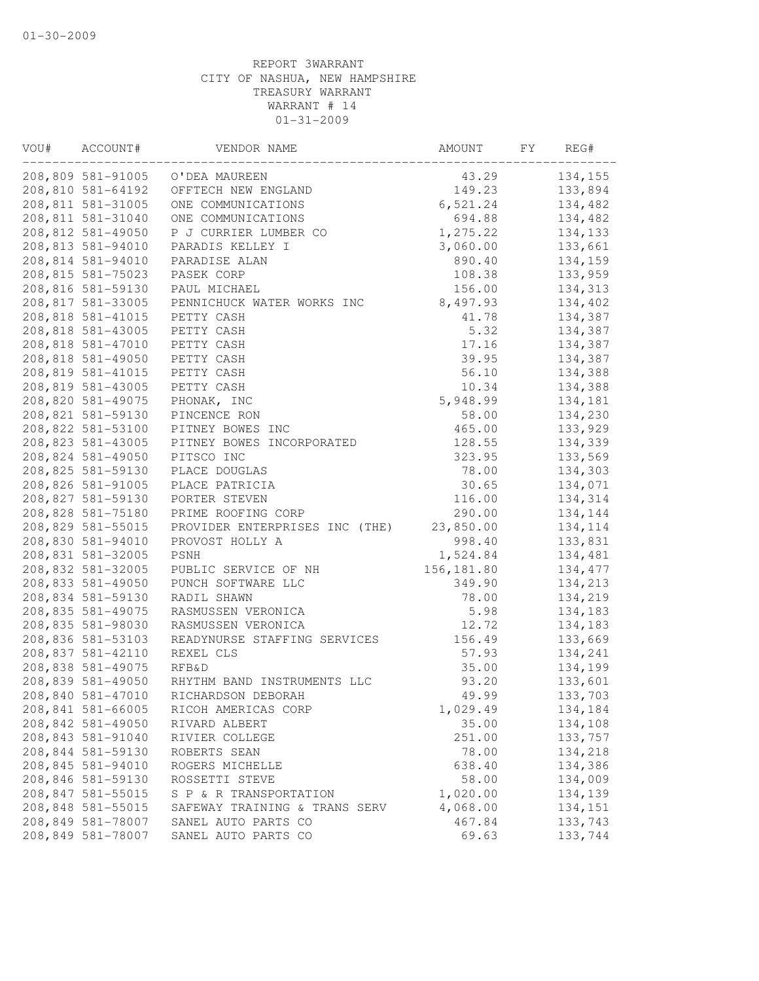| VOU# | ACCOUNT#          | VENDOR NAME                    | AMOUNT      | FY | REG#    |
|------|-------------------|--------------------------------|-------------|----|---------|
|      | 208,809 581-91005 | O'DEA MAUREEN                  | 43.29       |    | 134,155 |
|      | 208,810 581-64192 | OFFTECH NEW ENGLAND            | 149.23      |    | 133,894 |
|      | 208,811 581-31005 | ONE COMMUNICATIONS             | 6,521.24    |    | 134,482 |
|      | 208,811 581-31040 | ONE COMMUNICATIONS             | 694.88      |    | 134,482 |
|      | 208,812 581-49050 | P J CURRIER LUMBER CO          | 1,275.22    |    | 134,133 |
|      | 208,813 581-94010 | PARADIS KELLEY I               | 3,060.00    |    | 133,661 |
|      | 208,814 581-94010 | PARADISE ALAN                  | 890.40      |    | 134,159 |
|      | 208,815 581-75023 | PASEK CORP                     | 108.38      |    | 133,959 |
|      | 208,816 581-59130 | PAUL MICHAEL                   | 156.00      |    | 134,313 |
|      | 208,817 581-33005 | PENNICHUCK WATER WORKS INC     | 8,497.93    |    | 134,402 |
|      | 208,818 581-41015 | PETTY CASH                     | 41.78       |    | 134,387 |
|      | 208,818 581-43005 | PETTY CASH                     | 5.32        |    | 134,387 |
|      | 208,818 581-47010 | PETTY CASH                     | 17.16       |    | 134,387 |
|      | 208,818 581-49050 | PETTY CASH                     | 39.95       |    | 134,387 |
|      | 208,819 581-41015 | PETTY CASH                     | 56.10       |    | 134,388 |
|      | 208,819 581-43005 | PETTY CASH                     | 10.34       |    | 134,388 |
|      | 208,820 581-49075 | PHONAK, INC                    | 5,948.99    |    | 134,181 |
|      | 208,821 581-59130 | PINCENCE RON                   | 58.00       |    | 134,230 |
|      | 208,822 581-53100 | PITNEY BOWES INC               | 465.00      |    | 133,929 |
|      | 208,823 581-43005 | PITNEY BOWES INCORPORATED      | 128.55      |    | 134,339 |
|      | 208,824 581-49050 | PITSCO INC                     | 323.95      |    | 133,569 |
|      | 208,825 581-59130 | PLACE DOUGLAS                  | 78.00       |    | 134,303 |
|      | 208,826 581-91005 | PLACE PATRICIA                 | 30.65       |    | 134,071 |
|      | 208,827 581-59130 | PORTER STEVEN                  | 116.00      |    | 134,314 |
|      | 208,828 581-75180 | PRIME ROOFING CORP             | 290.00      |    | 134,144 |
|      | 208,829 581-55015 | PROVIDER ENTERPRISES INC (THE) | 23,850.00   |    | 134,114 |
|      | 208,830 581-94010 | PROVOST HOLLY A                | 998.40      |    | 133,831 |
|      | 208,831 581-32005 | PSNH                           | 1,524.84    |    | 134,481 |
|      | 208,832 581-32005 | PUBLIC SERVICE OF NH           | 156, 181.80 |    | 134,477 |
|      | 208,833 581-49050 | PUNCH SOFTWARE LLC             | 349.90      |    | 134,213 |
|      | 208,834 581-59130 | RADIL SHAWN                    | 78.00       |    | 134,219 |
|      | 208,835 581-49075 | RASMUSSEN VERONICA             | 5.98        |    | 134,183 |
|      | 208,835 581-98030 | RASMUSSEN VERONICA             | 12.72       |    | 134,183 |
|      | 208,836 581-53103 | READYNURSE STAFFING SERVICES   | 156.49      |    | 133,669 |
|      | 208,837 581-42110 | REXEL CLS                      | 57.93       |    | 134,241 |
|      | 208,838 581-49075 | <b>RFB&amp;D</b>               | 35.00       |    | 134,199 |
|      | 208,839 581-49050 | RHYTHM BAND INSTRUMENTS LLC    | 93.20       |    | 133,601 |
|      | 208,840 581-47010 | RICHARDSON DEBORAH             | 49.99       |    | 133,703 |
|      | 208,841 581-66005 | RICOH AMERICAS CORP            | 1,029.49    |    | 134,184 |
|      | 208,842 581-49050 | RIVARD ALBERT                  | 35.00       |    | 134,108 |
|      | 208,843 581-91040 | RIVIER COLLEGE                 | 251.00      |    | 133,757 |
|      | 208,844 581-59130 | ROBERTS SEAN                   | 78.00       |    | 134,218 |
|      | 208,845 581-94010 | ROGERS MICHELLE                | 638.40      |    | 134,386 |
|      | 208,846 581-59130 | ROSSETTI STEVE                 | 58.00       |    | 134,009 |
|      | 208,847 581-55015 | S P & R TRANSPORTATION         | 1,020.00    |    | 134,139 |
|      | 208,848 581-55015 | SAFEWAY TRAINING & TRANS SERV  | 4,068.00    |    | 134,151 |
|      | 208,849 581-78007 | SANEL AUTO PARTS CO            | 467.84      |    | 133,743 |
|      | 208,849 581-78007 | SANEL AUTO PARTS CO            | 69.63       |    | 133,744 |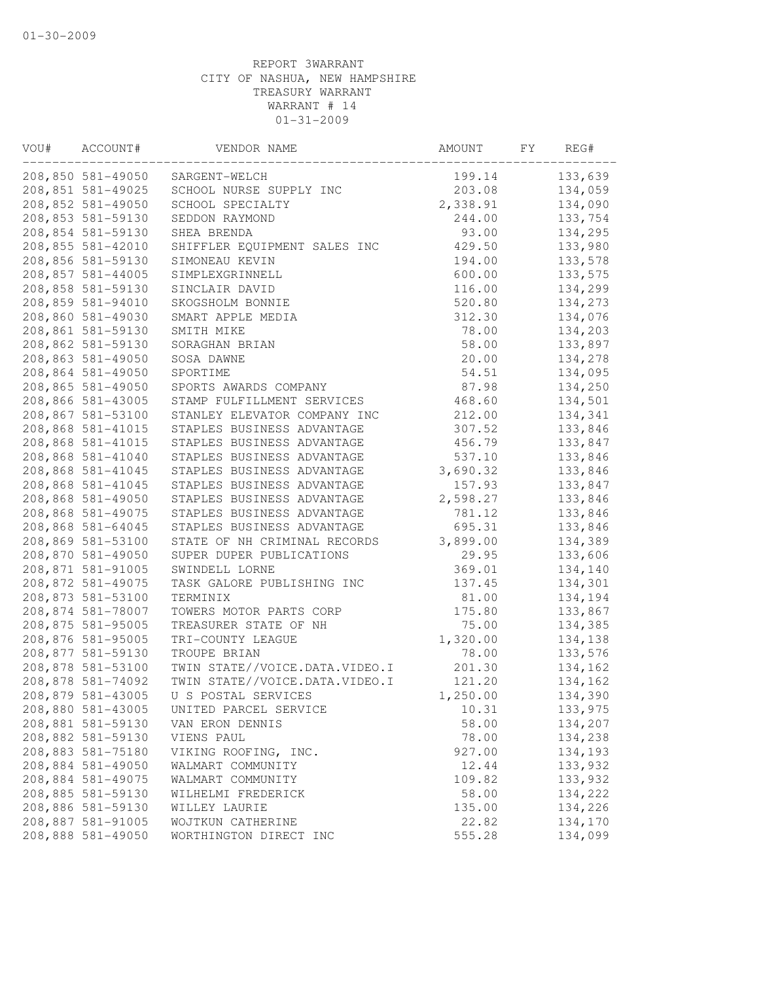| VOU# | ACCOUNT#          | VENDOR NAME                    | AMOUNT   | FY | REG#    |
|------|-------------------|--------------------------------|----------|----|---------|
|      | 208,850 581-49050 | SARGENT-WELCH                  | 199.14   |    | 133,639 |
|      | 208,851 581-49025 | SCHOOL NURSE SUPPLY INC        | 203.08   |    | 134,059 |
|      | 208,852 581-49050 | SCHOOL SPECIALTY               | 2,338.91 |    | 134,090 |
|      | 208,853 581-59130 | SEDDON RAYMOND                 | 244.00   |    | 133,754 |
|      | 208,854 581-59130 | SHEA BRENDA                    | 93.00    |    | 134,295 |
|      | 208,855 581-42010 | SHIFFLER EQUIPMENT SALES INC   | 429.50   |    | 133,980 |
|      | 208,856 581-59130 | SIMONEAU KEVIN                 | 194.00   |    | 133,578 |
|      | 208,857 581-44005 | SIMPLEXGRINNELL                | 600.00   |    | 133,575 |
|      | 208,858 581-59130 | SINCLAIR DAVID                 | 116.00   |    | 134,299 |
|      | 208,859 581-94010 | SKOGSHOLM BONNIE               | 520.80   |    | 134,273 |
|      | 208,860 581-49030 | SMART APPLE MEDIA              | 312.30   |    | 134,076 |
|      | 208,861 581-59130 | SMITH MIKE                     | 78.00    |    | 134,203 |
|      | 208,862 581-59130 | SORAGHAN BRIAN                 | 58.00    |    | 133,897 |
|      | 208,863 581-49050 | SOSA DAWNE                     | 20.00    |    | 134,278 |
|      | 208,864 581-49050 | SPORTIME                       | 54.51    |    | 134,095 |
|      | 208,865 581-49050 | SPORTS AWARDS COMPANY          | 87.98    |    | 134,250 |
|      | 208,866 581-43005 | STAMP FULFILLMENT SERVICES     | 468.60   |    | 134,501 |
|      | 208,867 581-53100 | STANLEY ELEVATOR COMPANY INC   | 212.00   |    | 134,341 |
|      | 208,868 581-41015 | STAPLES BUSINESS ADVANTAGE     | 307.52   |    | 133,846 |
|      | 208,868 581-41015 | STAPLES BUSINESS ADVANTAGE     | 456.79   |    | 133,847 |
|      | 208,868 581-41040 | STAPLES BUSINESS ADVANTAGE     | 537.10   |    | 133,846 |
|      | 208,868 581-41045 | STAPLES BUSINESS ADVANTAGE     | 3,690.32 |    | 133,846 |
|      | 208,868 581-41045 | STAPLES BUSINESS ADVANTAGE     | 157.93   |    | 133,847 |
|      | 208,868 581-49050 |                                | 2,598.27 |    |         |
|      | 208,868 581-49075 | STAPLES BUSINESS ADVANTAGE     |          |    | 133,846 |
|      |                   | STAPLES BUSINESS ADVANTAGE     | 781.12   |    | 133,846 |
|      | 208,868 581-64045 | STAPLES BUSINESS ADVANTAGE     | 695.31   |    | 133,846 |
|      | 208,869 581-53100 | STATE OF NH CRIMINAL RECORDS   | 3,899.00 |    | 134,389 |
|      | 208,870 581-49050 | SUPER DUPER PUBLICATIONS       | 29.95    |    | 133,606 |
|      | 208,871 581-91005 | SWINDELL LORNE                 | 369.01   |    | 134,140 |
|      | 208,872 581-49075 | TASK GALORE PUBLISHING INC     | 137.45   |    | 134,301 |
|      | 208,873 581-53100 | TERMINIX                       | 81.00    |    | 134,194 |
|      | 208,874 581-78007 | TOWERS MOTOR PARTS CORP        | 175.80   |    | 133,867 |
|      | 208,875 581-95005 | TREASURER STATE OF NH          | 75.00    |    | 134,385 |
|      | 208,876 581-95005 | TRI-COUNTY LEAGUE              | 1,320.00 |    | 134,138 |
|      | 208,877 581-59130 | TROUPE BRIAN                   | 78.00    |    | 133,576 |
|      | 208,878 581-53100 | TWIN STATE//VOICE.DATA.VIDEO.I | 201.30   |    | 134,162 |
|      | 208,878 581-74092 | TWIN STATE//VOICE.DATA.VIDEO.I | 121.20   |    | 134,162 |
|      | 208,879 581-43005 | U S POSTAL SERVICES            | 1,250.00 |    | 134,390 |
|      | 208,880 581-43005 | UNITED PARCEL SERVICE          | 10.31    |    | 133,975 |
|      | 208,881 581-59130 | VAN ERON DENNIS                | 58.00    |    | 134,207 |
|      | 208,882 581-59130 | VIENS PAUL                     | 78.00    |    | 134,238 |
|      | 208,883 581-75180 | VIKING ROOFING, INC.           | 927.00   |    | 134,193 |
|      | 208,884 581-49050 | WALMART COMMUNITY              | 12.44    |    | 133,932 |
|      | 208,884 581-49075 | WALMART COMMUNITY              | 109.82   |    | 133,932 |
|      | 208,885 581-59130 | WILHELMI FREDERICK             | 58.00    |    | 134,222 |
|      | 208,886 581-59130 | WILLEY LAURIE                  | 135.00   |    | 134,226 |
|      | 208,887 581-91005 | WOJTKUN CATHERINE              | 22.82    |    | 134,170 |
|      | 208,888 581-49050 | WORTHINGTON DIRECT INC         | 555.28   |    | 134,099 |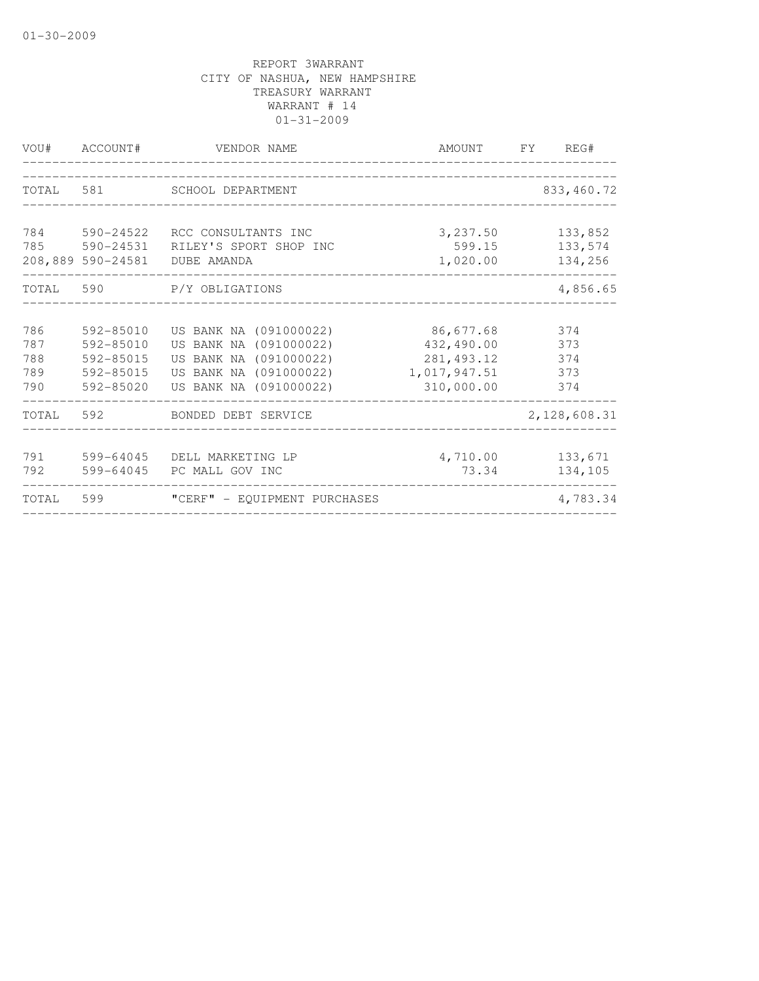| VOU#                            | ACCOUNT#                                                          | VENDOR NAME                                                                                                                    | AMOUNT                                                               | <b>FY</b> | REG#                            |
|---------------------------------|-------------------------------------------------------------------|--------------------------------------------------------------------------------------------------------------------------------|----------------------------------------------------------------------|-----------|---------------------------------|
| TOTAL                           | 581                                                               | SCHOOL DEPARTMENT                                                                                                              |                                                                      |           | 833, 460.72                     |
| 784<br>785                      | 590-24522<br>590-24531<br>208,889 590-24581                       | RCC CONSULTANTS INC<br>RILEY'S SPORT SHOP INC<br>DUBE AMANDA                                                                   | 3,237.50<br>599.15<br>1,020.00                                       |           | 133,852<br>133,574<br>134,256   |
| TOTAL 590                       |                                                                   | P/Y OBLIGATIONS                                                                                                                |                                                                      |           | 4,856.65                        |
| 786<br>787<br>788<br>789<br>790 | 592-85010<br>$592 - 85010$<br>592-85015<br>592-85015<br>592-85020 | US BANK NA (091000022)<br>US BANK NA (091000022)<br>US BANK NA (091000022)<br>US BANK NA (091000022)<br>US BANK NA (091000022) | 86,677.68<br>432,490.00<br>281, 493.12<br>1,017,947.51<br>310,000.00 |           | 374<br>373<br>374<br>373<br>374 |
| TOTAL                           | 592                                                               | BONDED DEBT SERVICE                                                                                                            |                                                                      |           | 2,128,608.31                    |
| 791<br>792                      | 599-64045<br>599-64045                                            | DELL MARKETING LP<br>PC MALL GOV INC                                                                                           | 4,710.00<br>73.34                                                    |           | 133,671<br>134,105              |
| TOTAL                           | 599                                                               | "CERF" - EQUIPMENT PURCHASES                                                                                                   |                                                                      |           | 4,783.34                        |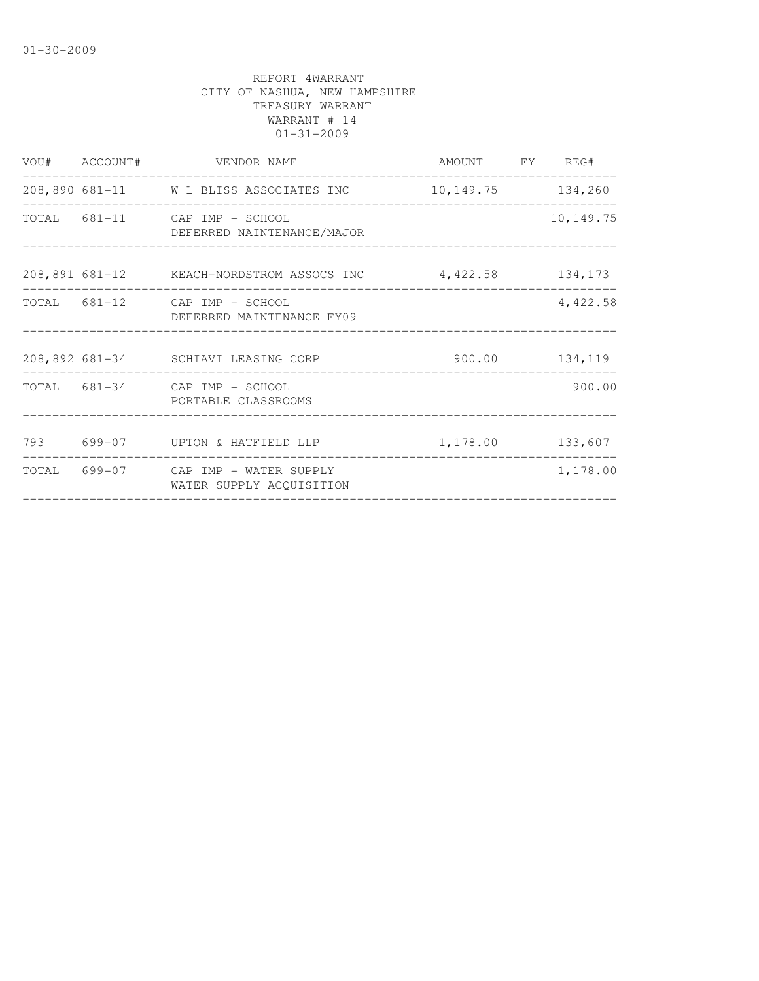|  | VOU# ACCOUNT# VENDOR NAME                                       | AMOUNT FY REG#     |            |
|--|-----------------------------------------------------------------|--------------------|------------|
|  | 208,890 681-11 W L BLISS ASSOCIATES INC 10,149.75 134,260       |                    |            |
|  | TOTAL 681-11 CAP IMP - SCHOOL<br>DEFERRED NAINTENANCE/MAJOR     |                    | 10, 149.75 |
|  | 208,891 681-12 KEACH-NORDSTROM ASSOCS INC 4,422.58 134,173      |                    |            |
|  | TOTAL 681-12 CAP IMP - SCHOOL<br>DEFERRED MAINTENANCE FY09      |                    | 4,422.58   |
|  | 208,892 681-34 SCHIAVI LEASING CORP 500.00 134,119              |                    |            |
|  | TOTAL 681-34 CAP IMP - SCHOOL<br>PORTABLE CLASSROOMS            |                    | 900.00     |
|  | 793 699-07 UPTON & HATFIELD LLP                                 | 1, 178.00 133, 607 |            |
|  | TOTAL 699-07 CAP IMP - WATER SUPPLY<br>WATER SUPPLY ACOUISITION |                    | 1,178.00   |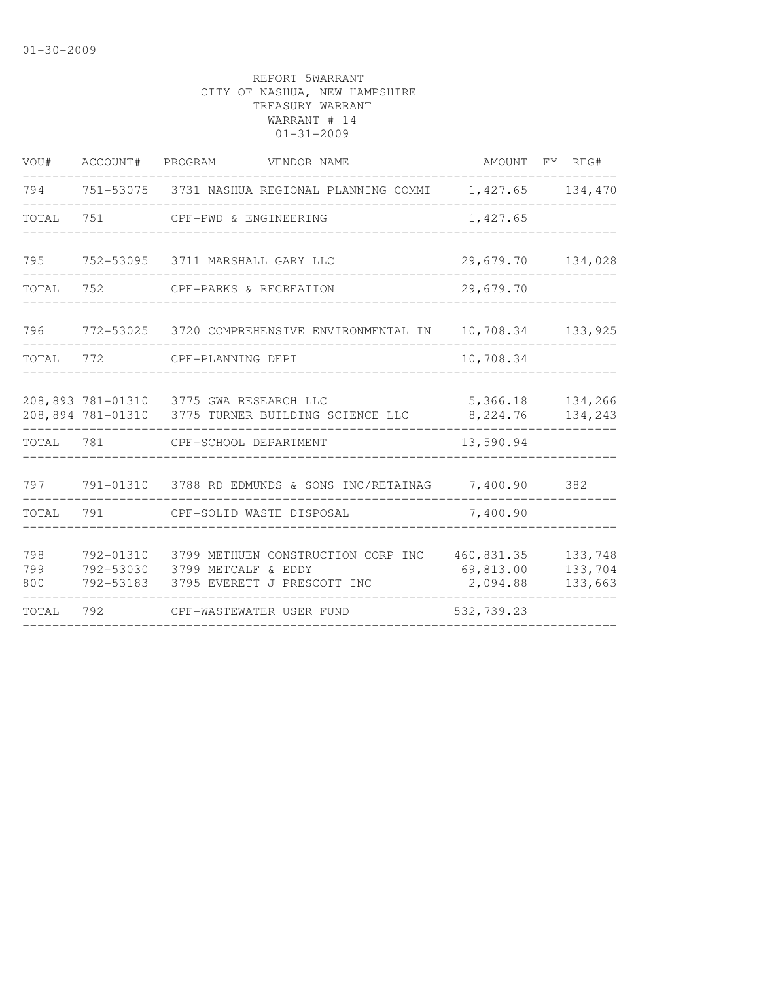| VOU#              | ACCOUNT# PROGRAM                    | VENDOR NAME                                                                                   |                                     | AMOUNT FY REG#                |
|-------------------|-------------------------------------|-----------------------------------------------------------------------------------------------|-------------------------------------|-------------------------------|
| 794               |                                     | 751-53075 3731 NASHUA REGIONAL PLANNING COMMI                                                 | 1,427.65                            | 134,470                       |
| TOTAL             | 751                                 | CPF-PWD & ENGINEERING                                                                         | 1,427.65                            |                               |
| 795               |                                     | 752-53095 3711 MARSHALL GARY LLC                                                              | 29,679.70                           | 134,028                       |
| TOTAL             | 752                                 | CPF-PARKS & RECREATION                                                                        | 29,679.70                           |                               |
| 796               |                                     | 772-53025 3720 COMPREHENSIVE ENVIRONMENTAL IN                                                 | 10,708.34                           | 133,925                       |
| TOTAL             | 772                                 | CPF-PLANNING DEPT                                                                             | 10,708.34                           |                               |
|                   |                                     | 208,893 781-01310 3775 GWA RESEARCH LLC<br>208,894 781-01310 3775 TURNER BUILDING SCIENCE LLC | 5,366.18<br>8,224.76                | 134,266<br>134,243            |
| TOTAL             | 781                                 | CPF-SCHOOL DEPARTMENT                                                                         | 13,590.94                           |                               |
| 797               |                                     | 791-01310 3788 RD EDMUNDS & SONS INC/RETAINAG 7,400.90                                        |                                     | 382                           |
| TOTAL             | 791                                 | CPF-SOLID WASTE DISPOSAL                                                                      | 7,400.90                            |                               |
| 798<br>799<br>800 | 792-01310<br>792-53030<br>792-53183 | 3799 METHUEN CONSTRUCTION CORP INC<br>3799 METCALF & EDDY<br>3795 EVERETT J PRESCOTT INC      | 460,831.35<br>69,813.00<br>2,094.88 | 133,748<br>133,704<br>133,663 |
| TOTAL             | 792                                 | CPF-WASTEWATER USER FUND                                                                      | 532,739.23                          |                               |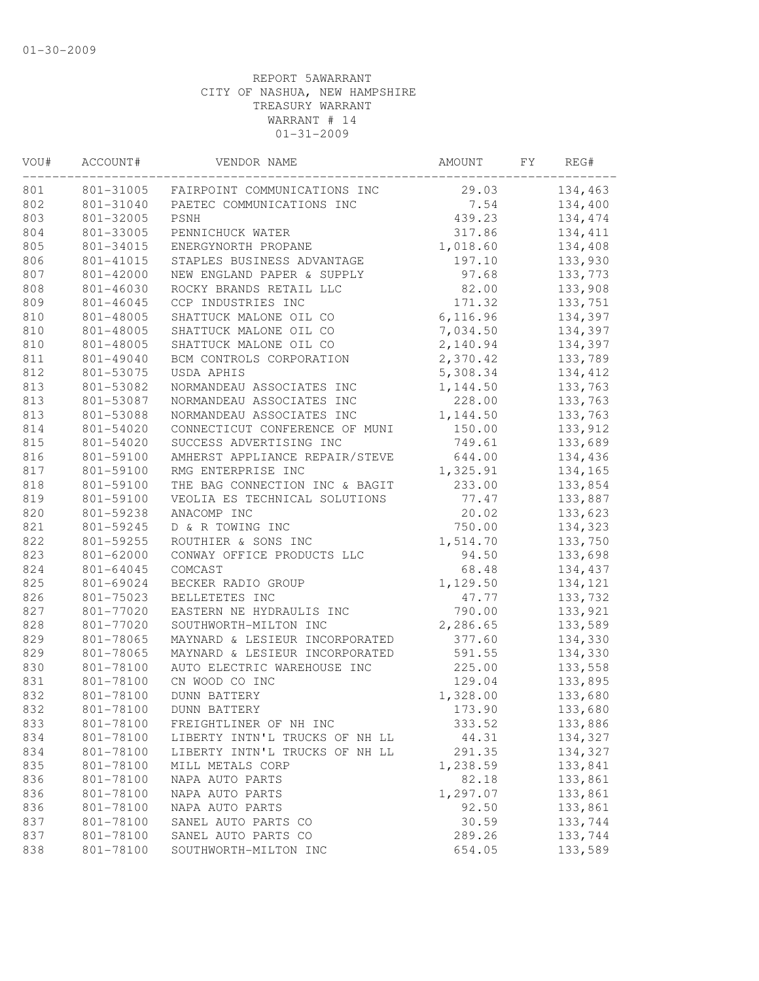| VOU#       | ACCOUNT#  | VENDOR NAME                            | AMOUNT   | FY | REG#     |
|------------|-----------|----------------------------------------|----------|----|----------|
| 801        |           | 801-31005 FAIRPOINT COMMUNICATIONS INC | 29.03    |    | 134,463  |
| 802        | 801-31040 | PAETEC COMMUNICATIONS INC              | 7.54     |    | 134,400  |
| 803        | 801-32005 | <b>PSNH</b>                            | 439.23   |    | 134,474  |
| 804        | 801-33005 | PENNICHUCK WATER                       | 317.86   |    | 134, 411 |
| 805        | 801-34015 | ENERGYNORTH PROPANE                    | 1,018.60 |    | 134,408  |
| 806        | 801-41015 | STAPLES BUSINESS ADVANTAGE             | 197.10   |    | 133,930  |
| 807        | 801-42000 | NEW ENGLAND PAPER & SUPPLY             | 97.68    |    | 133,773  |
| 808        | 801-46030 | ROCKY BRANDS RETAIL LLC                | 82.00    |    | 133,908  |
| 809        | 801-46045 | CCP INDUSTRIES INC                     | 171.32   |    | 133,751  |
| 810        | 801-48005 | SHATTUCK MALONE OIL CO                 | 6,116.96 |    | 134,397  |
| 810        | 801-48005 | SHATTUCK MALONE OIL CO                 | 7,034.50 |    | 134,397  |
| 810        | 801-48005 | SHATTUCK MALONE OIL CO                 | 2,140.94 |    | 134,397  |
| 811        | 801-49040 | BCM CONTROLS CORPORATION               | 2,370.42 |    | 133,789  |
| 812        | 801-53075 | USDA APHIS                             | 5,308.34 |    | 134,412  |
| 813        | 801-53082 | NORMANDEAU ASSOCIATES INC              | 1,144.50 |    | 133,763  |
| 813        | 801-53087 | NORMANDEAU ASSOCIATES INC              | 228.00   |    | 133,763  |
| 813        | 801-53088 | NORMANDEAU ASSOCIATES INC              | 1,144.50 |    | 133,763  |
| 814        | 801-54020 | CONNECTICUT CONFERENCE OF MUNI         | 150.00   |    | 133,912  |
| 815        | 801-54020 | SUCCESS ADVERTISING INC                | 749.61   |    | 133,689  |
| 816        | 801-59100 | AMHERST APPLIANCE REPAIR/STEVE         | 644.00   |    | 134,436  |
| 817        | 801-59100 | RMG ENTERPRISE INC                     | 1,325.91 |    | 134,165  |
| 818        | 801-59100 | THE BAG CONNECTION INC & BAGIT         | 233.00   |    | 133,854  |
| 819        | 801-59100 | VEOLIA ES TECHNICAL SOLUTIONS          | 77.47    |    | 133,887  |
| 820        | 801-59238 | ANACOMP INC                            | 20.02    |    | 133,623  |
| 821        | 801-59245 | D & R TOWING INC                       | 750.00   |    | 134,323  |
| 822        | 801-59255 | ROUTHIER & SONS INC                    | 1,514.70 |    | 133,750  |
| 823        | 801-62000 | CONWAY OFFICE PRODUCTS LLC             | 94.50    |    | 133,698  |
| 824        | 801-64045 | COMCAST                                | 68.48    |    | 134,437  |
| 825        | 801-69024 | BECKER RADIO GROUP                     | 1,129.50 |    | 134,121  |
| 826        | 801-75023 | BELLETETES INC                         | 47.77    |    | 133,732  |
| 827        | 801-77020 | EASTERN NE HYDRAULIS INC               | 790.00   |    | 133,921  |
| 828        | 801-77020 | SOUTHWORTH-MILTON INC                  | 2,286.65 |    | 133,589  |
| 829        | 801-78065 | MAYNARD & LESIEUR INCORPORATED         | 377.60   |    | 134,330  |
| 829        | 801-78065 | MAYNARD & LESIEUR INCORPORATED         | 591.55   |    | 134,330  |
| 830        | 801-78100 | AUTO ELECTRIC WAREHOUSE INC            | 225.00   |    | 133,558  |
| 831        | 801-78100 | CN WOOD CO INC                         | 129.04   |    | 133,895  |
| 832        | 801-78100 | <b>DUNN BATTERY</b>                    | 1,328.00 |    | 133,680  |
| 832        | 801-78100 | <b>DUNN BATTERY</b>                    | 173.90   |    | 133,680  |
| 833        | 801-78100 | FREIGHTLINER OF NH INC                 | 333.52   |    | 133,886  |
| 834        | 801-78100 | LIBERTY INTN'L TRUCKS OF NH LL         | 44.31    |    | 134,327  |
| 834        | 801-78100 | LIBERTY INTN'L TRUCKS OF NH LL         | 291.35   |    | 134,327  |
| 835        | 801-78100 | MILL METALS CORP                       | 1,238.59 |    | 133,841  |
| 836        | 801-78100 | NAPA AUTO PARTS                        | 82.18    |    | 133,861  |
| 836        | 801-78100 | NAPA AUTO PARTS                        | 1,297.07 |    | 133,861  |
|            |           | NAPA AUTO PARTS                        | 92.50    |    | 133,861  |
| 836<br>837 | 801-78100 | SANEL AUTO PARTS CO                    |          |    |          |
|            | 801-78100 |                                        | 30.59    |    | 133,744  |
| 837        | 801-78100 | SANEL AUTO PARTS CO                    | 289.26   |    | 133,744  |
| 838        | 801-78100 | SOUTHWORTH-MILTON INC                  | 654.05   |    | 133,589  |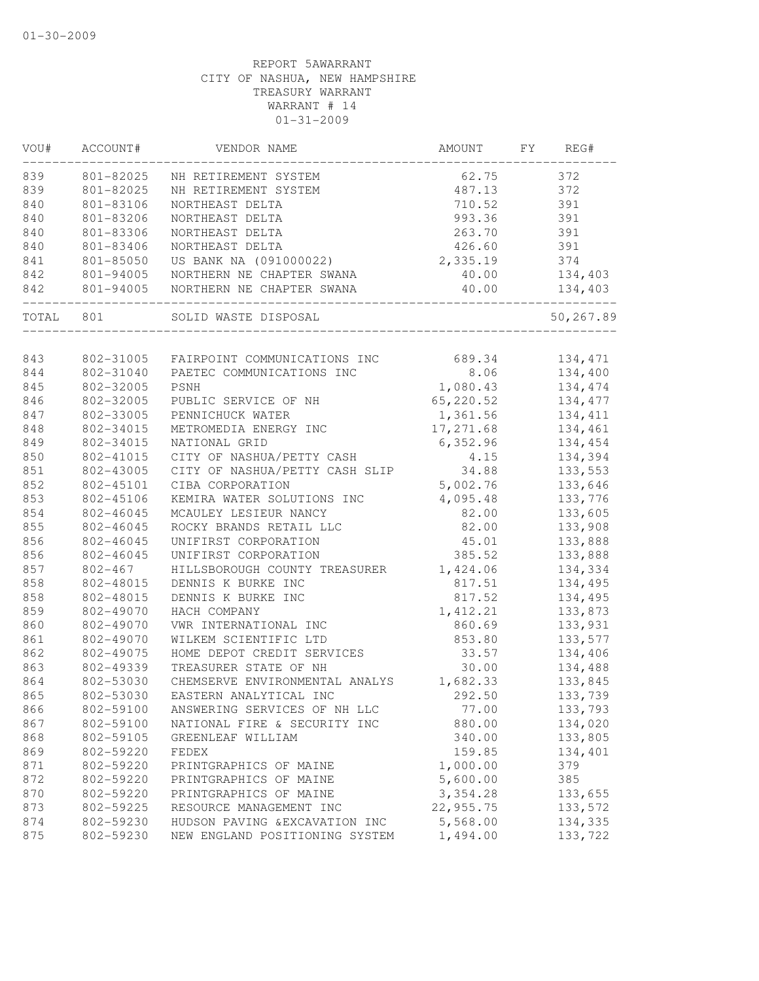| VOU#  | ACCOUNT#                         | VENDOR NAME                                 | AMOUNT    | FY | REG#      |
|-------|----------------------------------|---------------------------------------------|-----------|----|-----------|
| 839   | 801-82025                        | NH RETIREMENT SYSTEM                        | 62.75     |    | 372       |
| 839   | 801-82025                        | NH RETIREMENT SYSTEM                        | 487.13    |    | 372       |
| 840   | 801-83106                        | NORTHEAST DELTA                             | 710.52    |    | 391       |
| 840   | 801-83206                        | NORTHEAST DELTA                             | 993.36    |    | 391       |
| 840   | 801-83306                        | NORTHEAST DELTA                             | 263.70    |    | 391       |
| 840   | 801-83406                        | NORTHEAST DELTA                             | 426.60    |    | 391       |
| 841   | 801-85050                        | US BANK NA (091000022)                      | 2,335.19  |    | 374       |
| 842   | 801-94005                        | NORTHERN NE CHAPTER SWANA                   | 40.00     |    | 134,403   |
| 842   | 801-94005<br>------------------- | NORTHERN NE CHAPTER SWANA<br>______________ | 40.00     |    | 134,403   |
| TOTAL | 801                              | SOLID WASTE DISPOSAL                        |           |    | 50,267.89 |
|       |                                  |                                             |           |    |           |
| 843   |                                  | 802-31005 FAIRPOINT COMMUNICATIONS INC      | 689.34    |    | 134,471   |
| 844   | 802-31040                        | PAETEC COMMUNICATIONS INC                   | 8.06      |    | 134,400   |
| 845   | 802-32005                        | PSNH                                        | 1,080.43  |    | 134,474   |
| 846   | 802-32005                        | PUBLIC SERVICE OF NH                        | 65,220.52 |    | 134,477   |
| 847   | 802-33005                        | PENNICHUCK WATER                            | 1,361.56  |    | 134,411   |
| 848   | 802-34015                        | METROMEDIA ENERGY INC                       | 17,271.68 |    | 134,461   |
| 849   | 802-34015                        | NATIONAL GRID                               | 6,352.96  |    | 134,454   |
| 850   | 802-41015                        | CITY OF NASHUA/PETTY CASH                   | 4.15      |    | 134,394   |
| 851   | 802-43005                        | CITY OF NASHUA/PETTY CASH SLIP              | 34.88     |    | 133,553   |
| 852   | 802-45101                        | CIBA CORPORATION                            | 5,002.76  |    | 133,646   |
| 853   | 802-45106                        | KEMIRA WATER SOLUTIONS INC                  | 4,095.48  |    | 133,776   |
| 854   | 802-46045                        | MCAULEY LESIEUR NANCY                       | 82.00     |    | 133,605   |
| 855   | 802-46045                        | ROCKY BRANDS RETAIL LLC                     | 82.00     |    | 133,908   |
| 856   | 802-46045                        | UNIFIRST CORPORATION                        | 45.01     |    | 133,888   |
| 856   | 802-46045                        | UNIFIRST CORPORATION                        | 385.52    |    | 133,888   |
| 857   | $802 - 467$                      | HILLSBOROUGH COUNTY TREASURER               | 1,424.06  |    | 134,334   |
| 858   | 802-48015                        | DENNIS K BURKE INC                          | 817.51    |    | 134,495   |
| 858   | 802-48015                        | DENNIS K BURKE INC                          | 817.52    |    | 134,495   |
| 859   | 802-49070                        | HACH COMPANY                                | 1,412.21  |    | 133,873   |
| 860   | 802-49070                        | VWR INTERNATIONAL INC                       | 860.69    |    | 133,931   |
| 861   | 802-49070                        | WILKEM SCIENTIFIC LTD                       | 853.80    |    | 133,577   |
| 862   | 802-49075                        | HOME DEPOT CREDIT SERVICES                  | 33.57     |    | 134,406   |
| 863   | 802-49339                        | TREASURER STATE OF NH                       | 30.00     |    | 134,488   |
| 864   | 802-53030                        | CHEMSERVE ENVIRONMENTAL ANALYS              | 1,682.33  |    | 133,845   |
| 865   | 802-53030                        | EASTERN ANALYTICAL INC                      | 292.50    |    | 133,739   |
| 866   | 802-59100                        | ANSWERING SERVICES OF NH LLC                | 77.00     |    | 133,793   |
| 867   | 802-59100                        | NATIONAL FIRE & SECURITY INC                | 880.00    |    | 134,020   |
| 868   | 802-59105                        | GREENLEAF WILLIAM                           | 340.00    |    | 133,805   |
| 869   | 802-59220                        | FEDEX                                       | 159.85    |    | 134,401   |
| 871   | 802-59220                        | PRINTGRAPHICS OF MAINE                      | 1,000.00  |    | 379       |
| 872   | 802-59220                        | PRINTGRAPHICS OF MAINE                      | 5,600.00  |    | 385       |
| 870   | 802-59220                        | PRINTGRAPHICS OF MAINE                      | 3,354.28  |    | 133,655   |
| 873   | 802-59225                        | RESOURCE MANAGEMENT INC                     | 22,955.75 |    | 133,572   |
| 874   | 802-59230                        | HUDSON PAVING & EXCAVATION INC              | 5,568.00  |    | 134,335   |
| 875   | 802-59230                        | NEW ENGLAND POSITIONING SYSTEM              | 1,494.00  |    | 133,722   |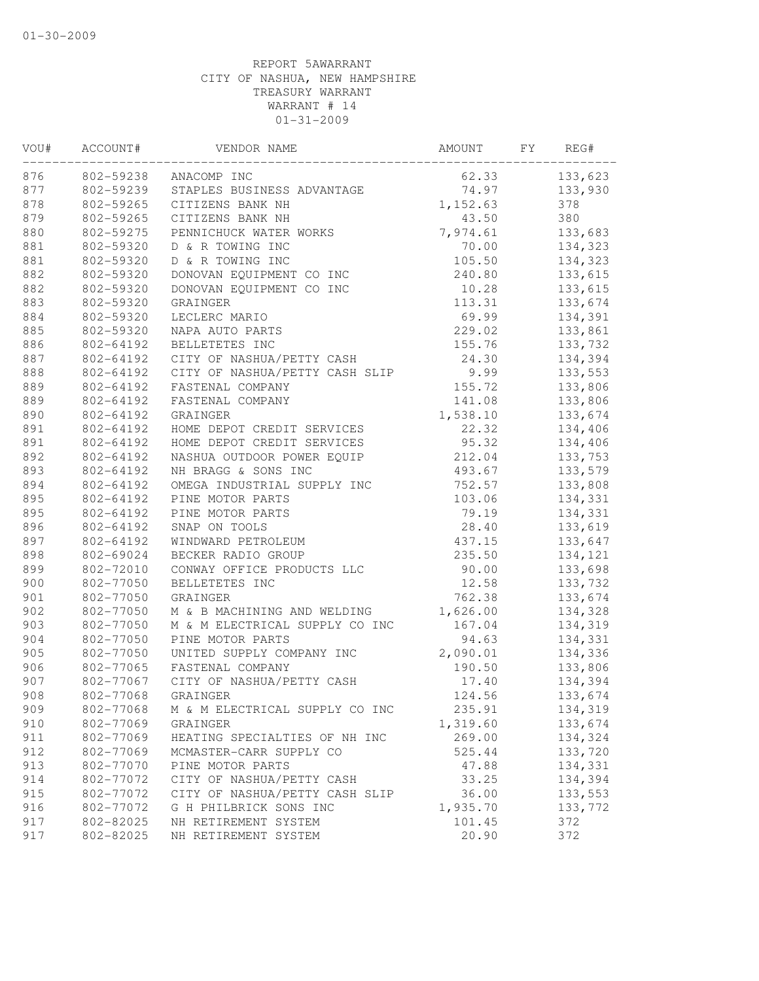| VOU# | ACCOUNT#  | VENDOR NAME                    | AMOUNT   | FY. | REG#    |
|------|-----------|--------------------------------|----------|-----|---------|
| 876  | 802-59238 | ANACOMP INC                    | 62.33    |     | 133,623 |
| 877  | 802-59239 | STAPLES BUSINESS ADVANTAGE     | 74.97    |     | 133,930 |
| 878  | 802-59265 | CITIZENS BANK NH               | 1,152.63 |     | 378     |
| 879  | 802-59265 | CITIZENS BANK NH               | 43.50    |     | 380     |
| 880  | 802-59275 | PENNICHUCK WATER WORKS         | 7,974.61 |     | 133,683 |
| 881  | 802-59320 | D & R TOWING INC               | 70.00    |     | 134,323 |
| 881  | 802-59320 | D & R TOWING INC               | 105.50   |     | 134,323 |
| 882  | 802-59320 | DONOVAN EQUIPMENT CO INC       | 240.80   |     | 133,615 |
| 882  | 802-59320 | DONOVAN EQUIPMENT CO INC       | 10.28    |     | 133,615 |
| 883  | 802-59320 | GRAINGER                       | 113.31   |     | 133,674 |
| 884  | 802-59320 | LECLERC MARIO                  | 69.99    |     | 134,391 |
| 885  | 802-59320 | NAPA AUTO PARTS                | 229.02   |     | 133,861 |
| 886  | 802-64192 | BELLETETES INC                 | 155.76   |     | 133,732 |
| 887  | 802-64192 | CITY OF NASHUA/PETTY CASH      | 24.30    |     | 134,394 |
| 888  | 802-64192 | CITY OF NASHUA/PETTY CASH SLIP | 9.99     |     | 133,553 |
| 889  | 802-64192 | FASTENAL COMPANY               | 155.72   |     | 133,806 |
| 889  | 802-64192 | FASTENAL COMPANY               | 141.08   |     | 133,806 |
| 890  | 802-64192 | GRAINGER                       | 1,538.10 |     | 133,674 |
| 891  | 802-64192 | HOME DEPOT CREDIT SERVICES     | 22.32    |     | 134,406 |
| 891  | 802-64192 | HOME DEPOT CREDIT SERVICES     | 95.32    |     | 134,406 |
| 892  | 802-64192 | NASHUA OUTDOOR POWER EQUIP     | 212.04   |     | 133,753 |
| 893  | 802-64192 | NH BRAGG & SONS INC            | 493.67   |     | 133,579 |
| 894  | 802-64192 | OMEGA INDUSTRIAL SUPPLY INC    | 752.57   |     | 133,808 |
| 895  | 802-64192 | PINE MOTOR PARTS               | 103.06   |     | 134,331 |
| 895  | 802-64192 | PINE MOTOR PARTS               | 79.19    |     | 134,331 |
| 896  | 802-64192 | SNAP ON TOOLS                  | 28.40    |     | 133,619 |
| 897  | 802-64192 | WINDWARD PETROLEUM             | 437.15   |     | 133,647 |
| 898  | 802-69024 | BECKER RADIO GROUP             | 235.50   |     | 134,121 |
| 899  | 802-72010 | CONWAY OFFICE PRODUCTS LLC     | 90.00    |     | 133,698 |
| 900  | 802-77050 | BELLETETES INC                 | 12.58    |     | 133,732 |
| 901  | 802-77050 | GRAINGER                       | 762.38   |     | 133,674 |
| 902  | 802-77050 | M & B MACHINING AND WELDING    | 1,626.00 |     | 134,328 |
| 903  | 802-77050 | M & M ELECTRICAL SUPPLY CO INC | 167.04   |     | 134,319 |
| 904  | 802-77050 | PINE MOTOR PARTS               | 94.63    |     | 134,331 |
| 905  | 802-77050 | UNITED SUPPLY COMPANY INC      | 2,090.01 |     | 134,336 |
| 906  | 802-77065 | FASTENAL COMPANY               | 190.50   |     | 133,806 |
| 907  | 802-77067 | CITY OF NASHUA/PETTY CASH      | 17.40    |     | 134,394 |
| 908  | 802-77068 | GRAINGER                       | 124.56   |     | 133,674 |
| 909  | 802-77068 | M & M ELECTRICAL SUPPLY CO INC | 235.91   |     | 134,319 |
| 910  | 802-77069 | GRAINGER                       | 1,319.60 |     | 133,674 |
| 911  | 802-77069 | HEATING SPECIALTIES OF NH INC  | 269.00   |     | 134,324 |
| 912  | 802-77069 | MCMASTER-CARR SUPPLY CO        | 525.44   |     | 133,720 |
| 913  | 802-77070 | PINE MOTOR PARTS               | 47.88    |     | 134,331 |
| 914  | 802-77072 | CITY OF NASHUA/PETTY CASH      | 33.25    |     | 134,394 |
| 915  | 802-77072 | CITY OF NASHUA/PETTY CASH SLIP | 36.00    |     | 133,553 |
| 916  | 802-77072 | G H PHILBRICK SONS INC         | 1,935.70 |     | 133,772 |
| 917  | 802-82025 | NH RETIREMENT SYSTEM           | 101.45   |     | 372     |
| 917  | 802-82025 | NH RETIREMENT SYSTEM           | 20.90    |     | 372     |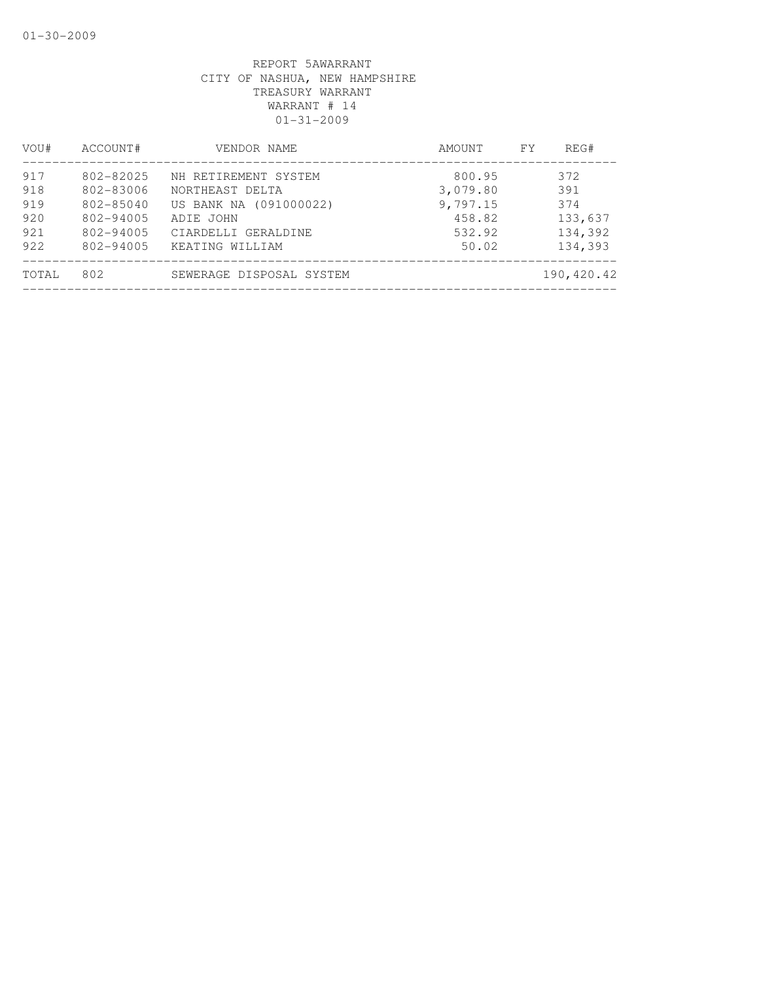| VOU#                                   | ACCOUNT#                                                                       | VENDOR NAME                                                                                                              | AMOUNT                                                      | REG#<br>FY.                                        |
|----------------------------------------|--------------------------------------------------------------------------------|--------------------------------------------------------------------------------------------------------------------------|-------------------------------------------------------------|----------------------------------------------------|
| 917<br>918<br>919<br>920<br>921<br>922 | 802-82025<br>802-83006<br>$802 - 85040$<br>802-94005<br>802-94005<br>802-94005 | NH RETIREMENT SYSTEM<br>NORTHEAST DELTA<br>US BANK NA (091000022)<br>ADIE JOHN<br>CIARDELLI GERALDINE<br>KEATING WILLIAM | 800.95<br>3,079.80<br>9,797.15<br>458.82<br>532.92<br>50.02 | 372<br>391<br>374<br>133,637<br>134,392<br>134,393 |
| TOTAL                                  | 802                                                                            | SEWERAGE DISPOSAL SYSTEM                                                                                                 |                                                             | 190,420.42                                         |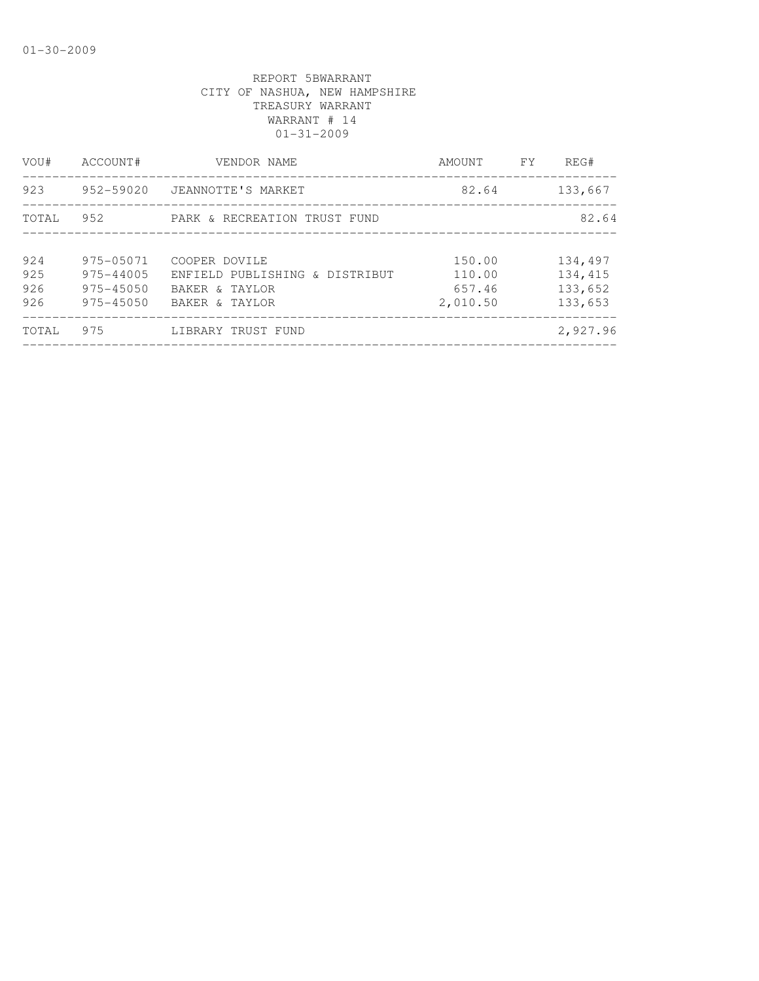| VOU#                     | ACCOUNT#                                                 | VENDOR NAME                                                                         | AMOUNT                                 | FY | REG#                                     |
|--------------------------|----------------------------------------------------------|-------------------------------------------------------------------------------------|----------------------------------------|----|------------------------------------------|
| 923                      | 952-59020                                                | JEANNOTTE'S MARKET                                                                  | 82.64                                  |    | 133,667                                  |
| TOTAL                    | 952                                                      | PARK & RECREATION TRUST FUND                                                        |                                        |    | 82.64                                    |
| 924<br>925<br>926<br>926 | 975-05071<br>975-44005<br>$975 - 45050$<br>$975 - 45050$ | COOPER DOVILE<br>ENFIELD PUBLISHING & DISTRIBUT<br>BAKER & TAYLOR<br>BAKER & TAYLOR | 150.00<br>110.00<br>657.46<br>2,010.50 |    | 134,497<br>134,415<br>133,652<br>133,653 |
| TOTAL                    | 975                                                      | LIBRARY TRUST FUND                                                                  |                                        |    | 2,927.96                                 |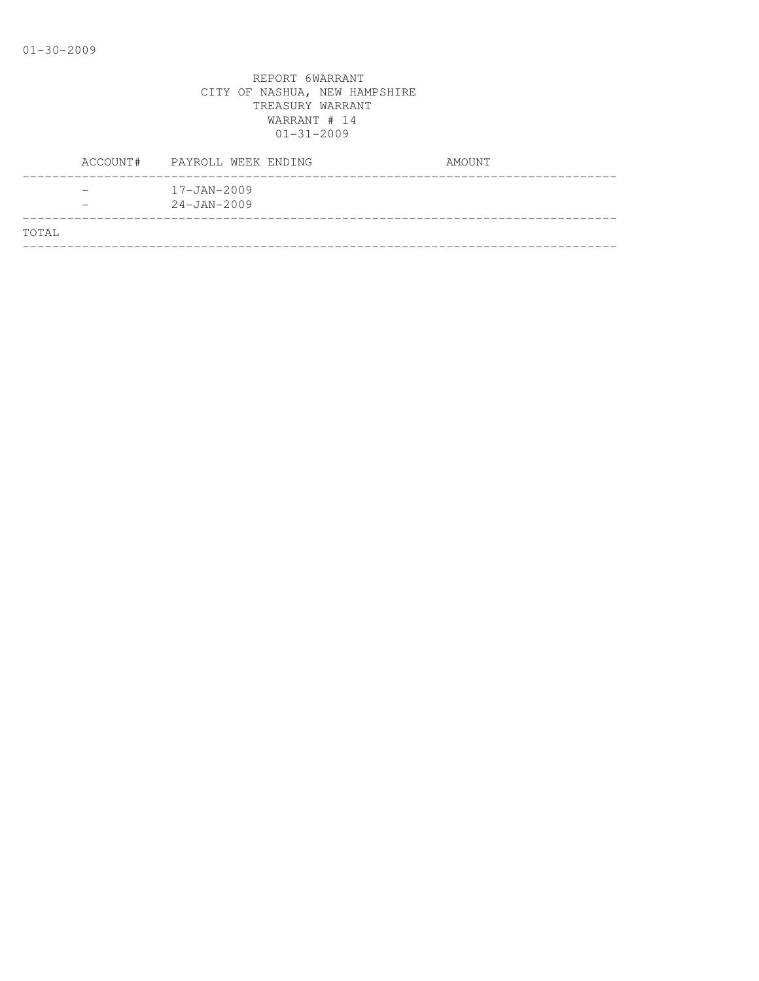|       | ACCOUNT# | PAYROLL WEEK ENDING                    | AMOUNT |
|-------|----------|----------------------------------------|--------|
|       |          | $17 - JAN - 2009$<br>$24 - JAN - 2009$ |        |
| TOTAL |          |                                        |        |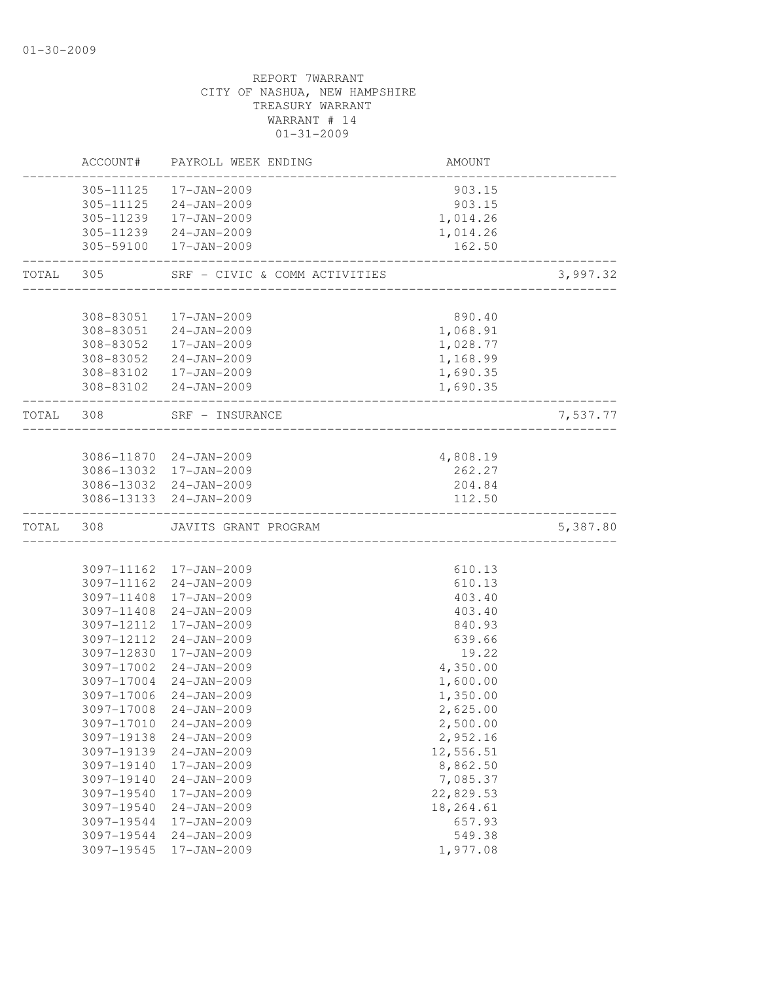|           | ACCOUNT#   | PAYROLL WEEK ENDING                             | AMOUNT               |          |
|-----------|------------|-------------------------------------------------|----------------------|----------|
|           | 305-11125  | 17-JAN-2009                                     | 903.15               |          |
|           |            | 305-11125 24-JAN-2009                           | 903.15               |          |
|           | 305-11239  | 17-JAN-2009                                     | 1,014.26             |          |
|           |            | 305-11239 24-JAN-2009                           | 1,014.26             |          |
|           | 305-59100  | 17-JAN-2009                                     | 162.50               |          |
| TOTAL     | 305        | SRF - CIVIC & COMM ACTIVITIES                   | ________________     | 3,997.32 |
|           |            |                                                 |                      |          |
|           | 308-83051  | 17-JAN-2009                                     | 890.40               |          |
|           |            | 308-83051 24-JAN-2009                           | 1,068.91             |          |
|           |            | 308-83052  17-JAN-2009                          | 1,028.77             |          |
|           | 308-83052  | 24-JAN-2009                                     | 1,168.99             |          |
|           |            | 308-83102  17-JAN-2009<br>308-83102 24-JAN-2009 | 1,690.35<br>1,690.35 |          |
| TOTAL 308 |            | SRF - INSURANCE                                 |                      | 7,537.77 |
|           |            |                                                 |                      |          |
|           |            | 3086-11870 24-JAN-2009                          | 4,808.19             |          |
|           |            | 3086-13032 17-JAN-2009                          | 262.27               |          |
|           |            | 3086-13032 24-JAN-2009                          | 204.84               |          |
|           |            | 3086-13133 24-JAN-2009                          | 112.50               |          |
| TOTAL     | 308        | JAVITS GRANT PROGRAM                            |                      | 5,387.80 |
|           |            |                                                 |                      |          |
|           |            | 3097-11162 17-JAN-2009                          | 610.13               |          |
|           |            | 3097-11162 24-JAN-2009                          | 610.13               |          |
|           | 3097-11408 | 17-JAN-2009                                     | 403.40               |          |
|           | 3097-11408 | $24 - JAN - 2009$                               | 403.40               |          |
|           | 3097-12112 | 17-JAN-2009                                     | 840.93               |          |
|           | 3097-12112 | $24 - JAN - 2009$                               | 639.66               |          |
|           | 3097-12830 | 17-JAN-2009                                     | 19.22                |          |
|           | 3097-17002 | 24-JAN-2009                                     | 4,350.00             |          |
|           | 3097-17004 | $24 - JAN - 2009$                               | 1,600.00             |          |
|           | 3097-17006 | $24 - JAN - 2009$                               | 1,350.00             |          |
|           |            | 3097-17008 24-JAN-2009                          | 2,625.00             |          |
|           | 3097-17010 | $24 - JAN - 2009$                               | 2,500.00             |          |
|           | 3097-19138 | $24 - JAN - 2009$                               | 2,952.16             |          |
|           | 3097-19139 | $24 - JAN - 2009$                               | 12,556.51            |          |
|           | 3097-19140 | 17-JAN-2009                                     | 8,862.50             |          |
|           | 3097-19140 | $24 - JAN - 2009$                               | 7,085.37             |          |
|           | 3097-19540 | 17-JAN-2009                                     | 22,829.53            |          |
|           | 3097-19540 | $24 - JAN - 2009$                               | 18,264.61            |          |
|           | 3097-19544 | 17-JAN-2009                                     | 657.93               |          |
|           | 3097-19544 | $24 - JAN - 2009$                               | 549.38               |          |
|           | 3097-19545 | 17-JAN-2009                                     | 1,977.08             |          |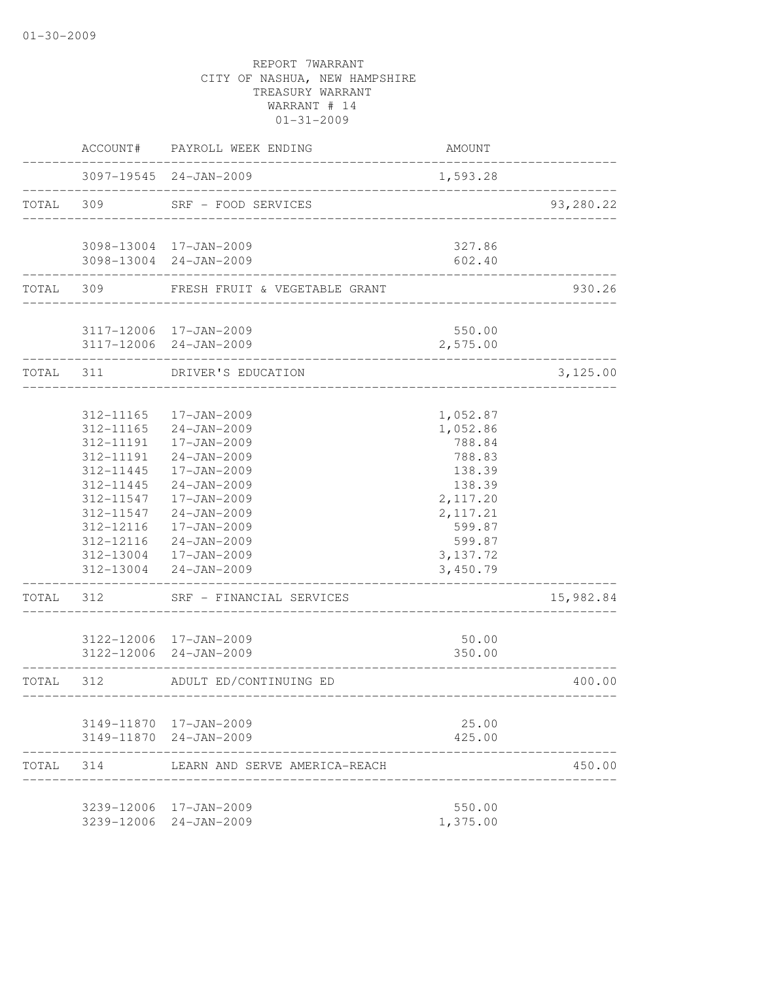|           | ACCOUNT#                                                                                                                 | PAYROLL WEEK ENDING                                                                                                                                                                                                                                          | <b>AMOUNT</b>                                                                                                                      |           |
|-----------|--------------------------------------------------------------------------------------------------------------------------|--------------------------------------------------------------------------------------------------------------------------------------------------------------------------------------------------------------------------------------------------------------|------------------------------------------------------------------------------------------------------------------------------------|-----------|
|           |                                                                                                                          | 3097-19545 24-JAN-2009<br>__________________                                                                                                                                                                                                                 | 1,593.28                                                                                                                           |           |
| TOTAL     | 309                                                                                                                      | SRF - FOOD SERVICES<br>___________________                                                                                                                                                                                                                   |                                                                                                                                    | 93,280.22 |
|           |                                                                                                                          | 3098-13004 17-JAN-2009<br>3098-13004 24-JAN-2009                                                                                                                                                                                                             | 327.86<br>602.40                                                                                                                   |           |
|           | TOTAL 309                                                                                                                | FRESH FRUIT & VEGETABLE GRANT                                                                                                                                                                                                                                |                                                                                                                                    | 930.26    |
|           |                                                                                                                          |                                                                                                                                                                                                                                                              |                                                                                                                                    |           |
|           |                                                                                                                          | 3117-12006 17-JAN-2009<br>3117-12006 24-JAN-2009                                                                                                                                                                                                             | 550.00<br>2,575.00                                                                                                                 |           |
| TOTAL 311 |                                                                                                                          | DRIVER'S EDUCATION                                                                                                                                                                                                                                           |                                                                                                                                    | 3,125.00  |
| TOTAL     | 312-11165<br>312-11165<br>312-11191<br>312-11191<br>312-11445<br>312-11445<br>312-11547<br>312-11547<br>312-12116<br>312 | 17-JAN-2009<br>$24 - JAN - 2009$<br>17-JAN-2009<br>$24 - JAN - 2009$<br>17-JAN-2009<br>24-JAN-2009<br>17-JAN-2009<br>$24 - JAN - 2009$<br>17-JAN-2009<br>312-12116 24-JAN-2009<br>312-13004 17-JAN-2009<br>312-13004 24-JAN-2009<br>SRF - FINANCIAL SERVICES | 1,052.87<br>1,052.86<br>788.84<br>788.83<br>138.39<br>138.39<br>2,117.20<br>2, 117.21<br>599.87<br>599.87<br>3, 137.72<br>3,450.79 | 15,982.84 |
|           |                                                                                                                          | 3122-12006 17-JAN-2009<br>3122-12006 24-JAN-2009                                                                                                                                                                                                             | 50.00<br>350.00                                                                                                                    |           |
| TOTAL     | 312                                                                                                                      | ADULT ED/CONTINUING ED                                                                                                                                                                                                                                       | --------------------------------                                                                                                   | 400.00    |
|           |                                                                                                                          | 3149-11870 17-JAN-2009<br>3149-11870 24-JAN-2009                                                                                                                                                                                                             | 25.00<br>425.00                                                                                                                    |           |
| TOTAL 314 |                                                                                                                          | LEARN AND SERVE AMERICA-REACH                                                                                                                                                                                                                                |                                                                                                                                    | 450.00    |
|           |                                                                                                                          | 3239-12006 17-JAN-2009<br>3239-12006 24-JAN-2009                                                                                                                                                                                                             | 550.00<br>1,375.00                                                                                                                 |           |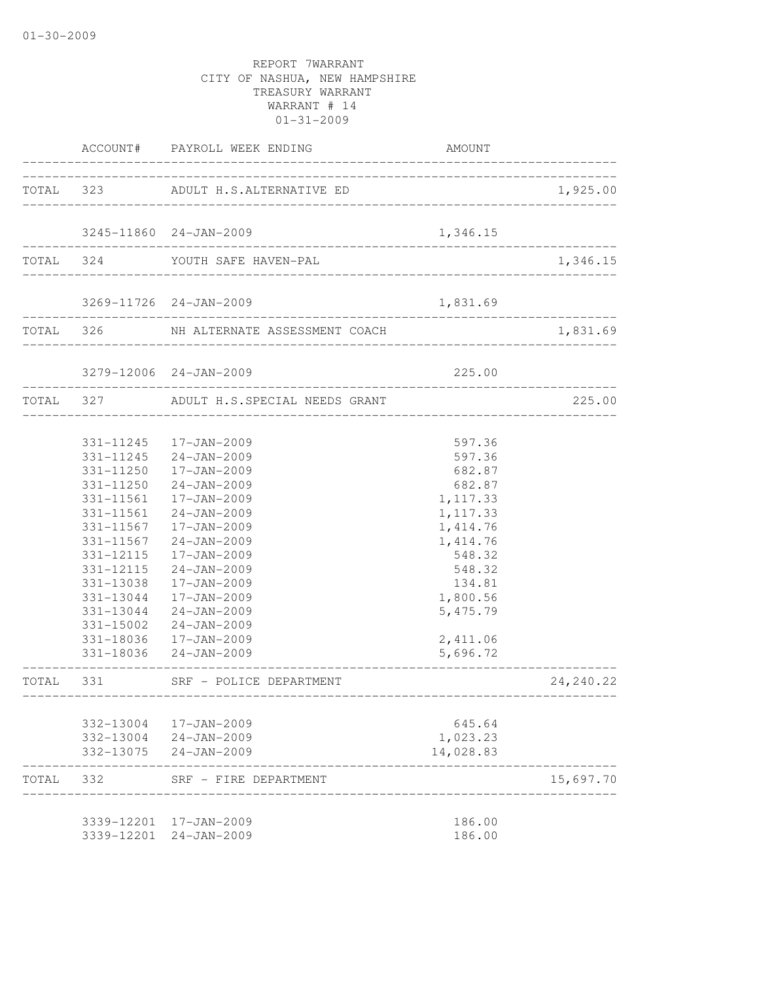|       |            | ACCOUNT# PAYROLL WEEK ENDING               | AMOUNT                |            |
|-------|------------|--------------------------------------------|-----------------------|------------|
|       |            | TOTAL 323 ADULT H.S.ALTERNATIVE ED         |                       | 1,925.00   |
|       |            |                                            |                       |            |
|       |            | 3245-11860 24-JAN-2009                     | 1,346.15              |            |
|       |            | TOTAL 324 YOUTH SAFE HAVEN-PAL             |                       | 1,346.15   |
|       |            | 3269-11726 24-JAN-2009                     | 1,831.69              |            |
|       |            | TOTAL 326 NH ALTERNATE ASSESSMENT COACH    |                       | 1,831.69   |
|       |            | 3279-12006 24-JAN-2009                     | 225.00                |            |
|       |            | TOTAL 327 ADULT H.S.SPECIAL NEEDS GRANT    |                       | 225.00     |
|       |            |                                            |                       |            |
|       |            | 331-11245  17-JAN-2009                     | 597.36                |            |
|       | 331-11245  | 24-JAN-2009                                | 597.36                |            |
|       | 331-11250  | 17-JAN-2009                                | 682.87                |            |
|       | 331-11250  | 24-JAN-2009                                | 682.87                |            |
|       | 331-11561  | 17-JAN-2009                                | 1, 117.33             |            |
|       | 331-11561  | $24 - JAN - 2009$                          | 1,117.33              |            |
|       | 331-11567  | 17-JAN-2009                                | 1, 414.76             |            |
|       | 331-11567  | $24 - JAN - 2009$                          | 1,414.76              |            |
|       | 331-12115  | 17-JAN-2009                                | 548.32                |            |
|       | 331-12115  | $24 - JAN - 2009$                          | 548.32                |            |
|       | 331-13038  | 17-JAN-2009                                | 134.81                |            |
|       | 331-13044  | 17-JAN-2009                                | 1,800.56              |            |
|       | 331-13044  | 24-JAN-2009                                | 5, 475.79             |            |
|       | 331-15002  | 24-JAN-2009                                |                       |            |
|       |            | 331-18036 17-JAN-2009                      | 2,411.06              |            |
|       |            | 331-18036 24-JAN-2009                      | 5,696.72              |            |
| TOTAL | 331        | SRF - POLICE DEPARTMENT                    |                       | 24, 240.22 |
|       |            |                                            |                       |            |
|       | 332-13004  | 17-JAN-2009                                | 645.64                |            |
|       | 332-13075  | 332-13004 24-JAN-2009<br>$24 - JAN - 2009$ | 1,023.23<br>14,028.83 |            |
| TOTAL | 332        | SRF - FIRE DEPARTMENT                      |                       | 15,697.70  |
|       |            |                                            |                       |            |
|       |            | 3339-12201 17-JAN-2009                     | 186.00                |            |
|       | 3339-12201 | $24 - JAN - 2009$                          | 186.00                |            |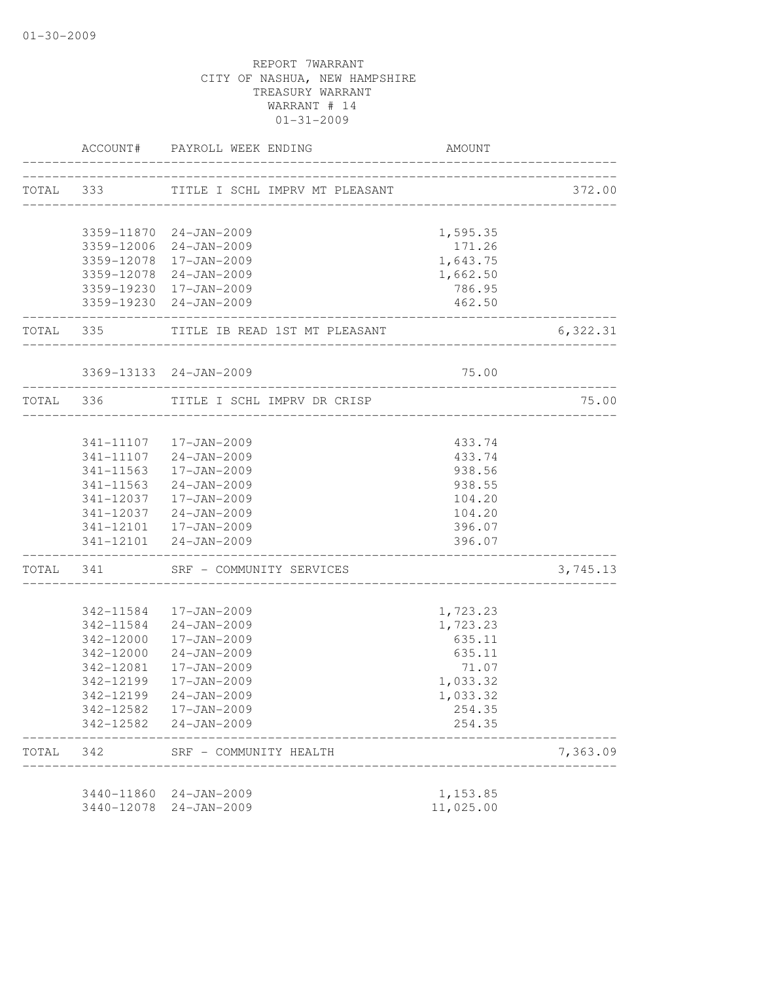|       |                      | ACCOUNT# PAYROLL WEEK ENDING            | AMOUNT                                |          |
|-------|----------------------|-----------------------------------------|---------------------------------------|----------|
|       | TOTAL 333            | TITLE I SCHL IMPRV MT PLEASANT          |                                       | 372.00   |
|       |                      |                                         |                                       |          |
|       |                      | 3359-11870 24-JAN-2009                  | 1,595.35                              |          |
|       |                      | 3359-12006 24-JAN-2009                  | 171.26                                |          |
|       |                      | 3359-12078 17-JAN-2009                  | 1,643.75                              |          |
|       |                      | 3359-12078 24-JAN-2009                  | 1,662.50                              |          |
|       |                      | 3359-19230 17-JAN-2009                  | 786.95                                |          |
|       |                      | 3359-19230 24-JAN-2009                  | 462.50<br>_________________________   |          |
|       | -------------------- | TOTAL 335 TITLE IB READ 1ST MT PLEASANT |                                       | 6,322.31 |
|       |                      | 3369-13133 24-JAN-2009                  | 75.00                                 |          |
|       |                      | TOTAL 336 TITLE I SCHL IMPRV DR CRISP   |                                       | 75.00    |
|       |                      |                                         |                                       |          |
|       |                      | 341-11107  17-JAN-2009                  | 433.74                                |          |
|       |                      | 341-11107 24-JAN-2009                   | 433.74                                |          |
|       |                      | 341-11563  17-JAN-2009                  | 938.56                                |          |
|       |                      | 341-11563 24-JAN-2009                   | 938.55                                |          |
|       |                      | 341-12037  17-JAN-2009                  | 104.20                                |          |
|       |                      | 341-12037 24-JAN-2009                   | 104.20                                |          |
|       |                      | 341-12101  17-JAN-2009                  | 396.07                                |          |
|       | -----------------    | 341-12101 24-JAN-2009                   | 396.07<br>___________________________ |          |
|       |                      | TOTAL 341 SRF - COMMUNITY SERVICES      |                                       | 3,745.13 |
|       |                      | 342-11584  17-JAN-2009                  | 1,723.23                              |          |
|       |                      | 342-11584 24-JAN-2009                   | 1,723.23                              |          |
|       | 342-12000            | 17-JAN-2009                             | 635.11                                |          |
|       | 342-12000            | 24-JAN-2009                             | 635.11                                |          |
|       | 342-12081            | 17-JAN-2009                             | 71.07                                 |          |
|       | 342-12199            | 17-JAN-2009                             | 1,033.32                              |          |
|       | 342-12199            | 24-JAN-2009                             | 1,033.32                              |          |
|       | 342-12582            | 17-JAN-2009                             | 254.35                                |          |
|       | 342-12582            | $24 - JAN - 2009$                       | 254.35                                |          |
| TOTAL | 342                  | SRF - COMMUNITY HEALTH                  |                                       | 7,363.09 |
|       |                      |                                         |                                       |          |
|       |                      | 3440-11860 24-JAN-2009                  | 1,153.85                              |          |
|       | 3440-12078           | $24 - JAN - 2009$                       | 11,025.00                             |          |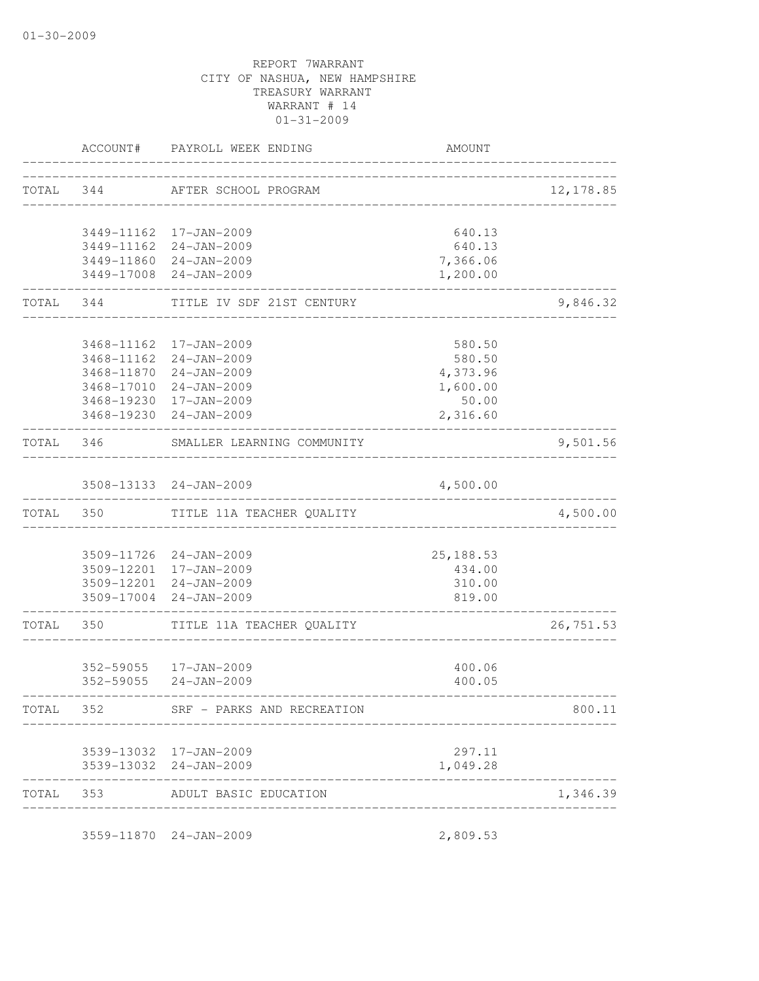| TOTAL 344 |                                   | AFTER SCHOOL PROGRAM                             |                                        | 12, 178.85 |
|-----------|-----------------------------------|--------------------------------------------------|----------------------------------------|------------|
|           |                                   |                                                  |                                        |            |
|           |                                   | 3449-11162 17-JAN-2009                           | 640.13                                 |            |
|           |                                   | 3449-11162 24-JAN-2009<br>3449-11860 24-JAN-2009 | 640.13                                 |            |
|           |                                   | 3449-17008 24-JAN-2009                           | 7,366.06<br>1,200.00                   |            |
|           | . _ _ _ _ _ _ _ _ _ _ _ _ _ _ _ _ | TOTAL 344 TITLE IV SDF 21ST CENTURY              |                                        | 9,846.32   |
|           |                                   | 3468-11162 17-JAN-2009                           | 580.50                                 |            |
|           |                                   | 3468-11162 24-JAN-2009                           | 580.50                                 |            |
|           |                                   | 3468-11870 24-JAN-2009                           | 4,373.96                               |            |
|           |                                   | 3468-17010 24-JAN-2009                           | 1,600.00                               |            |
|           |                                   | 3468-19230 17-JAN-2009                           | 50.00                                  |            |
|           | ---------------------             | 3468-19230 24-JAN-2009                           | 2,316.60                               |            |
|           |                                   | TOTAL 346 SMALLER LEARNING COMMUNITY             | __________________________________     | 9,501.56   |
|           |                                   | 3508-13133 24-JAN-2009                           | 4,500.00                               |            |
|           |                                   | TOTAL 350 TITLE 11A TEACHER QUALITY              |                                        | 4,500.00   |
|           |                                   | 3509-11726 24-JAN-2009                           | 25, 188.53                             |            |
|           |                                   | 3509-12201 17-JAN-2009                           | 434.00                                 |            |
|           |                                   | 3509-12201 24-JAN-2009                           | 310.00                                 |            |
|           |                                   | 3509-17004 24-JAN-2009                           | 819.00                                 |            |
| TOTAL 350 |                                   | TITLE 11A TEACHER QUALITY                        | . _ _ _ _ _ _ _ _ _ _ _ _ _ _ _ _ _ _  | 26,751.53  |
|           |                                   | 352-59055  17-JAN-2009                           |                                        |            |
|           |                                   | 352-59055 24-JAN-2009                            | 400.06<br>400.05                       |            |
| TOTAL     | 352                               | SRF - PARKS AND RECREATION                       |                                        | 800.11     |
|           |                                   |                                                  |                                        |            |
|           |                                   | 3539-13032 17-JAN-2009<br>3539-13032 24-JAN-2009 | 297.11<br>1,049.28                     |            |
| TOTAL     | 353                               | ADULT BASIC EDUCATION                            | ______________________________________ | 1,346.39   |
|           |                                   | 3559-11870 24-JAN-2009                           | 2,809.53                               |            |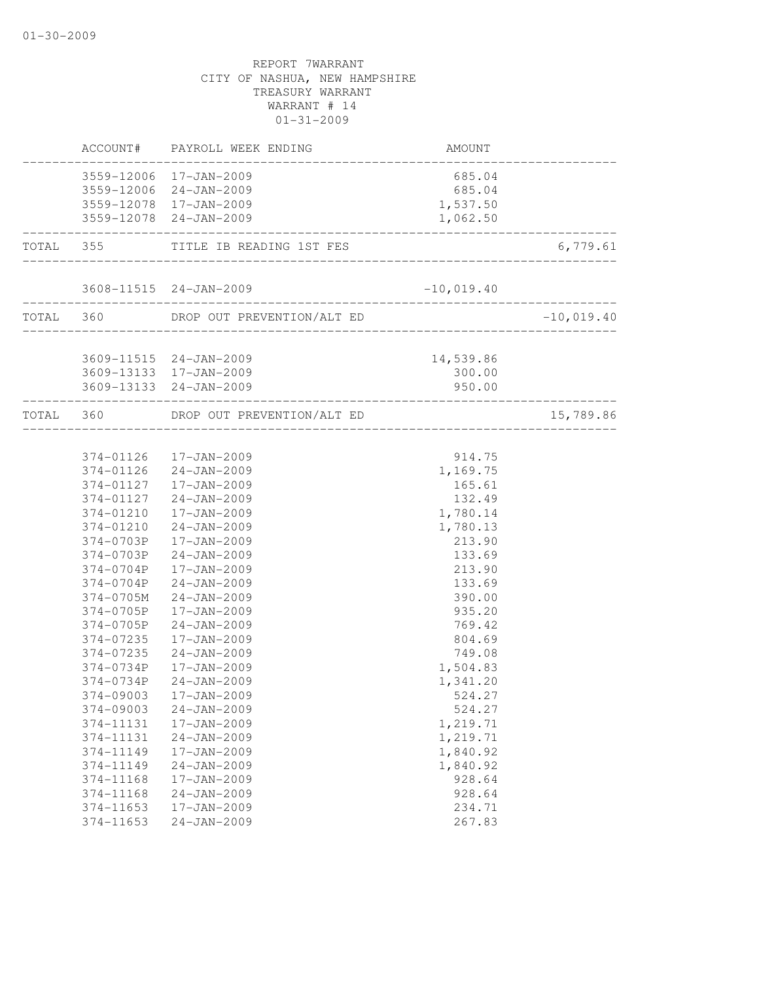|                        | ACCOUNT# PAYROLL WEEK ENDING                     | <b>AMOUNT</b>                  |              |
|------------------------|--------------------------------------------------|--------------------------------|--------------|
|                        | 3559-12006 17-JAN-2009<br>3559-12006 24-JAN-2009 | 685.04<br>685.04               |              |
|                        | 3559-12078 17-JAN-2009                           | 1,537.50                       |              |
|                        | 3559-12078 24-JAN-2009                           | 1,062.50<br>------------------ |              |
|                        | TOTAL 355 TITLE IB READING 1ST FES               |                                | 6,779.61     |
|                        | 3608-11515 24-JAN-2009                           | $-10,019.40$                   |              |
|                        | TOTAL 360 DROP OUT PREVENTION/ALT ED             |                                | $-10,019.40$ |
|                        | 3609-11515 24-JAN-2009                           | 14,539.86                      |              |
|                        | 3609-13133 17-JAN-2009                           | 300.00                         |              |
|                        | 3609-13133 24-JAN-2009                           | 950.00                         |              |
|                        | TOTAL 360 DROP OUT PREVENTION/ALT ED             | ____________________           | 15,789.86    |
|                        |                                                  |                                |              |
|                        | 374-01126  17-JAN-2009<br>374-01126 24-JAN-2009  | 914.75<br>1,169.75             |              |
|                        | 374-01127  17-JAN-2009                           | 165.61                         |              |
|                        | 374-01127 24-JAN-2009                            | 132.49                         |              |
| 374-01210              | 17-JAN-2009                                      | 1,780.14                       |              |
| 374-01210              | 24-JAN-2009                                      | 1,780.13                       |              |
| 374-0703P              | 17-JAN-2009                                      | 213.90                         |              |
|                        | 374-0703P 24-JAN-2009                            | 133.69                         |              |
| 374-0704P              | 17-JAN-2009                                      | 213.90                         |              |
| 374-0704P              | 24-JAN-2009                                      | 133.69                         |              |
| 374-0705M              | 24-JAN-2009                                      | 390.00                         |              |
| 374-0705P              | 17-JAN-2009                                      | 935.20                         |              |
| 374-0705P              | $24 - JAN - 2009$                                | 769.42                         |              |
| 374-07235              | 17-JAN-2009                                      | 804.69                         |              |
| 374-07235<br>374-0734P | $24 - JAN - 2009$<br>17-JAN-2009                 | 749.08                         |              |
| 374-0734P              | $24 - JAN - 2009$                                | 1,504.83<br>1,341.20           |              |
| 374-09003              | 17-JAN-2009                                      | 524.27                         |              |
| 374-09003              | $24 - JAN - 2009$                                | 524.27                         |              |
| 374-11131              | 17-JAN-2009                                      | 1,219.71                       |              |
| 374-11131              | $24 - JAN - 2009$                                | 1,219.71                       |              |
| 374-11149              | 17-JAN-2009                                      | 1,840.92                       |              |
| 374-11149              | $24 - JAN - 2009$                                | 1,840.92                       |              |
| 374-11168              | 17-JAN-2009                                      | 928.64                         |              |
| 374-11168              | $24 - JAN - 2009$                                | 928.64                         |              |
| 374-11653              | 17-JAN-2009                                      | 234.71                         |              |
| 374-11653              | $24 - JAN - 2009$                                | 267.83                         |              |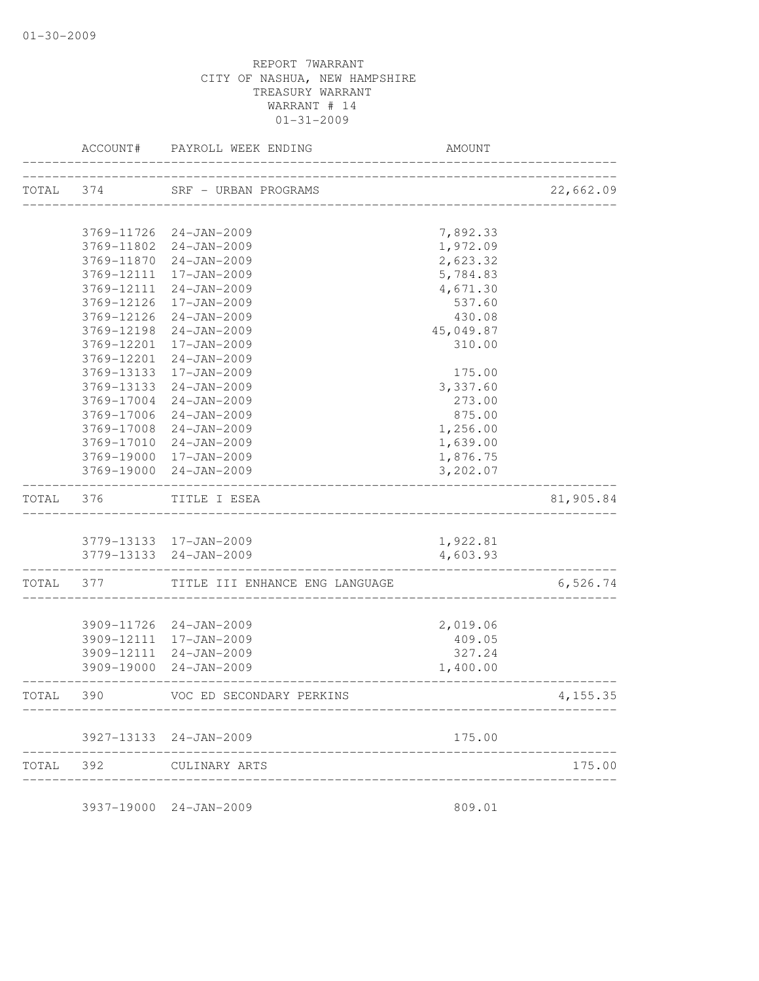|       | ACCOUNT#                                | PAYROLL WEEK ENDING            | AMOUNT    |           |
|-------|-----------------------------------------|--------------------------------|-----------|-----------|
| TOTAL | 374                                     | SRF - URBAN PROGRAMS           |           | 22,662.09 |
|       |                                         |                                |           |           |
|       | 3769-11726                              | $24 - JAN - 2009$              | 7,892.33  |           |
|       | 3769-11802                              | $24 - JAN - 2009$              | 1,972.09  |           |
|       | 3769-11870                              | $24 - JAN - 2009$              | 2,623.32  |           |
|       | 3769-12111                              | 17-JAN-2009                    | 5,784.83  |           |
|       | 3769-12111                              | $24 - JAN - 2009$              | 4,671.30  |           |
|       | 3769-12126                              | 17-JAN-2009                    | 537.60    |           |
|       | 3769-12126                              | $24 - JAN - 2009$              | 430.08    |           |
|       | 3769-12198                              | $24 - JAN - 2009$              | 45,049.87 |           |
|       | 3769-12201                              | 17-JAN-2009                    | 310.00    |           |
|       | 3769-12201                              | $24 - JAN - 2009$              |           |           |
|       | 3769-13133                              | 17-JAN-2009                    | 175.00    |           |
|       | 3769-13133                              | $24 - JAN - 2009$              | 3,337.60  |           |
|       | 3769-17004                              | $24 - JAN - 2009$              | 273.00    |           |
|       | 3769-17006                              | $24 - JAN - 2009$              | 875.00    |           |
|       | 3769-17008                              | $24 - JAN - 2009$              | 1,256.00  |           |
|       | 3769-17010                              | $24 - JAN - 2009$              | 1,639.00  |           |
|       | 3769-19000                              | 17-JAN-2009                    | 1,876.75  |           |
|       | 3769-19000                              | $24 - JAN - 2009$              | 3,202.07  |           |
| TOTAL | 376                                     | TITLE I ESEA                   |           | 81,905.84 |
|       |                                         |                                |           |           |
|       |                                         | 3779-13133 17-JAN-2009         | 1,922.81  |           |
|       | 3779-13133<br>. _ _ _ _ _ _ _ _ _ _ _ _ | 24-JAN-2009                    | 4,603.93  |           |
| TOTAL | 377                                     | TITLE III ENHANCE ENG LANGUAGE |           | 6,526.74  |
|       |                                         |                                |           |           |
|       | 3909-11726                              | 24-JAN-2009                    | 2,019.06  |           |
|       | 3909-12111                              | 17-JAN-2009                    | 409.05    |           |
|       | 3909-12111                              | $24 - JAN - 2009$              | 327.24    |           |
|       | 3909-19000                              | 24-JAN-2009                    | 1,400.00  |           |
| TOTAL | 390                                     | VOC ED SECONDARY PERKINS       |           | 4, 155.35 |
|       |                                         | 3927-13133 24-JAN-2009         | 175.00    |           |
| TOTAL | 392                                     | CULINARY ARTS                  |           | 175.00    |
|       |                                         |                                |           |           |

3937-19000 24-JAN-2009 809.01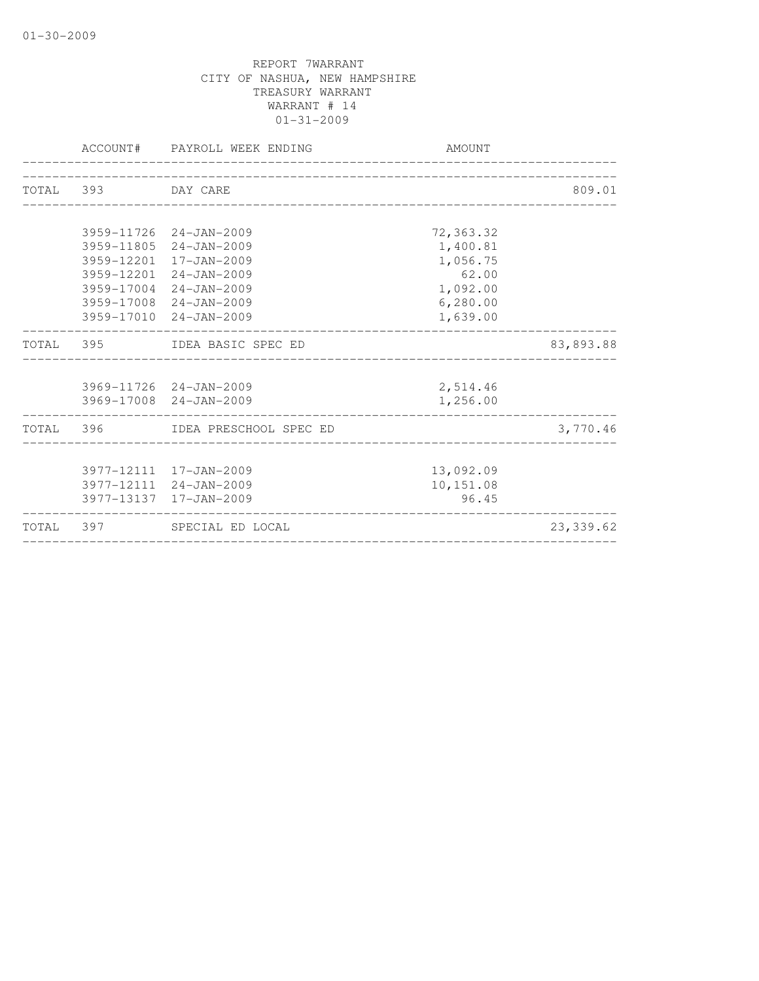|           |                    | ACCOUNT# PAYROLL WEEK ENDING     | AMOUNT    |            |
|-----------|--------------------|----------------------------------|-----------|------------|
|           |                    |                                  |           |            |
|           | TOTAL 393 DAY CARE |                                  |           | 809.01     |
|           |                    |                                  |           |            |
|           |                    | 3959-11726 24-JAN-2009           | 72,363.32 |            |
|           |                    | 3959-11805 24-JAN-2009           | 1,400.81  |            |
|           |                    | 3959-12201 17-JAN-2009           | 1,056.75  |            |
|           |                    | 3959-12201 24-JAN-2009           | 62.00     |            |
|           |                    | 3959-17004 24-JAN-2009           | 1,092.00  |            |
|           |                    | 3959-17008 24-JAN-2009           | 6, 280.00 |            |
|           |                    | 3959-17010 24-JAN-2009           | 1,639.00  |            |
|           |                    | TOTAL 395 IDEA BASIC SPEC ED     |           | 83,893.88  |
|           |                    |                                  |           |            |
|           |                    | 3969-11726 24-JAN-2009           | 2,514.46  |            |
|           |                    | 3969-17008 24-JAN-2009           | 1,256.00  |            |
|           |                    | TOTAL 396 IDEA PRESCHOOL SPEC ED |           | 3,770.46   |
|           |                    |                                  |           |            |
|           |                    | 3977-12111 17-JAN-2009           | 13,092.09 |            |
|           |                    | 3977-12111 24-JAN-2009           | 10,151.08 |            |
|           |                    | 3977-13137 17-JAN-2009           | 96.45     |            |
| TOTAL 397 |                    | SPECIAL ED LOCAL                 |           | 23, 339.62 |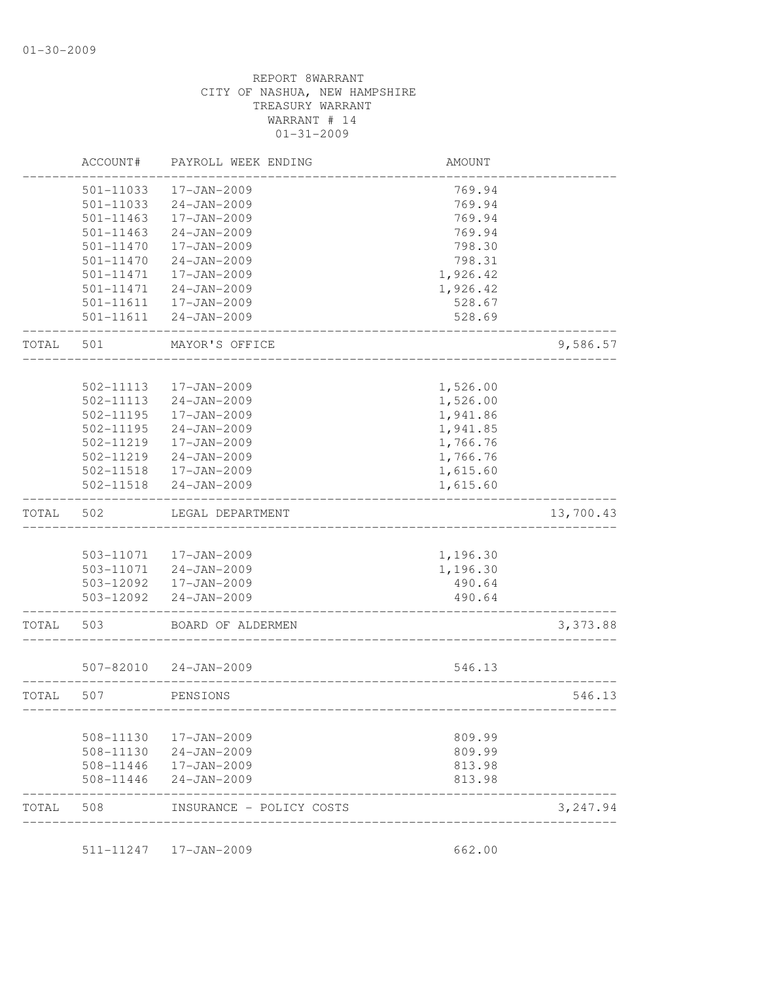| TOTAL | 508                    | INSURANCE - POLICY COSTS               |                      | 3,247.94  |
|-------|------------------------|----------------------------------------|----------------------|-----------|
|       | 508-11446              | $24 - JAN - 2009$                      | 813.98               |           |
|       | 508-11446              | 17-JAN-2009                            | 813.98               |           |
|       | 508-11130<br>508-11130 | 17-JAN-2009<br>$24 - JAN - 2009$       | 809.99<br>809.99     |           |
|       |                        |                                        |                      |           |
| TOTAL | 507                    | PENSIONS                               |                      | 546.13    |
|       | 507-82010              | 24-JAN-2009                            | 546.13               |           |
| TOTAL | 503                    | BOARD OF ALDERMEN                      |                      | 3,373.88  |
|       | 503-12092              | 24-JAN-2009                            | 490.64               |           |
|       |                        | 503-12092  17-JAN-2009                 | 490.64               |           |
|       |                        | 503-11071 24-JAN-2009                  | 1,196.30             |           |
|       | 503-11071              | 17-JAN-2009                            | 1,196.30             |           |
| TOTAL | 502                    | LEGAL DEPARTMENT                       |                      | 13,700.43 |
|       | 502-11518              | $24 - JAN - 2009$                      | 1,615.60             |           |
|       | 502-11518              | 17-JAN-2009                            | 1,615.60             |           |
|       | 502-11219              | $24 - JAN - 2009$                      | 1,766.76             |           |
|       | 502-11219              | 17-JAN-2009                            | 1,766.76             |           |
|       | 502-11195              | $24 - JAN - 2009$                      | 1,941.85             |           |
|       | 502-11113<br>502-11195 | $24 - JAN - 2009$<br>$17 - JAN - 2009$ | 1,526.00<br>1,941.86 |           |
|       | 502-11113              | 17-JAN-2009                            | 1,526.00             |           |
| TOTAL | 501                    | MAYOR'S OFFICE                         |                      | 9,586.57  |
|       | 501-11611              | $24 - JAN - 2009$                      | 528.69               |           |
|       | 501-11611              | $17 - JAN - 2009$                      | 528.67               |           |
|       | 501-11471              | 24-JAN-2009                            | 1,926.42             |           |
|       | 501-11471              | 17-JAN-2009                            | 1,926.42             |           |
|       | 501-11470              | $24 - JAN - 2009$                      | 798.31               |           |
|       | 501-11470              | 17-JAN-2009                            | 798.30               |           |
|       | 501-11463              | $24 - JAN - 2009$                      | 769.94               |           |
|       | 501-11033<br>501-11463 | $24 - JAN - 2009$<br>17-JAN-2009       | 769.94<br>769.94     |           |
|       | 501-11033              | 17-JAN-2009                            | 769.94               |           |
|       |                        |                                        |                      |           |
|       | ACCOUNT#               | PAYROLL WEEK ENDING                    | AMOUNT               |           |

511-11247 17-JAN-2009 662.00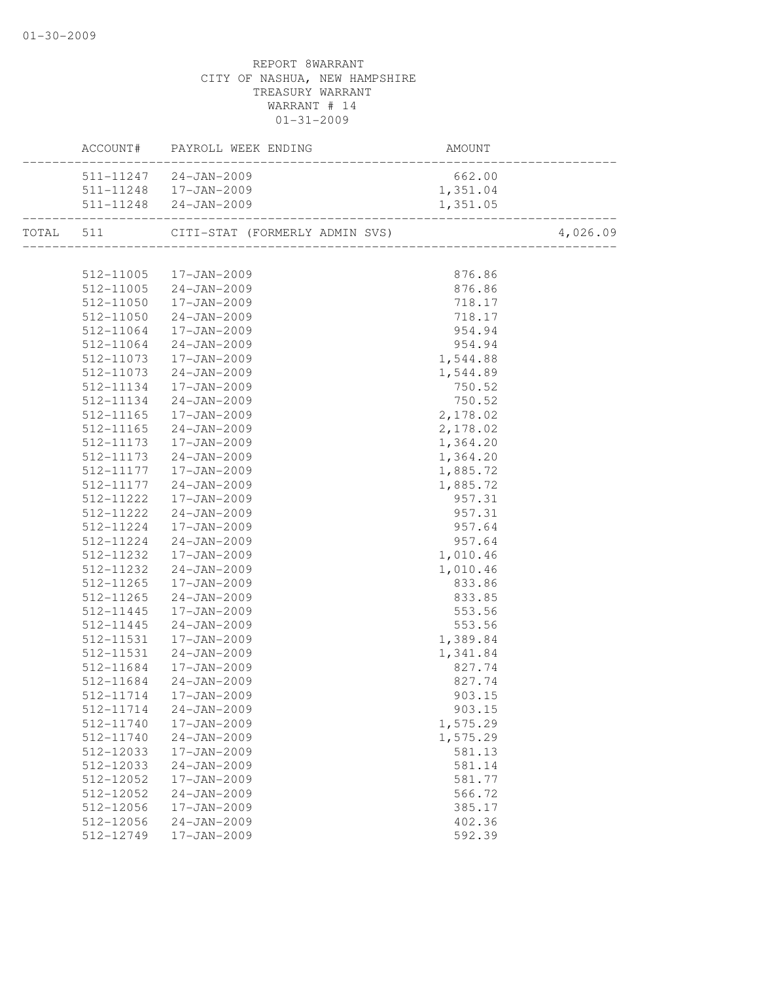| ACCOUNT#  | PAYROLL WEEK ENDING    | AMOUNT   |          |
|-----------|------------------------|----------|----------|
|           | 511-11247 24-JAN-2009  | 662.00   |          |
|           | 511-11248  17-JAN-2009 | 1,351.04 |          |
|           | 511-11248 24-JAN-2009  | 1,351.05 |          |
|           |                        |          | 4,026.09 |
|           |                        |          |          |
|           | 512-11005  17-JAN-2009 | 876.86   |          |
|           | 512-11005 24-JAN-2009  | 876.86   |          |
|           | 512-11050  17-JAN-2009 | 718.17   |          |
| 512-11050 | 24-JAN-2009            | 718.17   |          |
| 512-11064 | 17-JAN-2009            | 954.94   |          |
| 512-11064 | $24 - JAN - 2009$      | 954.94   |          |
| 512-11073 | 17-JAN-2009            | 1,544.88 |          |
| 512-11073 | 24-JAN-2009            | 1,544.89 |          |
| 512-11134 | 17-JAN-2009            | 750.52   |          |
| 512-11134 | $24 - JAN - 2009$      | 750.52   |          |
| 512-11165 | 17-JAN-2009            | 2,178.02 |          |
| 512-11165 | 24-JAN-2009            | 2,178.02 |          |
| 512-11173 | 17-JAN-2009            | 1,364.20 |          |
| 512-11173 | 24-JAN-2009            | 1,364.20 |          |
| 512-11177 | 17-JAN-2009            | 1,885.72 |          |
| 512-11177 | $24 - JAN - 2009$      | 1,885.72 |          |
| 512-11222 | 17-JAN-2009            | 957.31   |          |
| 512-11222 | 24-JAN-2009            | 957.31   |          |
| 512-11224 | 17-JAN-2009            | 957.64   |          |
| 512-11224 | 24-JAN-2009            | 957.64   |          |
| 512-11232 | 17-JAN-2009            | 1,010.46 |          |
| 512-11232 | 24-JAN-2009            | 1,010.46 |          |
| 512-11265 | 17-JAN-2009            | 833.86   |          |
| 512-11265 | 24-JAN-2009            | 833.85   |          |
| 512-11445 | 17-JAN-2009            | 553.56   |          |
| 512-11445 | 24-JAN-2009            | 553.56   |          |
| 512-11531 | 17-JAN-2009            | 1,389.84 |          |
| 512-11531 | 24-JAN-2009            | 1,341.84 |          |
| 512-11684 | 17-JAN-2009            | 827.74   |          |
| 512-11684 | $24 - JAN - 2009$      | 827.74   |          |
|           | 512-11714  17-JAN-2009 | 903.15   |          |
| 512-11714 | $24 - JAN - 2009$      | 903.15   |          |
| 512-11740 | 17-JAN-2009            | 1,575.29 |          |
| 512-11740 | $24 - JAN - 2009$      | 1,575.29 |          |
| 512-12033 | 17-JAN-2009            | 581.13   |          |
| 512-12033 | $24 - JAN - 2009$      | 581.14   |          |
| 512-12052 | 17-JAN-2009            | 581.77   |          |
| 512-12052 | $24 - JAN - 2009$      | 566.72   |          |
| 512-12056 | 17-JAN-2009            | 385.17   |          |
| 512-12056 | 24-JAN-2009            | 402.36   |          |
| 512-12749 | 17-JAN-2009            | 592.39   |          |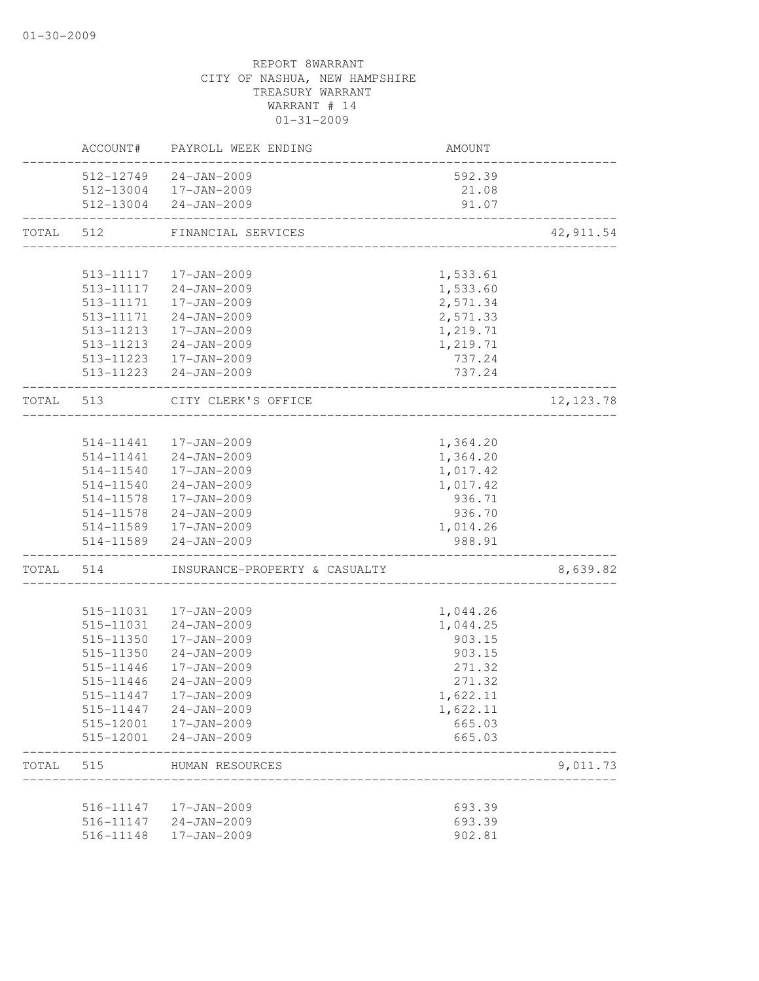|           | ACCOUNT#  | PAYROLL WEEK ENDING           | AMOUNT   |            |
|-----------|-----------|-------------------------------|----------|------------|
|           |           | 512-12749 24-JAN-2009         | 592.39   |            |
|           |           | 512-13004 17-JAN-2009         | 21.08    |            |
|           |           | 512-13004 24-JAN-2009         | 91.07    |            |
| TOTAL     | 512       | FINANCIAL SERVICES            |          | 42, 911.54 |
|           |           |                               |          |            |
|           | 513-11117 | 17-JAN-2009                   | 1,533.61 |            |
|           |           | 513-11117 24-JAN-2009         | 1,533.60 |            |
|           |           | 513-11171  17-JAN-2009        | 2,571.34 |            |
|           |           | 513-11171 24-JAN-2009         | 2,571.33 |            |
|           | 513-11213 | 17-JAN-2009                   | 1,219.71 |            |
|           | 513-11213 | 24-JAN-2009                   | 1,219.71 |            |
|           |           | 513-11223 17-JAN-2009         | 737.24   |            |
|           |           | 513-11223 24-JAN-2009         | 737.24   |            |
| TOTAL 513 |           | CITY CLERK'S OFFICE           |          | 12, 123.78 |
|           |           |                               |          |            |
|           |           | 514-11441  17-JAN-2009        | 1,364.20 |            |
|           |           | 514-11441 24-JAN-2009         | 1,364.20 |            |
|           | 514-11540 | 17-JAN-2009                   | 1,017.42 |            |
|           | 514-11540 | 24-JAN-2009                   | 1,017.42 |            |
|           | 514-11578 | 17-JAN-2009                   | 936.71   |            |
|           | 514-11578 | $24 - JAN - 2009$             | 936.70   |            |
|           |           | 514-11589  17-JAN-2009        | 1,014.26 |            |
|           |           | 514-11589 24-JAN-2009         | 988.91   |            |
| TOTAL     | 514       | INSURANCE-PROPERTY & CASUALTY |          | 8,639.82   |
|           |           |                               |          |            |
|           | 515-11031 | 17-JAN-2009                   | 1,044.26 |            |
|           | 515-11031 | $24 - JAN - 2009$             | 1,044.25 |            |
|           | 515-11350 | 17-JAN-2009                   | 903.15   |            |
|           | 515-11350 | $24 - JAN - 2009$             | 903.15   |            |
|           | 515-11446 | 17-JAN-2009                   | 271.32   |            |
|           | 515-11446 | $24 - JAN - 2009$             | 271.32   |            |
|           | 515-11447 | 17-JAN-2009                   | 1,622.11 |            |
|           | 515-11447 | $24 - JAN - 2009$             | 1,622.11 |            |
|           | 515-12001 | 17-JAN-2009                   | 665.03   |            |
|           | 515-12001 | $24 - JAN - 2009$             | 665.03   |            |
| TOTAL     | 515       | HUMAN RESOURCES               |          | 9,011.73   |
|           |           |                               |          |            |
|           | 516-11147 | 17-JAN-2009                   | 693.39   |            |
|           | 516-11147 | 24-JAN-2009                   | 693.39   |            |
|           | 516-11148 | 17-JAN-2009                   | 902.81   |            |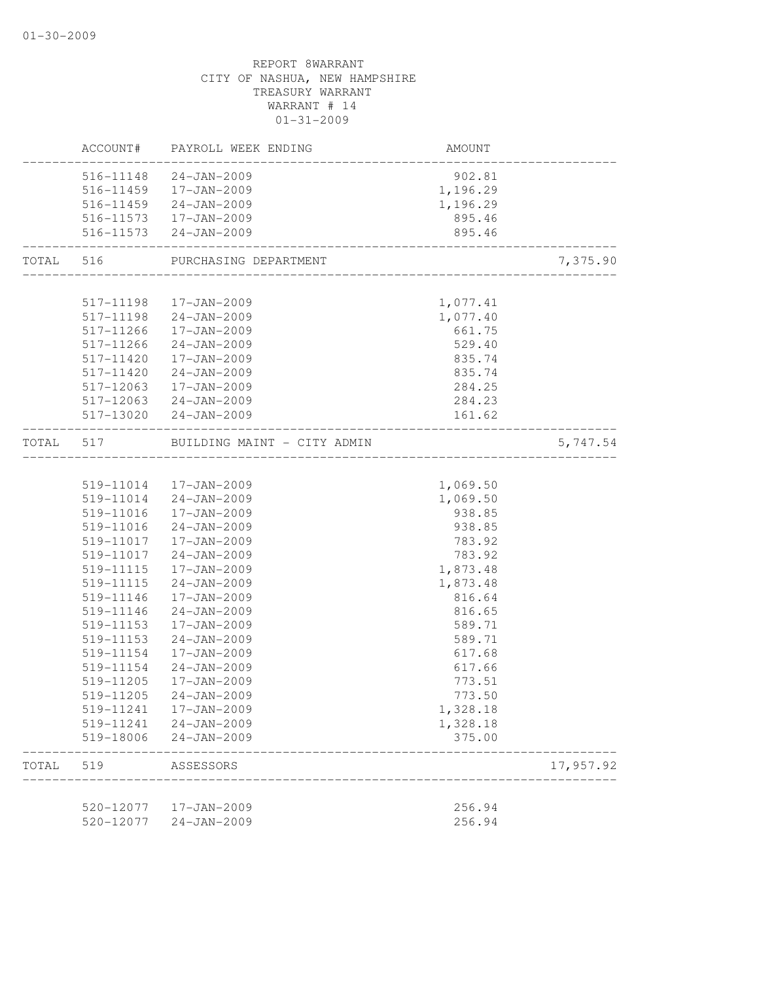|           | ACCOUNT#  | PAYROLL WEEK ENDING         | <b>AMOUNT</b>                               |           |
|-----------|-----------|-----------------------------|---------------------------------------------|-----------|
|           |           | 516-11148 24-JAN-2009       | 902.81                                      |           |
|           |           | 516-11459  17-JAN-2009      | 1,196.29                                    |           |
|           |           | 516-11459 24-JAN-2009       | 1,196.29                                    |           |
|           |           | 516-11573  17-JAN-2009      | 895.46                                      |           |
|           |           | 516-11573 24-JAN-2009       | 895.46<br>--------------------------------- |           |
| TOTAL 516 |           | PURCHASING DEPARTMENT       |                                             | 7,375.90  |
|           |           |                             |                                             |           |
|           |           | 517-11198  17-JAN-2009      | 1,077.41                                    |           |
|           |           | 517-11198 24-JAN-2009       | 1,077.40                                    |           |
|           | 517-11266 | 17-JAN-2009                 | 661.75                                      |           |
|           | 517-11266 | 24-JAN-2009                 | 529.40                                      |           |
|           | 517-11420 | 17-JAN-2009                 | 835.74                                      |           |
|           | 517-11420 | 24-JAN-2009                 | 835.74                                      |           |
|           | 517-12063 | 17-JAN-2009                 | 284.25                                      |           |
|           |           | 517-12063 24-JAN-2009       | 284.23                                      |           |
|           |           | 517-13020 24-JAN-2009       | 161.62<br>. _ _ _ _ _ _ _ _ _ _ _ _         |           |
| TOTAL     | 517       | BUILDING MAINT - CITY ADMIN |                                             | 5,747.54  |
|           |           |                             |                                             |           |
|           |           | 519-11014  17-JAN-2009      | 1,069.50                                    |           |
|           |           | 519-11014 24-JAN-2009       | 1,069.50                                    |           |
|           | 519-11016 | 17-JAN-2009                 | 938.85                                      |           |
|           | 519-11016 | 24-JAN-2009                 | 938.85                                      |           |
|           | 519-11017 | 17-JAN-2009                 | 783.92                                      |           |
|           | 519-11017 | 24-JAN-2009                 | 783.92                                      |           |
|           | 519-11115 | 17-JAN-2009                 | 1,873.48                                    |           |
|           | 519-11115 | $24 - JAN - 2009$           | 1,873.48                                    |           |
|           | 519-11146 | 17-JAN-2009                 | 816.64                                      |           |
|           | 519-11146 | $24 - JAN - 2009$           | 816.65                                      |           |
|           | 519-11153 | 17-JAN-2009                 | 589.71                                      |           |
|           | 519-11153 | $24 - JAN - 2009$           | 589.71                                      |           |
|           | 519-11154 | 17-JAN-2009                 | 617.68                                      |           |
|           | 519-11154 | $24 - JAN - 2009$           | 617.66                                      |           |
|           | 519-11205 | 17-JAN-2009                 | 773.51                                      |           |
|           | 519-11205 | 24-JAN-2009                 | 773.50                                      |           |
|           | 519-11241 | 17-JAN-2009                 | 1,328.18                                    |           |
|           | 519-11241 | 24-JAN-2009                 | 1,328.18                                    |           |
|           | 519-18006 | $24 - JAN - 2009$           | 375.00                                      |           |
| TOTAL     | 519       | ASSESSORS                   |                                             | 17,957.92 |
|           |           |                             |                                             |           |
|           | 520-12077 | 17-JAN-2009                 | 256.94                                      |           |
|           | 520-12077 | $24 - JAN - 2009$           | 256.94                                      |           |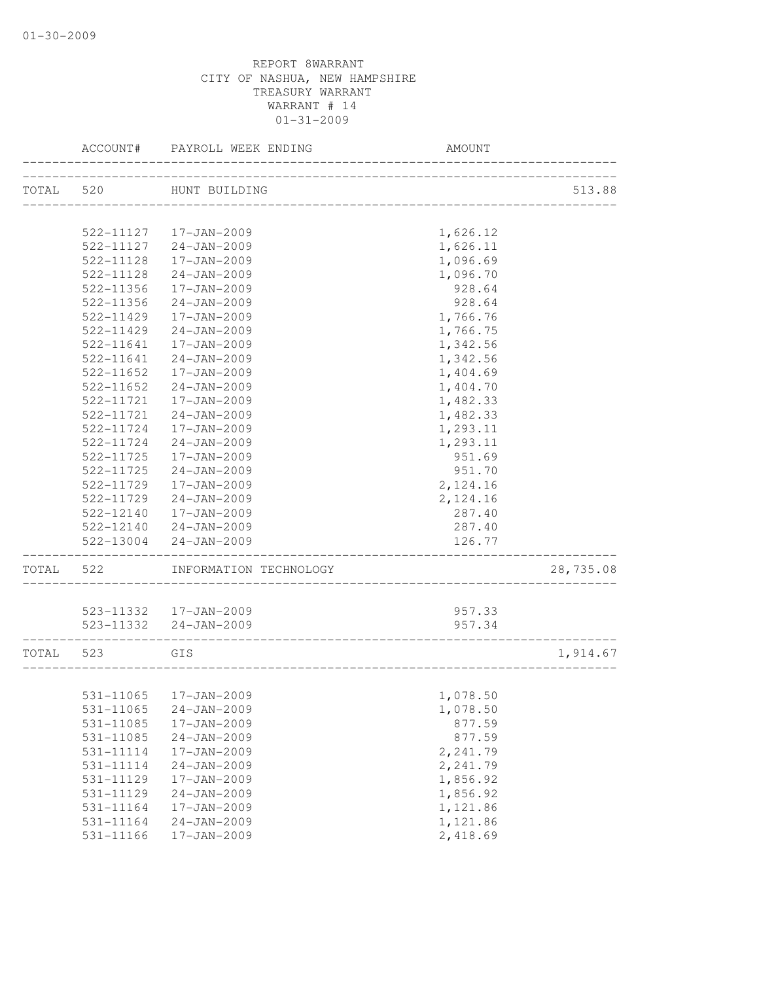|           | ACCOUNT#  | PAYROLL WEEK ENDING          | AMOUNT   |           |
|-----------|-----------|------------------------------|----------|-----------|
| TOTAL 520 |           | HUNT BUILDING                |          | 513.88    |
|           |           |                              |          |           |
|           |           | 522-11127  17-JAN-2009       | 1,626.12 |           |
|           | 522-11127 | 24-JAN-2009                  | 1,626.11 |           |
|           | 522-11128 | 17-JAN-2009                  | 1,096.69 |           |
|           | 522-11128 | $24 - JAN - 2009$            | 1,096.70 |           |
|           | 522-11356 | 17-JAN-2009                  | 928.64   |           |
|           | 522-11356 | $24 - JAN - 2009$            | 928.64   |           |
|           | 522-11429 | 17-JAN-2009                  | 1,766.76 |           |
|           | 522-11429 | $24 - JAN - 2009$            | 1,766.75 |           |
|           | 522-11641 | 17-JAN-2009                  | 1,342.56 |           |
|           | 522-11641 | 24-JAN-2009                  | 1,342.56 |           |
|           | 522-11652 | 17-JAN-2009                  | 1,404.69 |           |
|           | 522-11652 | $24 - JAN - 2009$            | 1,404.70 |           |
|           | 522-11721 | 17-JAN-2009                  | 1,482.33 |           |
|           | 522-11721 | $24 - JAN - 2009$            | 1,482.33 |           |
|           | 522-11724 | 17-JAN-2009                  | 1,293.11 |           |
|           | 522-11724 | $24 - JAN - 2009$            | 1,293.11 |           |
|           | 522-11725 | 17-JAN-2009                  | 951.69   |           |
|           | 522-11725 | $24 - JAN - 2009$            | 951.70   |           |
|           | 522-11729 | 17-JAN-2009                  | 2,124.16 |           |
|           | 522-11729 | 24-JAN-2009                  | 2,124.16 |           |
|           | 522-12140 | 17-JAN-2009                  | 287.40   |           |
|           |           | 522-12140 24-JAN-2009        | 287.40   |           |
|           |           | 522-13004 24-JAN-2009        | 126.77   |           |
| TOTAL     | 522       | INFORMATION TECHNOLOGY       |          | 28,735.08 |
|           |           | 523-11332  17-JAN-2009       | 957.33   |           |
|           |           | 523-11332 24-JAN-2009        | 957.34   |           |
| TOTAL 523 |           | GIS                          |          | 1,914.67  |
|           |           | ____________________________ |          |           |
|           |           | 531-11065  17-JAN-2009       | 1,078.50 |           |
|           | 531-11065 | $24 - JAN - 2009$            | 1,078.50 |           |
|           | 531-11085 | 17-JAN-2009                  | 877.59   |           |
|           | 531-11085 | $24 - JAN - 2009$            | 877.59   |           |
|           | 531-11114 | 17-JAN-2009                  | 2,241.79 |           |
|           | 531-11114 | $24 - JAN - 2009$            | 2,241.79 |           |
|           | 531-11129 | 17-JAN-2009                  | 1,856.92 |           |
|           | 531-11129 | $24 - JAN - 2009$            | 1,856.92 |           |
|           | 531-11164 | 17-JAN-2009                  | 1,121.86 |           |
|           | 531-11164 | $24 - JAN - 2009$            | 1,121.86 |           |
|           | 531-11166 | 17-JAN-2009                  | 2,418.69 |           |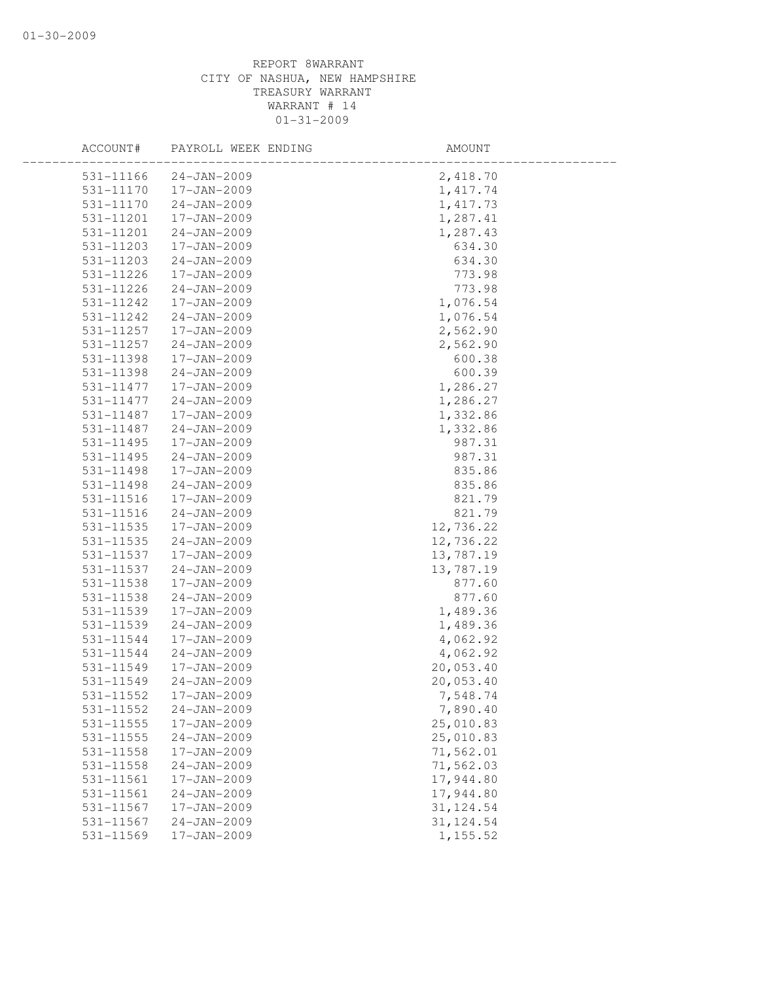| ACCOUNT#      | PAYROLL WEEK ENDING | AMOUNT     |  |
|---------------|---------------------|------------|--|
| 531-11166     | $24 - JAN - 2009$   | 2,418.70   |  |
| 531-11170     | 17-JAN-2009         | 1, 417.74  |  |
| 531-11170     | $24 - JAN - 2009$   | 1, 417.73  |  |
| 531-11201     | 17-JAN-2009         | 1,287.41   |  |
| 531-11201     | $24 - JAN - 2009$   | 1,287.43   |  |
| 531-11203     | 17-JAN-2009         | 634.30     |  |
| 531-11203     | $24 - JAN - 2009$   | 634.30     |  |
| 531-11226     | 17-JAN-2009         | 773.98     |  |
| 531-11226     | $24 - JAN - 2009$   | 773.98     |  |
| 531-11242     | 17-JAN-2009         | 1,076.54   |  |
| 531-11242     | $24 - JAN - 2009$   | 1,076.54   |  |
| 531-11257     | 17-JAN-2009         | 2,562.90   |  |
| 531-11257     | $24 - JAN - 2009$   | 2,562.90   |  |
| 531-11398     | 17-JAN-2009         | 600.38     |  |
| 531-11398     | $24 - JAN - 2009$   | 600.39     |  |
| 531-11477     | 17-JAN-2009         | 1,286.27   |  |
| 531-11477     | $24 - JAN - 2009$   | 1,286.27   |  |
| 531-11487     | 17-JAN-2009         | 1,332.86   |  |
| 531-11487     | $24 - JAN - 2009$   | 1,332.86   |  |
| 531-11495     | $17 - JAN - 2009$   | 987.31     |  |
| 531-11495     | $24 - JAN - 2009$   | 987.31     |  |
| 531-11498     | 17-JAN-2009         | 835.86     |  |
| 531-11498     | $24 - JAN - 2009$   | 835.86     |  |
| $531 - 11516$ | 17-JAN-2009         | 821.79     |  |
| 531-11516     | $24 - JAN - 2009$   | 821.79     |  |
| $531 - 11535$ | 17-JAN-2009         | 12,736.22  |  |
| 531-11535     | $24 - JAN - 2009$   | 12,736.22  |  |
| 531-11537     | 17-JAN-2009         | 13,787.19  |  |
| 531-11537     | $24 - JAN - 2009$   | 13,787.19  |  |
| 531-11538     | 17-JAN-2009         | 877.60     |  |
| 531-11538     | $24 - JAN - 2009$   | 877.60     |  |
| 531-11539     | 17-JAN-2009         | 1,489.36   |  |
| 531-11539     | $24 - JAN - 2009$   | 1,489.36   |  |
| 531-11544     | 17-JAN-2009         | 4,062.92   |  |
| 531-11544     | $24 - JAN - 2009$   | 4,062.92   |  |
| 531-11549     | 17-JAN-2009         | 20,053.40  |  |
| 531-11549     | $24 - JAN - 2009$   | 20,053.40  |  |
| 531-11552     | 17-JAN-2009         | 7,548.74   |  |
| 531-11552     | $24 - JAN - 2009$   | 7,890.40   |  |
| 531-11555     | 17-JAN-2009         | 25,010.83  |  |
| 531-11555     | $24 - JAN - 2009$   | 25,010.83  |  |
| 531-11558     | 17-JAN-2009         | 71,562.01  |  |
| 531-11558     | $24 - JAN - 2009$   | 71,562.03  |  |
| 531-11561     | 17-JAN-2009         | 17,944.80  |  |
| 531-11561     | $24 - JAN - 2009$   | 17,944.80  |  |
| 531-11567     | 17-JAN-2009         | 31, 124.54 |  |
| 531-11567     | $24 - JAN - 2009$   | 31, 124.54 |  |
| 531-11569     | 17-JAN-2009         | 1,155.52   |  |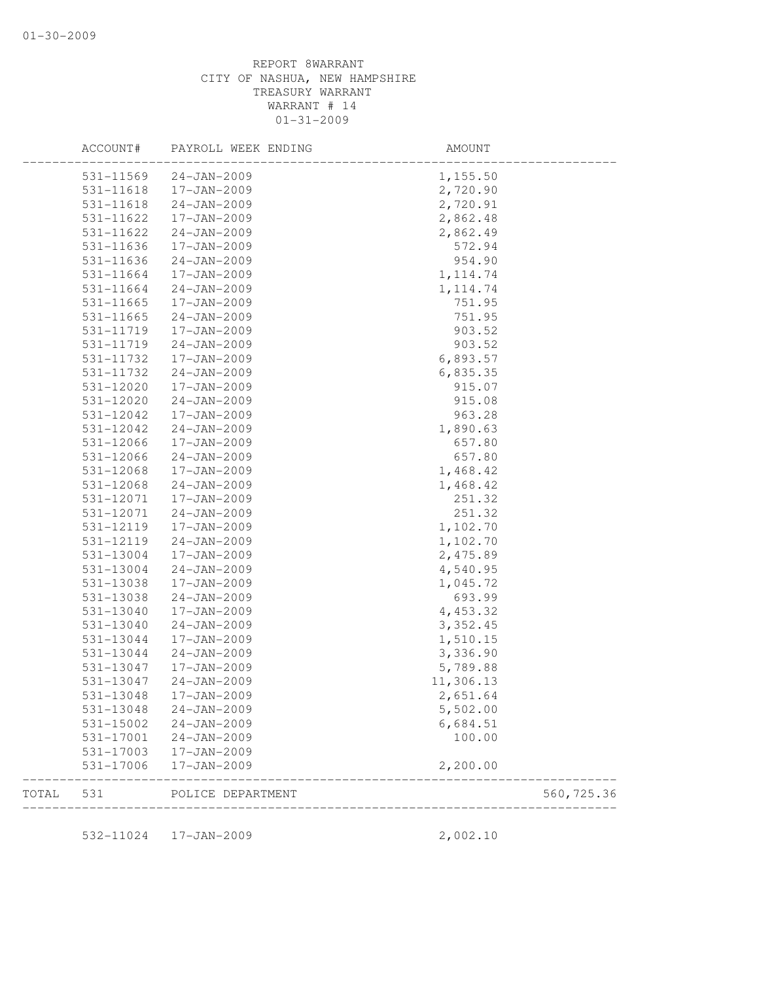|       | ACCOUNT#  | PAYROLL WEEK ENDING   | AMOUNT    |             |
|-------|-----------|-----------------------|-----------|-------------|
|       | 531-11569 | $24 - JAN - 2009$     | 1,155.50  |             |
|       | 531-11618 | $17 - JAN - 2009$     | 2,720.90  |             |
|       | 531-11618 | $24 - JAN - 2009$     | 2,720.91  |             |
|       | 531-11622 | 17-JAN-2009           | 2,862.48  |             |
|       | 531-11622 | 24-JAN-2009           | 2,862.49  |             |
|       | 531-11636 | 17-JAN-2009           | 572.94    |             |
|       | 531-11636 | $24 - JAN - 2009$     | 954.90    |             |
|       | 531-11664 | 17-JAN-2009           | 1, 114.74 |             |
|       | 531-11664 | $24 - JAN - 2009$     | 1, 114.74 |             |
|       | 531-11665 | 17-JAN-2009           | 751.95    |             |
|       | 531-11665 | $24 - JAN - 2009$     | 751.95    |             |
|       | 531-11719 | 17-JAN-2009           | 903.52    |             |
|       | 531-11719 | 24-JAN-2009           | 903.52    |             |
|       | 531-11732 | 17-JAN-2009           | 6,893.57  |             |
|       | 531-11732 | $24 - JAN - 2009$     | 6,835.35  |             |
|       | 531-12020 | 17-JAN-2009           | 915.07    |             |
|       | 531-12020 | $24 - JAN - 2009$     | 915.08    |             |
|       | 531-12042 | 17-JAN-2009           | 963.28    |             |
|       |           | $24 - JAN - 2009$     | 1,890.63  |             |
|       | 531-12042 |                       |           |             |
|       | 531-12066 | 17-JAN-2009           | 657.80    |             |
|       | 531-12066 | 24-JAN-2009           | 657.80    |             |
|       | 531-12068 | 17-JAN-2009           | 1,468.42  |             |
|       | 531-12068 | $24 - JAN - 2009$     | 1,468.42  |             |
|       | 531-12071 | 17-JAN-2009           | 251.32    |             |
|       | 531-12071 | $24 - JAN - 2009$     | 251.32    |             |
|       | 531-12119 | 17-JAN-2009           | 1,102.70  |             |
|       | 531-12119 | $24 - JAN - 2009$     | 1,102.70  |             |
|       | 531-13004 | 17-JAN-2009           | 2,475.89  |             |
|       | 531-13004 | $24 - JAN - 2009$     | 4,540.95  |             |
|       | 531-13038 | 17-JAN-2009           | 1,045.72  |             |
|       | 531-13038 | $24 - JAN - 2009$     | 693.99    |             |
|       | 531-13040 | 17-JAN-2009           | 4,453.32  |             |
|       | 531-13040 | $24 - JAN - 2009$     | 3,352.45  |             |
|       | 531-13044 | $17 - JAN - 2009$     | 1,510.15  |             |
|       | 531-13044 | $24 - JAN - 2009$     | 3,336.90  |             |
|       | 531-13047 | 17-JAN-2009           | 5,789.88  |             |
|       | 531-13047 | $24 - JAN - 2009$     | 11,306.13 |             |
|       | 531-13048 | 17-JAN-2009           | 2,651.64  |             |
|       | 531-13048 | $24 - JAN - 2009$     | 5,502.00  |             |
|       | 531-15002 | $24 - JAN - 2009$     | 6,684.51  |             |
|       | 531-17001 | $24 - JAN - 2009$     | 100.00    |             |
|       | 531-17003 | 17-JAN-2009           |           |             |
|       | 531-17006 | 17-JAN-2009           | 2,200.00  |             |
| TOTAL | 531       | POLICE DEPARTMENT     |           | 560, 725.36 |
|       |           |                       |           |             |
|       |           | 532-11024 17-JAN-2009 | 2,002.10  |             |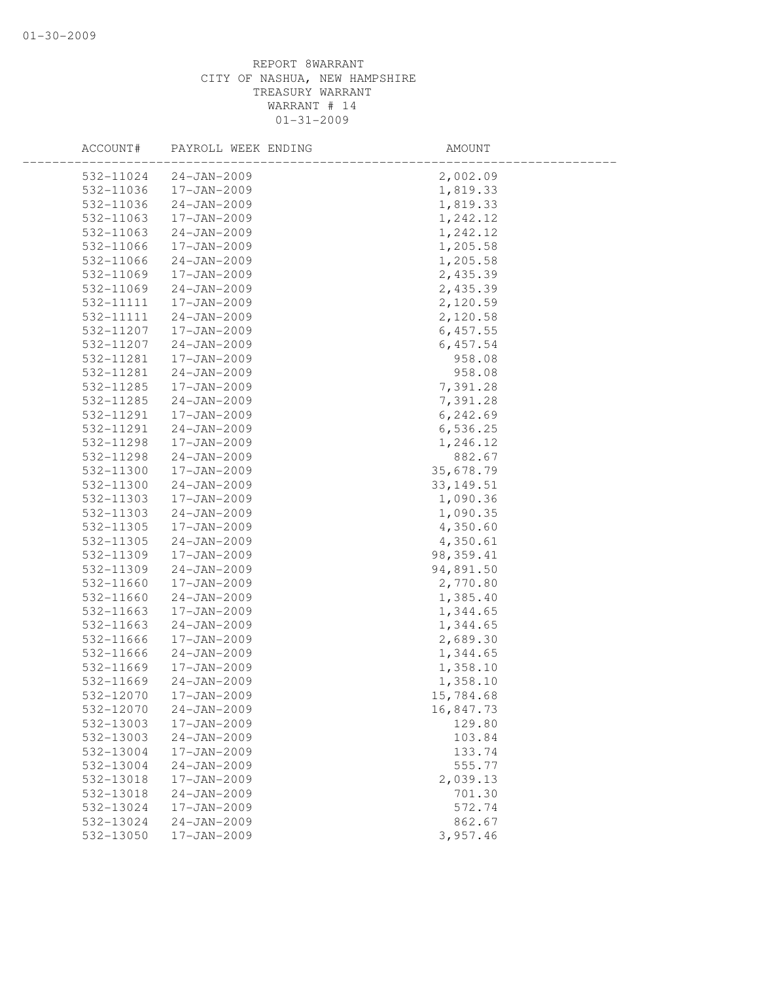| ACCOUNT#  | PAYROLL WEEK ENDING | AMOUNT     |  |
|-----------|---------------------|------------|--|
| 532-11024 | $24 - JAN - 2009$   | 2,002.09   |  |
| 532-11036 | 17-JAN-2009         | 1,819.33   |  |
| 532-11036 | $24 - JAN - 2009$   | 1,819.33   |  |
| 532-11063 | 17-JAN-2009         | 1,242.12   |  |
| 532-11063 | $24 - JAN - 2009$   | 1,242.12   |  |
| 532-11066 | 17-JAN-2009         | 1,205.58   |  |
| 532-11066 | $24 - JAN - 2009$   | 1,205.58   |  |
| 532-11069 | 17-JAN-2009         | 2,435.39   |  |
| 532-11069 | $24 - JAN - 2009$   | 2,435.39   |  |
| 532-11111 | $17 - JAN - 2009$   | 2,120.59   |  |
| 532-11111 | $24 - JAN - 2009$   | 2,120.58   |  |
| 532-11207 | 17-JAN-2009         | 6,457.55   |  |
| 532-11207 | $24 - JAN - 2009$   | 6,457.54   |  |
| 532-11281 | 17-JAN-2009         | 958.08     |  |
| 532-11281 | $24 - JAN - 2009$   | 958.08     |  |
| 532-11285 | 17-JAN-2009         | 7,391.28   |  |
| 532-11285 | $24 - JAN - 2009$   | 7,391.28   |  |
| 532-11291 | 17-JAN-2009         | 6,242.69   |  |
| 532-11291 | $24 - JAN - 2009$   | 6,536.25   |  |
| 532-11298 | 17-JAN-2009         | 1,246.12   |  |
| 532-11298 | $24 - JAN - 2009$   | 882.67     |  |
| 532-11300 | 17-JAN-2009         | 35,678.79  |  |
| 532-11300 | $24 - JAN - 2009$   | 33, 149.51 |  |
| 532-11303 | $17 - JAN - 2009$   | 1,090.36   |  |
| 532-11303 | $24 - JAN - 2009$   | 1,090.35   |  |
| 532-11305 | 17-JAN-2009         | 4,350.60   |  |
| 532-11305 | $24 - JAN - 2009$   | 4,350.61   |  |
| 532-11309 | 17-JAN-2009         | 98, 359.41 |  |
| 532-11309 | $24 - JAN - 2009$   | 94,891.50  |  |
| 532-11660 | 17-JAN-2009         | 2,770.80   |  |
| 532-11660 | $24 - JAN - 2009$   | 1,385.40   |  |
| 532-11663 | 17-JAN-2009         | 1,344.65   |  |
| 532-11663 | $24 - JAN - 2009$   | 1,344.65   |  |
| 532-11666 | 17-JAN-2009         | 2,689.30   |  |
| 532-11666 | $24 - JAN - 2009$   | 1,344.65   |  |
| 532-11669 | 17-JAN-2009         | 1,358.10   |  |
| 532-11669 | $24 - JAN - 2009$   | 1,358.10   |  |
| 532-12070 | 17-JAN-2009         | 15,784.68  |  |
| 532-12070 | $24 - JAN - 2009$   | 16,847.73  |  |
| 532-13003 | 17-JAN-2009         | 129.80     |  |
| 532-13003 | $24 - JAN - 2009$   | 103.84     |  |
| 532-13004 | 17-JAN-2009         | 133.74     |  |
| 532-13004 | $24 - JAN - 2009$   | 555.77     |  |
| 532-13018 | 17-JAN-2009         | 2,039.13   |  |
| 532-13018 | $24 - JAN - 2009$   | 701.30     |  |
| 532-13024 | $17 - JAN - 2009$   | 572.74     |  |
| 532-13024 | $24 - JAN - 2009$   | 862.67     |  |
| 532-13050 | 17-JAN-2009         | 3,957.46   |  |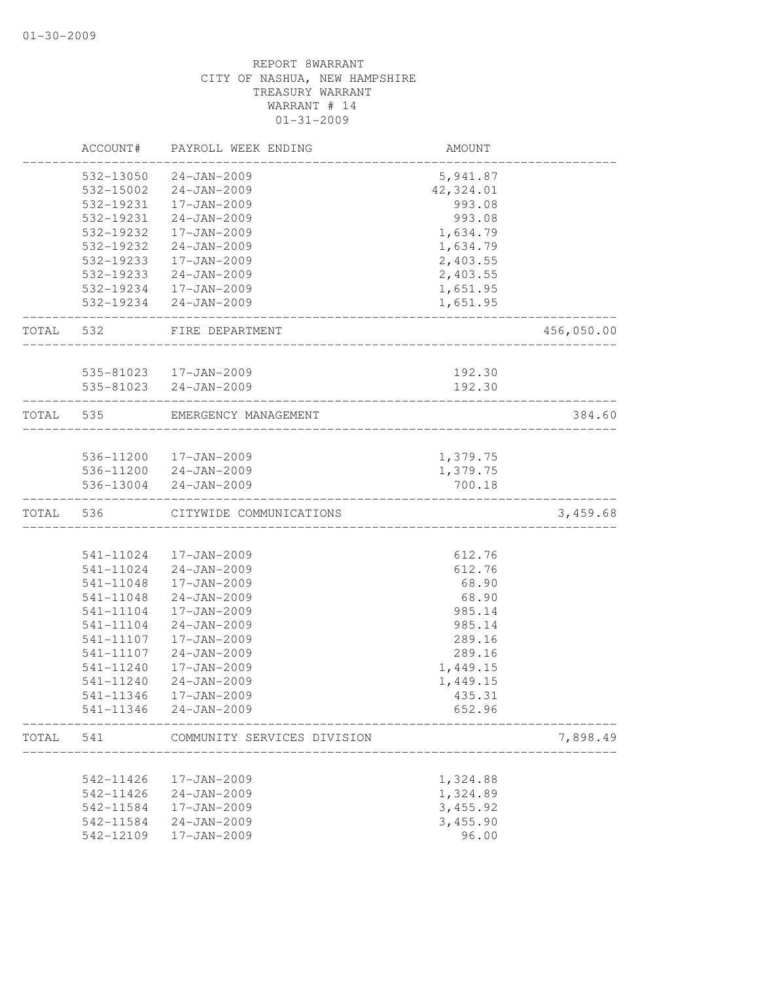|       | ACCOUNT#  | PAYROLL WEEK ENDING         | AMOUNT    |            |
|-------|-----------|-----------------------------|-----------|------------|
|       | 532-13050 | $24 - JAN - 2009$           | 5,941.87  |            |
|       | 532-15002 | $24 - JAN - 2009$           | 42,324.01 |            |
|       | 532-19231 | 17-JAN-2009                 | 993.08    |            |
|       | 532-19231 | $24 - JAN - 2009$           | 993.08    |            |
|       | 532-19232 | 17-JAN-2009                 | 1,634.79  |            |
|       | 532-19232 | $24 - JAN - 2009$           | 1,634.79  |            |
|       | 532-19233 | 17-JAN-2009                 | 2,403.55  |            |
|       | 532-19233 | $24 - JAN - 2009$           | 2,403.55  |            |
|       | 532-19234 | 17-JAN-2009                 | 1,651.95  |            |
|       |           | 532-19234 24-JAN-2009       | 1,651.95  |            |
| TOTAL | 532       | FIRE DEPARTMENT             |           | 456,050.00 |
|       |           | 535-81023  17-JAN-2009      | 192.30    |            |
|       | 535-81023 | $24 - JAN - 2009$           | 192.30    |            |
| TOTAL | 535       | EMERGENCY MANAGEMENT        |           | 384.60     |
|       |           |                             |           |            |
|       |           | 536-11200 17-JAN-2009       | 1,379.75  |            |
|       |           | 536-11200 24-JAN-2009       | 1,379.75  |            |
|       | 536-13004 | $24 - JAN - 2009$           | 700.18    |            |
| TOTAL | 536       | CITYWIDE COMMUNICATIONS     |           | 3,459.68   |
|       |           |                             |           |            |
|       | 541-11024 | 17-JAN-2009                 | 612.76    |            |
|       | 541-11024 | $24 - JAN - 2009$           | 612.76    |            |
|       | 541-11048 | 17-JAN-2009                 | 68.90     |            |
|       | 541-11048 | $24 - JAN - 2009$           | 68.90     |            |
|       | 541-11104 | 17-JAN-2009                 | 985.14    |            |
|       | 541-11104 | $24 - JAN - 2009$           | 985.14    |            |
|       | 541-11107 | 17-JAN-2009                 | 289.16    |            |
|       | 541-11107 | $24 - JAN - 2009$           | 289.16    |            |
|       | 541-11240 | 17-JAN-2009                 | 1,449.15  |            |
|       | 541-11240 | $24 - JAN - 2009$           | 1,449.15  |            |
|       | 541-11346 | 17-JAN-2009                 | 435.31    |            |
|       | 541-11346 | $24 - JAN - 2009$           | 652.96    |            |
| TOTAL | 541       | COMMUNITY SERVICES DIVISION |           | 7,898.49   |
|       |           |                             |           |            |
|       | 542-11426 | 17-JAN-2009                 | 1,324.88  |            |
|       | 542-11426 | $24 - JAN - 2009$           | 1,324.89  |            |
|       | 542-11584 | 17-JAN-2009                 | 3,455.92  |            |
|       | 542-11584 | $24 - JAN - 2009$           | 3,455.90  |            |
|       | 542-12109 | 17-JAN-2009                 | 96.00     |            |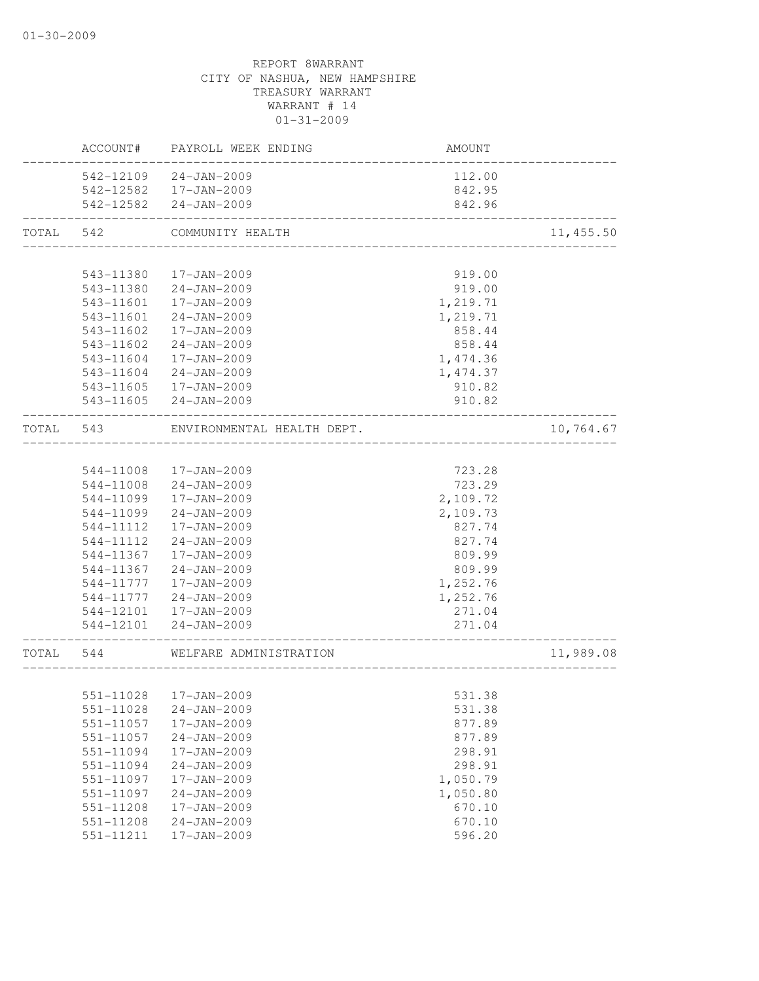|           | ACCOUNT#  | PAYROLL WEEK ENDING        | <b>AMOUNT</b>          |            |
|-----------|-----------|----------------------------|------------------------|------------|
|           |           | 542-12109 24-JAN-2009      | 112.00                 |            |
|           | 542-12582 | 17-JAN-2009                | 842.95                 |            |
|           |           | 542-12582 24-JAN-2009      | 842.96                 |            |
| TOTAL     | 542       | COMMUNITY HEALTH           |                        | 11, 455.50 |
|           |           |                            |                        |            |
|           | 543-11380 | 17-JAN-2009                | 919.00                 |            |
|           | 543-11380 | 24-JAN-2009                | 919.00                 |            |
|           | 543-11601 | 17-JAN-2009                | 1,219.71               |            |
|           | 543-11601 | 24-JAN-2009                | 1,219.71               |            |
|           | 543-11602 | 17-JAN-2009                | 858.44                 |            |
|           | 543-11602 | 24-JAN-2009                | 858.44                 |            |
|           | 543-11604 | 17-JAN-2009                | 1,474.36               |            |
|           | 543-11604 | 24-JAN-2009                | 1,474.37               |            |
|           | 543-11605 | 17-JAN-2009                | 910.82                 |            |
|           |           | 543-11605 24-JAN-2009      | 910.82                 |            |
| TOTAL 543 |           | ENVIRONMENTAL HEALTH DEPT. |                        | 10,764.67  |
|           |           |                            |                        |            |
|           | 544-11008 | 17-JAN-2009                | 723.28                 |            |
|           | 544-11008 | 24-JAN-2009                | 723.29                 |            |
|           | 544-11099 | 17-JAN-2009                | 2,109.72               |            |
|           | 544-11099 | $24 - JAN - 2009$          | 2,109.73               |            |
|           | 544-11112 | 17-JAN-2009                | 827.74                 |            |
|           | 544-11112 | $24 - JAN - 2009$          | 827.74                 |            |
|           | 544-11367 | 17-JAN-2009                | 809.99                 |            |
|           | 544-11367 | 24-JAN-2009                | 809.99                 |            |
|           | 544-11777 | 17-JAN-2009                | 1,252.76               |            |
|           | 544-11777 | 24-JAN-2009                | 1,252.76               |            |
|           |           | 544-12101  17-JAN-2009     | 271.04                 |            |
|           |           | 544-12101 24-JAN-2009      | 271.04                 |            |
| TOTAL 544 |           | WELFARE ADMINISTRATION     | ---------------------- | 11,989.08  |
|           |           |                            |                        |            |
|           |           | 551-11028  17-JAN-2009     | 531.38                 |            |
|           | 551-11028 | $24 - JAN - 2009$          | 531.38                 |            |
|           | 551-11057 | 17-JAN-2009                | 877.89                 |            |
|           | 551-11057 | $24 - JAN - 2009$          | 877.89                 |            |
|           | 551-11094 | 17-JAN-2009                | 298.91                 |            |
|           | 551-11094 | $24 - JAN - 2009$          | 298.91                 |            |
|           | 551-11097 | 17-JAN-2009                | 1,050.79               |            |
|           | 551-11097 | $24 - JAN - 2009$          | 1,050.80               |            |
|           | 551-11208 | 17-JAN-2009                | 670.10                 |            |
|           | 551-11208 | $24 - JAN - 2009$          | 670.10                 |            |
|           | 551-11211 | 17-JAN-2009                | 596.20                 |            |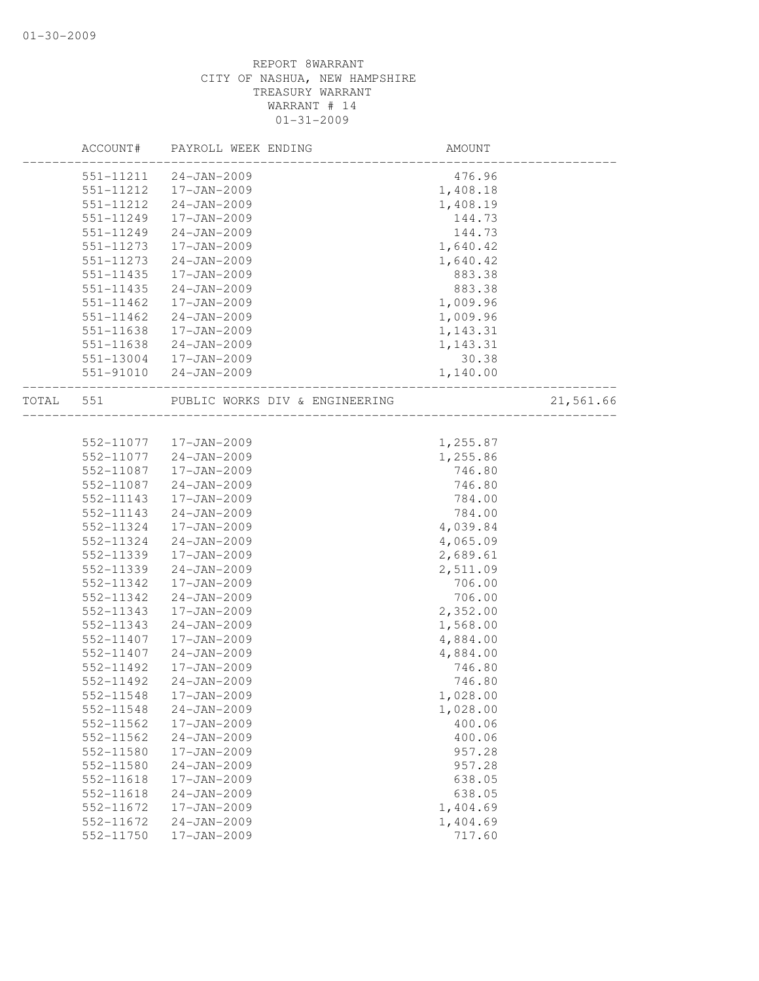|           | ACCOUNT#  | PAYROLL WEEK ENDING            | AMOUNT   |           |
|-----------|-----------|--------------------------------|----------|-----------|
|           | 551-11211 | $24 - JAN - 2009$              | 476.96   |           |
|           | 551-11212 | 17-JAN-2009                    | 1,408.18 |           |
|           | 551-11212 | $24 - JAN - 2009$              | 1,408.19 |           |
|           | 551-11249 | 17-JAN-2009                    | 144.73   |           |
|           | 551-11249 | $24 - JAN - 2009$              | 144.73   |           |
|           | 551-11273 | 17-JAN-2009                    | 1,640.42 |           |
|           | 551-11273 | $24 - JAN - 2009$              | 1,640.42 |           |
|           | 551-11435 | 17-JAN-2009                    | 883.38   |           |
|           | 551-11435 | 24-JAN-2009                    | 883.38   |           |
|           | 551-11462 | 17-JAN-2009                    | 1,009.96 |           |
|           | 551-11462 | $24 - JAN - 2009$              | 1,009.96 |           |
|           | 551-11638 | 17-JAN-2009                    | 1,143.31 |           |
|           | 551-11638 | 24-JAN-2009                    | 1,143.31 |           |
|           | 551-13004 | 17-JAN-2009                    | 30.38    |           |
|           | 551-91010 | 24-JAN-2009                    | 1,140.00 |           |
| TOTAL 551 |           | PUBLIC WORKS DIV & ENGINEERING |          | 21,561.66 |
|           |           |                                |          |           |
|           | 552-11077 | 17-JAN-2009                    | 1,255.87 |           |
|           | 552-11077 | 24-JAN-2009                    | 1,255.86 |           |
|           | 552-11087 | 17-JAN-2009                    | 746.80   |           |
|           | 552-11087 | $24 - JAN - 2009$              | 746.80   |           |
|           | 552-11143 | $17 - JAN - 2009$              | 784.00   |           |
|           | 552-11143 | $24 - JAN - 2009$              | 784.00   |           |
|           | 552-11324 | 17-JAN-2009                    | 4,039.84 |           |
|           | 552-11324 | $24 - JAN - 2009$              | 4,065.09 |           |
|           | 552-11339 | 17-JAN-2009                    | 2,689.61 |           |
|           | 552-11339 | $24 - JAN - 2009$              | 2,511.09 |           |
|           | 552-11342 | 17-JAN-2009                    | 706.00   |           |
|           | 552-11342 | $24 - JAN - 2009$              | 706.00   |           |
|           | 552-11343 | 17-JAN-2009                    | 2,352.00 |           |
|           | 552-11343 | $24 - JAN - 2009$              | 1,568.00 |           |
|           | 552-11407 | 17-JAN-2009                    | 4,884.00 |           |
|           | 552-11407 | $24 - JAN - 2009$              | 4,884.00 |           |
|           | 552-11492 | 17-JAN-2009                    | 746.80   |           |
|           | 552-11492 | $24 - JAN - 2009$              | 746.80   |           |
|           | 552-11548 | 17-JAN-2009                    | 1,028.00 |           |
|           | 552-11548 | $24 - JAN - 2009$              | 1,028.00 |           |
|           | 552-11562 | 17-JAN-2009                    | 400.06   |           |
|           | 552-11562 | $24 - JAN - 2009$              | 400.06   |           |
|           | 552-11580 | 17-JAN-2009                    | 957.28   |           |
|           | 552-11580 | $24 - JAN - 2009$              | 957.28   |           |
|           | 552-11618 | 17-JAN-2009                    | 638.05   |           |
|           | 552-11618 | $24 - JAN - 2009$              | 638.05   |           |
|           | 552-11672 | 17-JAN-2009                    | 1,404.69 |           |
|           | 552-11672 | $24 - JAN - 2009$              | 1,404.69 |           |
|           | 552-11750 | 17-JAN-2009                    | 717.60   |           |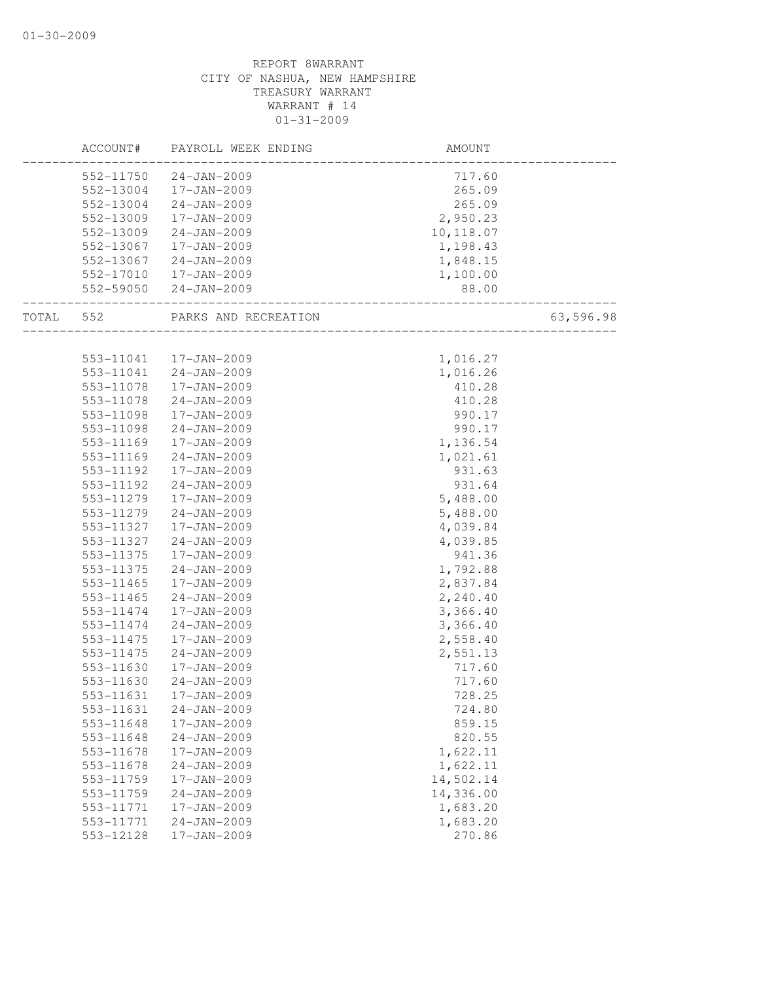|       | ACCOUNT#  | PAYROLL WEEK ENDING   | AMOUNT                              |           |
|-------|-----------|-----------------------|-------------------------------------|-----------|
|       | 552-11750 | 24-JAN-2009           | 717.60                              |           |
|       | 552-13004 | 17-JAN-2009           | 265.09                              |           |
|       | 552-13004 | 24-JAN-2009           | 265.09                              |           |
|       | 552-13009 | 17-JAN-2009           | 2,950.23                            |           |
|       | 552-13009 | 24-JAN-2009           | 10,118.07                           |           |
|       | 552-13067 | 17-JAN-2009           | 1,198.43                            |           |
|       | 552-13067 | 24-JAN-2009           | 1,848.15                            |           |
|       | 552-17010 | 17-JAN-2009           | 1,100.00                            |           |
|       | 552-59050 | $24 - JAN - 2009$     | 88.00<br>__________________________ |           |
| TOTAL | 552       | PARKS AND RECREATION  | _____________________               | 63,596.98 |
|       |           |                       |                                     |           |
|       |           | 553-11041 17-JAN-2009 | 1,016.27                            |           |
|       | 553-11041 | 24-JAN-2009           | 1,016.26                            |           |
|       | 553-11078 | 17-JAN-2009           | 410.28                              |           |
|       | 553-11078 | 24-JAN-2009           | 410.28                              |           |
|       | 553-11098 | 17-JAN-2009           | 990.17                              |           |
|       | 553-11098 | 24-JAN-2009           | 990.17                              |           |
|       | 553-11169 | 17-JAN-2009           | 1,136.54                            |           |
|       | 553-11169 | 24-JAN-2009           | 1,021.61                            |           |
|       | 553-11192 | 17-JAN-2009           | 931.63                              |           |
|       | 553-11192 | 24-JAN-2009           | 931.64                              |           |
|       | 553-11279 | 17-JAN-2009           | 5,488.00                            |           |
|       | 553-11279 | $24 - JAN - 2009$     | 5,488.00                            |           |
|       | 553-11327 | 17-JAN-2009           | 4,039.84                            |           |
|       | 553-11327 | 24-JAN-2009           | 4,039.85                            |           |
|       | 553-11375 | 17-JAN-2009           | 941.36                              |           |
|       | 553-11375 | 24-JAN-2009           | 1,792.88                            |           |
|       | 553-11465 | 17-JAN-2009           | 2,837.84                            |           |
|       | 553-11465 | 24-JAN-2009           | 2,240.40                            |           |
|       | 553-11474 | 17-JAN-2009           | 3,366.40                            |           |
|       | 553-11474 | 24-JAN-2009           | 3,366.40                            |           |
|       | 553-11475 | 17-JAN-2009           | 2,558.40                            |           |
|       | 553-11475 | $24 - JAN - 2009$     | 2,551.13                            |           |
|       | 553-11630 | 17-JAN-2009           | 717.60                              |           |
|       | 553-11630 | 24-JAN-2009           | 717.60                              |           |
|       | 553-11631 | 17-JAN-2009           | 728.25                              |           |
|       | 553-11631 | $24 - JAN - 2009$     | 724.80                              |           |
|       | 553-11648 | 17-JAN-2009           | 859.15                              |           |
|       | 553-11648 | $24 - JAN - 2009$     | 820.55                              |           |
|       | 553-11678 | 17-JAN-2009           | 1,622.11                            |           |
|       | 553-11678 | $24 - JAN - 2009$     | 1,622.11                            |           |
|       | 553-11759 | 17-JAN-2009           | 14,502.14                           |           |
|       | 553-11759 | $24 - JAN - 2009$     | 14,336.00                           |           |
|       | 553-11771 | 17-JAN-2009           | 1,683.20                            |           |
|       | 553-11771 | $24 - JAN - 2009$     | 1,683.20                            |           |
|       | 553-12128 | 17-JAN-2009           | 270.86                              |           |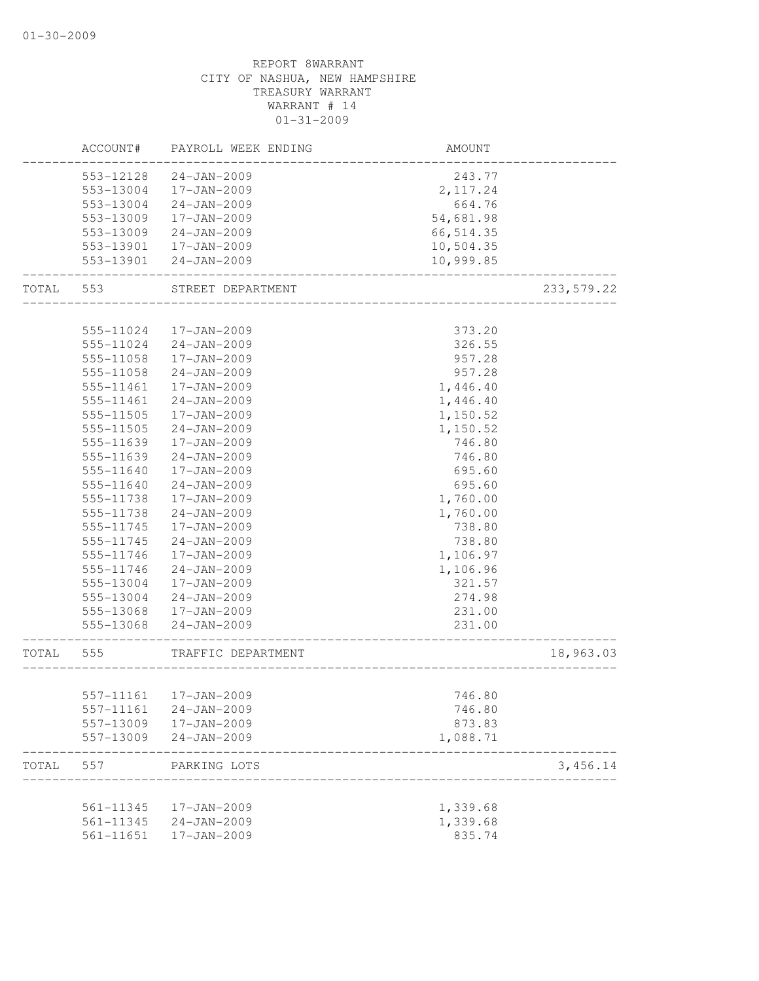|       | ACCOUNT#  | PAYROLL WEEK ENDING   | AMOUNT                  |             |
|-------|-----------|-----------------------|-------------------------|-------------|
|       | 553-12128 | $24 - JAN - 2009$     | 243.77                  |             |
|       | 553-13004 | 17-JAN-2009           | 2,117.24                |             |
|       | 553-13004 | $24 - JAN - 2009$     | 664.76                  |             |
|       | 553-13009 | 17-JAN-2009           | 54,681.98               |             |
|       | 553-13009 | 24-JAN-2009           | 66, 514.35              |             |
|       | 553-13901 | 17-JAN-2009           | 10,504.35               |             |
|       | 553-13901 | 24-JAN-2009           | 10,999.85               |             |
| TOTAL | 553       | STREET DEPARTMENT     |                         | 233, 579.22 |
|       |           |                       |                         |             |
|       | 555-11024 | 17-JAN-2009           | 373.20                  |             |
|       | 555-11024 | 24-JAN-2009           | 326.55                  |             |
|       | 555-11058 | 17-JAN-2009           | 957.28                  |             |
|       | 555-11058 | $24 - JAN - 2009$     | 957.28                  |             |
|       | 555-11461 | 17-JAN-2009           | 1,446.40                |             |
|       | 555-11461 | $24 - JAN - 2009$     | 1,446.40                |             |
|       | 555-11505 | 17-JAN-2009           | 1,150.52                |             |
|       | 555-11505 | $24 - JAN - 2009$     | 1,150.52                |             |
|       | 555-11639 | $17 - JAN - 2009$     | 746.80                  |             |
|       | 555-11639 | $24 - JAN - 2009$     | 746.80                  |             |
|       | 555-11640 | 17-JAN-2009           | 695.60                  |             |
|       | 555-11640 | $24 - JAN - 2009$     | 695.60                  |             |
|       | 555-11738 | 17-JAN-2009           | 1,760.00                |             |
|       | 555-11738 | $24 - JAN - 2009$     | 1,760.00                |             |
|       | 555-11745 | 17-JAN-2009           | 738.80                  |             |
|       | 555-11745 | $24 - JAN - 2009$     | 738.80                  |             |
|       | 555-11746 | 17-JAN-2009           | 1,106.97                |             |
|       | 555-11746 | $24 - JAN - 2009$     | 1,106.96                |             |
|       | 555-13004 | 17-JAN-2009           | 321.57                  |             |
|       | 555-13004 | 24-JAN-2009           | 274.98                  |             |
|       | 555-13068 | 17-JAN-2009           | 231.00                  |             |
|       | 555-13068 | 24-JAN-2009           | 231.00                  |             |
| TOTAL | 555       | TRAFFIC DEPARTMENT    | _______________________ | 18,963.03   |
|       |           |                       |                         |             |
|       |           | 557-11161 17-JAN-2009 | 746.80                  |             |
|       | 557-11161 | $24 - JAN - 2009$     | 746.80                  |             |
|       | 557-13009 | 17-JAN-2009           | 873.83                  |             |
|       | 557-13009 | $24 - JAN - 2009$     | 1,088.71                |             |
| TOTAL | 557       | PARKING LOTS          |                         | 3,456.14    |
|       | 561-11345 | 17-JAN-2009           | 1,339.68                |             |
|       | 561-11345 | $24 - JAN - 2009$     | 1,339.68                |             |
|       | 561-11651 | 17-JAN-2009           | 835.74                  |             |
|       |           |                       |                         |             |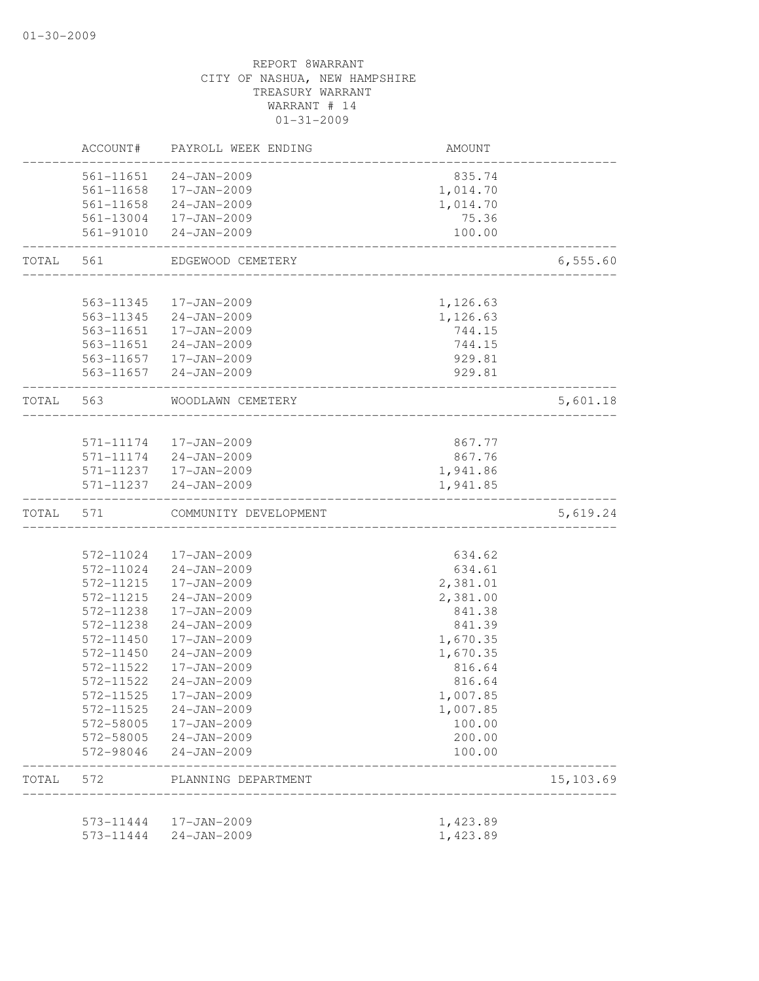|       | ACCOUNT#                                                                                                                                                                                                                                                                                                                                                                                                                                                                                                                                                                                                                                                                                                                                                                                                                                                                                                                                                                                                                                                                                                                                                                                                                                                                                                                                                                                           | PAYROLL WEEK ENDING | AMOUNT   |           |
|-------|----------------------------------------------------------------------------------------------------------------------------------------------------------------------------------------------------------------------------------------------------------------------------------------------------------------------------------------------------------------------------------------------------------------------------------------------------------------------------------------------------------------------------------------------------------------------------------------------------------------------------------------------------------------------------------------------------------------------------------------------------------------------------------------------------------------------------------------------------------------------------------------------------------------------------------------------------------------------------------------------------------------------------------------------------------------------------------------------------------------------------------------------------------------------------------------------------------------------------------------------------------------------------------------------------------------------------------------------------------------------------------------------------|---------------------|----------|-----------|
|       |                                                                                                                                                                                                                                                                                                                                                                                                                                                                                                                                                                                                                                                                                                                                                                                                                                                                                                                                                                                                                                                                                                                                                                                                                                                                                                                                                                                                    | $24 - JAN - 2009$   | 835.74   |           |
|       | 561-11658                                                                                                                                                                                                                                                                                                                                                                                                                                                                                                                                                                                                                                                                                                                                                                                                                                                                                                                                                                                                                                                                                                                                                                                                                                                                                                                                                                                          |                     | 1,014.70 |           |
|       |                                                                                                                                                                                                                                                                                                                                                                                                                                                                                                                                                                                                                                                                                                                                                                                                                                                                                                                                                                                                                                                                                                                                                                                                                                                                                                                                                                                                    |                     | 1,014.70 |           |
|       |                                                                                                                                                                                                                                                                                                                                                                                                                                                                                                                                                                                                                                                                                                                                                                                                                                                                                                                                                                                                                                                                                                                                                                                                                                                                                                                                                                                                    |                     | 75.36    |           |
|       |                                                                                                                                                                                                                                                                                                                                                                                                                                                                                                                                                                                                                                                                                                                                                                                                                                                                                                                                                                                                                                                                                                                                                                                                                                                                                                                                                                                                    |                     | 100.00   |           |
| TOTAL | 561-11651<br>17-JAN-2009<br>561-11658 24-JAN-2009<br>561-13004 17-JAN-2009<br>561-91010 24-JAN-2009<br>EDGEWOOD CEMETERY<br>561<br>__________________________<br>563-11345<br>17-JAN-2009<br>1,126.63<br>563-11345 24-JAN-2009<br>1,126.63<br>563-11651  17-JAN-2009<br>744.15<br>563-11651 24-JAN-2009<br>744.15<br>563-11657  17-JAN-2009<br>929.81<br>563-11657 24-JAN-2009<br>929.81<br>TOTAL 563<br>WOODLAWN CEMETERY<br>___________________<br>571-11174  17-JAN-2009<br>867.77<br>571-11174 24-JAN-2009<br>867.76<br>571-11237  17-JAN-2009<br>1,941.86<br>24-JAN-2009<br>571-11237<br>1,941.85<br>571<br>COMMUNITY DEVELOPMENT<br>572-11024<br>17-JAN-2009<br>634.62<br>572-11024 24-JAN-2009<br>634.61<br>17-JAN-2009<br>572-11215<br>2,381.01<br>572-11215<br>$24 - JAN - 2009$<br>2,381.00<br>572-11238<br>17-JAN-2009<br>841.38<br>572-11238<br>$24 - JAN - 2009$<br>841.39<br>572-11450<br>1,670.35<br>17-JAN-2009<br>572-11450<br>$24 - JAN - 2009$<br>1,670.35<br>572-11522<br>$17 - JAN - 2009$<br>816.64<br>572-11522<br>$24 - JAN - 2009$<br>816.64<br>572-11525<br>17-JAN-2009<br>1,007.85<br>572-11525 24-JAN-2009<br>1,007.85<br>572-58005 17-JAN-2009<br>100.00<br>200.00<br>572-58005 24-JAN-2009<br>572-98046<br>24-JAN-2009<br>100.00<br>572<br>PLANNING DEPARTMENT<br>____________________<br>1,423.89<br>573-11444  17-JAN-2009<br>573-11444<br>24-JAN-2009<br>1,423.89 | 6,555.60            |          |           |
|       |                                                                                                                                                                                                                                                                                                                                                                                                                                                                                                                                                                                                                                                                                                                                                                                                                                                                                                                                                                                                                                                                                                                                                                                                                                                                                                                                                                                                    |                     |          |           |
|       |                                                                                                                                                                                                                                                                                                                                                                                                                                                                                                                                                                                                                                                                                                                                                                                                                                                                                                                                                                                                                                                                                                                                                                                                                                                                                                                                                                                                    |                     |          |           |
|       |                                                                                                                                                                                                                                                                                                                                                                                                                                                                                                                                                                                                                                                                                                                                                                                                                                                                                                                                                                                                                                                                                                                                                                                                                                                                                                                                                                                                    |                     |          |           |
|       |                                                                                                                                                                                                                                                                                                                                                                                                                                                                                                                                                                                                                                                                                                                                                                                                                                                                                                                                                                                                                                                                                                                                                                                                                                                                                                                                                                                                    |                     |          |           |
|       |                                                                                                                                                                                                                                                                                                                                                                                                                                                                                                                                                                                                                                                                                                                                                                                                                                                                                                                                                                                                                                                                                                                                                                                                                                                                                                                                                                                                    |                     |          |           |
|       |                                                                                                                                                                                                                                                                                                                                                                                                                                                                                                                                                                                                                                                                                                                                                                                                                                                                                                                                                                                                                                                                                                                                                                                                                                                                                                                                                                                                    |                     |          |           |
|       |                                                                                                                                                                                                                                                                                                                                                                                                                                                                                                                                                                                                                                                                                                                                                                                                                                                                                                                                                                                                                                                                                                                                                                                                                                                                                                                                                                                                    |                     |          | 5,601.18  |
|       |                                                                                                                                                                                                                                                                                                                                                                                                                                                                                                                                                                                                                                                                                                                                                                                                                                                                                                                                                                                                                                                                                                                                                                                                                                                                                                                                                                                                    |                     |          |           |
|       |                                                                                                                                                                                                                                                                                                                                                                                                                                                                                                                                                                                                                                                                                                                                                                                                                                                                                                                                                                                                                                                                                                                                                                                                                                                                                                                                                                                                    |                     |          |           |
|       |                                                                                                                                                                                                                                                                                                                                                                                                                                                                                                                                                                                                                                                                                                                                                                                                                                                                                                                                                                                                                                                                                                                                                                                                                                                                                                                                                                                                    |                     |          |           |
|       |                                                                                                                                                                                                                                                                                                                                                                                                                                                                                                                                                                                                                                                                                                                                                                                                                                                                                                                                                                                                                                                                                                                                                                                                                                                                                                                                                                                                    |                     |          |           |
|       |                                                                                                                                                                                                                                                                                                                                                                                                                                                                                                                                                                                                                                                                                                                                                                                                                                                                                                                                                                                                                                                                                                                                                                                                                                                                                                                                                                                                    |                     |          |           |
| TOTAL |                                                                                                                                                                                                                                                                                                                                                                                                                                                                                                                                                                                                                                                                                                                                                                                                                                                                                                                                                                                                                                                                                                                                                                                                                                                                                                                                                                                                    |                     |          | 5,619.24  |
|       |                                                                                                                                                                                                                                                                                                                                                                                                                                                                                                                                                                                                                                                                                                                                                                                                                                                                                                                                                                                                                                                                                                                                                                                                                                                                                                                                                                                                    |                     |          |           |
|       |                                                                                                                                                                                                                                                                                                                                                                                                                                                                                                                                                                                                                                                                                                                                                                                                                                                                                                                                                                                                                                                                                                                                                                                                                                                                                                                                                                                                    |                     |          |           |
|       |                                                                                                                                                                                                                                                                                                                                                                                                                                                                                                                                                                                                                                                                                                                                                                                                                                                                                                                                                                                                                                                                                                                                                                                                                                                                                                                                                                                                    |                     |          |           |
|       |                                                                                                                                                                                                                                                                                                                                                                                                                                                                                                                                                                                                                                                                                                                                                                                                                                                                                                                                                                                                                                                                                                                                                                                                                                                                                                                                                                                                    |                     |          |           |
|       |                                                                                                                                                                                                                                                                                                                                                                                                                                                                                                                                                                                                                                                                                                                                                                                                                                                                                                                                                                                                                                                                                                                                                                                                                                                                                                                                                                                                    |                     |          |           |
|       |                                                                                                                                                                                                                                                                                                                                                                                                                                                                                                                                                                                                                                                                                                                                                                                                                                                                                                                                                                                                                                                                                                                                                                                                                                                                                                                                                                                                    |                     |          |           |
|       |                                                                                                                                                                                                                                                                                                                                                                                                                                                                                                                                                                                                                                                                                                                                                                                                                                                                                                                                                                                                                                                                                                                                                                                                                                                                                                                                                                                                    |                     |          |           |
|       |                                                                                                                                                                                                                                                                                                                                                                                                                                                                                                                                                                                                                                                                                                                                                                                                                                                                                                                                                                                                                                                                                                                                                                                                                                                                                                                                                                                                    |                     |          |           |
|       |                                                                                                                                                                                                                                                                                                                                                                                                                                                                                                                                                                                                                                                                                                                                                                                                                                                                                                                                                                                                                                                                                                                                                                                                                                                                                                                                                                                                    |                     |          |           |
|       |                                                                                                                                                                                                                                                                                                                                                                                                                                                                                                                                                                                                                                                                                                                                                                                                                                                                                                                                                                                                                                                                                                                                                                                                                                                                                                                                                                                                    |                     |          |           |
|       |                                                                                                                                                                                                                                                                                                                                                                                                                                                                                                                                                                                                                                                                                                                                                                                                                                                                                                                                                                                                                                                                                                                                                                                                                                                                                                                                                                                                    |                     |          |           |
|       |                                                                                                                                                                                                                                                                                                                                                                                                                                                                                                                                                                                                                                                                                                                                                                                                                                                                                                                                                                                                                                                                                                                                                                                                                                                                                                                                                                                                    |                     |          |           |
|       |                                                                                                                                                                                                                                                                                                                                                                                                                                                                                                                                                                                                                                                                                                                                                                                                                                                                                                                                                                                                                                                                                                                                                                                                                                                                                                                                                                                                    |                     |          |           |
|       |                                                                                                                                                                                                                                                                                                                                                                                                                                                                                                                                                                                                                                                                                                                                                                                                                                                                                                                                                                                                                                                                                                                                                                                                                                                                                                                                                                                                    |                     |          |           |
|       |                                                                                                                                                                                                                                                                                                                                                                                                                                                                                                                                                                                                                                                                                                                                                                                                                                                                                                                                                                                                                                                                                                                                                                                                                                                                                                                                                                                                    |                     |          |           |
| TOTAL |                                                                                                                                                                                                                                                                                                                                                                                                                                                                                                                                                                                                                                                                                                                                                                                                                                                                                                                                                                                                                                                                                                                                                                                                                                                                                                                                                                                                    |                     |          | 15,103.69 |
|       |                                                                                                                                                                                                                                                                                                                                                                                                                                                                                                                                                                                                                                                                                                                                                                                                                                                                                                                                                                                                                                                                                                                                                                                                                                                                                                                                                                                                    |                     |          |           |
|       |                                                                                                                                                                                                                                                                                                                                                                                                                                                                                                                                                                                                                                                                                                                                                                                                                                                                                                                                                                                                                                                                                                                                                                                                                                                                                                                                                                                                    |                     |          |           |
|       |                                                                                                                                                                                                                                                                                                                                                                                                                                                                                                                                                                                                                                                                                                                                                                                                                                                                                                                                                                                                                                                                                                                                                                                                                                                                                                                                                                                                    |                     |          |           |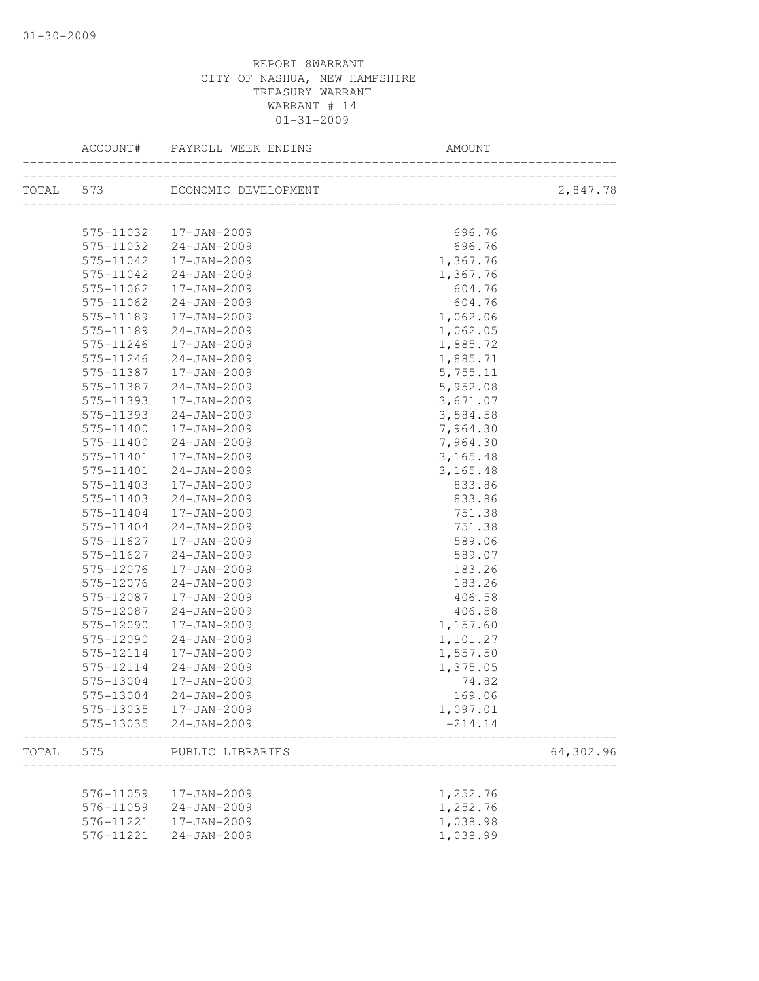|           | ACCOUNT#  | PAYROLL WEEK ENDING  | AMOUNT                                 |           |
|-----------|-----------|----------------------|----------------------------------------|-----------|
| TOTAL 573 |           | ECONOMIC DEVELOPMENT | T<br> -------------------------------- | 2,847.78  |
|           |           |                      |                                        |           |
|           | 575-11032 | 17-JAN-2009          | 696.76                                 |           |
|           | 575-11032 | 24-JAN-2009          | 696.76                                 |           |
|           | 575-11042 | 17-JAN-2009          | 1,367.76                               |           |
|           | 575-11042 | 24-JAN-2009          | 1,367.76                               |           |
|           | 575-11062 | 17-JAN-2009          | 604.76                                 |           |
|           | 575-11062 | $24 - JAN - 2009$    | 604.76                                 |           |
|           | 575-11189 | 17-JAN-2009          | 1,062.06                               |           |
|           | 575-11189 | 24-JAN-2009          | 1,062.05                               |           |
|           | 575-11246 | 17-JAN-2009          | 1,885.72                               |           |
|           | 575-11246 | $24 - JAN - 2009$    | 1,885.71                               |           |
|           | 575-11387 | 17-JAN-2009          | 5,755.11                               |           |
|           | 575-11387 | $24 - JAN - 2009$    | 5,952.08                               |           |
|           | 575-11393 | 17-JAN-2009          | 3,671.07                               |           |
|           | 575-11393 | $24 - JAN - 2009$    | 3,584.58                               |           |
|           | 575-11400 | 17-JAN-2009          | 7,964.30                               |           |
|           | 575-11400 | 24-JAN-2009          | 7,964.30                               |           |
|           | 575-11401 | 17-JAN-2009          | 3,165.48                               |           |
|           | 575-11401 | $24 - JAN - 2009$    | 3,165.48                               |           |
|           | 575-11403 | 17-JAN-2009          | 833.86                                 |           |
|           | 575-11403 | $24 - JAN - 2009$    | 833.86                                 |           |
|           | 575-11404 | 17-JAN-2009          | 751.38                                 |           |
|           | 575-11404 | $24 - JAN - 2009$    | 751.38                                 |           |
|           | 575-11627 | 17-JAN-2009          | 589.06                                 |           |
|           | 575-11627 | 24-JAN-2009          | 589.07                                 |           |
|           | 575-12076 | 17-JAN-2009          | 183.26                                 |           |
|           | 575-12076 | $24 - JAN - 2009$    | 183.26                                 |           |
|           | 575-12087 | 17-JAN-2009          | 406.58                                 |           |
|           | 575-12087 | $24 - JAN - 2009$    | 406.58                                 |           |
|           | 575-12090 | 17-JAN-2009          | 1,157.60                               |           |
|           | 575-12090 | $24 - JAN - 2009$    | 1,101.27                               |           |
|           | 575-12114 | $17 - JAN - 2009$    | 1,557.50                               |           |
|           | 575-12114 | 24-JAN-2009          | 1,375.05                               |           |
|           | 575-13004 | $17 - JAN - 2009$    | 74.82                                  |           |
|           | 575-13004 | 24-JAN-2009          | 169.06                                 |           |
|           | 575-13035 | 17-JAN-2009          | 1,097.01                               |           |
|           | 575-13035 | $24 - JAN - 2009$    | $-214.14$                              |           |
| TOTAL     | 575       | PUBLIC LIBRARIES     |                                        | 64,302.96 |
|           |           |                      |                                        |           |
|           | 576-11059 | 17-JAN-2009          | 1,252.76                               |           |
|           | 576-11059 | $24 - JAN - 2009$    | 1,252.76                               |           |
|           | 576-11221 | 17-JAN-2009          | 1,038.98                               |           |
|           | 576-11221 | $24 - JAN - 2009$    | 1,038.99                               |           |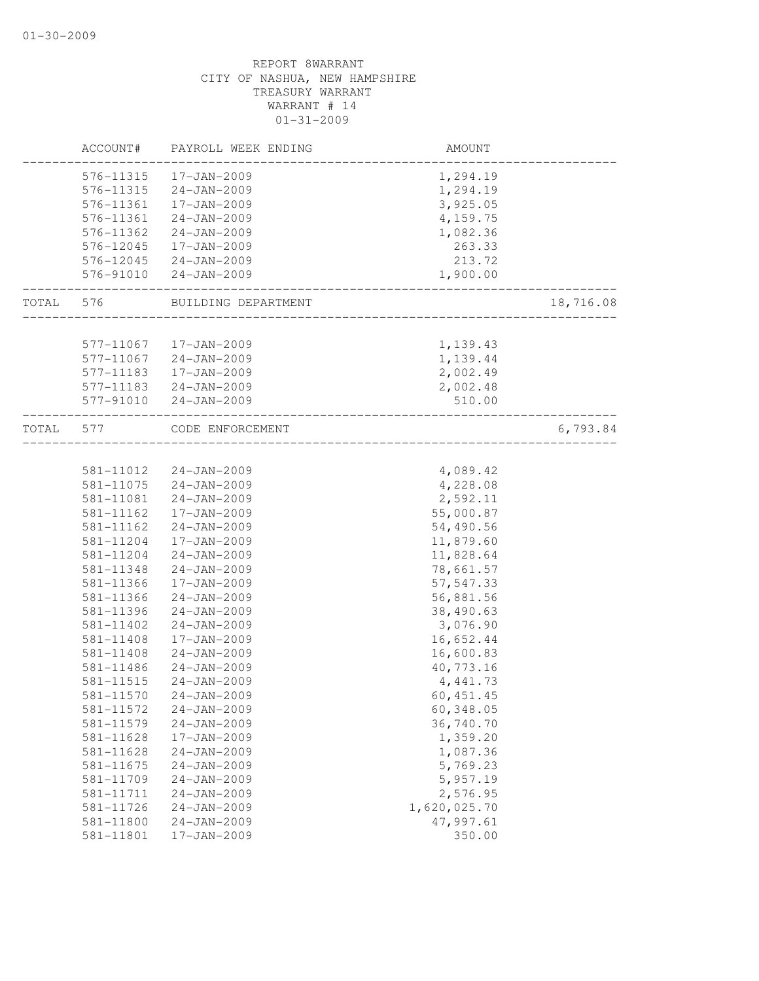|       | ACCOUNT#      | PAYROLL WEEK ENDING | AMOUNT             |           |
|-------|---------------|---------------------|--------------------|-----------|
|       | 576-11315     | 17-JAN-2009         | 1,294.19           |           |
|       | 576-11315     | 24-JAN-2009         | 1,294.19           |           |
|       | 576-11361     | 17-JAN-2009         | 3,925.05           |           |
|       | 576-11361     | 24-JAN-2009         | 4,159.75           |           |
|       | 576-11362     | 24-JAN-2009         | 1,082.36           |           |
|       | 576-12045     | 17-JAN-2009         | 263.33             |           |
|       | 576-12045     | 24-JAN-2009         | 213.72             |           |
|       | 576-91010     | 24-JAN-2009         | 1,900.00           |           |
| TOTAL | 576           | BUILDING DEPARTMENT |                    | 18,716.08 |
|       |               |                     |                    |           |
|       | 577-11067     | 17-JAN-2009         | 1,139.43           |           |
|       | 577-11067     | 24-JAN-2009         | 1,139.44           |           |
|       | 577-11183     | 17-JAN-2009         | 2,002.49           |           |
|       | 577-11183     | 24-JAN-2009         | 2,002.48           |           |
|       | 577-91010     | $24 - JAN - 2009$   | 510.00             |           |
| TOTAL | 577           | CODE ENFORCEMENT    | __________________ | 6,793.84  |
|       |               |                     |                    |           |
|       | 581-11012     | 24-JAN-2009         | 4,089.42           |           |
|       | 581-11075     | 24-JAN-2009         | 4,228.08           |           |
|       | 581-11081     | $24 - JAN - 2009$   | 2,592.11           |           |
|       | 581-11162     | 17-JAN-2009         | 55,000.87          |           |
|       | 581-11162     | $24 - JAN - 2009$   | 54,490.56          |           |
|       | 581-11204     | 17-JAN-2009         | 11,879.60          |           |
|       | 581-11204     | $24 - JAN - 2009$   | 11,828.64          |           |
|       | 581-11348     | $24 - JAN - 2009$   | 78,661.57          |           |
|       | 581-11366     | 17-JAN-2009         | 57, 547.33         |           |
|       | 581-11366     | 24-JAN-2009         | 56,881.56          |           |
|       | 581-11396     | 24-JAN-2009         | 38,490.63          |           |
|       | 581-11402     | 24-JAN-2009         | 3,076.90           |           |
|       | 581-11408     | 17-JAN-2009         | 16,652.44          |           |
|       | $581 - 11408$ | $24 - JAN - 2009$   | 16,600.83          |           |
|       | 581-11486     | $24 - JAN - 2009$   | 40,773.16          |           |
|       | 581-11515     | $24 - JAN - 2009$   | 4, 441.73          |           |
|       | 581-11570     | $24 - JAN - 2009$   | 60, 451.45         |           |
|       | 581-11572     | $24 - JAN - 2009$   | 60,348.05          |           |
|       | 581-11579     | $24 - JAN - 2009$   | 36,740.70          |           |
|       | 581-11628     | 17-JAN-2009         | 1,359.20           |           |
|       | 581-11628     | $24 - JAN - 2009$   | 1,087.36           |           |
|       | 581-11675     | $24 - JAN - 2009$   | 5,769.23           |           |
|       | 581-11709     | $24 - JAN - 2009$   | 5,957.19           |           |
|       | 581-11711     | $24 - JAN - 2009$   | 2,576.95           |           |
|       | 581-11726     | $24 - JAN - 2009$   | 1,620,025.70       |           |
|       | 581-11800     | $24 - JAN - 2009$   | 47,997.61          |           |
|       | 581-11801     | 17-JAN-2009         | 350.00             |           |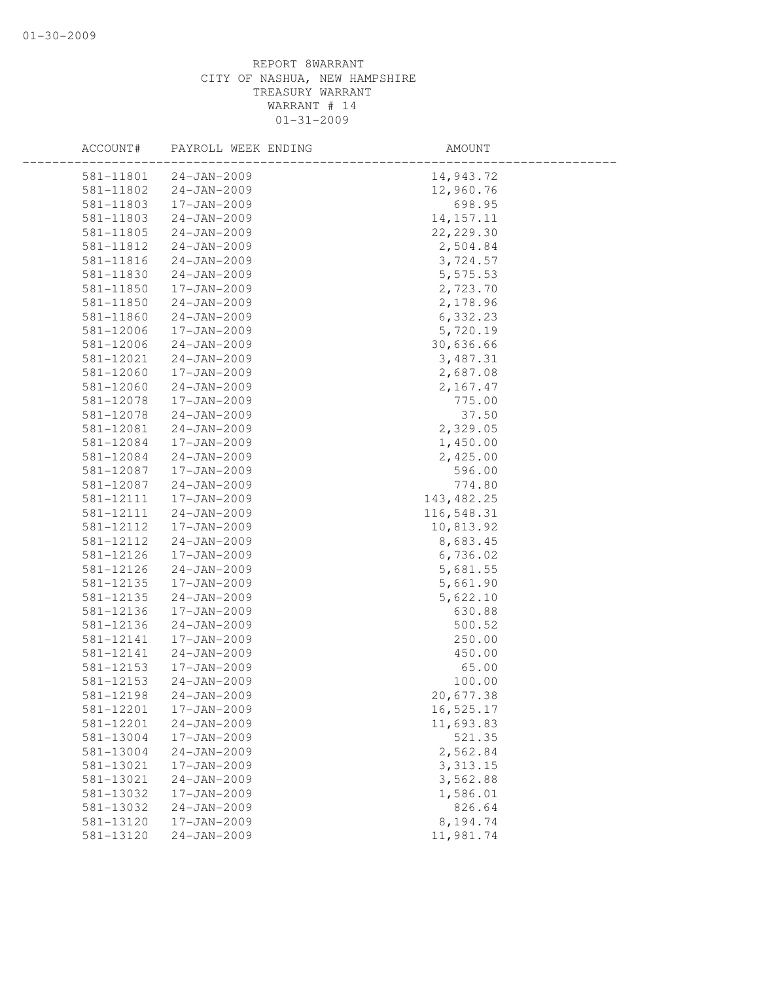| ACCOUNT#  | PAYROLL WEEK ENDING | AMOUNT      |
|-----------|---------------------|-------------|
| 581-11801 | $24 - JAN - 2009$   | 14,943.72   |
| 581-11802 | $24 - JAN - 2009$   | 12,960.76   |
| 581-11803 | 17-JAN-2009         | 698.95      |
| 581-11803 | $24 - JAN - 2009$   | 14, 157. 11 |
| 581-11805 | $24 - JAN - 2009$   | 22, 229.30  |
| 581-11812 | $24 - JAN - 2009$   | 2,504.84    |
| 581-11816 | $24 - JAN - 2009$   | 3,724.57    |
| 581-11830 | $24 - JAN - 2009$   | 5,575.53    |
| 581-11850 | 17-JAN-2009         | 2,723.70    |
| 581-11850 | $24 - JAN - 2009$   | 2,178.96    |
| 581-11860 | $24 - JAN - 2009$   | 6,332.23    |
| 581-12006 | 17-JAN-2009         | 5,720.19    |
| 581-12006 | $24 - JAN - 2009$   | 30,636.66   |
| 581-12021 | $24 - JAN - 2009$   | 3,487.31    |
| 581-12060 | 17-JAN-2009         | 2,687.08    |
| 581-12060 | $24 - JAN - 2009$   | 2,167.47    |
| 581-12078 | 17-JAN-2009         | 775.00      |
| 581-12078 | $24 - JAN - 2009$   | 37.50       |
| 581-12081 | $24 - JAN - 2009$   | 2,329.05    |
| 581-12084 | $17 - JAN - 2009$   | 1,450.00    |
| 581-12084 | $24 - JAN - 2009$   | 2,425.00    |
| 581-12087 | 17-JAN-2009         | 596.00      |
| 581-12087 | $24 - JAN - 2009$   | 774.80      |
| 581-12111 | 17-JAN-2009         | 143, 482.25 |
| 581-12111 | $24 - JAN - 2009$   | 116,548.31  |
| 581-12112 | 17-JAN-2009         | 10,813.92   |
| 581-12112 | $24 - JAN - 2009$   | 8,683.45    |
| 581-12126 | 17-JAN-2009         | 6,736.02    |
| 581-12126 | $24 - JAN - 2009$   | 5,681.55    |
| 581-12135 | 17-JAN-2009         | 5,661.90    |
| 581-12135 | $24 - JAN - 2009$   | 5,622.10    |
| 581-12136 | 17-JAN-2009         | 630.88      |
| 581-12136 | $24 - JAN - 2009$   | 500.52      |
| 581-12141 | 17-JAN-2009         | 250.00      |
| 581-12141 | $24 - JAN - 2009$   | 450.00      |
| 581-12153 | 17-JAN-2009         | 65.00       |
| 581-12153 | $24 - JAN - 2009$   | 100.00      |
| 581-12198 | $24 - JAN - 2009$   | 20,677.38   |
| 581-12201 | 17-JAN-2009         | 16,525.17   |
| 581-12201 | $24 - JAN - 2009$   | 11,693.83   |
| 581-13004 | 17-JAN-2009         | 521.35      |
| 581-13004 | $24 - JAN - 2009$   | 2,562.84    |
| 581-13021 | 17-JAN-2009         | 3, 313.15   |
| 581-13021 | $24 - JAN - 2009$   | 3,562.88    |
| 581-13032 | 17-JAN-2009         | 1,586.01    |
| 581-13032 | $24 - JAN - 2009$   | 826.64      |
| 581-13120 | 17-JAN-2009         | 8,194.74    |
| 581-13120 | $24 - JAN - 2009$   | 11,981.74   |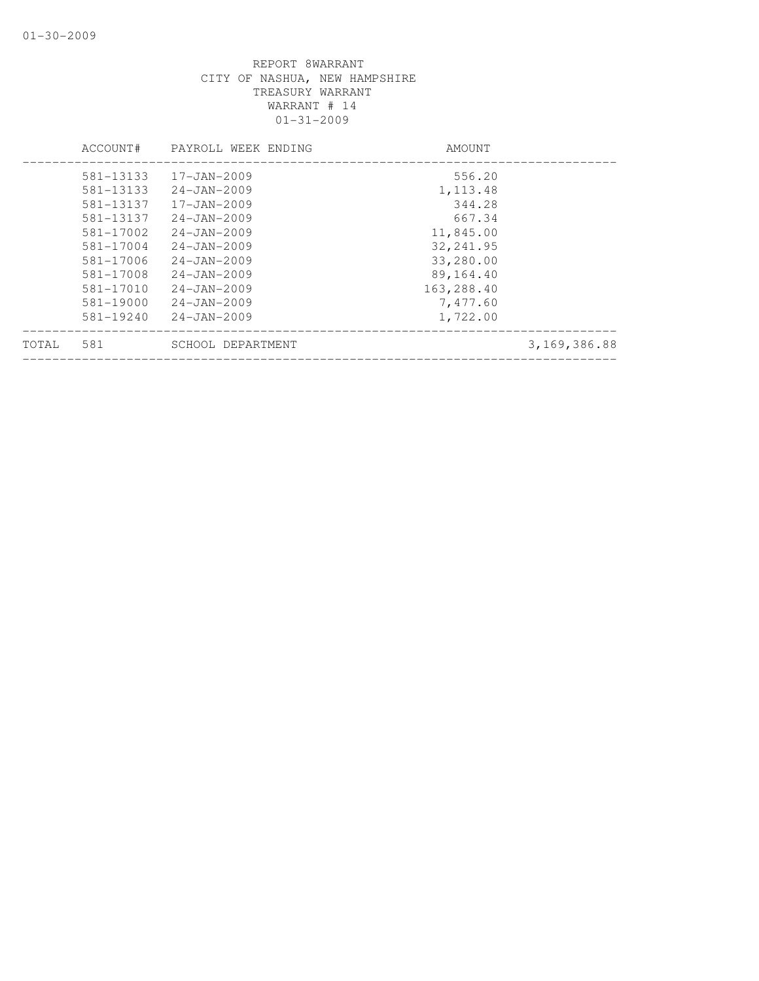|       | ACCOUNT#      | PAYROLL WEEK ENDING | AMOUNT     |                |
|-------|---------------|---------------------|------------|----------------|
|       | 581-13133     | $17 - JAN - 2009$   | 556.20     |                |
|       | 581-13133     | $24 - JAN - 2009$   | 1,113.48   |                |
|       | 581-13137     | $17 - JAN - 2009$   | 344.28     |                |
|       | 581-13137     | $24 - JAN - 2009$   | 667.34     |                |
|       | 581-17002     | $24 - JAN - 2009$   | 11,845.00  |                |
|       | 581-17004     | $24 - JAN - 2009$   | 32, 241.95 |                |
|       | 581-17006     | $24 - JAN - 2009$   | 33,280.00  |                |
|       | 581-17008     | $24 - JAN - 2009$   | 89,164.40  |                |
|       | 581-17010     | $24 - JAN - 2009$   | 163,288.40 |                |
|       | 581-19000     | $24 - JAN - 2009$   | 7,477.60   |                |
|       | $581 - 19240$ | $24 - JAN - 2009$   | 1,722.00   |                |
| TOTAL | 581           | SCHOOL DEPARTMENT   |            | 3, 169, 386.88 |
|       |               |                     |            |                |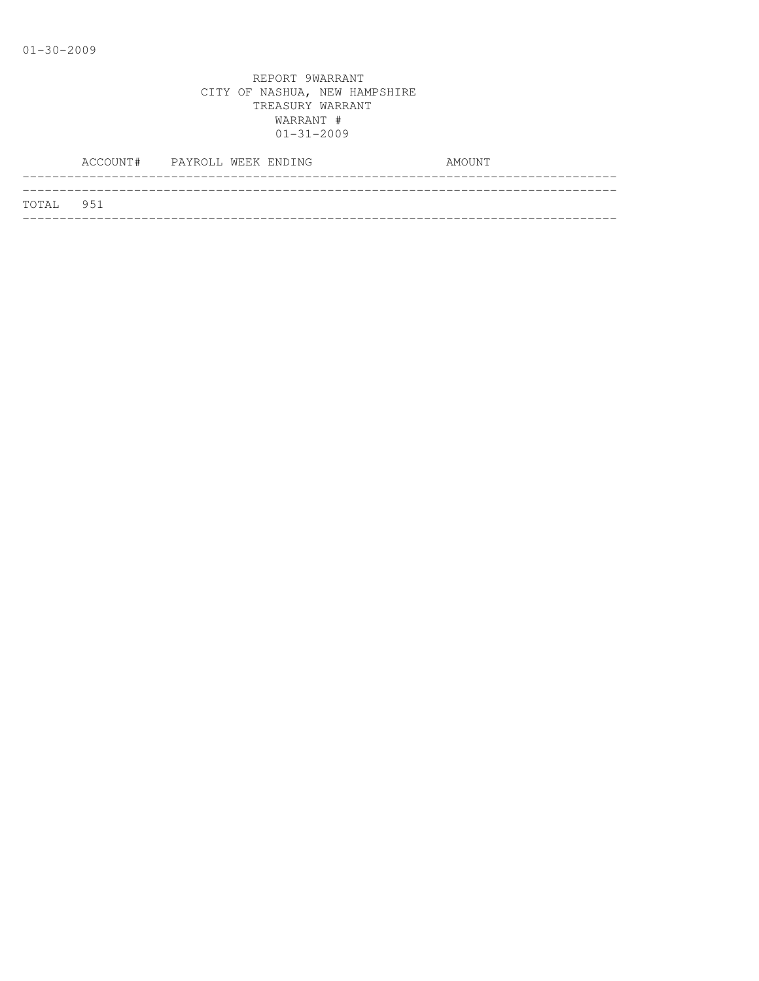|           | ACCOUNT# PAYROLL WEEK ENDING |  | AMOUNT |
|-----------|------------------------------|--|--------|
|           |                              |  |        |
| TOTAL 951 |                              |  |        |
|           |                              |  |        |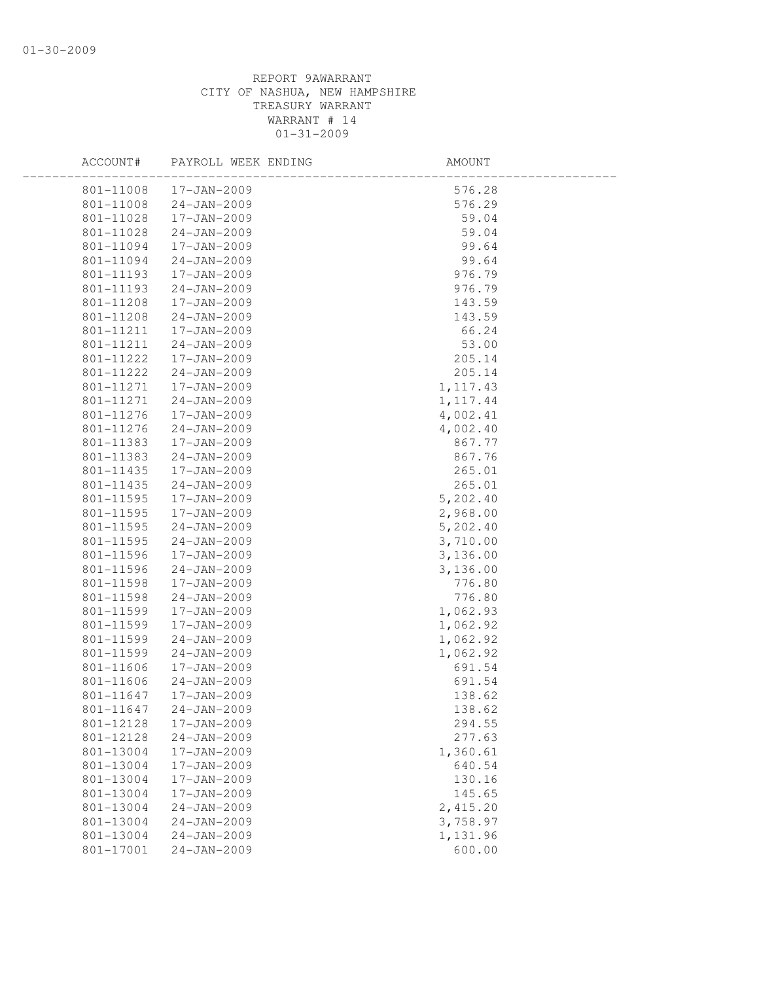| ACCOUNT#  | PAYROLL WEEK ENDING | AMOUNT    |  |
|-----------|---------------------|-----------|--|
| 801-11008 | 17-JAN-2009         | 576.28    |  |
| 801-11008 | 24-JAN-2009         | 576.29    |  |
| 801-11028 | 17-JAN-2009         | 59.04     |  |
| 801-11028 | 24-JAN-2009         | 59.04     |  |
| 801-11094 | 17-JAN-2009         | 99.64     |  |
| 801-11094 | 24-JAN-2009         | 99.64     |  |
| 801-11193 | 17-JAN-2009         | 976.79    |  |
| 801-11193 | 24-JAN-2009         | 976.79    |  |
| 801-11208 | 17-JAN-2009         | 143.59    |  |
| 801-11208 | 24-JAN-2009         | 143.59    |  |
| 801-11211 | 17-JAN-2009         | 66.24     |  |
| 801-11211 | 24-JAN-2009         | 53.00     |  |
| 801-11222 | 17-JAN-2009         | 205.14    |  |
| 801-11222 | 24-JAN-2009         | 205.14    |  |
| 801-11271 | 17-JAN-2009         | 1, 117.43 |  |
| 801-11271 | $24 - JAN - 2009$   | 1, 117.44 |  |
| 801-11276 | 17-JAN-2009         | 4,002.41  |  |
| 801-11276 | 24-JAN-2009         | 4,002.40  |  |
| 801-11383 | 17-JAN-2009         | 867.77    |  |
| 801-11383 | $24 - JAN - 2009$   | 867.76    |  |
| 801-11435 | 17-JAN-2009         | 265.01    |  |
| 801-11435 | 24-JAN-2009         | 265.01    |  |
| 801-11595 | 17-JAN-2009         | 5,202.40  |  |
| 801-11595 | 17-JAN-2009         | 2,968.00  |  |
| 801-11595 | 24-JAN-2009         | 5,202.40  |  |
| 801-11595 | $24 - JAN - 2009$   | 3,710.00  |  |
| 801-11596 | 17-JAN-2009         | 3,136.00  |  |
| 801-11596 | 24-JAN-2009         | 3,136.00  |  |
| 801-11598 | 17-JAN-2009         | 776.80    |  |
| 801-11598 | $24 - JAN - 2009$   | 776.80    |  |
| 801-11599 | 17-JAN-2009         | 1,062.93  |  |
| 801-11599 | 17-JAN-2009         | 1,062.92  |  |
| 801-11599 | $24 - JAN - 2009$   | 1,062.92  |  |
| 801-11599 | $24 - JAN - 2009$   | 1,062.92  |  |
| 801-11606 | 17-JAN-2009         | 691.54    |  |
| 801-11606 | 24-JAN-2009         | 691.54    |  |
| 801-11647 | 17-JAN-2009         | 138.62    |  |
| 801-11647 | 24-JAN-2009         | 138.62    |  |
| 801-12128 | 17-JAN-2009         | 294.55    |  |
| 801-12128 | $24 - JAN - 2009$   | 277.63    |  |
| 801-13004 | 17-JAN-2009         | 1,360.61  |  |
| 801-13004 | 17-JAN-2009         | 640.54    |  |
| 801-13004 | 17-JAN-2009         | 130.16    |  |
| 801-13004 | 17-JAN-2009         | 145.65    |  |
| 801-13004 | $24 - JAN - 2009$   | 2,415.20  |  |
| 801-13004 | $24 - JAN - 2009$   | 3,758.97  |  |
| 801-13004 | $24 - JAN - 2009$   | 1,131.96  |  |
| 801-17001 | $24 - JAN - 2009$   | 600.00    |  |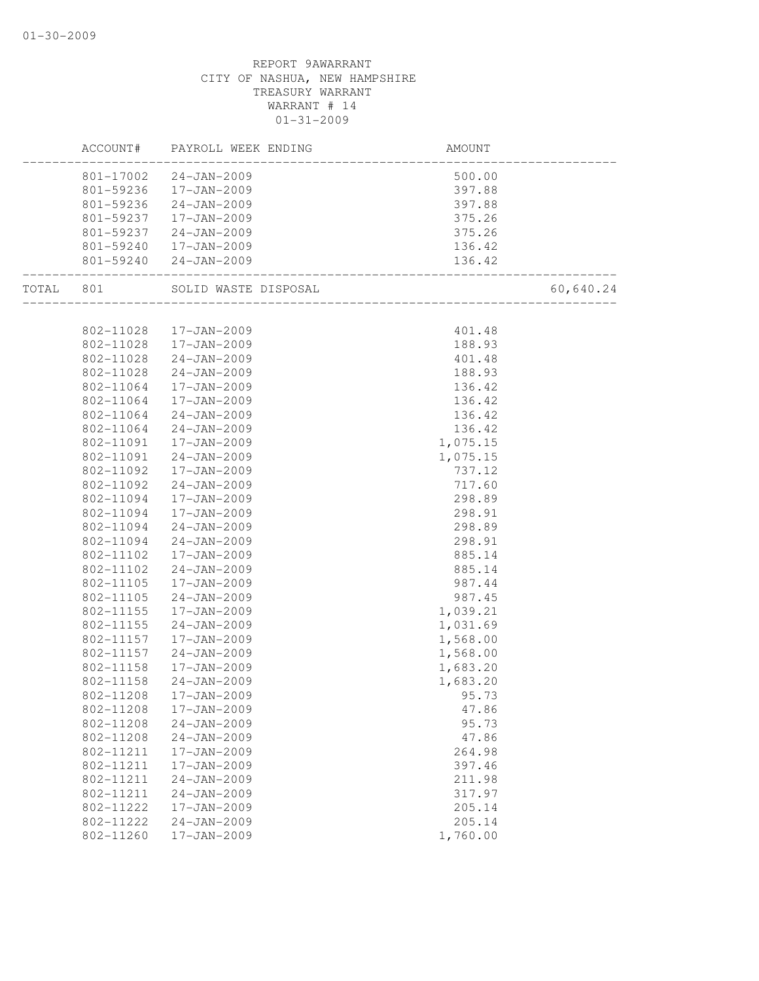|       | ACCOUNT#  | PAYROLL WEEK ENDING  | AMOUNT                               |           |
|-------|-----------|----------------------|--------------------------------------|-----------|
|       | 801-17002 | $24 - JAN - 2009$    | 500.00                               |           |
|       | 801-59236 | 17-JAN-2009          | 397.88                               |           |
|       | 801-59236 | 24-JAN-2009          | 397.88                               |           |
|       | 801-59237 | 17-JAN-2009          | 375.26                               |           |
|       | 801-59237 | 24-JAN-2009          | 375.26                               |           |
|       | 801-59240 | 17-JAN-2009          | 136.42                               |           |
|       | 801-59240 | 24-JAN-2009          | 136.42<br>__________________________ |           |
| TOTAL | 801       | SOLID WASTE DISPOSAL | _____________________________        | 60,640.24 |
|       |           |                      |                                      |           |
|       | 802-11028 | 17-JAN-2009          | 401.48                               |           |
|       | 802-11028 | 17-JAN-2009          | 188.93                               |           |
|       | 802-11028 | $24 - JAN - 2009$    | 401.48                               |           |
|       | 802-11028 | $24 - JAN - 2009$    | 188.93                               |           |
|       | 802-11064 | 17-JAN-2009          | 136.42                               |           |
|       | 802-11064 | 17-JAN-2009          | 136.42                               |           |
|       | 802-11064 | $24 - JAN - 2009$    | 136.42                               |           |
|       | 802-11064 | $24 - JAN - 2009$    | 136.42                               |           |
|       | 802-11091 | 17-JAN-2009          | 1,075.15                             |           |
|       | 802-11091 | $24 - JAN - 2009$    | 1,075.15                             |           |
|       | 802-11092 | 17-JAN-2009          | 737.12                               |           |
|       | 802-11092 | $24 - JAN - 2009$    | 717.60                               |           |
|       | 802-11094 | $17 - JAN - 2009$    | 298.89                               |           |
|       | 802-11094 | 17-JAN-2009          | 298.91                               |           |
|       | 802-11094 | $24 - JAN - 2009$    | 298.89                               |           |
|       | 802-11094 | $24 - JAN - 2009$    | 298.91                               |           |
|       | 802-11102 | 17-JAN-2009          | 885.14                               |           |
|       | 802-11102 | 24-JAN-2009          | 885.14                               |           |
|       | 802-11105 | 17-JAN-2009          | 987.44                               |           |
|       | 802-11105 | $24 - JAN - 2009$    | 987.45                               |           |
|       | 802-11155 | 17-JAN-2009          | 1,039.21                             |           |
|       | 802-11155 | 24-JAN-2009          | 1,031.69                             |           |
|       | 802-11157 | 17-JAN-2009          | 1,568.00                             |           |
|       | 802-11157 | $24 - JAN - 2009$    | 1,568.00                             |           |
|       | 802-11158 | 17-JAN-2009          | 1,683.20                             |           |
|       | 802-11158 | $24 - JAN - 2009$    | 1,683.20                             |           |
|       | 802-11208 | 17-JAN-2009          | 95.73                                |           |
|       | 802-11208 | 17-JAN-2009          | 47.86                                |           |
|       | 802-11208 | $24 - JAN - 2009$    | 95.73                                |           |
|       | 802-11208 | $24 - JAN - 2009$    | 47.86                                |           |
|       | 802-11211 | 17-JAN-2009          | 264.98                               |           |
|       | 802-11211 | 17-JAN-2009          | 397.46                               |           |
|       | 802-11211 | $24 - JAN - 2009$    | 211.98                               |           |
|       | 802-11211 | $24 - JAN - 2009$    | 317.97                               |           |
|       | 802-11222 | 17-JAN-2009          | 205.14                               |           |
|       | 802-11222 | $24 - JAN - 2009$    | 205.14                               |           |
|       | 802-11260 | 17-JAN-2009          | 1,760.00                             |           |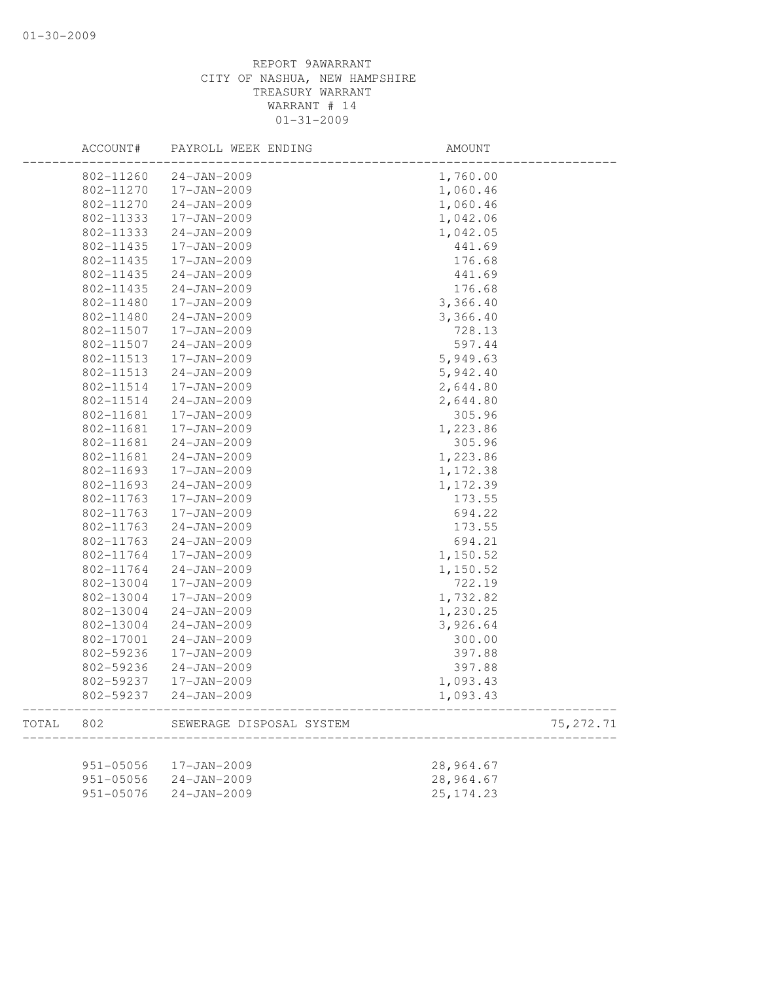|       | ACCOUNT#      | PAYROLL WEEK ENDING      | AMOUNT     |            |
|-------|---------------|--------------------------|------------|------------|
|       | 802-11260     | $24 - JAN - 2009$        | 1,760.00   |            |
|       | 802-11270     | 17-JAN-2009              | 1,060.46   |            |
|       | 802-11270     | $24 - JAN - 2009$        | 1,060.46   |            |
|       | 802-11333     | 17-JAN-2009              | 1,042.06   |            |
|       | 802-11333     | $24 - JAN - 2009$        | 1,042.05   |            |
|       | 802-11435     | 17-JAN-2009              | 441.69     |            |
|       | 802-11435     | 17-JAN-2009              | 176.68     |            |
|       | 802-11435     | $24 - JAN - 2009$        | 441.69     |            |
|       | 802-11435     | $24 - JAN - 2009$        | 176.68     |            |
|       | 802-11480     | 17-JAN-2009              | 3,366.40   |            |
|       | 802-11480     | $24 - JAN - 2009$        | 3,366.40   |            |
|       | 802-11507     | 17-JAN-2009              | 728.13     |            |
|       | 802-11507     | $24 - JAN - 2009$        | 597.44     |            |
|       | 802-11513     | 17-JAN-2009              | 5,949.63   |            |
|       | 802-11513     | $24 - JAN - 2009$        | 5,942.40   |            |
|       | 802-11514     | $17 - JAN - 2009$        | 2,644.80   |            |
|       | 802-11514     | $24 - JAN - 2009$        | 2,644.80   |            |
|       | 802-11681     | 17-JAN-2009              | 305.96     |            |
|       | 802-11681     | $17 - JAN - 2009$        | 1,223.86   |            |
|       | 802-11681     | $24 - JAN - 2009$        | 305.96     |            |
|       | 802-11681     | $24 - JAN - 2009$        | 1,223.86   |            |
|       | 802-11693     | 17-JAN-2009              | 1,172.38   |            |
|       | 802-11693     | $24 - JAN - 2009$        | 1,172.39   |            |
|       | 802-11763     | 17-JAN-2009              | 173.55     |            |
|       | 802-11763     | 17-JAN-2009              | 694.22     |            |
|       | 802-11763     | $24 - JAN - 2009$        | 173.55     |            |
|       | 802-11763     | $24 - JAN - 2009$        | 694.21     |            |
|       | 802-11764     | 17-JAN-2009              | 1,150.52   |            |
|       | 802-11764     | $24 - JAN - 2009$        | 1,150.52   |            |
|       | 802-13004     | 17-JAN-2009              | 722.19     |            |
|       | 802-13004     | 17-JAN-2009              | 1,732.82   |            |
|       | 802-13004     | $24 - JAN - 2009$        | 1,230.25   |            |
|       | 802-13004     | $24 - JAN - 2009$        | 3,926.64   |            |
|       | 802-17001     | $24 - JAN - 2009$        | 300.00     |            |
|       | 802-59236     | 17-JAN-2009              | 397.88     |            |
|       | 802-59236     | $24 - JAN - 2009$        | 397.88     |            |
|       | 802-59237     | 17-JAN-2009              | 1,093.43   |            |
|       | 802-59237     | $24 - JAN - 2009$        | 1,093.43   |            |
| TOTAL | 802           | SEWERAGE DISPOSAL SYSTEM |            | 75, 272.71 |
|       |               |                          |            |            |
|       | $951 - 05056$ | 17-JAN-2009              | 28,964.67  |            |
|       | 951-05056     | $24 - JAN - 2009$        | 28,964.67  |            |
|       | 951-05076     | $24 - JAN - 2009$        | 25, 174.23 |            |